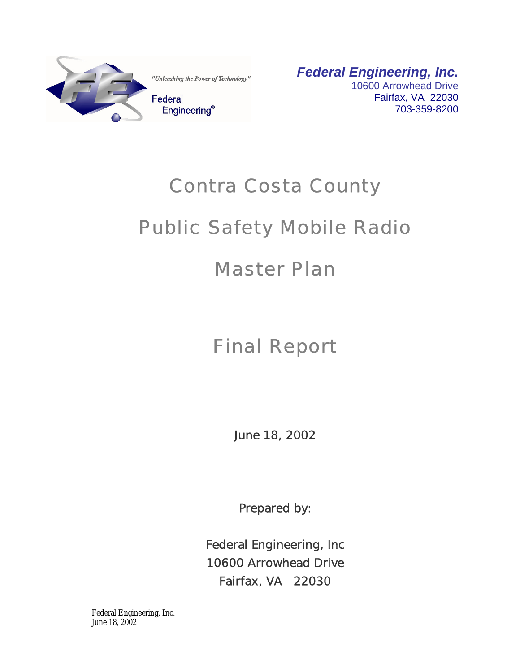

*Federal Engineering, Inc.*  10600 Arrowhead Drive Fairfax, VA 22030 703-359-8200

# Contra Costa County

# Public Safety Mobile Radio

# Master Plan

# Final Report

June 18, 2002

Prepared by:

Federal Engineering, Inc 10600 Arrowhead Drive Fairfax, VA 22030

Federal Engineering, Inc. June 18, 2002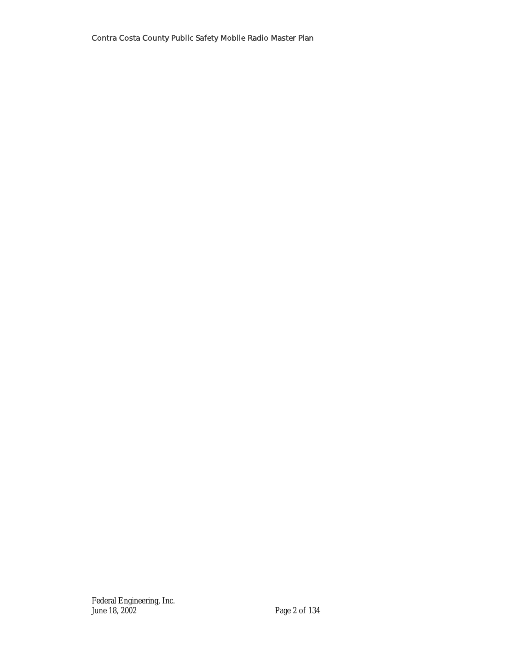Federal Engineering, Inc. June 18, 2002 Page 2 of 134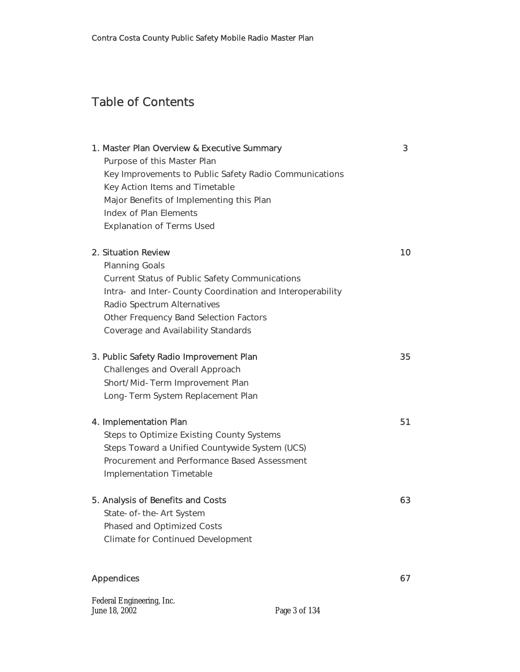# Table of Contents

| 1. Master Plan Overview & Executive Summary<br>Purpose of this Master Plan<br>Key Improvements to Public Safety Radio Communications<br>Key Action Items and Timetable<br>Major Benefits of Implementing this Plan<br>Index of Plan Elements<br><b>Explanation of Terms Used</b> | 3  |
|----------------------------------------------------------------------------------------------------------------------------------------------------------------------------------------------------------------------------------------------------------------------------------|----|
| 2. Situation Review                                                                                                                                                                                                                                                              | 10 |
| <b>Planning Goals</b>                                                                                                                                                                                                                                                            |    |
| <b>Current Status of Public Safety Communications</b>                                                                                                                                                                                                                            |    |
| Intra- and Inter-County Coordination and Interoperability                                                                                                                                                                                                                        |    |
| Radio Spectrum Alternatives                                                                                                                                                                                                                                                      |    |
| Other Frequency Band Selection Factors                                                                                                                                                                                                                                           |    |
| Coverage and Availability Standards                                                                                                                                                                                                                                              |    |
| 3. Public Safety Radio Improvement Plan<br><b>Challenges and Overall Approach</b><br>Short/Mid-Term Improvement Plan<br>Long-Term System Replacement Plan                                                                                                                        | 35 |
| 4. Implementation Plan                                                                                                                                                                                                                                                           | 51 |
| Steps to Optimize Existing County Systems                                                                                                                                                                                                                                        |    |
| Steps Toward a Unified Countywide System (UCS)                                                                                                                                                                                                                                   |    |
| Procurement and Performance Based Assessment                                                                                                                                                                                                                                     |    |
| <b>Implementation Timetable</b>                                                                                                                                                                                                                                                  |    |
| 5. Analysis of Benefits and Costs                                                                                                                                                                                                                                                | 63 |
| State-of-the-Art System                                                                                                                                                                                                                                                          |    |
| Phased and Optimized Costs                                                                                                                                                                                                                                                       |    |
| <b>Climate for Continued Development</b>                                                                                                                                                                                                                                         |    |
|                                                                                                                                                                                                                                                                                  |    |
| <b>Appendices</b>                                                                                                                                                                                                                                                                | 67 |
|                                                                                                                                                                                                                                                                                  |    |

Federal Engineering, Inc. June 18, 2002 Page 3 of 134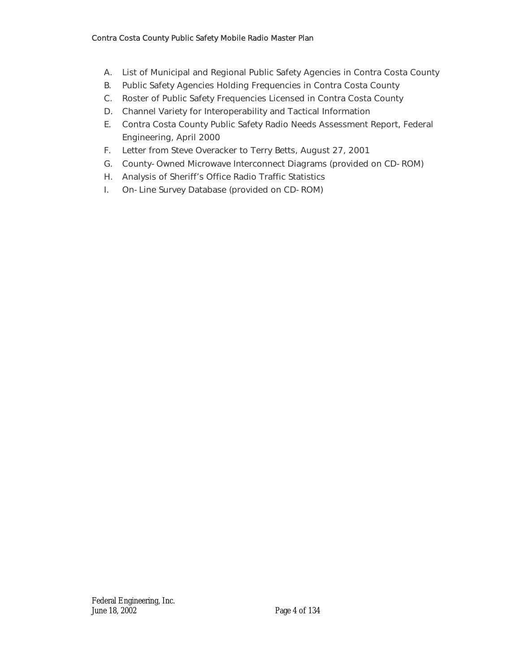- A. List of Municipal and Regional Public Safety Agencies in Contra Costa County
- B. Public Safety Agencies Holding Frequencies in Contra Costa County
- C. Roster of Public Safety Frequencies Licensed in Contra Costa County
- D. Channel Variety for Interoperability and Tactical Information
- E. Contra Costa County Public Safety Radio Needs Assessment Report, Federal Engineering, April 2000
- F. Letter from Steve Overacker to Terry Betts, August 27, 2001
- G. County-Owned Microwave Interconnect Diagrams (provided on CD-ROM)
- H. Analysis of Sheriff's Office Radio Traffic Statistics
- I. On-Line Survey Database (provided on CD-ROM)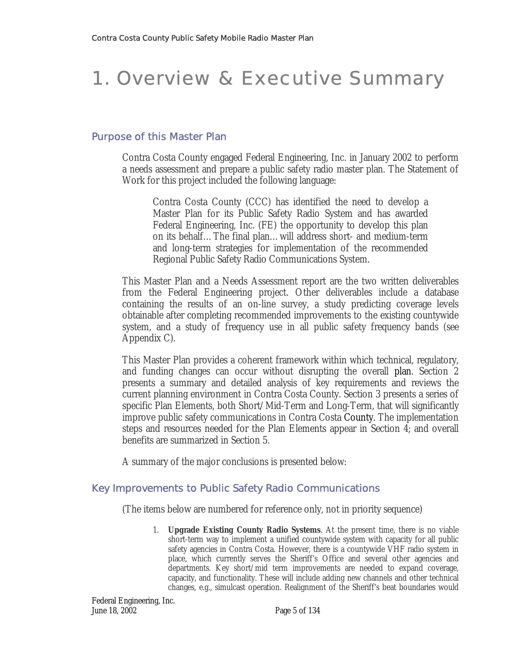# 1. Overview & Executive Summary

# Purpose of this Master Plan

Contra Costa County engaged Federal Engineering, Inc. in January 2002 to perform a needs assessment and prepare a public safety radio master plan. The Statement of Work for this project included the following language:

Contra Costa County (CCC) has identified the need to develop a Master Plan for its Public Safety Radio System and has awarded Federal Engineering, Inc. (FE) the opportunity to develop this plan on its behalf…The final plan…will address short- and medium-term and long-term strategies for implementation of the recommended Regional Public Safety Radio Communications System.

This Master Plan and a Needs Assessment report are the two written deliverables from the Federal Engineering project. Other deliverables include a database containing the results of an on-line survey, a study predicting coverage levels obtainable after completing recommended improvements to the existing countywide system, and a study of frequency use in all public safety frequency bands (see Appendix C).

This Master Plan provides a coherent framework within which technical, regulatory, and funding changes can occur without disrupting the overall plan. Section 2 presents a summary and detailed analysis of key requirements and reviews the current planning environment in Contra Costa County. Section 3 presents a series of specific Plan Elements, both Short/Mid-Term and Long-Term, that will significantly improve public safety communications in Contra Costa County. The implementation steps and resources needed for the Plan Elements appear in Section 4; and overall benefits are summarized in Section 5.

A summary of the major conclusions is presented below:

# Key Improvements to Public Safety Radio Communications

(The items below are numbered for reference only, not in priority sequence)

1. **Upgrade Existing County Radio Systems**. At the present time, there is no viable short-term way to implement a unified countywide system with capacity for all public safety agencies in Contra Costa. However, there is a countywide VHF radio system in place, which currently serves the Sheriff's Office and several other agencies and departments. Key short/mid term improvements are needed to expand coverage, capacity, and functionality. These will include adding new channels and other technical changes, e.g., simulcast operation. Realignment of the Sheriff's beat boundaries would

Page 5 of 134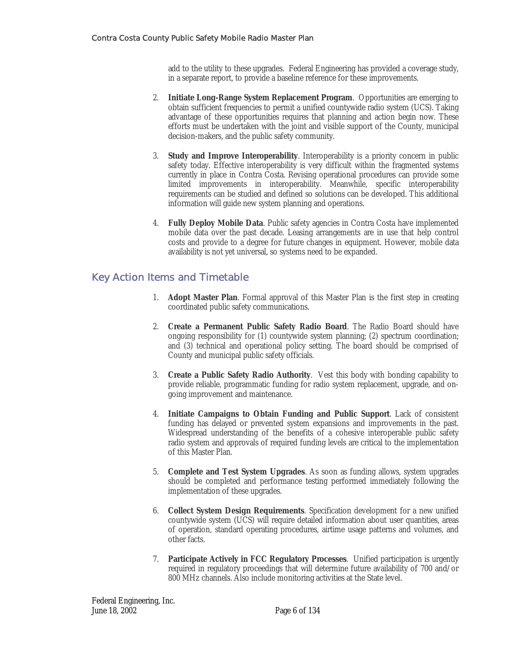add to the utility to these upgrades. Federal Engineering has provided a coverage study, in a separate report, to provide a baseline reference for these improvements.

- 2. **Initiate Long-Range System Replacement Program**. Opportunities are emerging to obtain sufficient frequencies to permit a unified countywide radio system (UCS). Taking advantage of these opportunities requires that planning and action begin now. These efforts must be undertaken with the joint and visible support of the County, municipal decision-makers, and the public safety community.
- 3. **Study and Improve Interoperability**. Interoperability is a priority concern in public safety today. Effective interoperability is very difficult within the fragmented systems currently in place in Contra Costa. Revising operational procedures can provide some limited improvements in interoperability. Meanwhile, specific interoperability requirements can be studied and defined so solutions can be developed. This additional information will guide new system planning and operations.
- 4. **Fully Deploy Mobile Data**. Public safety agencies in Contra Costa have implemented mobile data over the past decade. Leasing arrangements are in use that help control costs and provide to a degree for future changes in equipment. However, mobile data availability is not yet universal, so systems need to be expanded.

# Key Action Items and Timetable

- 1. **Adopt Master Plan**. Formal approval of this Master Plan is the first step in creating coordinated public safety communications.
- 2. **Create a Permanent Public Safety Radio Board**. The Radio Board should have ongoing responsibility for (1) countywide system planning; (2) spectrum coordination; and (3) technical and operational policy setting. The board should be comprised of County and municipal public safety officials.
- 3. **Create a Public Safety Radio Authority**. Vest this body with bonding capability to provide reliable, programmatic funding for radio system replacement, upgrade, and ongoing improvement and maintenance.
- 4. **Initiate Campaigns to Obtain Funding and Public Support**. Lack of consistent funding has delayed or prevented system expansions and improvements in the past. Widespread understanding of the benefits of a cohesive interoperable public safety radio system and approvals of required funding levels are critical to the implementation of this Master Plan.
- 5. **Complete and Test System Upgrades**. As soon as funding allows, system upgrades should be completed and performance testing performed immediately following the implementation of these upgrades.
- 6. **Collect System Design Requirements**. Specification development for a new unified countywide system (UCS) will require detailed information about user quantities, areas of operation, standard operating procedures, airtime usage patterns and volumes, and other facts.
- 7. **Participate Actively in FCC Regulatory Processes**. Unified participation is urgently required in regulatory proceedings that will determine future availability of 700 and/or 800 MHz channels. Also include monitoring activities at the State level.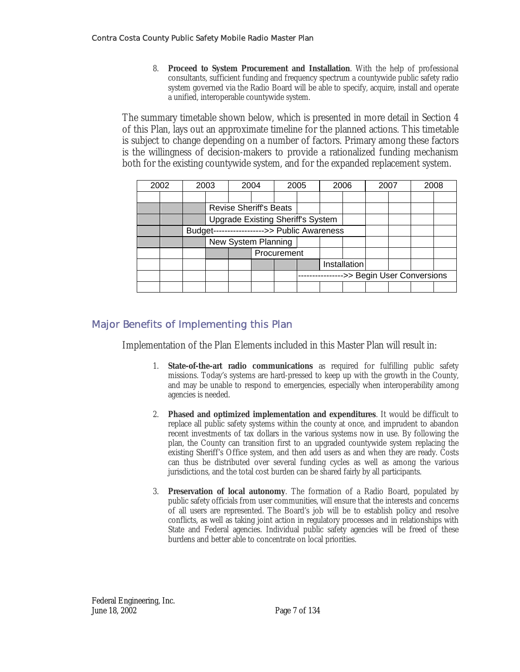8. **Proceed to System Procurement and Installation**. With the help of professional consultants, sufficient funding and frequency spectrum a countywide public safety radio system governed via the Radio Board will be able to specify, acquire, install and operate a unified, interoperable countywide system.

The summary timetable shown below, which is presented in more detail in Section 4 of this Plan, lays out an approximate timeline for the planned actions. This timetable is subject to change depending on a number of factors. Primary among these factors is the willingness of decision-makers to provide a rationalized funding mechanism both for the existing countywide system, and for the expanded replacement system.

| 2002 |         | 2003 |                                | 2004 |                                          | 2005 |  | 2006         | 2007 | 2008 |  |
|------|---------|------|--------------------------------|------|------------------------------------------|------|--|--------------|------|------|--|
|      |         |      |                                |      |                                          |      |  |              |      |      |  |
|      |         |      | <b>Revise Sheriff's Beats</b>  |      |                                          |      |  |              |      |      |  |
|      |         |      |                                |      | <b>Upgrade Existing Sheriff's System</b> |      |  |              |      |      |  |
|      | Budget- |      | ----------->> Public Awareness |      |                                          |      |  |              |      |      |  |
|      |         |      | New System Planning            |      |                                          |      |  |              |      |      |  |
|      |         |      |                                |      | Procurement                              |      |  |              |      |      |  |
|      |         |      |                                |      |                                          |      |  | Installation |      |      |  |
|      |         |      |                                |      | ->> Begin User Conversions               |      |  |              |      |      |  |
|      |         |      |                                |      |                                          |      |  |              |      |      |  |

# Major Benefits of Implementing this Plan

Implementation of the Plan Elements included in this Master Plan will result in:

- 1. **State-of-the-art radio communications** as required for fulfilling public safety missions. Today's systems are hard-pressed to keep up with the growth in the County, and may be unable to respond to emergencies, especially when interoperability among agencies is needed.
- 2. **Phased and optimized implementation and expenditures**. It would be difficult to replace all public safety systems within the county at once, and imprudent to abandon recent investments of tax dollars in the various systems now in use. By following the plan, the County can transition first to an upgraded countywide system replacing the existing Sheriff's Office system, and then add users as and when they are ready. Costs can thus be distributed over several funding cycles as well as among the various jurisdictions, and the total cost burden can be shared fairly by all participants.
- 3. **Preservation of local autonomy**. The formation of a Radio Board, populated by public safety officials from user communities, will ensure that the interests and concerns of all users are represented. The Board's job will be to establish policy and resolve conflicts, as well as taking joint action in regulatory processes and in relationships with State and Federal agencies. Individual public safety agencies will be freed of these burdens and better able to concentrate on local priorities.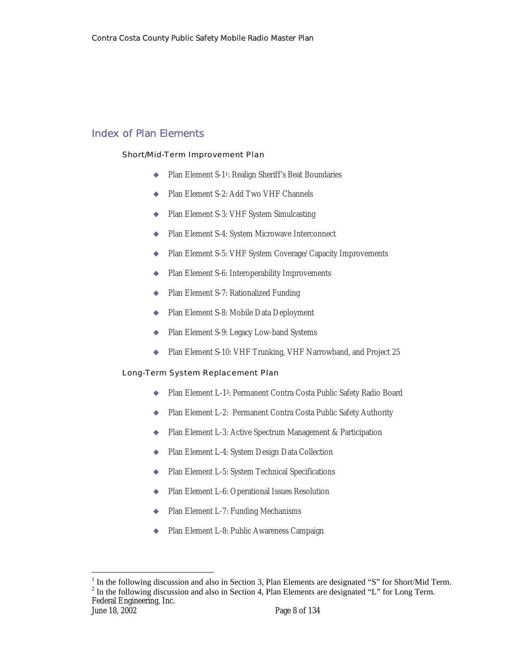# Index of Plan Elements

 $\overline{a}$ 

### Short/Mid-Term Improvement Plan

- ◆ Plan Element S-1<sup>1</sup>: Realign Sheriff's Beat Boundaries
- Plan Element S-2: Add Two VHF Channels
- ◆ Plan Element S-3: VHF System Simulcasting
- ◆ Plan Element S-4: System Microwave Interconnect
- ◆ Plan Element S-5: VHF System Coverage/Capacity Improvements
- ◆ Plan Element S-6: Interoperability Improvements
- Plan Element S-7: Rationalized Funding
- ◆ Plan Element S-8: Mobile Data Deployment
- ◆ Plan Element S-9: Legacy Low-band Systems
- ◆ Plan Element S-10: VHF Trunking, VHF Narrowband, and Project 25

### Long-Term System Replacement Plan

- ◆ Plan Element L-1[2:](#page-7-1) Permanent Contra Costa Public Safety Radio Board
- ◆ Plan Element L-2: Permanent Contra Costa Public Safety Authority
- ◆ Plan Element L-3: Active Spectrum Management & Participation
- ◆ Plan Element L-4: System Design Data Collection
- ◆ Plan Element L-5: System Technical Specifications
- Plan Element L-6: Operational Issues Resolution
- ◆ Plan Element L-7: Funding Mechanisms
- ◆ Plan Element L-8: Public Awareness Campaign

<span id="page-7-1"></span>Federal Engineering, Inc. Page 8 of 134

<span id="page-7-0"></span><sup>1</sup> In the following discussion and also in Section 3, Plan Elements are designated "S" for Short/Mid Term.  $2 \text{ In the following discussion and also in Section 4, Plan Elements are designated "L" for Long Term.}$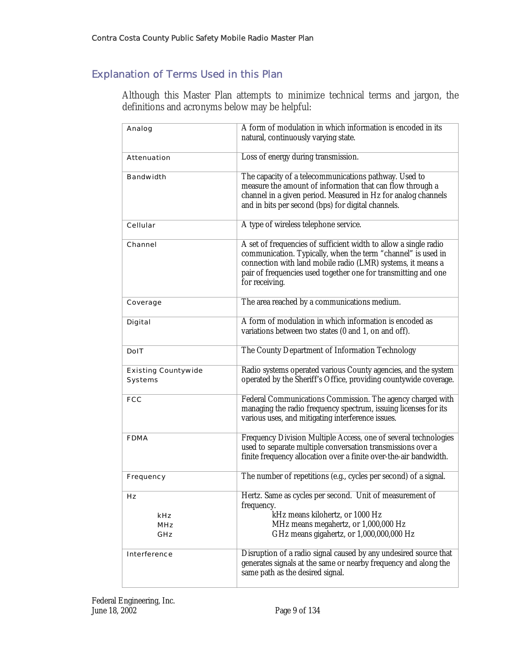# Explanation of Terms Used in this Plan

Although this Master Plan attempts to minimize technical terms and jargon, the definitions and acronyms below may be helpful:

| Analog                                       | A form of modulation in which information is encoded in its<br>natural, continuously varying state.                                                                                                                                                                                 |
|----------------------------------------------|-------------------------------------------------------------------------------------------------------------------------------------------------------------------------------------------------------------------------------------------------------------------------------------|
| <b>Attenuation</b>                           | Loss of energy during transmission.                                                                                                                                                                                                                                                 |
| <b>Bandwidth</b>                             | The capacity of a telecommunications pathway. Used to<br>measure the amount of information that can flow through a<br>channel in a given period. Measured in Hz for analog channels<br>and in bits per second (bps) for digital channels.                                           |
| <b>Cellular</b>                              | A type of wireless telephone service.                                                                                                                                                                                                                                               |
| <b>Channel</b>                               | A set of frequencies of sufficient width to allow a single radio<br>communication. Typically, when the term "channel" is used in<br>connection with land mobile radio (LMR) systems, it means a<br>pair of frequencies used together one for transmitting and one<br>for receiving. |
| Coverage                                     | The area reached by a communications medium.                                                                                                                                                                                                                                        |
| <b>Digital</b>                               | A form of modulation in which information is encoded as<br>variations between two states (0 and 1, on and off).                                                                                                                                                                     |
| DolT                                         | The County Department of Information Technology                                                                                                                                                                                                                                     |
| <b>Existing Countywide</b><br><b>Systems</b> | Radio systems operated various County agencies, and the system<br>operated by the Sheriff's Office, providing countywide coverage.                                                                                                                                                  |
| <b>FCC</b>                                   | Federal Communications Commission. The agency charged with<br>managing the radio frequency spectrum, issuing licenses for its<br>various uses, and mitigating interference issues.                                                                                                  |
| <b>FDMA</b>                                  | Frequency Division Multiple Access, one of several technologies<br>used to separate multiple conversation transmissions over a<br>finite frequency allocation over a finite over-the-air bandwidth.                                                                                 |
| <b>Frequency</b>                             | The number of repetitions (e.g., cycles per second) of a signal.                                                                                                                                                                                                                    |
| Ηz<br>kHz<br><b>MHz</b><br>GHz               | Hertz. Same as cycles per second. Unit of measurement of<br>frequency.<br>kHz means kilohertz, or 1000 Hz<br>MHz means megahertz, or 1,000,000 Hz<br>GHz means gigahertz, or 1,000,000,000 Hz                                                                                       |
| <b>Interference</b>                          | Disruption of a radio signal caused by any undesired source that<br>generates signals at the same or nearby frequency and along the<br>same path as the desired signal.                                                                                                             |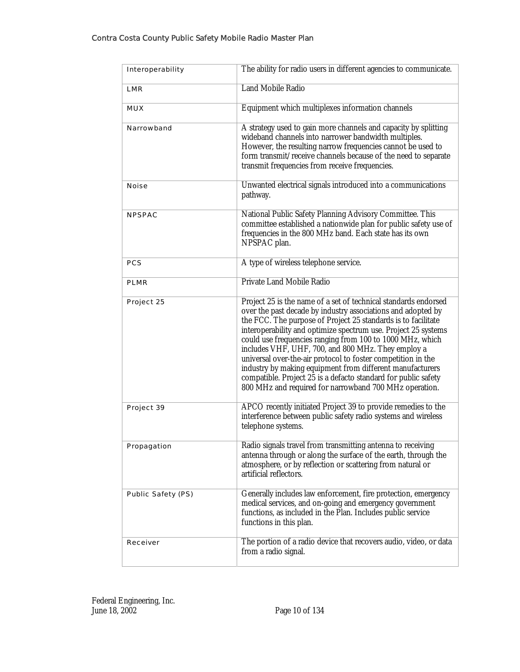| <b>Interoperability</b>   | The ability for radio users in different agencies to communicate.                                                                                                                                                                                                                                                                                                                                                                                                                                                                                                                                                                              |
|---------------------------|------------------------------------------------------------------------------------------------------------------------------------------------------------------------------------------------------------------------------------------------------------------------------------------------------------------------------------------------------------------------------------------------------------------------------------------------------------------------------------------------------------------------------------------------------------------------------------------------------------------------------------------------|
| <b>LMR</b>                | <b>Land Mobile Radio</b>                                                                                                                                                                                                                                                                                                                                                                                                                                                                                                                                                                                                                       |
| <b>MUX</b>                | Equipment which multiplexes information channels                                                                                                                                                                                                                                                                                                                                                                                                                                                                                                                                                                                               |
| <b>Narrowband</b>         | A strategy used to gain more channels and capacity by splitting<br>wideband channels into narrower bandwidth multiples.<br>However, the resulting narrow frequencies cannot be used to<br>form transmit/receive channels because of the need to separate<br>transmit frequencies from receive frequencies.                                                                                                                                                                                                                                                                                                                                     |
| <b>Noise</b>              | Unwanted electrical signals introduced into a communications<br>pathway.                                                                                                                                                                                                                                                                                                                                                                                                                                                                                                                                                                       |
| <b>NPSPAC</b>             | National Public Safety Planning Advisory Committee. This<br>committee established a nationwide plan for public safety use of<br>frequencies in the 800 MHz band. Each state has its own<br>NPSPAC plan.                                                                                                                                                                                                                                                                                                                                                                                                                                        |
| <b>PCS</b>                | A type of wireless telephone service.                                                                                                                                                                                                                                                                                                                                                                                                                                                                                                                                                                                                          |
| <b>PLMR</b>               | <b>Private Land Mobile Radio</b>                                                                                                                                                                                                                                                                                                                                                                                                                                                                                                                                                                                                               |
| Project 25                | Project 25 is the name of a set of technical standards endorsed<br>over the past decade by industry associations and adopted by<br>the FCC. The purpose of Project 25 standards is to facilitate<br>interoperability and optimize spectrum use. Project 25 systems<br>could use frequencies ranging from 100 to 1000 MHz, which<br>includes VHF, UHF, 700, and 800 MHz. They employ a<br>universal over-the-air protocol to foster competition in the<br>industry by making equipment from different manufacturers<br>compatible. Project 25 is a defacto standard for public safety<br>800 MHz and required for narrowband 700 MHz operation. |
| Project 39                | APCO recently initiated Project 39 to provide remedies to the<br>interference between public safety radio systems and wireless<br>telephone systems.                                                                                                                                                                                                                                                                                                                                                                                                                                                                                           |
| Propagation               | Radio signals travel from transmitting antenna to receiving<br>antenna through or along the surface of the earth, through the<br>atmosphere, or by reflection or scattering from natural or<br>artificial reflectors.                                                                                                                                                                                                                                                                                                                                                                                                                          |
| <b>Public Safety (PS)</b> | Generally includes law enforcement, fire protection, emergency<br>medical services, and on-going and emergency government<br>functions, as included in the Plan. Includes public service<br>functions in this plan.                                                                                                                                                                                                                                                                                                                                                                                                                            |
| <b>Receiver</b>           | The portion of a radio device that recovers audio, video, or data<br>from a radio signal.                                                                                                                                                                                                                                                                                                                                                                                                                                                                                                                                                      |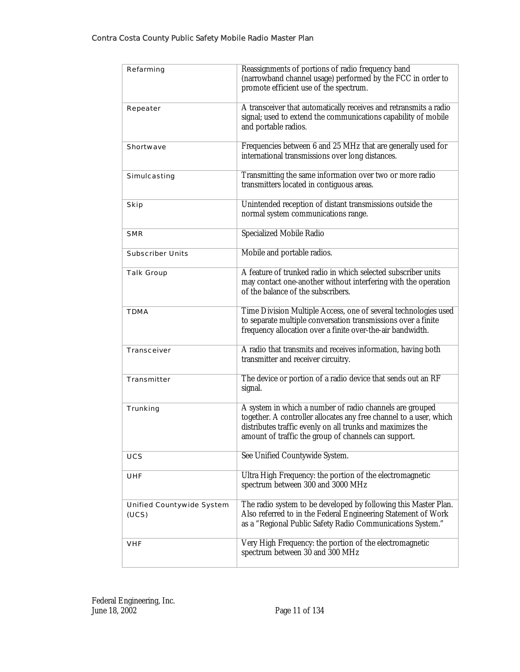| Refarming                                 | Reassignments of portions of radio frequency band<br>(narrowband channel usage) performed by the FCC in order to<br>promote efficient use of the spectrum.                                                                                           |
|-------------------------------------------|------------------------------------------------------------------------------------------------------------------------------------------------------------------------------------------------------------------------------------------------------|
| Repeater                                  | A transceiver that automatically receives and retransmits a radio<br>signal; used to extend the communications capability of mobile<br>and portable radios.                                                                                          |
| <b>Shortwave</b>                          | Frequencies between 6 and 25 MHz that are generally used for<br>international transmissions over long distances.                                                                                                                                     |
| <b>Simulcasting</b>                       | Transmitting the same information over two or more radio<br>transmitters located in contiguous areas.                                                                                                                                                |
| <b>Skip</b>                               | Unintended reception of distant transmissions outside the<br>normal system communications range.                                                                                                                                                     |
| <b>SMR</b>                                | Specialized Mobile Radio                                                                                                                                                                                                                             |
| <b>Subscriber Units</b>                   | Mobile and portable radios.                                                                                                                                                                                                                          |
| <b>Talk Group</b>                         | A feature of trunked radio in which selected subscriber units<br>may contact one-another without interfering with the operation<br>of the balance of the subscribers.                                                                                |
| <b>TDMA</b>                               | Time Division Multiple Access, one of several technologies used<br>to separate multiple conversation transmissions over a finite<br>frequency allocation over a finite over-the-air bandwidth.                                                       |
| <b>Transceiver</b>                        | A radio that transmits and receives information, having both<br>transmitter and receiver circuitry.                                                                                                                                                  |
| <b>Transmitter</b>                        | The device or portion of a radio device that sends out an RF<br>signal.                                                                                                                                                                              |
| <b>Trunking</b>                           | A system in which a number of radio channels are grouped<br>together. A controller allocates any free channel to a user, which<br>distributes traffic evenly on all trunks and maximizes the<br>amount of traffic the group of channels can support. |
| <b>UCS</b>                                | See Unified Countywide System.                                                                                                                                                                                                                       |
| <b>UHF</b>                                | Ultra High Frequency: the portion of the electromagnetic<br>spectrum between 300 and 3000 MHz                                                                                                                                                        |
| <b>Unified Countywide System</b><br>(UCS) | The radio system to be developed by following this Master Plan.<br>Also referred to in the Federal Engineering Statement of Work<br>as a "Regional Public Safety Radio Communications System."                                                       |
| <b>VHF</b>                                | Very High Frequency: the portion of the electromagnetic<br>spectrum between 30 and 300 MHz                                                                                                                                                           |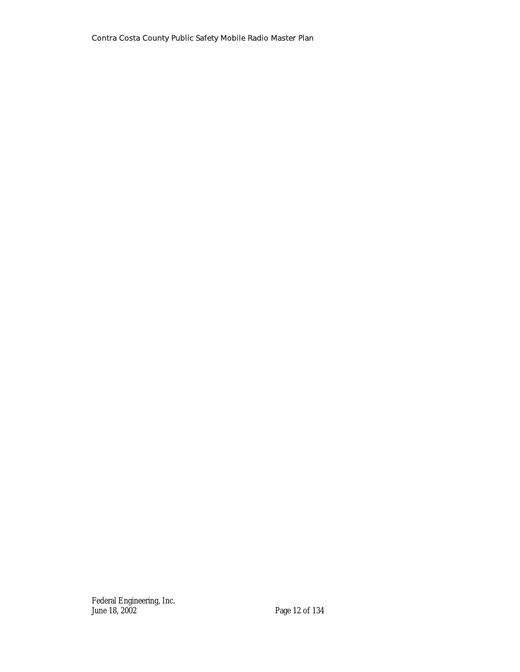Federal Engineering, Inc. June 18, 2002 Page 12 of 134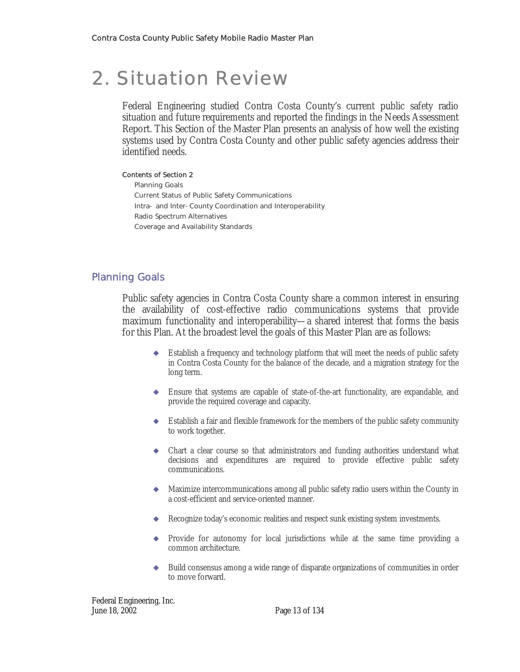# 2. Situation Review

Federal Engineering studied Contra Costa County's current public safety radio situation and future requirements and reported the findings in the Needs Assessment Report. This Section of the Master Plan presents an analysis of how well the existing systems used by Contra Costa County and other public safety agencies address their identified needs.

### Contents of Section 2

Planning Goals Current Status of Public Safety Communications Intra- and Inter-County Coordination and Interoperability Radio Spectrum Alternatives Coverage and Availability Standards

# Planning Goals

Public safety agencies in Contra Costa County share a common interest in ensuring the availability of cost-effective radio communications systems that provide maximum functionality and interoperability—a shared interest that forms the basis for this Plan. At the broadest level the goals of this Master Plan are as follows:

- Establish a frequency and technology platform that will meet the needs of public safety in Contra Costa County for the balance of the decade, and a migration strategy for the long term.
- Ensure that systems are capable of state-of-the-art functionality, are expandable, and provide the required coverage and capacity.
- Establish a fair and flexible framework for the members of the public safety community to work together.
- Chart a clear course so that administrators and funding authorities understand what decisions and expenditures are required to provide effective public safety communications.
- Maximize intercommunications among all public safety radio users within the County in a cost-efficient and service-oriented manner.
- Recognize today's economic realities and respect sunk existing system investments.
- Provide for autonomy for local jurisdictions while at the same time providing a common architecture.
- Build consensus among a wide range of disparate organizations of communities in order to move forward.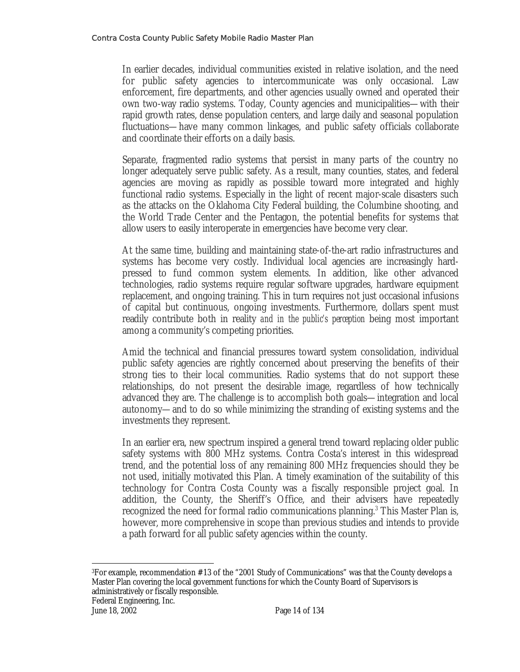In earlier decades, individual communities existed in relative isolation, and the need for public safety agencies to intercommunicate was only occasional. Law enforcement, fire departments, and other agencies usually owned and operated their own two-way radio systems. Today, County agencies and municipalities—with their rapid growth rates, dense population centers, and large daily and seasonal population fluctuations—have many common linkages, and public safety officials collaborate and coordinate their efforts on a daily basis.

Separate, fragmented radio systems that persist in many parts of the country no longer adequately serve public safety. As a result, many counties, states, and federal agencies are moving as rapidly as possible toward more integrated and highly functional radio systems. Especially in the light of recent major-scale disasters such as the attacks on the Oklahoma City Federal building, the Columbine shooting, and the World Trade Center and the Pentagon, the potential benefits for systems that allow users to easily interoperate in emergencies have become very clear.

At the same time, building and maintaining state-of-the-art radio infrastructures and systems has become very costly. Individual local agencies are increasingly hardpressed to fund common system elements. In addition, like other advanced technologies, radio systems require regular software upgrades, hardware equipment replacement, and ongoing training. This in turn requires not just occasional infusions of capital but continuous, ongoing investments. Furthermore, dollars spent must readily contribute both in reality *and in the public's perception* being most important among a community's competing priorities.

Amid the technical and financial pressures toward system consolidation, individual public safety agencies are rightly concerned about preserving the benefits of their strong ties to their local communities. Radio systems that do not support these relationships, do not present the desirable image, regardless of how technically advanced they are. The challenge is to accomplish both goals—integration and local autonomy—and to do so while minimizing the stranding of existing systems and the investments they represent.

In an earlier era, new spectrum inspired a general trend toward replacing older public safety systems with 800 MHz systems. Contra Costa's interest in this widespread trend, and the potential loss of any remaining 800 MHz frequencies should they be not used, initially motivated this Plan. A timely examination of the suitability of this technology for Contra Costa County was a fiscally responsible project goal. In addition, the County, the Sheriff's Office, and their advisers have repeatedly recognizedthe need for formal radio communications planning.<sup>3</sup> This Master Plan is, however, more comprehensive in scope than previous studies and intends to provide a path forward for all public safety agencies within the county.

<span id="page-13-0"></span>Federal Engineering, Inc.  $\overline{a}$ 3For example, recommendation #13 of the "2001 Study of Communications" was that the County develops a Master Plan covering the local government functions for which the County Board of Supervisors is administratively or fiscally responsible.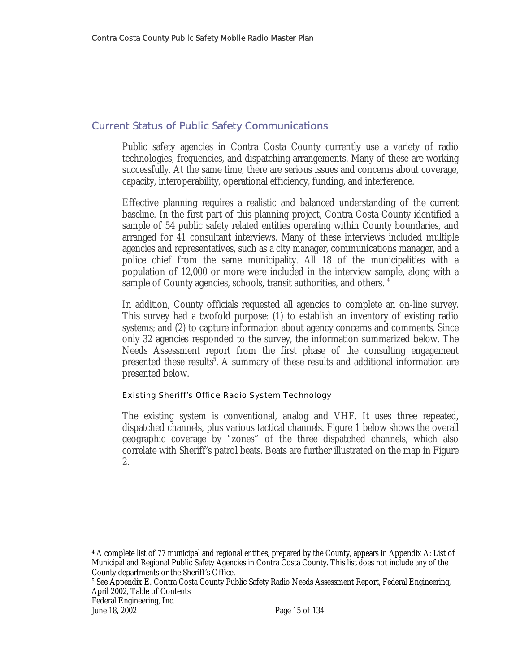# Current Status of Public Safety Communications

Public safety agencies in Contra Costa County currently use a variety of radio technologies, frequencies, and dispatching arrangements. Many of these are working successfully. At the same time, there are serious issues and concerns about coverage, capacity, interoperability, operational efficiency, funding, and interference.

Effective planning requires a realistic and balanced understanding of the current baseline. In the first part of this planning project, Contra Costa County identified a sample of 54 public safety related entities operating within County boundaries, and arranged for 41 consultant interviews. Many of these interviews included multiple agencies and representatives, such as a city manager, communications manager, and a police chief from the same municipality. All 18 of the municipalities with a population of 12,000 or more were included in the interview sample, along with a sample of County agencies, schools, transit authorities, and others.<sup>[4](#page-14-0)</sup>

In addition, County officials requested all agencies to complete an on-line survey. This survey had a twofold purpose: (1) to establish an inventory of existing radio systems; and (2) to capture information about agency concerns and comments. Since only 32 agencies responded to the survey, the information summarized below. The Needs Assessment report from the first phase of the consulting engagement presented these results<sup>[5](#page-14-1)</sup>. A summary of these results and additional information are presented below.

# Existing Sheriff's Office Radio System Technology

The existing system is conventional, analog and VHF. It uses three repeated, dispatched channels, plus various tactical channels. Figure 1 below shows the overall geographic coverage by "zones" of the three dispatched channels, which also correlate with Sheriff's patrol beats. Beats are further illustrated on the map in Figure 2.

Federal Engineering, Inc.

 $\overline{a}$ 

<span id="page-14-0"></span><sup>4</sup> A complete list of 77 municipal and regional entities, prepared by the County, appears in Appendix A: List of Municipal and Regional Public Safety Agencies in Contra Costa County. This list does not include any of the County departments or the Sheriff's Office.

<span id="page-14-1"></span><sup>5</sup> See Appendix E. Contra Costa County Public Safety Radio Needs Assessment Report, Federal Engineering, April 2002, Table of Contents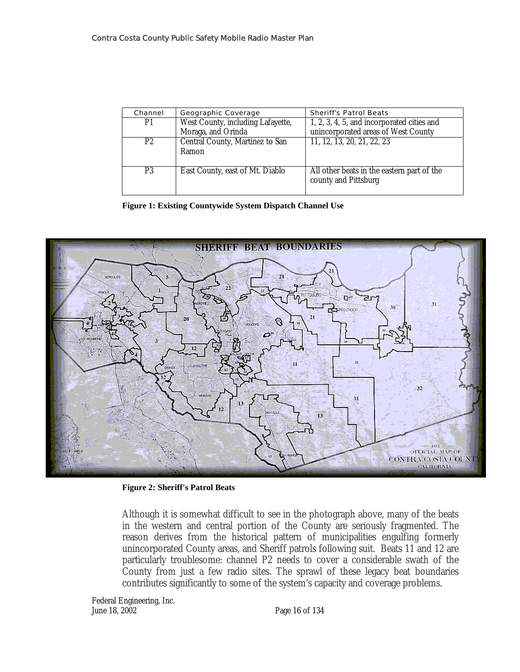| <b>Channel</b> | <b>Geographic Coverage</b>        | <b>Sheriff's Patrol Beats</b>                                      |
|----------------|-----------------------------------|--------------------------------------------------------------------|
| P <sub>1</sub> | West County, including Lafayette, | 1, 2, 3, 4, 5, and incorporated cities and                         |
|                | Moraga, and Orinda                | unincorporated areas of West County                                |
| P <sub>2</sub> | Central County, Martinez to San   | 11, 12, 13, 20, 21, 22, 23                                         |
|                | Ramon                             |                                                                    |
| P <sub>3</sub> | East County, east of Mt. Diablo   | All other beats in the eastern part of the<br>county and Pittsburg |

**Figure 1: Existing Countywide System Dispatch Channel Use** 



**Figure 2: Sheriff's Patrol Beats** 

Although it is somewhat difficult to see in the photograph above, many of the beats in the western and central portion of the County are seriously fragmented. The reason derives from the historical pattern of municipalities engulfing formerly unincorporated County areas, and Sheriff patrols following suit. Beats 11 and 12 are particularly troublesome: channel P2 needs to cover a considerable swath of the County from just a few radio sites. The sprawl of these legacy beat boundaries contributes significantly to some of the system's capacity and coverage problems.

Federal Engineering, Inc.

Page 16 of 134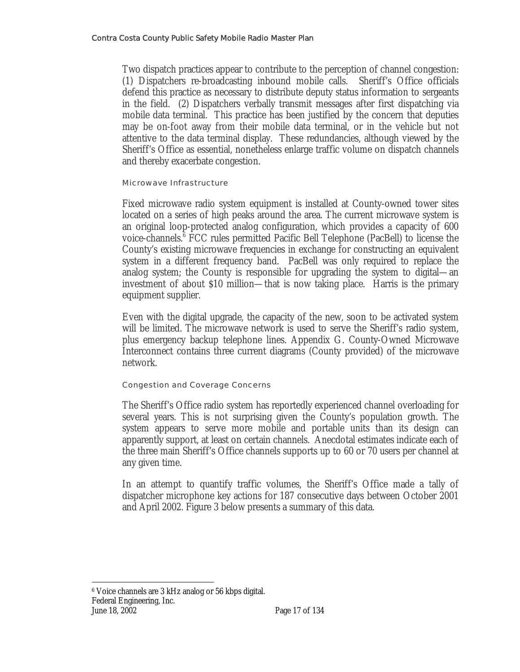Two dispatch practices appear to contribute to the perception of channel congestion: (1) Dispatchers re-broadcasting inbound mobile calls. Sheriff's Office officials defend this practice as necessary to distribute deputy status information to sergeants in the field. (2) Dispatchers verbally transmit messages after first dispatching via mobile data terminal. This practice has been justified by the concern that deputies may be on-foot away from their mobile data terminal, or in the vehicle but not attentive to the data terminal display. These redundancies, although viewed by the Sheriff's Office as essential, nonetheless enlarge traffic volume on dispatch channels and thereby exacerbate congestion.

## Microwave Infrastructure

Fixed microwave radio system equipment is installed at County-owned tower sites located on a series of high peaks around the area. The current microwave system is an original loop-protected analog configuration, which provides a capacity of 600 voice-channels.6 FCC rules permitted Pacific Bell Telephone (PacBell) to license the County's existing microwave frequencies in exchange for constructing an equivalent system in a different frequency band. PacBell was only required to replace the analog system; the County is responsible for upgrading the system to digital—an investment of about \$10 million—that is now taking place. Harris is the primary equipment supplier.

Even with the digital upgrade, the capacity of the new, soon to be activated system will be limited. The microwave network is used to serve the Sheriff's radio system, plus emergency backup telephone lines. Appendix G. County-Owned Microwave Interconnect contains three current diagrams (County provided) of the microwave network.

# Congestion and Coverage Concerns

The Sheriff's Office radio system has reportedly experienced channel overloading for several years. This is not surprising given the County's population growth. The system appears to serve more mobile and portable units than its design can apparently support, at least on certain channels. Anecdotal estimates indicate each of the three main Sheriff's Office channels supports up to 60 or 70 users per channel at any given time.

In an attempt to quantify traffic volumes, the Sheriff's Office made a tally of dispatcher microphone key actions for 187 consecutive days between October 2001 and April 2002. Figure 3 below presents a summary of this data.

<span id="page-16-0"></span>Federal Engineering, Inc. June 18, 2002 Page 17 of 134  $\overline{a}$ 6 Voice channels are 3 kHz analog or 56 kbps digital.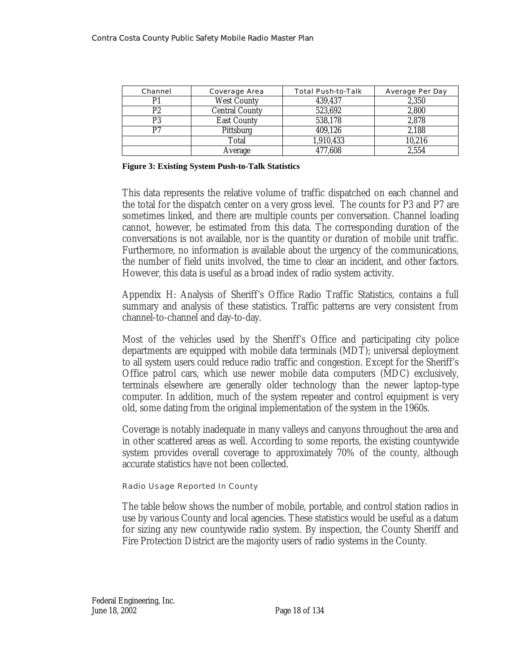| Channel | <b>Coverage Area</b>  | <b>Total Push-to-Talk</b> | <b>Average Per Day</b> |
|---------|-----------------------|---------------------------|------------------------|
|         | <b>West County</b>    | 439,437                   | 2,350                  |
| P2      | <b>Central County</b> | 523,692                   | 2,800                  |
| P3      | <b>East County</b>    | 538,178                   | 2,878                  |
| D7      | Pittsburg             | 409,126                   | 2,188                  |
|         | Total                 | 1,910,433                 | 10,216                 |
|         | Average               | 477,608                   | 2,554                  |

**Figure 3: Existing System Push-to-Talk Statistics** 

This data represents the relative volume of traffic dispatched on each channel and the total for the dispatch center on a very gross level. The counts for P3 and P7 are sometimes linked, and there are multiple counts per conversation. Channel loading cannot, however, be estimated from this data. The corresponding duration of the conversations is not available, nor is the quantity or duration of mobile unit traffic. Furthermore, no information is available about the urgency of the communications, the number of field units involved, the time to clear an incident, and other factors. However, this data is useful as a broad index of radio system activity.

Appendix H: Analysis of Sheriff's Office Radio Traffic Statistics, contains a full summary and analysis of these statistics. Traffic patterns are very consistent from channel-to-channel and day-to-day.

Most of the vehicles used by the Sheriff's Office and participating city police departments are equipped with mobile data terminals (MDT); universal deployment to all system users could reduce radio traffic and congestion. Except for the Sheriff's Office patrol cars, which use newer mobile data computers (MDC) exclusively, terminals elsewhere are generally older technology than the newer laptop-type computer. In addition, much of the system repeater and control equipment is very old, some dating from the original implementation of the system in the 1960s.

Coverage is notably inadequate in many valleys and canyons throughout the area and in other scattered areas as well. According to some reports, the existing countywide system provides overall coverage to approximately 70% of the county, although accurate statistics have not been collected.

# Radio Usage Reported In County

The table below shows the number of mobile, portable, and control station radios in use by various County and local agencies. These statistics would be useful as a datum for sizing any new countywide radio system. By inspection, the County Sheriff and Fire Protection District are the majority users of radio systems in the County.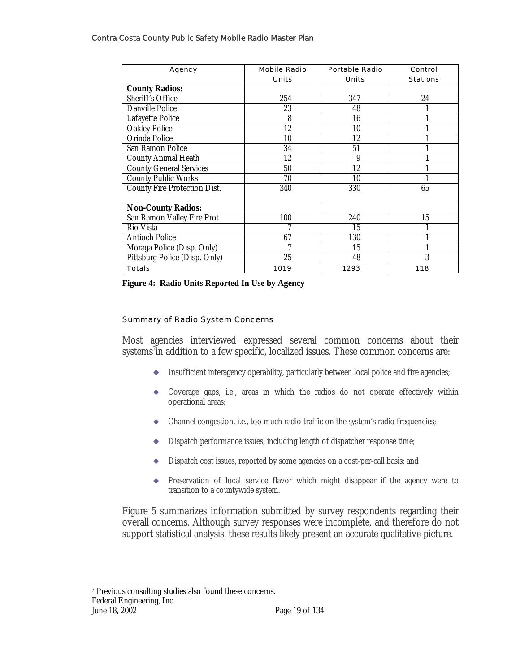| Agency                              | <b>Mobile Radio</b><br><b>Units</b> | <b>Portable Radio</b><br><b>Units</b> | <b>Control</b><br><b>Stations</b> |
|-------------------------------------|-------------------------------------|---------------------------------------|-----------------------------------|
| <b>County Radios:</b>               |                                     |                                       |                                   |
| <b>Sheriff's Office</b>             | 254                                 | 347                                   | 24                                |
| <b>Danville Police</b>              | 23                                  | 48                                    |                                   |
| <b>Lafayette Police</b>             | 8                                   | 16                                    |                                   |
| <b>Oakley Police</b>                | 12                                  | 10                                    |                                   |
| <b>Orinda Police</b>                | 10                                  | 12                                    |                                   |
| <b>San Ramon Police</b>             | 34                                  | 51                                    |                                   |
| <b>County Animal Heath</b>          | 12                                  | 9                                     |                                   |
| <b>County General Services</b>      | 50                                  | 12                                    |                                   |
| <b>County Public Works</b>          | 70                                  | 10                                    |                                   |
| <b>County Fire Protection Dist.</b> | 340                                 | 330                                   | 65                                |
| <b>Non-County Radios:</b>           |                                     |                                       |                                   |
| San Ramon Valley Fire Prot.         | 100                                 | 240                                   | 15                                |
| <b>Rio Vista</b>                    | 7                                   | 15                                    |                                   |
| <b>Antioch Police</b>               | 67                                  | 130                                   |                                   |
| Moraga Police (Disp. Only)          | 7                                   | 15                                    |                                   |
| Pittsburg Police (Disp. Only)       | 25                                  | 48                                    | 3                                 |
| <b>Totals</b>                       | 1019                                | 1293                                  | 118                               |

**Figure 4: Radio Units Reported In Use by Agency** 

## Summary of Radio System Concerns

Most agencies interviewed expressed several common concerns about their systems<sup>[7](#page-18-0)</sup>in addition to a few specific, localized issues. These common concerns are:

- Insufficient interagency operability, particularly between local police and fire agencies;
- Coverage gaps, i.e., areas in which the radios do not operate effectively within operational areas;
- Channel congestion, i.e., too much radio traffic on the system's radio frequencies;
- Dispatch performance issues, including length of dispatcher response time;
- Dispatch cost issues, reported by some agencies on a cost-per-call basis; and
- Preservation of local service flavor which might disappear if the agency were to transition to a countywide system.

Figure 5 summarizes information submitted by survey respondents regarding their overall concerns. Although survey responses were incomplete, and therefore do not support statistical analysis, these results likely present an accurate qualitative picture.

<span id="page-18-0"></span>Federal Engineering, Inc.  $\overline{a}$ 7 Previous consulting studies also found these concerns.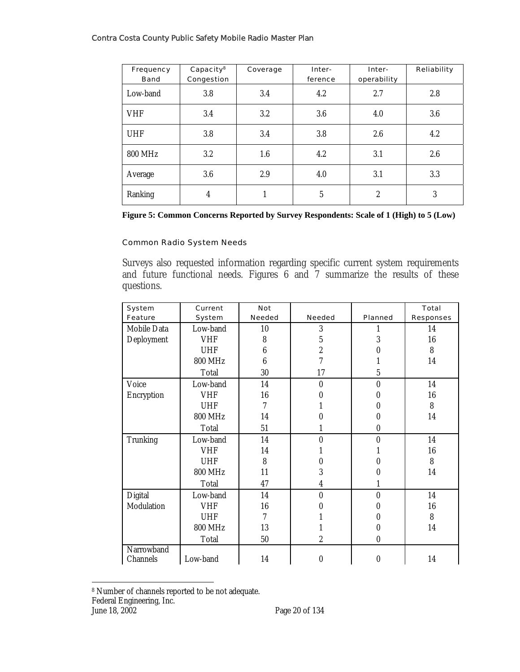| Frequency<br><b>Band</b> | Capacity <sup>8</sup><br><b>Congestion</b> | Coverage | Inter-<br>ference | Inter-<br>operability | <b>Reliability</b> |
|--------------------------|--------------------------------------------|----------|-------------------|-----------------------|--------------------|
| Low-band                 | 3.8                                        | 3.4      | 4.2               | 2.7                   | 2.8                |
| <b>VHF</b>               | 3.4                                        | 3.2      | 3.6               | 4.0                   | 3.6                |
| <b>UHF</b>               | 3.8                                        | 3.4      | 3.8               | 2.6                   | 4.2                |
| <b>800 MHz</b>           | 3.2                                        | 1.6      | 4.2               | 3.1                   | 2.6                |
| Average                  | 3.6                                        | 2.9      | 4.0               | 3.1                   | 3.3                |
| Ranking                  | 4                                          | 1        | $\mathbf 5$       | $\boldsymbol{2}$      | $\boldsymbol{3}$   |

**Figure 5: Common Concerns Reported by Survey Respondents: Scale of 1 (High) to 5 (Low)** 

# Common Radio System Needs

Surveys also requested information regarding specific current system requirements and future functional needs. Figures 6 and 7 summarize the results of these questions.

| System                 | <b>Current</b> | <b>Not</b>    |                         |                | <b>Total</b>     |
|------------------------|----------------|---------------|-------------------------|----------------|------------------|
| <b>Feature</b>         | <b>System</b>  | <b>Needed</b> | <b>Needed</b>           | <b>Planned</b> | <b>Responses</b> |
| Mobile Data            | Low-band       | 10            | 3                       | 1              | 14               |
| Deployment             | <b>VHF</b>     | 8             | $\overline{5}$          | 3              | 16               |
|                        | <b>UHF</b>     | 6             | $\overline{\mathbf{c}}$ | 0              | 8                |
|                        | <b>800 MHz</b> | 6             | 7                       |                | 14               |
|                        | Total          | 30            | 17                      | 5              |                  |
| Voice                  | Low-band       | 14            | $\bf{0}$                | $\mathbf{0}$   | 14               |
| Encryption             | <b>VHF</b>     | 16            | $\theta$                | 0              | 16               |
|                        | <b>UHF</b>     | 7             | 1                       | 0              | 8                |
|                        | <b>800 MHz</b> | 14            | $\mathbf{0}$            | 0              | 14               |
|                        | Total          | 51            | 1                       | 0              |                  |
| <b>Trunking</b>        | Low-band       | 14            | $\boldsymbol{0}$        | $\mathbf{0}$   | 14               |
|                        | <b>VHF</b>     | 14            |                         |                | 16               |
|                        | <b>UHF</b>     | 8             | $\boldsymbol{0}$        | 0              | 8                |
|                        | <b>800 MHz</b> | 11            | 3                       | 0              | 14               |
|                        | <b>Total</b>   | 47            | 4                       | 1              |                  |
| <b>Digital</b>         | Low-band       | 14            | $\bf{0}$                | $\mathbf{0}$   | 14               |
| Modulation             | <b>VHF</b>     | 16            | $\boldsymbol{0}$        | 0              | 16               |
|                        | <b>UHF</b>     | 7             | 1                       | 0              | 8                |
|                        | <b>800 MHz</b> | 13            |                         | 0              | 14               |
|                        | Total          | 50            | $\overline{c}$          | 0              |                  |
| Narrowband<br>Channels | Low-band       | 14            | $\bf{0}$                | 0              | 14               |

 $\overline{a}$ 8 Number of channels reported to be not adequate.

<span id="page-19-0"></span>Federal Engineering, Inc.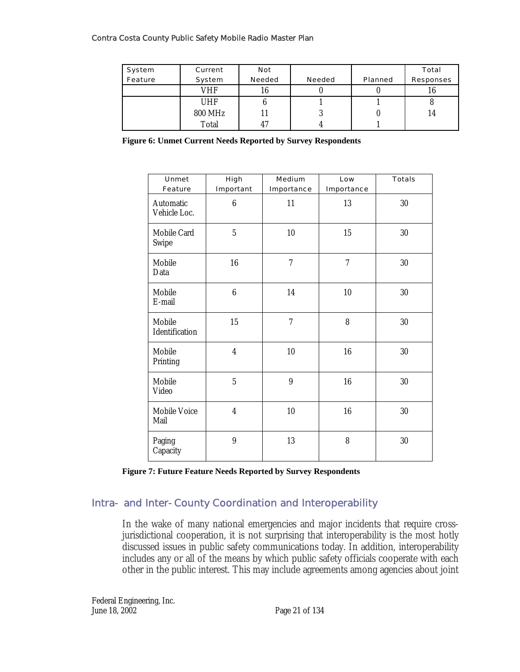| System         | Current        | <b>Not</b>    |               |                | <b>Total</b>     |
|----------------|----------------|---------------|---------------|----------------|------------------|
| <b>Feature</b> | System         | <b>Needed</b> | <b>Needed</b> | <b>Planned</b> | <b>Responses</b> |
|                | VHF            | 16            |               |                | 16               |
|                | <b>UHF</b>     |               |               |                |                  |
|                | <b>800 MHz</b> |               | ა             |                | 14               |
|                | Total          | 47            |               |                |                  |

**Figure 6: Unmet Current Needs Reported by Survey Respondents** 

| <b>Unmet</b><br><b>Feature</b> | High<br><b>Important</b> | <b>Medium</b><br><b>Importance</b> | Low<br><b>Importance</b> | <b>Totals</b> |
|--------------------------------|--------------------------|------------------------------------|--------------------------|---------------|
| Automatic<br>Vehicle Loc.      | $\boldsymbol{6}$         | 11                                 | 13                       | 30            |
| <b>Mobile Card</b><br>Swipe    | $\overline{5}$           | 10                                 | 15                       | 30            |
| Mobile<br>Data                 | 16                       | $\overline{\mathcal{U}}$           | $\overline{7}$           | 30            |
| Mobile<br>E-mail               | $\boldsymbol{6}$         | 14                                 | 10                       | 30            |
| Mobile<br>Identification       | 15                       | $\overline{7}$                     | 8                        | 30            |
| Mobile<br>Printing             | $\boldsymbol{4}$         | 10                                 | 16                       | 30            |
| Mobile<br>Video                | 5                        | $\boldsymbol{9}$                   | 16                       | 30            |
| <b>Mobile Voice</b><br>Mail    | $\overline{\mathbf{4}}$  | 10                                 | 16                       | 30            |
| Paging<br>Capacity             | $\overline{9}$           | 13                                 | 8                        | 30            |

**Figure 7: Future Feature Needs Reported by Survey Respondents** 

# Intra- and Inter-County Coordination and Interoperability

In the wake of many national emergencies and major incidents that require crossjurisdictional cooperation, it is not surprising that interoperability is the most hotly discussed issues in public safety communications today. In addition, interoperability includes any or all of the means by which public safety officials cooperate with each other in the public interest. This may include agreements among agencies about joint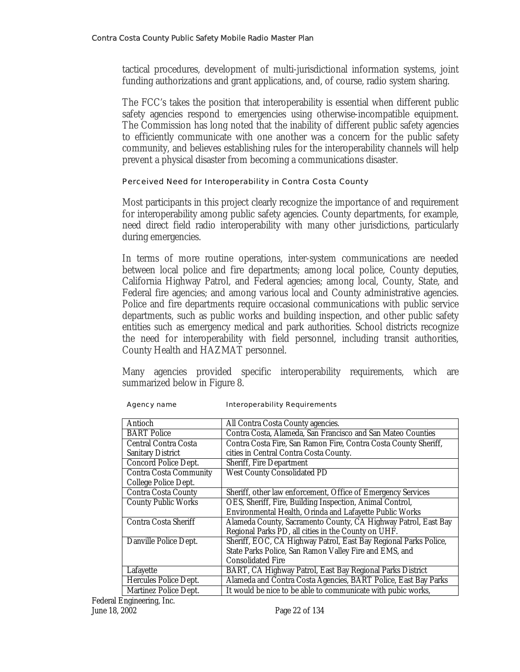tactical procedures, development of multi-jurisdictional information systems, joint funding authorizations and grant applications, and, of course, radio system sharing.

The FCC's takes the position that interoperability is essential when different public safety agencies respond to emergencies using otherwise-incompatible equipment. The Commission has long noted that the inability of different public safety agencies to efficiently communicate with one another was a concern for the public safety community, and believes establishing rules for the interoperability channels will help prevent a physical disaster from becoming a communications disaster.

## Perceived Need for Interoperability in Contra Costa County

Most participants in this project clearly recognize the importance of and requirement for interoperability among public safety agencies. County departments, for example, need direct field radio interoperability with many other jurisdictions, particularly during emergencies.

In terms of more routine operations, inter-system communications are needed between local police and fire departments; among local police, County deputies, California Highway Patrol, and Federal agencies; among local, County, State, and Federal fire agencies; and among various local and County administrative agencies. Police and fire departments require occasional communications with public service departments, such as public works and building inspection, and other public safety entities such as emergency medical and park authorities. School districts recognize the need for interoperability with field personnel, including transit authorities, County Health and HAZMAT personnel.

Many agencies provided specific interoperability requirements, which are summarized below in Figure 8.

| Antioch                       | All Contra Costa County agencies.                                |  |  |
|-------------------------------|------------------------------------------------------------------|--|--|
| <b>BART</b> Police            | Contra Costa, Alameda, San Francisco and San Mateo Counties      |  |  |
| Central Contra Costa          | Contra Costa Fire, San Ramon Fire, Contra Costa County Sheriff,  |  |  |
| <b>Sanitary District</b>      | cities in Central Contra Costa County.                           |  |  |
| <b>Concord Police Dept.</b>   | <b>Sheriff, Fire Department</b>                                  |  |  |
| <b>Contra Costa Community</b> | <b>West County Consolidated PD</b>                               |  |  |
| College Police Dept.          |                                                                  |  |  |
| <b>Contra Costa County</b>    | Sheriff, other law enforcement, Office of Emergency Services     |  |  |
| <b>County Public Works</b>    | OES, Sheriff, Fire, Building Inspection, Animal Control,         |  |  |
|                               | Environmental Health, Orinda and Lafayette Public Works          |  |  |
| <b>Contra Costa Sheriff</b>   | Alameda County, Sacramento County, CA Highway Patrol, East Bay   |  |  |
|                               | Regional Parks PD, all cities in the County on UHF.              |  |  |
| Danville Police Dept.         | Sheriff, EOC, CA Highway Patrol, East Bay Regional Parks Police, |  |  |
|                               | State Parks Police, San Ramon Valley Fire and EMS, and           |  |  |
|                               | <b>Consolidated Fire</b>                                         |  |  |
| Lafayette                     | BART, CA Highway Patrol, East Bay Regional Parks District        |  |  |
| Hercules Police Dept.         | Alameda and Contra Costa Agencies, BART Police, East Bay Parks   |  |  |
| <b>Martinez Police Dept.</b>  | It would be nice to be able to communicate with pubic works,     |  |  |

### Agency name Interoperability Requirements

Federal Engineering, Inc.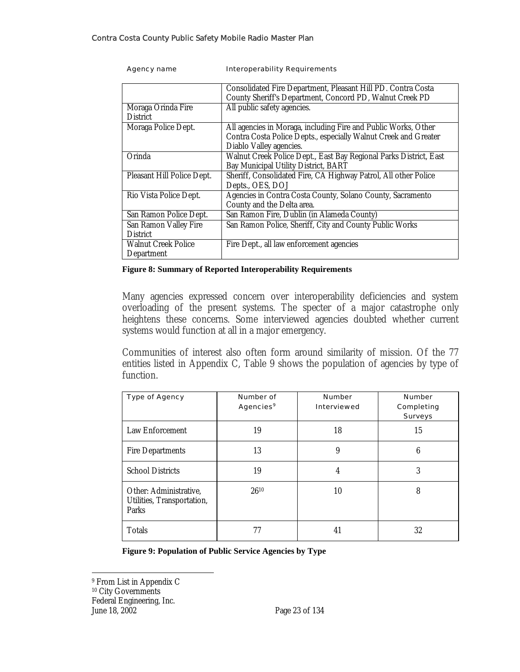|                              | Consolidated Fire Department, Pleasant Hill PD. Contra Costa      |  |  |
|------------------------------|-------------------------------------------------------------------|--|--|
|                              | County Sheriff's Department, Concord PD, Walnut Creek PD          |  |  |
| Moraga Orinda Fire           | All public safety agencies.                                       |  |  |
| <b>District</b>              |                                                                   |  |  |
| Moraga Police Dept.          | All agencies in Moraga, including Fire and Public Works, Other    |  |  |
|                              | Contra Costa Police Depts., especially Walnut Creek and Greater   |  |  |
|                              | Diablo Valley agencies.                                           |  |  |
| Orinda                       | Walnut Creek Police Dept., East Bay Regional Parks District, East |  |  |
|                              | Bay Municipal Utility District, BART                              |  |  |
| Pleasant Hill Police Dept.   | Sheriff, Consolidated Fire, CA Highway Patrol, All other Police   |  |  |
|                              | Depts., OES, DOJ                                                  |  |  |
| Rio Vista Police Dept.       | Agencies in Contra Costa County, Solano County, Sacramento        |  |  |
|                              | County and the Delta area.                                        |  |  |
| San Ramon Police Dept.       | San Ramon Fire, Dublin (in Alameda County)                        |  |  |
| <b>San Ramon Valley Fire</b> | San Ramon Police, Sheriff, City and County Public Works           |  |  |
| <b>District</b>              |                                                                   |  |  |
| <b>Walnut Creek Police</b>   | Fire Dept., all law enforcement agencies                          |  |  |
| Department                   |                                                                   |  |  |

Agency name Interoperability Requirements

# **Figure 8: Summary of Reported Interoperability Requirements**

Many agencies expressed concern over interoperability deficiencies and system overloading of the present systems. The specter of a major catastrophe only heightens these concerns. Some interviewed agencies doubted whether current systems would function at all in a major emergency.

Communities of interest also often form around similarity of mission. Of the 77 entities listed in Appendix C, Table 9 shows the population of agencies by type of function.

| <b>Type of Agency</b>                                                | <b>Number of</b><br><b>Agencies<sup>9</sup></b> | <b>Number</b><br><b>Interviewed</b> | <b>Number</b><br>Completing<br><b>Surveys</b> |
|----------------------------------------------------------------------|-------------------------------------------------|-------------------------------------|-----------------------------------------------|
| Law Enforcement                                                      | 19                                              | 18                                  | 15                                            |
| <b>Fire Departments</b>                                              | 13                                              | 9                                   | 6                                             |
| <b>School Districts</b>                                              | 19                                              | 4                                   | 3                                             |
| Other: Administrative,<br>Utilities, Transportation,<br><b>Parks</b> | 2610                                            | 10                                  | 8                                             |
| <b>Totals</b>                                                        | 77                                              | 41                                  | 32                                            |

**Figure 9: Population of Public Service Agencies by Type** 

 $\overline{a}$ 9 From List in Appendix C

<span id="page-22-1"></span><span id="page-22-0"></span><sup>&</sup>lt;sup>10</sup> City Governments

Federal Engineering, Inc.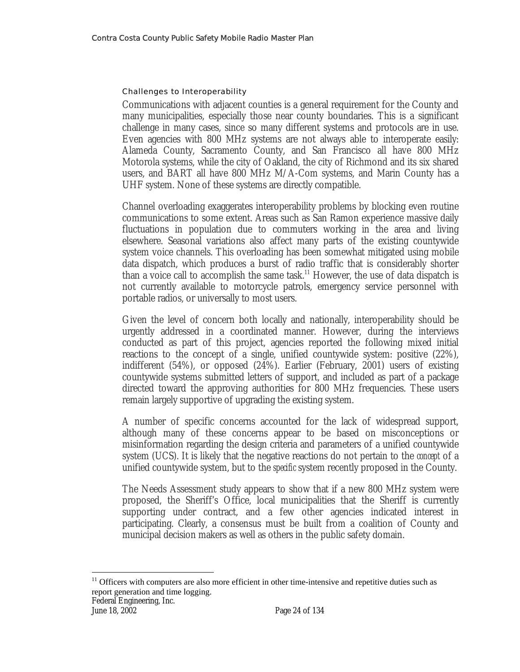# Challenges to Interoperability

Communications with adjacent counties is a general requirement for the County and many municipalities, especially those near county boundaries. This is a significant challenge in many cases, since so many different systems and protocols are in use. Even agencies with 800 MHz systems are not always able to interoperate easily: Alameda County, Sacramento County, and San Francisco all have 800 MHz Motorola systems, while the city of Oakland, the city of Richmond and its six shared users, and BART all have 800 MHz M/A-Com systems, and Marin County has a UHF system. None of these systems are directly compatible.

Channel overloading exaggerates interoperability problems by blocking even routine communications to some extent. Areas such as San Ramon experience massive daily fluctuations in population due to commuters working in the area and living elsewhere. Seasonal variations also affect many parts of the existing countywide system voice channels. This overloading has been somewhat mitigated using mobile data dispatch, which produces a burst of radio traffic that is considerably shorter than a voice call to accomplish the same task.<sup>11</sup> However, the use of data dispatch is not currently available to motorcycle patrols, emergency service personnel with portable radios, or universally to most users.

Given the level of concern both locally and nationally, interoperability should be urgently addressed in a coordinated manner. However, during the interviews conducted as part of this project, agencies reported the following mixed initial reactions to the concept of a single, unified countywide system: positive (22%), indifferent (54%), or opposed (24%). Earlier (February, 2001) users of existing countywide systems submitted letters of support, and included as part of a package directed toward the approving authorities for 800 MHz frequencies. These users remain largely supportive of upgrading the existing system.

A number of specific concerns accounted for the lack of widespread support, although many of these concerns appear to be based on misconceptions or misinformation regarding the design criteria and parameters of a unified countywide system (UCS). It is likely that the negative reactions do not pertain to the *concept* of a unified countywide system, but to the *specific* system recently proposed in the County.

The Needs Assessment study appears to show that if a new 800 MHz system were proposed, the Sheriff's Office, local municipalities that the Sheriff is currently supporting under contract, and a few other agencies indicated interest in participating. Clearly, a consensus must be built from a coalition of County and municipal decision makers as well as others in the public safety domain.

 $\overline{a}$ 

<span id="page-23-0"></span><sup>&</sup>lt;sup>11</sup> Officers with computers are also more efficient in other time-intensive and repetitive duties such as report generation and time logging.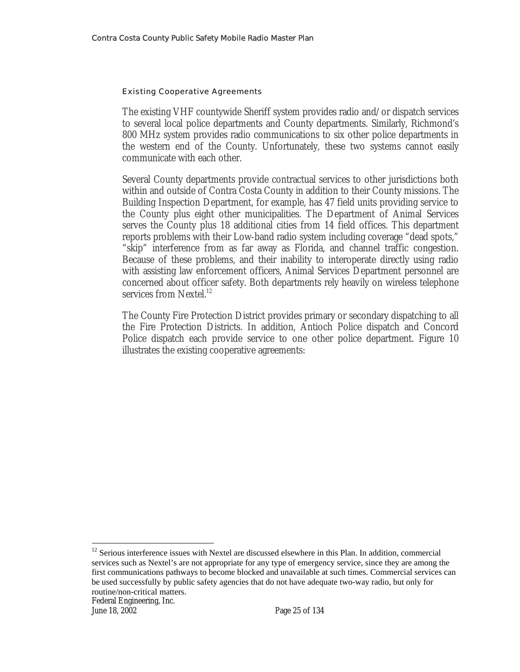## Existing Cooperative Agreements

The existing VHF countywide Sheriff system provides radio and/or dispatch services to several local police departments and County departments. Similarly, Richmond's 800 MHz system provides radio communications to six other police departments in the western end of the County. Unfortunately, these two systems cannot easily communicate with each other.

Several County departments provide contractual services to other jurisdictions both within and outside of Contra Costa County in addition to their County missions. The Building Inspection Department, for example, has 47 field units providing service to the County plus eight other municipalities. The Department of Animal Services serves the County plus 18 additional cities from 14 field offices. This department reports problems with their Low-band radio system including coverage "dead spots," "skip" interference from as far away as Florida, and channel traffic congestion. Because of these problems, and their inability to interoperate directly using radio with assisting law enforcement officers, Animal Services Department personnel are concerned about officer safety. Both departments rely heavily on wireless telephone services from Nextel.<sup>[12](#page-24-0)</sup>

The County Fire Protection District provides primary or secondary dispatching to all the Fire Protection Districts. In addition, Antioch Police dispatch and Concord Police dispatch each provide service to one other police department. Figure 10 illustrates the existing cooperative agreements:

 $\overline{a}$ 

<span id="page-24-0"></span><sup>&</sup>lt;sup>12</sup> Serious interference issues with Nextel are discussed elsewhere in this Plan. In addition, commercial services such as Nextel's are not appropriate for any type of emergency service, since they are among the first communications pathways to become blocked and unavailable at such times. Commercial services can be used successfully by public safety agencies that do not have adequate two-way radio, but only for routine/non-critical matters.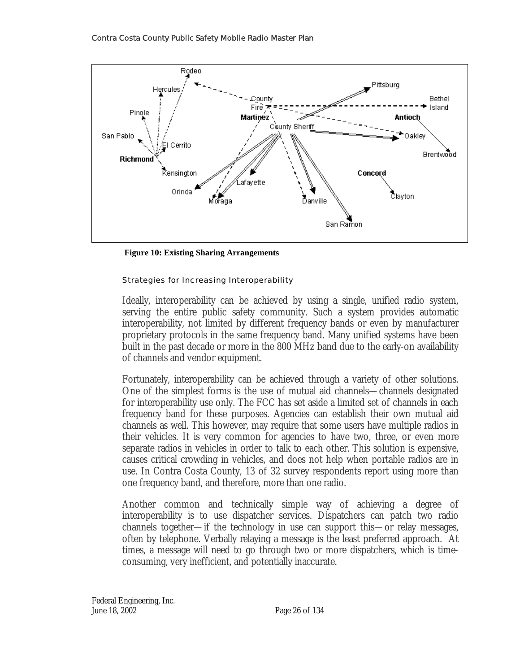

 **Figure 10: Existing Sharing Arrangements** 

# Strategies for Increasing Interoperability

Ideally, interoperability can be achieved by using a single, unified radio system, serving the entire public safety community. Such a system provides automatic interoperability, not limited by different frequency bands or even by manufacturer proprietary protocols in the same frequency band. Many unified systems have been built in the past decade or more in the 800 MHz band due to the early-on availability of channels and vendor equipment.

Fortunately, interoperability can be achieved through a variety of other solutions. One of the simplest forms is the use of mutual aid channels—channels designated for interoperability use only. The FCC has set aside a limited set of channels in each frequency band for these purposes. Agencies can establish their own mutual aid channels as well. This however, may require that some users have multiple radios in their vehicles. It is very common for agencies to have two, three, or even more separate radios in vehicles in order to talk to each other. This solution is expensive, causes critical crowding in vehicles, and does not help when portable radios are in use. In Contra Costa County, 13 of 32 survey respondents report using more than one frequency band, and therefore, more than one radio.

Another common and technically simple way of achieving a degree of interoperability is to use dispatcher services. Dispatchers can patch two radio channels together—if the technology in use can support this—or relay messages, often by telephone. Verbally relaying a message is the least preferred approach. At times, a message will need to go through two or more dispatchers, which is timeconsuming, very inefficient, and potentially inaccurate.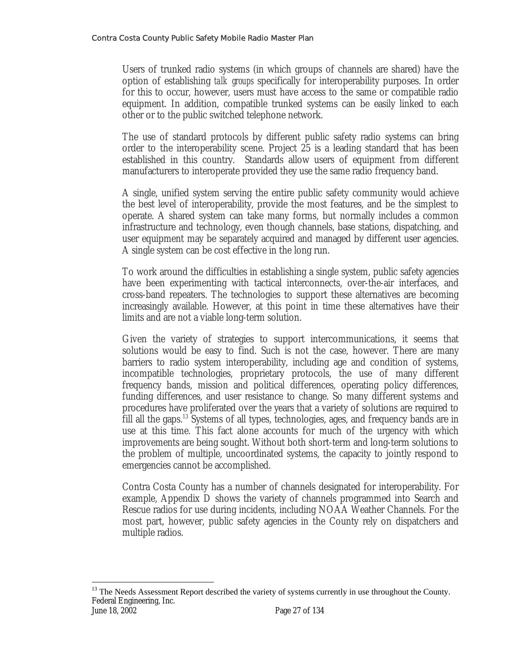Users of trunked radio systems (in which groups of channels are shared) have the option of establishing *talk groups* specifically for interoperability purposes. In order for this to occur, however, users must have access to the same or compatible radio equipment. In addition, compatible trunked systems can be easily linked to each other or to the public switched telephone network.

The use of standard protocols by different public safety radio systems can bring order to the interoperability scene. Project 25 is a leading standard that has been established in this country. Standards allow users of equipment from different manufacturers to interoperate provided they use the same radio frequency band.

A single, unified system serving the entire public safety community would achieve the best level of interoperability, provide the most features, and be the simplest to operate. A shared system can take many forms, but normally includes a common infrastructure and technology, even though channels, base stations, dispatching, and user equipment may be separately acquired and managed by different user agencies. A single system can be cost effective in the long run.

To work around the difficulties in establishing a single system, public safety agencies have been experimenting with tactical interconnects, over-the-air interfaces, and cross-band repeaters. The technologies to support these alternatives are becoming increasingly available. However, at this point in time these alternatives have their limits and are not a viable long-term solution.

Given the variety of strategies to support intercommunications, it seems that solutions would be easy to find. Such is not the case, however. There are many barriers to radio system interoperability, including age and condition of systems, incompatible technologies, proprietary protocols, the use of many different frequency bands, mission and political differences, operating policy differences, funding differences, and user resistance to change. So many different systems and procedures have proliferated over the years that a variety of solutions are required to fill all the gaps.[13](#page-26-0) Systems of all types, technologies, ages, and frequency bands are in use at this time. This fact alone accounts for much of the urgency with which improvements are being sought. Without both short-term and long-term solutions to the problem of multiple, uncoordinated systems, the capacity to jointly respond to emergencies cannot be accomplished.

Contra Costa County has a number of channels designated for interoperability. For example, Appendix D shows the variety of channels programmed into Search and Rescue radios for use during incidents, including NOAA Weather Channels. For the most part, however, public safety agencies in the County rely on dispatchers and multiple radios.

 $\overline{a}$ 

<span id="page-26-0"></span>Federal Engineering, Inc. <sup>13</sup> The Needs Assessment Report described the variety of systems currently in use throughout the County.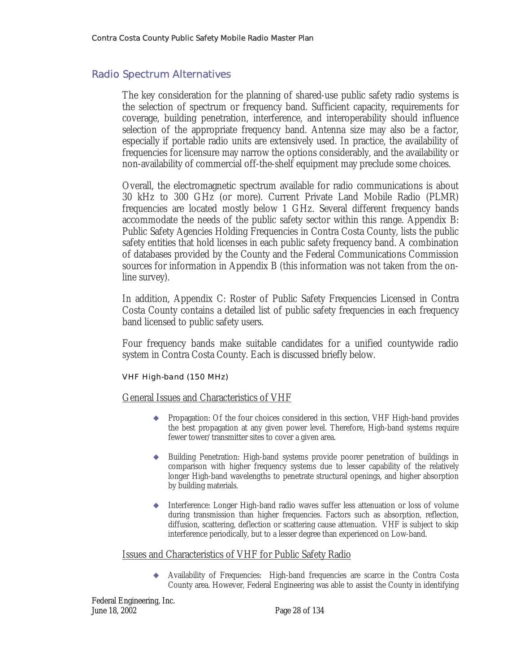# Radio Spectrum Alternatives

The key consideration for the planning of shared-use public safety radio systems is the selection of spectrum or frequency band. Sufficient capacity, requirements for coverage, building penetration, interference, and interoperability should influence selection of the appropriate frequency band. Antenna size may also be a factor, especially if portable radio units are extensively used. In practice, the availability of frequencies for licensure may narrow the options considerably, and the availability or non-availability of commercial off-the-shelf equipment may preclude some choices.

Overall, the electromagnetic spectrum available for radio communications is about 30 kHz to 300 GHz (or more). Current Private Land Mobile Radio (PLMR) frequencies are located mostly below 1 GHz. Several different frequency bands accommodate the needs of the public safety sector within this range. Appendix B: Public Safety Agencies Holding Frequencies in Contra Costa County, lists the public safety entities that hold licenses in each public safety frequency band. A combination of databases provided by the County and the Federal Communications Commission sources for information in Appendix B (this information was not taken from the online survey).

In addition, Appendix C: Roster of Public Safety Frequencies Licensed in Contra Costa County contains a detailed list of public safety frequencies in each frequency band licensed to public safety users.

Four frequency bands make suitable candidates for a unified countywide radio system in Contra Costa County. Each is discussed briefly below.

# VHF High-band (150 MHz)

General Issues and Characteristics of VHF

- Propagation: Of the four choices considered in this section, VHF High-band provides the best propagation at any given power level. Therefore, High-band systems require fewer tower/transmitter sites to cover a given area.
- Building Penetration: High-band systems provide poorer penetration of buildings in comparison with higher frequency systems due to lesser capability of the relatively longer High-band wavelengths to penetrate structural openings, and higher absorption by building materials.
- Interference: Longer High-band radio waves suffer less attenuation or loss of volume during transmission than higher frequencies. Factors such as absorption, reflection, diffusion, scattering, deflection or scattering cause attenuation. VHF is subject to skip interference periodically, but to a lesser degree than experienced on Low-band.

# Issues and Characteristics of VHF for Public Safety Radio

 Availability of Frequencies: High-band frequencies are scarce in the Contra Costa County area. However, Federal Engineering was able to assist the County in identifying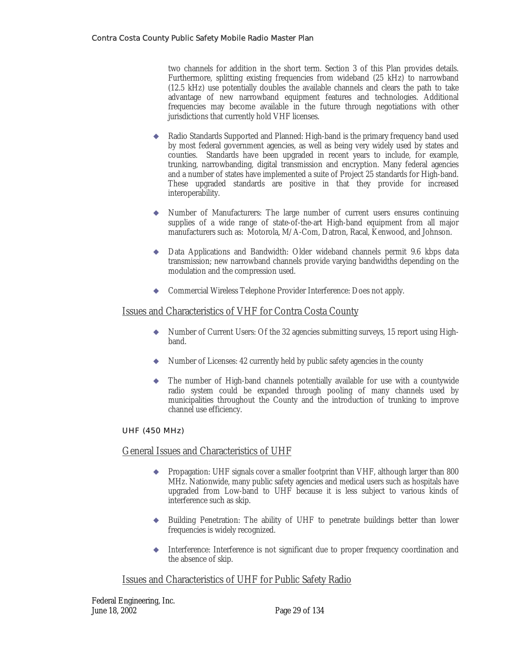two channels for addition in the short term. Section 3 of this Plan provides details. Furthermore, splitting existing frequencies from wideband (25 kHz) to narrowband (12.5 kHz) use potentially doubles the available channels and clears the path to take advantage of new narrowband equipment features and technologies. Additional frequencies may become available in the future through negotiations with other jurisdictions that currently hold VHF licenses.

- Radio Standards Supported and Planned: High-band is the primary frequency band used by most federal government agencies, as well as being very widely used by states and counties. Standards have been upgraded in recent years to include, for example, trunking, narrowbanding, digital transmission and encryption. Many federal agencies and a number of states have implemented a suite of Project 25 standards for High-band. These upgraded standards are positive in that they provide for increased interoperability.
- Number of Manufacturers: The large number of current users ensures continuing supplies of a wide range of state-of-the-art High-band equipment from all major manufacturers such as: Motorola, M/A-Com, Datron, Racal, Kenwood, and Johnson.
- Data Applications and Bandwidth: Older wideband channels permit 9.6 kbps data transmission; new narrowband channels provide varying bandwidths depending on the modulation and the compression used.
- ◆ Commercial Wireless Telephone Provider Interference: Does not apply.

# Issues and Characteristics of VHF for Contra Costa County

- Number of Current Users: Of the 32 agencies submitting surveys, 15 report using Highband.
- $\blacklozenge$  Number of Licenses: 42 currently held by public safety agencies in the county
- The number of High-band channels potentially available for use with a countywide radio system could be expanded through pooling of many channels used by municipalities throughout the County and the introduction of trunking to improve channel use efficiency.

# UHF (450 MHz)

General Issues and Characteristics of UHF

- Propagation: UHF signals cover a smaller footprint than VHF, although larger than 800 MHz. Nationwide, many public safety agencies and medical users such as hospitals have upgraded from Low-band to UHF because it is less subject to various kinds of interference such as skip.
- Building Penetration: The ability of UHF to penetrate buildings better than lower frequencies is widely recognized.
- Interference: Interference is not significant due to proper frequency coordination and the absence of skip.

# Issues and Characteristics of UHF for Public Safety Radio

Federal Engineering, Inc.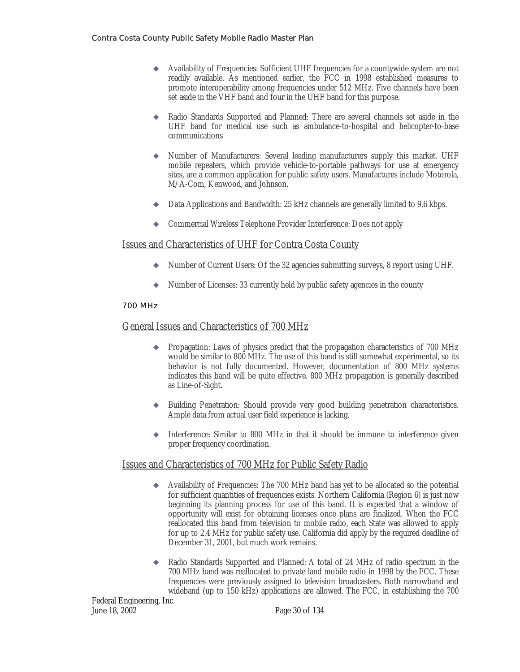- Availability of Frequencies: Sufficient UHF frequencies for a countywide system are not readily available. As mentioned earlier, the FCC in 1998 established measures to promote interoperability among frequencies under 512 MHz. Five channels have been set aside in the VHF band and four in the UHF band for this purpose.
- Radio Standards Supported and Planned: There are several channels set aside in the UHF band for medical use such as ambulance-to-hospital and helicopter-to-base communications
- Number of Manufacturers: Several leading manufacturers supply this market. UHF mobile repeaters, which provide vehicle-to-portable pathways for use at emergency sites, are a common application for public safety users. Manufactures include Motorola, M/A-Com, Kenwood, and Johnson.
- Data Applications and Bandwidth: 25 kHz channels are generally limited to 9.6 kbps.
- Commercial Wireless Telephone Provider Interference: Does not apply

# Issues and Characteristics of UHF for Contra Costa County

- Number of Current Users: Of the 32 agencies submitting surveys, 8 report using UHF.
- Number of Licenses: 33 currently held by public safety agencies in the county

### 700 MHz

# General Issues and Characteristics of 700 MHz

- Propagation: Laws of physics predict that the propagation characteristics of 700 MHz would be similar to 800 MHz. The use of this band is still somewhat experimental, so its behavior is not fully documented. However, documentation of 800 MHz systems indicates this band will be quite effective. 800 MHz propagation is generally described as Line-of-Sight.
- Building Penetration: Should provide very good building penetration characteristics. Ample data from actual user field experience is lacking.
- Interference: Similar to 800 MHz in that it should be immune to interference given proper frequency coordination.

# Issues and Characteristics of 700 MHz for Public Safety Radio

- Availability of Frequencies: The 700 MHz band has yet to be allocated so the potential for sufficient quantities of frequencies exists. Northern California (Region 6) is just now beginning its planning process for use of this band. It is expected that a window of opportunity will exist for obtaining licenses once plans are finalized. When the FCC reallocated this band from television to mobile radio, each State was allowed to apply for up to 2.4 MHz for public safety use. California did apply by the required deadline of December 31, 2001, but much work remains.
- Radio Standards Supported and Planned: A total of 24 MHz of radio spectrum in the 700 MHz band was reallocated to private land mobile radio in 1998 by the FCC. These frequencies were previously assigned to television broadcasters. Both narrowband and wideband (up to 150 kHz) applications are allowed. The FCC, in establishing the 700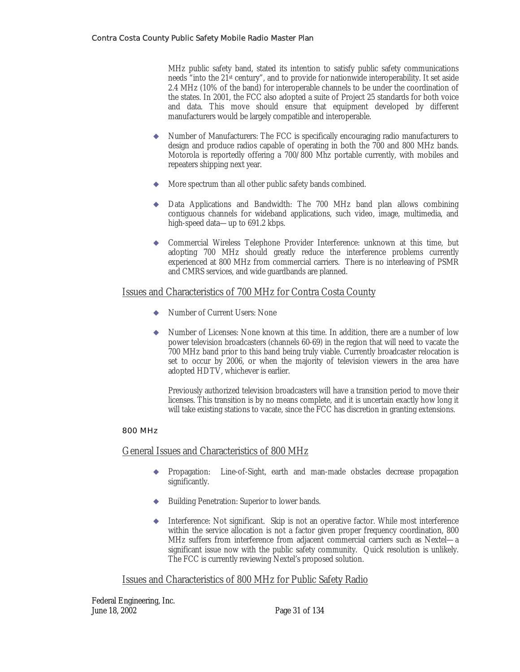MHz public safety band, stated its intention to satisfy public safety communications needs "into the 21st century", and to provide for nationwide interoperability. It set aside 2.4 MHz (10% of the band) for interoperable channels to be under the coordination of the states. In 2001, the FCC also adopted a suite of Project 25 standards for both voice and data. This move should ensure that equipment developed by different manufacturers would be largely compatible and interoperable.

- Number of Manufacturers: The FCC is specifically encouraging radio manufacturers to design and produce radios capable of operating in both the 700 and 800 MHz bands. Motorola is reportedly offering a 700/800 Mhz portable currently, with mobiles and repeaters shipping next year.
- More spectrum than all other public safety bands combined.
- Data Applications and Bandwidth: The 700 MHz band plan allows combining contiguous channels for wideband applications, such video, image, multimedia, and high-speed data—up to 691.2 kbps.
- Commercial Wireless Telephone Provider Interference: unknown at this time, but adopting 700 MHz should greatly reduce the interference problems currently experienced at 800 MHz from commercial carriers. There is no interleaving of PSMR and CMRS services, and wide guardbands are planned.

# Issues and Characteristics of 700 MHz for Contra Costa County

- Number of Current Users: None
- Number of Licenses: None known at this time. In addition, there are a number of low power television broadcasters (channels 60-69) in the region that will need to vacate the 700 MHz band prior to this band being truly viable. Currently broadcaster relocation is set to occur by 2006, or when the majority of television viewers in the area have adopted HDTV, whichever is earlier.

Previously authorized television broadcasters will have a transition period to move their licenses. This transition is by no means complete, and it is uncertain exactly how long it will take existing stations to vacate, since the FCC has discretion in granting extensions.

### 800 MHz

# General Issues and Characteristics of 800 MHz

- Propagation: Line-of-Sight, earth and man-made obstacles decrease propagation significantly.
- ◆ Building Penetration: Superior to lower bands.
- Interference: Not significant. Skip is not an operative factor. While most interference within the service allocation is not a factor given proper frequency coordination, 800 MHz suffers from interference from adjacent commercial carriers such as Nextel—a significant issue now with the public safety community. Quick resolution is unlikely. The FCC is currently reviewing Nextel's proposed solution.

# Issues and Characteristics of 800 MHz for Public Safety Radio

Federal Engineering, Inc.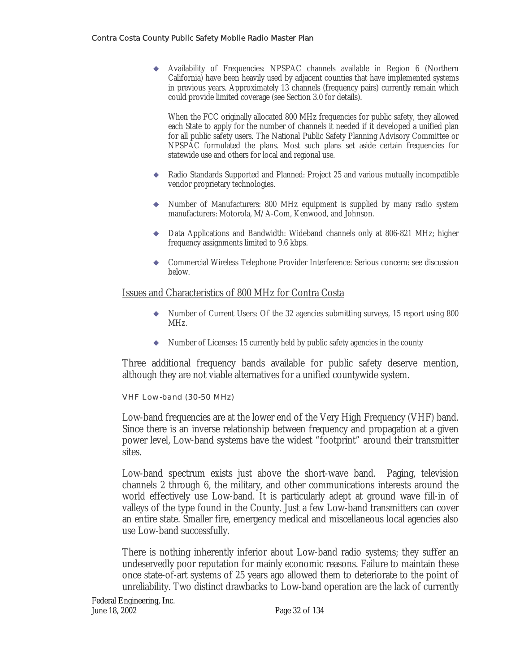Availability of Frequencies: NPSPAC channels available in Region 6 (Northern California) have been heavily used by adjacent counties that have implemented systems in previous years. Approximately 13 channels (frequency pairs) currently remain which could provide limited coverage (see Section 3.0 for details).

When the FCC originally allocated 800 MHz frequencies for public safety, they allowed each State to apply for the number of channels it needed if it developed a unified plan for all public safety users. The National Public Safety Planning Advisory Committee or NPSPAC formulated the plans. Most such plans set aside certain frequencies for statewide use and others for local and regional use.

- Radio Standards Supported and Planned: Project 25 and various mutually incompatible vendor proprietary technologies.
- Number of Manufacturers: 800 MHz equipment is supplied by many radio system manufacturers: Motorola, M/A-Com, Kenwood, and Johnson.
- Data Applications and Bandwidth: Wideband channels only at 806-821 MHz; higher frequency assignments limited to 9.6 kbps.
- Commercial Wireless Telephone Provider Interference: Serious concern: see discussion below.

# Issues and Characteristics of 800 MHz for Contra Costa

- Number of Current Users: Of the 32 agencies submitting surveys, 15 report using 800 MHz.
- Number of Licenses: 15 currently held by public safety agencies in the county

Three additional frequency bands available for public safety deserve mention, although they are not viable alternatives for a unified countywide system.

# VHF Low-band (30-50 MHz)

Low-band frequencies are at the lower end of the Very High Frequency (VHF) band. Since there is an inverse relationship between frequency and propagation at a given power level, Low-band systems have the widest "footprint" around their transmitter sites.

Low-band spectrum exists just above the short-wave band. Paging, television channels 2 through 6, the military, and other communications interests around the world effectively use Low-band. It is particularly adept at ground wave fill-in of valleys of the type found in the County. Just a few Low-band transmitters can cover an entire state. Smaller fire, emergency medical and miscellaneous local agencies also use Low-band successfully.

There is nothing inherently inferior about Low-band radio systems; they suffer an undeservedly poor reputation for mainly economic reasons. Failure to maintain these once state-of-art systems of 25 years ago allowed them to deteriorate to the point of unreliability. Two distinct drawbacks to Low-band operation are the lack of currently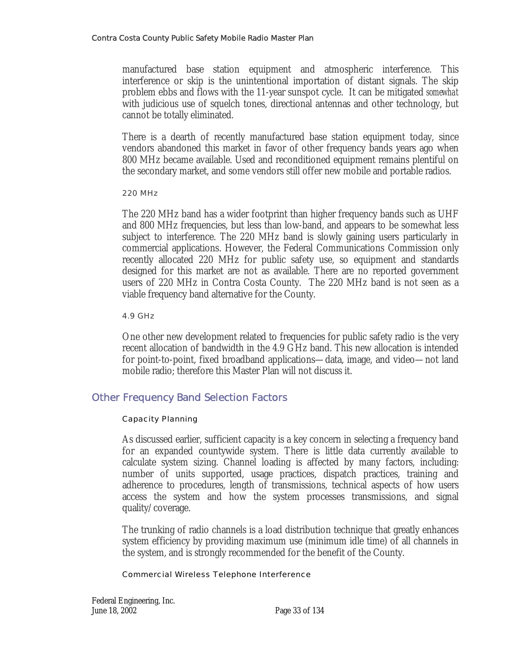manufactured base station equipment and atmospheric interference. This interference or skip is the unintentional importation of distant signals. The skip problem ebbs and flows with the 11-year sunspot cycle. It can be mitigated *somewhat* with judicious use of squelch tones, directional antennas and other technology, but cannot be totally eliminated.

There is a dearth of recently manufactured base station equipment today, since vendors abandoned this market in favor of other frequency bands years ago when 800 MHz became available. Used and reconditioned equipment remains plentiful on the secondary market, and some vendors still offer new mobile and portable radios.

## 220 MHz

The 220 MHz band has a wider footprint than higher frequency bands such as UHF and 800 MHz frequencies, but less than low-band, and appears to be somewhat less subject to interference. The 220 MHz band is slowly gaining users particularly in commercial applications. However, the Federal Communications Commission only recently allocated 220 MHz for public safety use, so equipment and standards designed for this market are not as available. There are no reported government users of 220 MHz in Contra Costa County. The 220 MHz band is not seen as a viable frequency band alternative for the County.

## 4.9 GHz

One other new development related to frequencies for public safety radio is the very recent allocation of bandwidth in the 4.9 GHz band. This new allocation is intended for point-to-point, fixed broadband applications—data, image, and video—not land mobile radio; therefore this Master Plan will not discuss it.

# Other Frequency Band Selection Factors

# Capacity Planning

As discussed earlier, sufficient capacity is a key concern in selecting a frequency band for an expanded countywide system. There is little data currently available to calculate system sizing. Channel loading is affected by many factors, including: number of units supported, usage practices, dispatch practices, training and adherence to procedures, length of transmissions, technical aspects of how users access the system and how the system processes transmissions, and signal quality/coverage.

The trunking of radio channels is a load distribution technique that greatly enhances system efficiency by providing maximum use (minimum idle time) of all channels in the system, and is strongly recommended for the benefit of the County.

# Commercial Wireless Telephone Interference

Federal Engineering, Inc.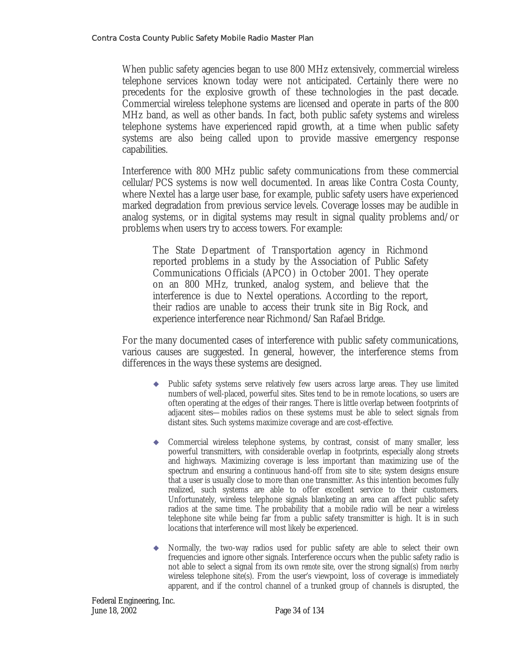When public safety agencies began to use 800 MHz extensively, commercial wireless telephone services known today were not anticipated. Certainly there were no precedents for the explosive growth of these technologies in the past decade. Commercial wireless telephone systems are licensed and operate in parts of the 800 MHz band, as well as other bands. In fact, both public safety systems and wireless telephone systems have experienced rapid growth, at a time when public safety systems are also being called upon to provide massive emergency response capabilities.

Interference with 800 MHz public safety communications from these commercial cellular/PCS systems is now well documented. In areas like Contra Costa County, where Nextel has a large user base, for example, public safety users have experienced marked degradation from previous service levels. Coverage losses may be audible in analog systems, or in digital systems may result in signal quality problems and/or problems when users try to access towers. For example:

The State Department of Transportation agency in Richmond reported problems in a study by the Association of Public Safety Communications Officials (APCO) in October 2001. They operate on an 800 MHz, trunked, analog system, and believe that the interference is due to Nextel operations. According to the report, their radios are unable to access their trunk site in Big Rock, and experience interference near Richmond/San Rafael Bridge.

For the many documented cases of interference with public safety communications, various causes are suggested. In general, however, the interference stems from differences in the ways these systems are designed.

- Public safety systems serve relatively few users across large areas. They use limited numbers of well-placed, powerful sites. Sites tend to be in remote locations, so users are often operating at the edges of their ranges. There is little overlap between footprints of adjacent sites—mobiles radios on these systems must be able to select signals from distant sites. Such systems maximize coverage and are cost-effective.
- Commercial wireless telephone systems, by contrast, consist of many smaller, less powerful transmitters, with considerable overlap in footprints, especially along streets and highways. Maximizing coverage is less important than maximizing use of the spectrum and ensuring a continuous hand-off from site to site; system designs ensure that a user is usually close to more than one transmitter. As this intention becomes fully realized, such systems are able to offer excellent service to their customers. Unfortunately, wireless telephone signals blanketing an area can affect public safety radios at the same time. The probability that a mobile radio will be near a wireless telephone site while being far from a public safety transmitter is high. It is in such locations that interference will most likely be experienced.
- Normally, the two-way radios used for public safety are able to select their own frequencies and ignore other signals. Interference occurs when the public safety radio is not able to select a signal from its own *remote* site, over the strong signal(s) from *nearby* wireless telephone site(s). From the user's viewpoint, loss of coverage is immediately apparent, and if the control channel of a trunked group of channels is disrupted, the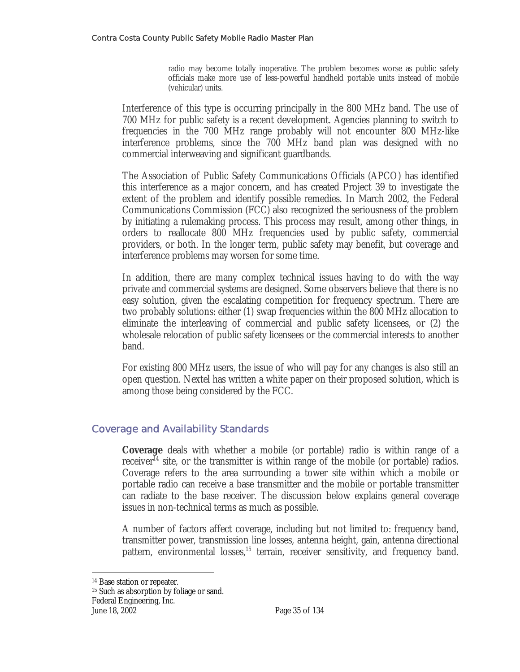radio may become totally inoperative. The problem becomes worse as public safety officials make more use of less-powerful handheld portable units instead of mobile (vehicular) units.

Interference of this type is occurring principally in the 800 MHz band. The use of 700 MHz for public safety is a recent development. Agencies planning to switch to frequencies in the 700 MHz range probably will not encounter 800 MHz-like interference problems, since the 700 MHz band plan was designed with no commercial interweaving and significant guardbands.

The Association of Public Safety Communications Officials (APCO) has identified this interference as a major concern, and has created Project 39 to investigate the extent of the problem and identify possible remedies. In March 2002, the Federal Communications Commission (FCC) also recognized the seriousness of the problem by initiating a rulemaking process. This process may result, among other things, in orders to reallocate 800 MHz frequencies used by public safety, commercial providers, or both. In the longer term, public safety may benefit, but coverage and interference problems may worsen for some time.

In addition, there are many complex technical issues having to do with the way private and commercial systems are designed. Some observers believe that there is no easy solution, given the escalating competition for frequency spectrum. There are two probably solutions: either (1) swap frequencies within the 800 MHz allocation to eliminate the interleaving of commercial and public safety licensees, or (2) the wholesale relocation of public safety licensees or the commercial interests to another band.

For existing 800 MHz users, the issue of who will pay for any changes is also still an open question. Nextel has written a white paper on their proposed solution, which is among those being considered by the FCC.

# Coverage and Availability Standards

**Coverage** deals with whether a mobile (or portable) radio is within range of a receiver<sup>14</sup> site, or the transmitter is within range of the mobile (or portable) radios. Coverage refers to the area surrounding a tower site within which a mobile or portable radio can receive a base transmitter and the mobile or portable transmitter can radiate to the base receiver. The discussion below explains general coverage issues in non-technical terms as much as possible.

A number of factors affect coverage, including but not limited to: frequency band, transmitter power, transmission line losses, antenna height, gain, antenna directional pattern, environmental losses,<sup>15</sup> terrain, receiver sensitivity, and frequency band.

Federal Engineering, Inc.

1

<span id="page-34-0"></span><sup>14</sup> Base station or repeater.

<span id="page-34-1"></span><sup>15</sup> Such as absorption by foliage or sand.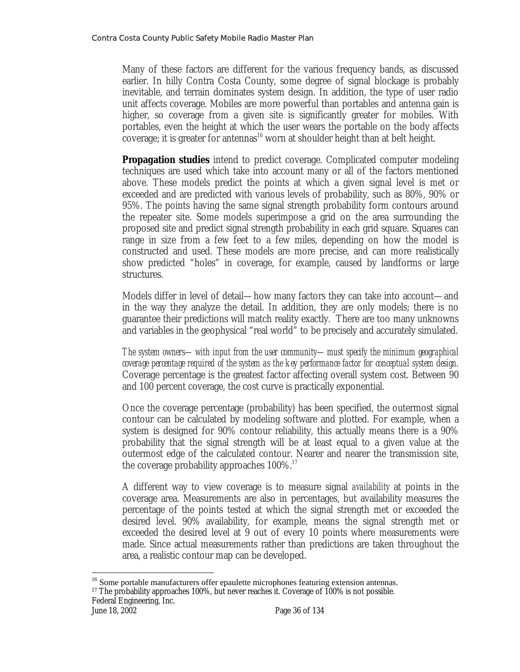Many of these factors are different for the various frequency bands, as discussed earlier. In hilly Contra Costa County, some degree of signal blockage is probably inevitable, and terrain dominates system design. In addition, the type of user radio unit affects coverage. Mobiles are more powerful than portables and antenna gain is higher, so coverage from a given site is significantly greater for mobiles. With portables, even the height at which the user wears the portable on the body affects coverage; it is greater for antennas<sup>16</sup> worn at shoulder height than at belt height.

**Propagation studies** intend to predict coverage. Complicated computer modeling techniques are used which take into account many or all of the factors mentioned above. These models predict the points at which a given signal level is met or exceeded and are predicted with various levels of probability, such as 80%, 90% or 95%. The points having the same signal strength probability form contours around the repeater site. Some models superimpose a grid on the area surrounding the proposed site and predict signal strength probability in each grid square. Squares can range in size from a few feet to a few miles, depending on how the model is constructed and used. These models are more precise, and can more realistically show predicted "holes" in coverage, for example, caused by landforms or large structures.

Models differ in level of detail—how many factors they can take into account—and in the way they analyze the detail. In addition, they are only models; there is no guarantee their predictions will match reality exactly. There are too many unknowns and variables in the geophysical "real world" to be precisely and accurately simulated.

*The system owners—with input from the user community—must specify the minimum geographical coverage percentage required of the system as the key performance factor for conceptual system design.*  Coverage percentage is the greatest factor affecting overall system cost. Between 90 and 100 percent coverage, the cost curve is practically exponential.

Once the coverage percentage (probability) has been specified, the outermost signal contour can be calculated by modeling software and plotted. For example, when a system is designed for 90% contour reliability, this actually means there is a 90% probability that the signal strength will be at least equal to a given value at the outermost edge of the calculated contour. Nearer and nearer the transmission site, the coverage probability approaches 100%.<sup>17</sup>

A different way to view coverage is to measure signal *availability* at points in the coverage area. Measurements are also in percentages, but availability measures the percentage of the points tested at which the signal strength met or exceeded the desired level. 90% availability, for example, means the signal strength met or exceeded the desired level at 9 out of every 10 points where measurements were made. Since actual measurements rather than predictions are taken throughout the area, a realistic contour map can be developed.

 $\overline{a}$ 

<span id="page-35-0"></span><sup>&</sup>lt;sup>16</sup> Some portable manufacturers offer epaulette microphones featuring extension antennas.

<span id="page-35-1"></span><sup>&</sup>lt;sup>17</sup> The probability approaches 100%, but never reaches it. Coverage of 100% is not possible.

Federal Engineering, Inc.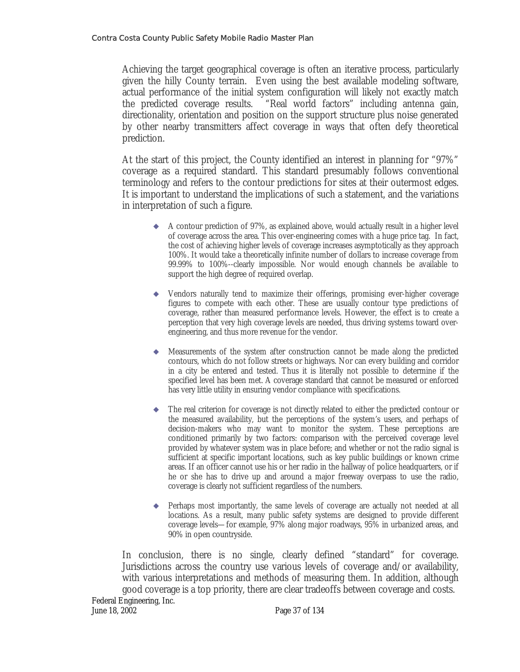Achieving the target geographical coverage is often an iterative process, particularly given the hilly County terrain. Even using the best available modeling software, actual performance of the initial system configuration will likely not exactly match the predicted coverage results. "Real world factors" including antenna gain, directionality, orientation and position on the support structure plus noise generated by other nearby transmitters affect coverage in ways that often defy theoretical prediction.

At the start of this project, the County identified an interest in planning for "97%" coverage as a required standard. This standard presumably follows conventional terminology and refers to the contour predictions for sites at their outermost edges. It is important to understand the implications of such a statement, and the variations in interpretation of such a figure.

- A contour prediction of 97%, as explained above, would actually result in a higher level of coverage across the area. This over-engineering comes with a huge price tag. In fact, the cost of achieving higher levels of coverage increases asymptotically as they approach 100%. It would take a theoretically infinite number of dollars to increase coverage from 99.99% to 100%--clearly impossible. Nor would enough channels be available to support the high degree of required overlap.
- Vendors naturally tend to maximize their offerings, promising ever-higher coverage figures to compete with each other. These are usually contour type predictions of coverage, rather than measured performance levels. However, the effect is to create a perception that very high coverage levels are needed, thus driving systems toward overengineering, and thus more revenue for the vendor.
- Measurements of the system after construction cannot be made along the predicted contours, which do not follow streets or highways. Nor can every building and corridor in a city be entered and tested. Thus it is literally not possible to determine if the specified level has been met. A coverage standard that cannot be measured or enforced has very little utility in ensuring vendor compliance with specifications.
- The real criterion for coverage is not directly related to either the predicted contour or the measured availability, but the perceptions of the system's users, and perhaps of decision-makers who may want to monitor the system. These perceptions are conditioned primarily by two factors: comparison with the perceived coverage level provided by whatever system was in place before; and whether or not the radio signal is sufficient at specific important locations, such as key public buildings or known crime areas. If an officer cannot use his or her radio in the hallway of police headquarters, or if he or she has to drive up and around a major freeway overpass to use the radio, coverage is clearly not sufficient regardless of the numbers.
- Perhaps most importantly, the same levels of coverage are actually not needed at all locations. As a result, many public safety systems are designed to provide different coverage levels—for example, 97% along major roadways, 95% in urbanized areas, and 90% in open countryside.

In conclusion, there is no single, clearly defined "standard" for coverage. Jurisdictions across the country use various levels of coverage and/or availability, with various interpretations and methods of measuring them. In addition, although good coverage is a top priority, there are clear tradeoffs between coverage and costs.

Page 37 of 134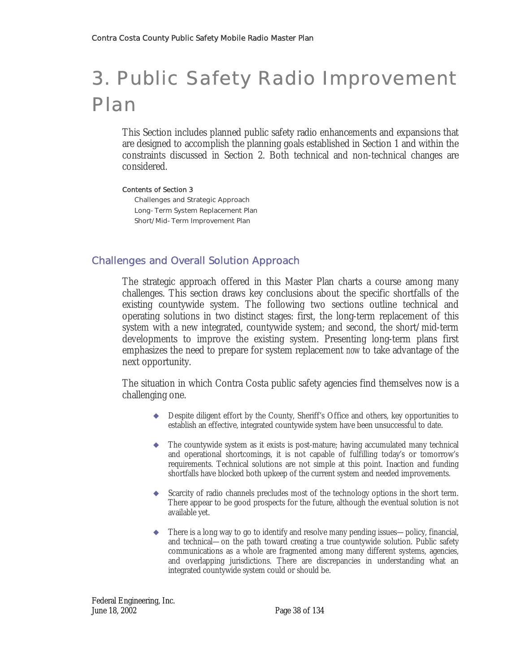# 3. Public Safety Radio Improvement Plan

This Section includes planned public safety radio enhancements and expansions that are designed to accomplish the planning goals established in Section 1 and within the constraints discussed in Section 2. Both technical and non-technical changes are considered.

#### Contents of Section 3

Challenges and Strategic Approach Long-Term System Replacement Plan Short/Mid-Term Improvement Plan

## Challenges and Overall Solution Approach

The strategic approach offered in this Master Plan charts a course among many challenges. This section draws key conclusions about the specific shortfalls of the existing countywide system. The following two sections outline technical and operating solutions in two distinct stages: first, the long-term replacement of this system with a new integrated, countywide system; and second, the short/mid-term developments to improve the existing system. Presenting long-term plans first emphasizes the need to prepare for system replacement *now* to take advantage of the next opportunity.

The situation in which Contra Costa public safety agencies find themselves now is a challenging one.

- Despite diligent effort by the County, Sheriff's Office and others, key opportunities to establish an effective, integrated countywide system have been unsuccessful to date.
- The countywide system as it exists is post-mature; having accumulated many technical and operational shortcomings, it is not capable of fulfilling today's or tomorrow's requirements. Technical solutions are not simple at this point. Inaction and funding shortfalls have blocked both upkeep of the current system and needed improvements.
- Scarcity of radio channels precludes most of the technology options in the short term. There appear to be good prospects for the future, although the eventual solution is not available yet.
- There is a long way to go to identify and resolve many pending issues—policy, financial, and technical—on the path toward creating a true countywide solution. Public safety communications as a whole are fragmented among many different systems, agencies, and overlapping jurisdictions. There are discrepancies in understanding what an integrated countywide system could or should be.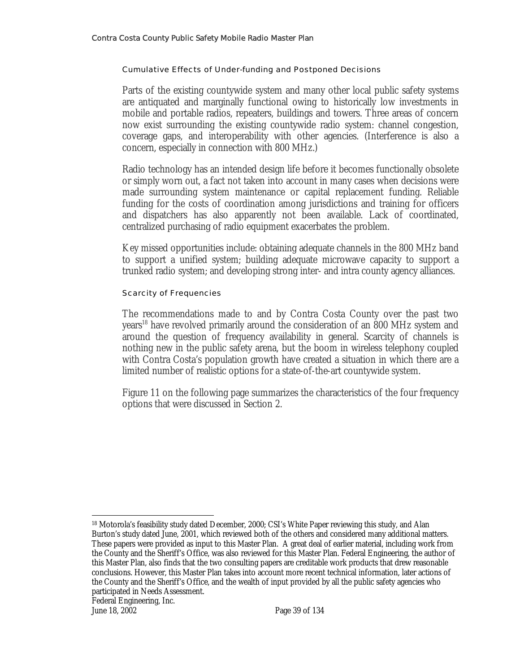#### Cumulative Effects of Under-funding and Postponed Decisions

Parts of the existing countywide system and many other local public safety systems are antiquated and marginally functional owing to historically low investments in mobile and portable radios, repeaters, buildings and towers. Three areas of concern now exist surrounding the existing countywide radio system: channel congestion, coverage gaps, and interoperability with other agencies. (Interference is also a concern, especially in connection with 800 MHz.)

Radio technology has an intended design life before it becomes functionally obsolete or simply worn out, a fact not taken into account in many cases when decisions were made surrounding system maintenance or capital replacement funding. Reliable funding for the costs of coordination among jurisdictions and training for officers and dispatchers has also apparently not been available. Lack of coordinated, centralized purchasing of radio equipment exacerbates the problem.

Key missed opportunities include: obtaining adequate channels in the 800 MHz band to support a unified system; building adequate microwave capacity to support a trunked radio system; and developing strong inter- and intra county agency alliances.

#### Scarcity of Frequencies

The recommendations made to and by Contra Costa County over the past two years[18](#page-38-0) have revolved primarily around the consideration of an 800 MHz system and around the question of frequency availability in general. Scarcity of channels is nothing new in the public safety arena, but the boom in wireless telephony coupled with Contra Costa's population growth have created a situation in which there are a limited number of realistic options for a state-of-the-art countywide system.

Figure 11 on the following page summarizes the characteristics of the four frequency options that were discussed in Section 2.

<span id="page-38-0"></span> $\overline{a}$ <sup>18</sup> Motorola's feasibility study dated December, 2000; CSI's White Paper reviewing this study, and Alan Burton's study dated June, 2001, which reviewed both of the others and considered many additional matters. These papers were provided as input to this Master Plan. A great deal of earlier material, including work from the County and the Sheriff's Office, was also reviewed for this Master Plan. Federal Engineering, the author of this Master Plan, also finds that the two consulting papers are creditable work products that drew reasonable conclusions. However, this Master Plan takes into account more recent technical information, later actions of the County and the Sheriff's Office, and the wealth of input provided by all the public safety agencies who participated in Needs Assessment.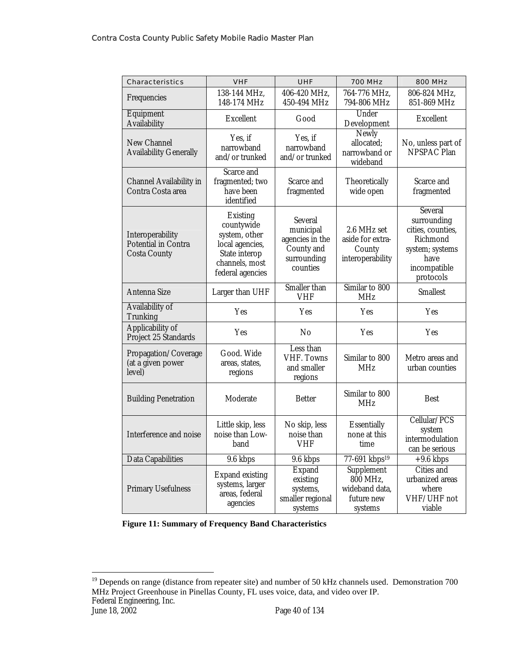| <b>Characteristics</b>                                         | <b>VHF</b>                                                                                                               | <b>UHF</b>                                                                              | <b>700 MHz</b>                                                    | <b>800 MHz</b>                                                                                                  |
|----------------------------------------------------------------|--------------------------------------------------------------------------------------------------------------------------|-----------------------------------------------------------------------------------------|-------------------------------------------------------------------|-----------------------------------------------------------------------------------------------------------------|
| Frequencies                                                    | 138-144 MHz,<br>148-174 MHz                                                                                              | 406-420 MHz,<br>450-494 MHz                                                             | 764-776 MHz.<br>794-806 MHz                                       | 806-824 MHz,<br>851-869 MHz                                                                                     |
| Equipment<br>Availability                                      | <b>Excellent</b>                                                                                                         | Good                                                                                    | Under<br>Development                                              | <b>Excellent</b>                                                                                                |
| <b>New Channel</b><br><b>Availability Generally</b>            | Yes. if<br>narrowband<br>and/or trunked                                                                                  | Yes. if<br>narrowband<br>and/or trunked                                                 | <b>Newly</b><br>allocated;<br>narrowband or<br>wideband           | No, unless part of<br>NPSPAC Plan                                                                               |
| <b>Channel Availability in</b><br>Contra Costa area            | Scarce and<br>fragmented; two<br>have been<br>identified                                                                 | Scarce and<br>fragmented                                                                | Theoretically<br>wide open                                        | Scarce and<br>fragmented                                                                                        |
| Interoperability<br>Potential in Contra<br><b>Costa County</b> | <b>Existing</b><br>countywide<br>system, other<br>local agencies,<br>State interop<br>channels, most<br>federal agencies | <b>Several</b><br>municipal<br>agencies in the<br>County and<br>surrounding<br>counties | 2.6 MHz set<br>aside for extra-<br>County<br>interoperability     | Several<br>surrounding<br>cities, counties,<br>Richmond<br>system; systems<br>have<br>incompatible<br>protocols |
| <b>Antenna Size</b>                                            | Larger than UHF                                                                                                          | Smaller than<br><b>VHF</b>                                                              | Similar to 800<br><b>MHz</b>                                      | <b>Smallest</b>                                                                                                 |
| Availability of<br>Trunking                                    | Yes                                                                                                                      | Yes                                                                                     | Yes                                                               | Yes                                                                                                             |
| Applicability of<br>Project 25 Standards                       | Yes                                                                                                                      | N <sub>o</sub>                                                                          | Yes                                                               | Yes                                                                                                             |
| Propagation/Coverage<br>(at a given power<br>level)            | Good. Wide<br>areas, states,<br>regions                                                                                  | Less than<br><b>VHF. Towns</b><br>and smaller<br>regions                                | Similar to 800<br><b>MHz</b>                                      | Metro areas and<br>urban counties                                                                               |
| <b>Building Penetration</b>                                    | Moderate                                                                                                                 | <b>Better</b>                                                                           | Similar to 800<br>MHz                                             | <b>Best</b>                                                                                                     |
| Interference and noise                                         | Little skip, less<br>noise than Low-<br>band                                                                             | No skip, less<br>noise than<br><b>VHF</b>                                               | <b>Essentially</b><br>none at this<br>time                        | Cellular/PCS<br>system<br>intermodulation<br>can be serious                                                     |
| <b>Data Capabilities</b>                                       | 9.6 kbps                                                                                                                 | 9.6 kbps                                                                                | 77-691 kbps <sup>19</sup>                                         | $+9.6$ kbps                                                                                                     |
| <b>Primary Usefulness</b>                                      | <b>Expand existing</b><br>systems, larger<br>areas, federal<br>agencies                                                  | <b>Expand</b><br>existing<br>systems,<br>smaller regional<br>systems                    | Supplement<br>800 MHz,<br>wideband data,<br>future new<br>systems | <b>Cities and</b><br>urbanized areas<br>where<br>VHF/UHF not<br>viable                                          |

**Figure 11: Summary of Frequency Band Characteristics** 

<span id="page-39-0"></span>Federal Engineering, Inc. <sup>19</sup> Depends on range (distance from repeater site) and number of 50 kHz channels used. Demonstration 700 MHz Project Greenhouse in Pinellas County, FL uses voice, data, and video over IP.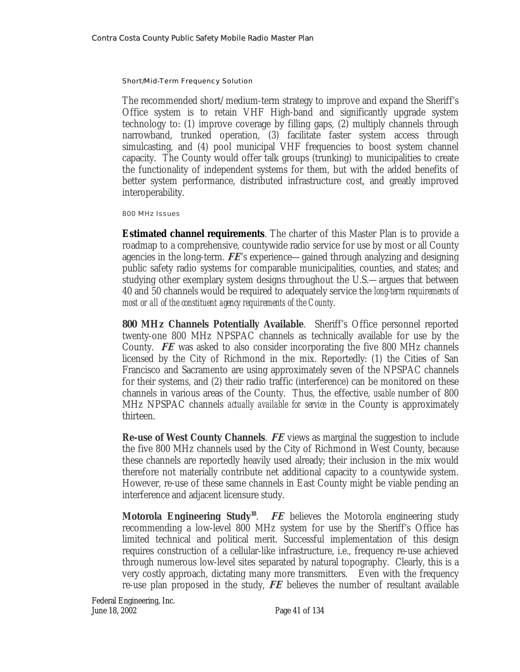#### Short/Mid-Term Frequency Solution

The recommended short/medium-term strategy to improve and expand the Sheriff's Office system is to retain VHF High-band and significantly upgrade system technology to: (1) improve coverage by filling gaps, (2) multiply channels through narrowband, trunked operation, (3) facilitate faster system access through simulcasting, and (4) pool municipal VHF frequencies to boost system channel capacity. The County would offer talk groups (trunking) to municipalities to create the functionality of independent systems for them, but with the added benefits of better system performance, distributed infrastructure cost, and greatly improved interoperability.

#### 800 MHz Issues

**Estimated channel requirements**. The charter of this Master Plan is to provide a roadmap to a comprehensive, countywide radio service for use by most or all County agencies in the long-term. **FE**'s experience—gained through analyzing and designing public safety radio systems for comparable municipalities, counties, and states; and studying other exemplary system designs throughout the U.S.—argues that between 40 and 50 channels would be required to adequately service the *long-term requirements of most or all of the constituent agency requirements of the County*.

**800 MHz Channels Potentially Available**. Sheriff's Office personnel reported twenty-one 800 MHz NPSPAC channels as technically available for use by the County. **FE** was asked to also consider incorporating the five 800 MHz channels licensed by the City of Richmond in the mix. Reportedly: (1) the Cities of San Francisco and Sacramento are using approximately seven of the NPSPAC channels for their systems, and (2) their radio traffic (interference) can be monitored on these channels in various areas of the County. Thus, the effective, *usable* number of 800 MHz NPSPAC channels *actually available for service* in the County is approximately thirteen.

**Re-use of West County Channels**. **FE** views as marginal the suggestion to include the five 800 MHz channels used by the City of Richmond in West County, because these channels are reportedly heavily used already; their inclusion in the mix would therefore not materially contribute net additional capacity to a countywide system. However, re-use of these same channels in East County might be viable pending an interference and adjacent licensure study.

**Motorola Engineering Study<sup>18</sup>.** FE believes the Motorola engineering study recommending a low-level 800 MHz system for use by the Sheriff's Office has limited technical and political merit. Successful implementation of this design requires construction of a cellular-like infrastructure, i.e., frequency re-use achieved through numerous low-level sites separated by natural topography. Clearly, this is a very costly approach, dictating many more transmitters. Even with the frequency re-use plan proposed in the study, **FE** believes the number of resultant available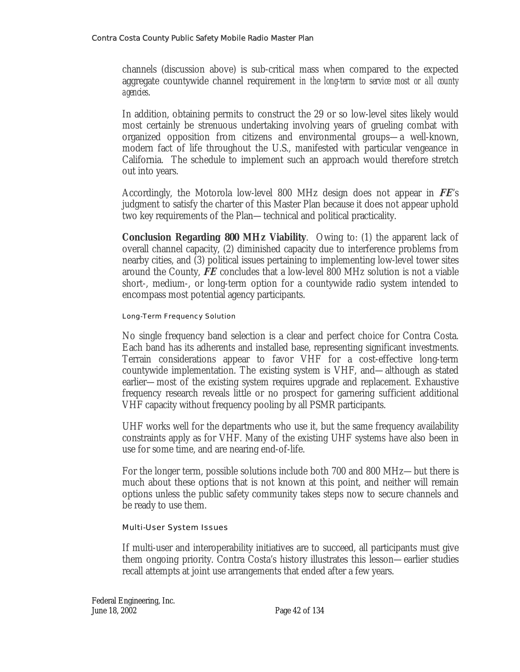channels (discussion above) is sub-critical mass when compared to the expected aggregate countywide channel requirement *in the long-term to service most or all county agencies*.

In addition, obtaining permits to construct the 29 or so low-level sites likely would most certainly be strenuous undertaking involving years of grueling combat with organized opposition from citizens and environmental groups—a well-known, modern fact of life throughout the U.S., manifested with particular vengeance in California. The schedule to implement such an approach would therefore stretch out into years.

Accordingly, the Motorola low-level 800 MHz design does not appear in **FE**'s judgment to satisfy the charter of this Master Plan because it does not appear uphold two key requirements of the Plan—technical and political practicality.

**Conclusion Regarding 800 MHz Viability**. Owing to: (1) the apparent lack of overall channel capacity, (2) diminished capacity due to interference problems from nearby cities, and (3) political issues pertaining to implementing low-level tower sites around the County, **FE** concludes that a low-level 800 MHz solution is not a viable short-, medium-, or long-term option for a countywide radio system intended to encompass most potential agency participants.

#### Long-Term Frequency Solution

No single frequency band selection is a clear and perfect choice for Contra Costa. Each band has its adherents and installed base, representing significant investments. Terrain considerations appear to favor VHF for a cost-effective long-term countywide implementation. The existing system is VHF, and—although as stated earlier—most of the existing system requires upgrade and replacement. Exhaustive frequency research reveals little or no prospect for garnering sufficient additional VHF capacity without frequency pooling by all PSMR participants.

UHF works well for the departments who use it, but the same frequency availability constraints apply as for VHF. Many of the existing UHF systems have also been in use for some time, and are nearing end-of-life.

For the longer term, possible solutions include both 700 and 800 MHz—but there is much about these options that is not known at this point, and neither will remain options unless the public safety community takes steps now to secure channels and be ready to use them.

## Multi-User System Issues

If multi-user and interoperability initiatives are to succeed, all participants must give them ongoing priority. Contra Costa's history illustrates this lesson—earlier studies recall attempts at joint use arrangements that ended after a few years.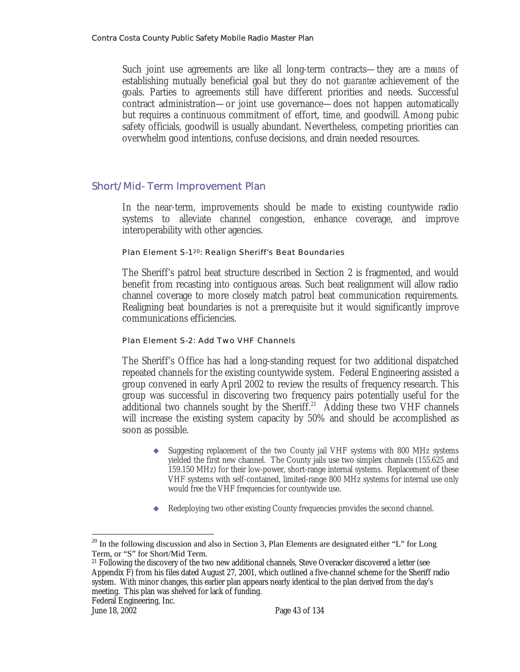Such joint use agreements are like all long-term contracts—they are a *means* of establishing mutually beneficial goal but they do not *guarantee* achievement of the goals. Parties to agreements still have different priorities and needs. Successful contract administration—or joint use governance—does not happen automatically but requires a continuous commitment of effort, time, and goodwill. Among pubic safety officials, goodwill is usually abundant. Nevertheless, competing priorities can overwhelm good intentions, confuse decisions, and drain needed resources.

## Short/Mid-Term Improvement Plan

In the near-term, improvements should be made to existing countywide radio systems to alleviate channel congestion, enhance coverage, and improve interoperability with other agencies.

#### Plan Element S-1[20:](#page-42-0) Realign Sheriff's Beat Boundaries

The Sheriff's patrol beat structure described in Section 2 is fragmented, and would benefit from recasting into contiguous areas. Such beat realignment will allow radio channel coverage to more closely match patrol beat communication requirements. Realigning beat boundaries is not a prerequisite but it would significantly improve communications efficiencies.

### Plan Element S-2: Add Two VHF Channels

The Sheriff's Office has had a long-standing request for two additional dispatched repeated channels for the existing countywide system. Federal Engineering assisted a group convened in early April 2002 to review the results of frequency research. This group was successful in discovering two frequency pairs potentially useful for the additional two channels sought by the Sheriff.<sup>21</sup> Adding these two VHF channels will increase the existing system capacity by 50% and should be accomplished as soon as possible.

- Suggesting replacement of the two County jail VHF systems with 800 MHz systems yielded the first new channel. The County jails use two simplex channels (155.625 and 159.150 MHz) for their low-power, short-range internal systems. Replacement of these VHF systems with self-contained, limited-range 800 MHz systems for internal use only would free the VHF frequencies for countywide use.
- ◆ Redeploying two other existing County frequencies provides the second channel.

<span id="page-42-0"></span> $20$  In the following discussion and also in Section 3, Plan Elements are designated either "L" for Long Term, or "S" for Short/Mid Term.

<span id="page-42-1"></span><sup>&</sup>lt;sup>21</sup> Following the discovery of the two new additional channels, Steve Overacker discovered a letter (see Appendix F) from his files dated August 27, 2001, which outlined a five-channel scheme for the Sheriff radio system. With minor changes, this earlier plan appears nearly identical to the plan derived from the day's meeting. This plan was shelved for lack of funding.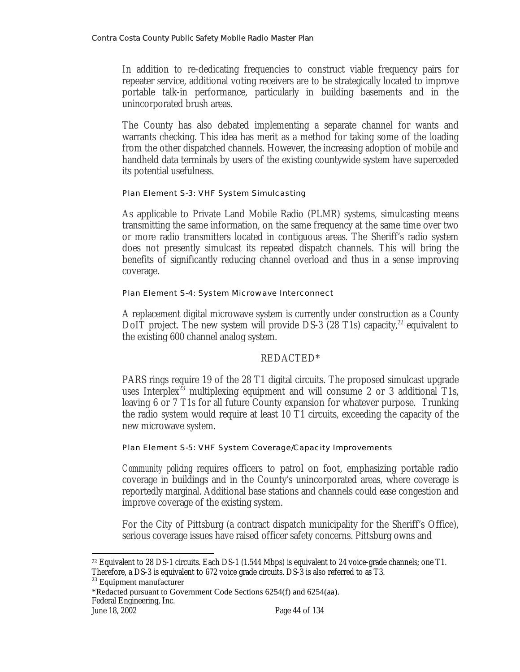In addition to re-dedicating frequencies to construct viable frequency pairs for repeater service, additional voting receivers are to be strategically located to improve portable talk-in performance, particularly in building basements and in the unincorporated brush areas.

The County has also debated implementing a separate channel for wants and warrants checking. This idea has merit as a method for taking some of the loading from the other dispatched channels. However, the increasing adoption of mobile and handheld data terminals by users of the existing countywide system have superceded its potential usefulness.

## Plan Element S-3: VHF System Simulcasting

As applicable to Private Land Mobile Radio (PLMR) systems, simulcasting means transmitting the same information, on the same frequency at the same time over two or more radio transmitters located in contiguous areas. The Sheriff's radio system does not presently simulcast its repeated dispatch channels. This will bring the benefits of significantly reducing channel overload and thus in a sense improving coverage.

### Plan Element S-4: System Microwave Interconnect

A replacement digital microwave system is currently under construction as a County DoIT project. The new system will provide DS-3 (28 T1s) capacity, $^{22}$  equivalent to the existing 600 channel analog system.

## REDACTED\*

PARS rings require 19 of the 28 T1 digital circuits. The proposed simulcast upgrade uses Interplex<sup>23</sup> multiplexing equipment and will consume 2 or 3 additional T1s, leaving 6 or 7 T1s for all future County expansion for whatever purpose. Trunking the radio system would require at least 10 T1 circuits, exceeding the capacity of the new microwave system.

## Plan Element S-5: VHF System Coverage/Capacity Improvements

*Community policing* requires officers to patrol on foot, emphasizing portable radio coverage in buildings and in the County's unincorporated areas, where coverage is reportedly marginal. Additional base stations and channels could ease congestion and improve coverage of the existing system.

For the City of Pittsburg (a contract dispatch municipality for the Sheriff's Office), serious coverage issues have raised officer safety concerns. Pittsburg owns and

<span id="page-43-0"></span> $\overline{a}$ 22 Equivalent to 28 DS-1 circuits. Each DS-1 (1.544 Mbps) is equivalent to 24 voice-grade channels; one T1. Therefore, a DS-3 is equivalent to 672 voice grade circuits. DS-3 is also referred to as T3.  $^{23}$  Equipment manufacturer

<span id="page-43-1"></span>

<sup>\*</sup>Redacted pursuant to Government Code Sections 6254(f) and 6254(aa).

Federal Engineering, Inc.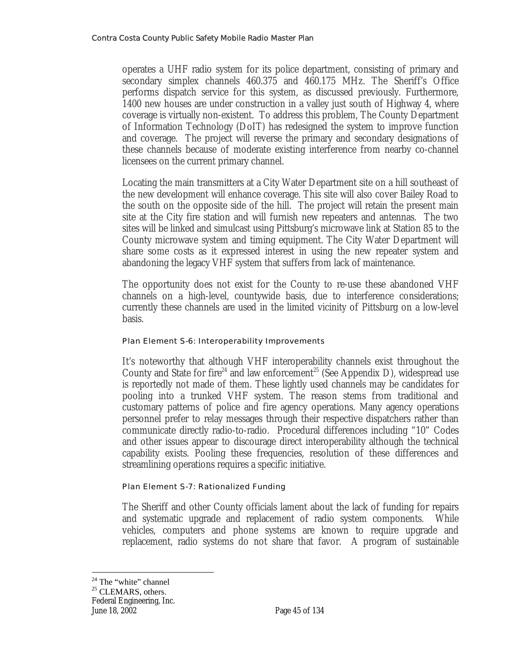operates a UHF radio system for its police department, consisting of primary and secondary simplex channels 460.375 and 460.175 MHz. The Sheriff's Office performs dispatch service for this system, as discussed previously. Furthermore, 1400 new houses are under construction in a valley just south of Highway 4, where coverage is virtually non-existent. To address this problem, The County Department of Information Technology (DoIT) has redesigned the system to improve function and coverage. The project will reverse the primary and secondary designations of these channels because of moderate existing interference from nearby co-channel licensees on the current primary channel.

Locating the main transmitters at a City Water Department site on a hill southeast of the new development will enhance coverage. This site will also cover Bailey Road to the south on the opposite side of the hill. The project will retain the present main site at the City fire station and will furnish new repeaters and antennas. The two sites will be linked and simulcast using Pittsburg's microwave link at Station 85 to the County microwave system and timing equipment. The City Water Department will share some costs as it expressed interest in using the new repeater system and abandoning the legacy VHF system that suffers from lack of maintenance.

The opportunity does not exist for the County to re-use these abandoned VHF channels on a high-level, countywide basis, due to interference considerations; currently these channels are used in the limited vicinity of Pittsburg on a low-level basis.

#### Plan Element S-6: Interoperability Improvements

It's noteworthy that although VHF interoperability channels exist throughout the County and State for fire<sup>24</sup> and law enforcement<sup>25</sup> (See Appendix D), widespread use is reportedly not made of them. These lightly used channels may be candidates for pooling into a trunked VHF system. The reason stems from traditional and customary patterns of police and fire agency operations. Many agency operations personnel prefer to relay messages through their respective dispatchers rather than communicate directly radio-to-radio. Procedural differences including "10" Codes and other issues appear to discourage direct interoperability although the technical capability exists. Pooling these frequencies, resolution of these differences and streamlining operations requires a specific initiative.

#### Plan Element S-7: Rationalized Funding

The Sheriff and other County officials lament about the lack of funding for repairs and systematic upgrade and replacement of radio system components. While vehicles, computers and phone systems are known to require upgrade and replacement, radio systems do not share that favor. A program of sustainable

<span id="page-44-0"></span><sup>&</sup>lt;sup>24</sup> The "white" channel

<span id="page-44-1"></span><sup>&</sup>lt;sup>25</sup> CLEMARS, others.

Federal Engineering, Inc.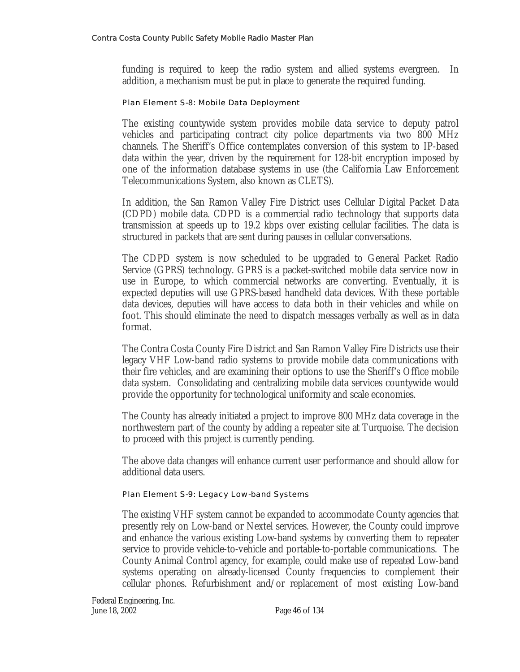funding is required to keep the radio system and allied systems evergreen. In addition, a mechanism must be put in place to generate the required funding.

#### Plan Element S-8: Mobile Data Deployment

The existing countywide system provides mobile data service to deputy patrol vehicles and participating contract city police departments via two 800 MHz channels. The Sheriff's Office contemplates conversion of this system to IP-based data within the year, driven by the requirement for 128-bit encryption imposed by one of the information database systems in use (the California Law Enforcement Telecommunications System, also known as CLETS).

In addition, the San Ramon Valley Fire District uses Cellular Digital Packet Data (CDPD) mobile data. CDPD is a commercial radio technology that supports data transmission at speeds up to 19.2 kbps over existing cellular facilities. The data is structured in packets that are sent during pauses in cellular conversations.

The CDPD system is now scheduled to be upgraded to General Packet Radio Service (GPRS) technology. GPRS is a packet-switched mobile data service now in use in Europe, to which commercial networks are converting. Eventually, it is expected deputies will use GPRS-based handheld data devices. With these portable data devices, deputies will have access to data both in their vehicles and while on foot. This should eliminate the need to dispatch messages verbally as well as in data format.

The Contra Costa County Fire District and San Ramon Valley Fire Districts use their legacy VHF Low-band radio systems to provide mobile data communications with their fire vehicles, and are examining their options to use the Sheriff's Office mobile data system. Consolidating and centralizing mobile data services countywide would provide the opportunity for technological uniformity and scale economies.

The County has already initiated a project to improve 800 MHz data coverage in the northwestern part of the county by adding a repeater site at Turquoise. The decision to proceed with this project is currently pending.

The above data changes will enhance current user performance and should allow for additional data users.

#### Plan Element S-9: Legacy Low-band Systems

The existing VHF system cannot be expanded to accommodate County agencies that presently rely on Low-band or Nextel services. However, the County could improve and enhance the various existing Low-band systems by converting them to repeater service to provide vehicle-to-vehicle and portable-to-portable communications. The County Animal Control agency, for example, could make use of repeated Low-band systems operating on already-licensed County frequencies to complement their cellular phones. Refurbishment and/or replacement of most existing Low-band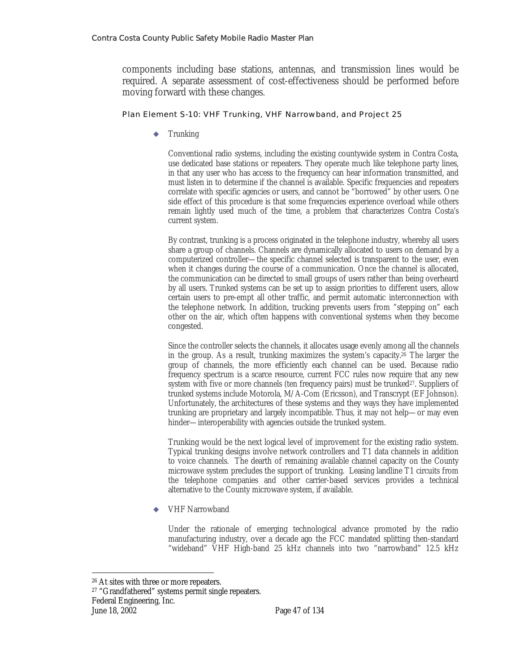components including base stations, antennas, and transmission lines would be required. A separate assessment of cost-effectiveness should be performed before moving forward with these changes.

#### Plan Element S-10: VHF Trunking, VHF Narrowband, and Project 25

 $\leftarrow$  Trunking

Conventional radio systems, including the existing countywide system in Contra Costa, use dedicated base stations or repeaters. They operate much like telephone party lines, in that any user who has access to the frequency can hear information transmitted, and must listen in to determine if the channel is available. Specific frequencies and repeaters correlate with specific agencies or users, and cannot be "borrowed" by other users. One side effect of this procedure is that some frequencies experience overload while others remain lightly used much of the time, a problem that characterizes Contra Costa's current system.

By contrast, trunking is a process originated in the telephone industry, whereby all users share a group of channels. Channels are dynamically allocated to users on demand by a computerized controller—the specific channel selected is transparent to the user, even when it changes during the course of a communication. Once the channel is allocated, the communication can be directed to small groups of users rather than being overheard by all users. Trunked systems can be set up to assign priorities to different users, allow certain users to pre-empt all other traffic, and permit automatic interconnection with the telephone network. In addition, trucking prevents users from "stepping on" each other on the air, which often happens with conventional systems when they become congested.

Since the controller selects the channels, it allocates usage evenly among all the channels in the group. As a result, trunking maximizes the system's capacity.[26](#page-46-0) The larger the group of channels, the more efficiently each channel can be used. Because radio frequency spectrum is a scarce resource, current FCC rules now require that any new system with five or more channels (ten frequency pairs) must be trunked<sup>27</sup>. Suppliers of trunked systems include Motorola, M/A-Com (Ericsson), and Transcrypt (EF Johnson). Unfortunately, the architectures of these systems and they ways they have implemented trunking are proprietary and largely incompatible. Thus, it may not help—or may even hinder—interoperability with agencies outside the trunked system.

Trunking would be the next logical level of improvement for the existing radio system. Typical trunking designs involve network controllers and T1 data channels in addition to voice channels. The dearth of remaining available channel capacity on the County microwave system precludes the support of trunking. Leasing landline T1 circuits from the telephone companies and other carrier-based services provides a technical alternative to the County microwave system, if available.

VHF Narrowband

Under the rationale of emerging technological advance promoted by the radio manufacturing industry, over a decade ago the FCC mandated splitting then-standard "wideband" VHF High-band 25 kHz channels into two "narrowband" 12.5 kHz

<span id="page-46-1"></span>Federal Engineering, Inc. 27 "Grandfathered" systems permit single repeaters.

<span id="page-46-0"></span><sup>26</sup> At sites with three or more repeaters.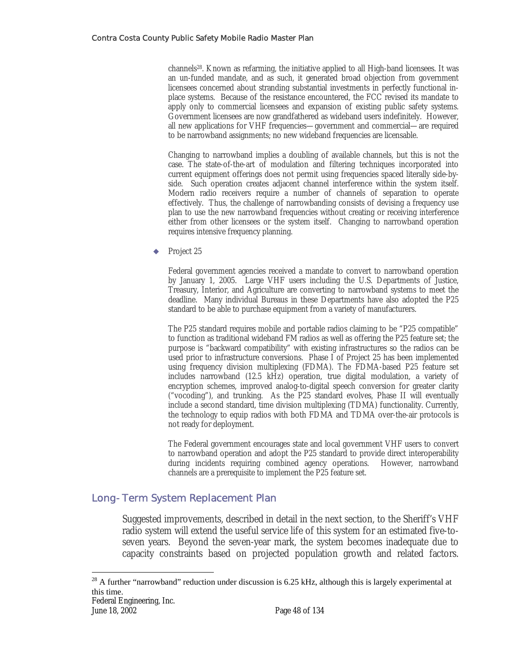channels[28.](#page-47-0) Known as refarming, the initiative applied to all High-band licensees. It was an un-funded mandate, and as such, it generated broad objection from government licensees concerned about stranding substantial investments in perfectly functional inplace systems. Because of the resistance encountered, the FCC revised its mandate to apply only to commercial licensees and expansion of existing public safety systems. Government licensees are now grandfathered as wideband users indefinitely. However, all new applications for VHF frequencies—government and commercial—are required to be narrowband assignments; no new wideband frequencies are licensable.

Changing to narrowband implies a doubling of available channels, but this is not the case. The state-of-the-art of modulation and filtering techniques incorporated into current equipment offerings does not permit using frequencies spaced literally side-byside. Such operation creates adjacent channel interference within the system itself. Modern radio receivers require a number of channels of separation to operate effectively. Thus, the challenge of narrowbanding consists of devising a frequency use plan to use the new narrowband frequencies without creating or receiving interference either from other licensees or the system itself. Changing to narrowband operation requires intensive frequency planning.

Project 25

Federal government agencies received a mandate to convert to narrowband operation by January 1, 2005. Large VHF users including the U.S. Departments of Justice, Treasury, Interior, and Agriculture are converting to narrowband systems to meet the deadline. Many individual Bureaus in these Departments have also adopted the P25 standard to be able to purchase equipment from a variety of manufacturers.

The P25 standard requires mobile and portable radios claiming to be "P25 compatible" to function as traditional wideband FM radios as well as offering the P25 feature set; the purpose is "backward compatibility" with existing infrastructures so the radios can be used prior to infrastructure conversions. Phase I of Project 25 has been implemented using frequency division multiplexing (FDMA). The FDMA-based P25 feature set includes narrowband (12.5 kHz) operation, true digital modulation, a variety of encryption schemes, improved analog-to-digital speech conversion for greater clarity ("vocoding"), and trunking. As the P25 standard evolves, Phase II will eventually include a second standard, time division multiplexing (TDMA) functionality. Currently, the technology to equip radios with both FDMA and TDMA over-the-air protocols is not ready for deployment.

The Federal government encourages state and local government VHF users to convert to narrowband operation and adopt the P25 standard to provide direct interoperability during incidents requiring combined agency operations. However, narrowband channels are a prerequisite to implement the P25 feature set.

## Long-Term System Replacement Plan

Suggested improvements, described in detail in the next section, to the Sheriff's VHF radio system will extend the useful service life of this system for an estimated five-toseven years. Beyond the seven-year mark, the system becomes inadequate due to capacity constraints based on projected population growth and related factors.

<span id="page-47-0"></span> $2<sup>28</sup>$  A further "narrowband" reduction under discussion is 6.25 kHz, although this is largely experimental at this time.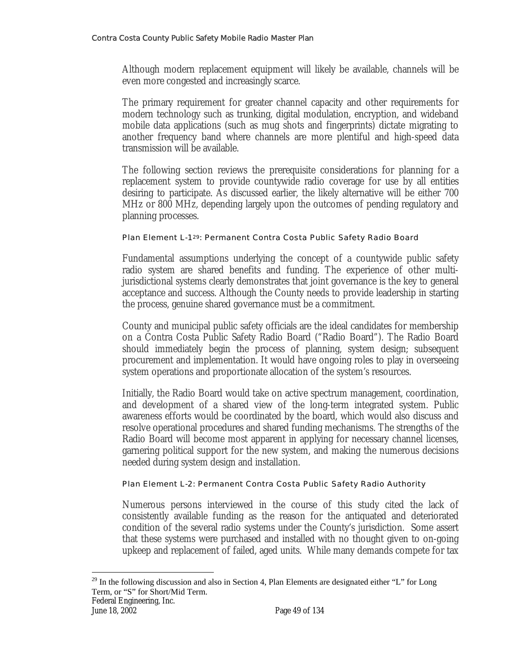Although modern replacement equipment will likely be available, channels will be even more congested and increasingly scarce.

The primary requirement for greater channel capacity and other requirements for modern technology such as trunking, digital modulation, encryption, and wideband mobile data applications (such as mug shots and fingerprints) dictate migrating to another frequency band where channels are more plentiful and high-speed data transmission will be available.

The following section reviews the prerequisite considerations for planning for a replacement system to provide countywide radio coverage for use by all entities desiring to participate. As discussed earlier, the likely alternative will be either 700 MHz or 800 MHz, depending largely upon the outcomes of pending regulatory and planning processes.

## Plan Element L-1[29:](#page-48-0) Permanent Contra Costa Public Safety Radio Board

Fundamental assumptions underlying the concept of a countywide public safety radio system are shared benefits and funding. The experience of other multijurisdictional systems clearly demonstrates that joint governance is the key to general acceptance and success. Although the County needs to provide leadership in starting the process, genuine shared governance must be a commitment.

County and municipal public safety officials are the ideal candidates for membership on a Contra Costa Public Safety Radio Board ("Radio Board"). The Radio Board should immediately begin the process of planning, system design; subsequent procurement and implementation. It would have ongoing roles to play in overseeing system operations and proportionate allocation of the system's resources.

Initially, the Radio Board would take on active spectrum management, coordination, and development of a shared view of the long-term integrated system. Public awareness efforts would be coordinated by the board, which would also discuss and resolve operational procedures and shared funding mechanisms. The strengths of the Radio Board will become most apparent in applying for necessary channel licenses, garnering political support for the new system, and making the numerous decisions needed during system design and installation.

## Plan Element L-2: Permanent Contra Costa Public Safety Radio Authority

Numerous persons interviewed in the course of this study cited the lack of consistently available funding as the reason for the antiquated and deteriorated condition of the several radio systems under the County's jurisdiction. Some assert that these systems were purchased and installed with no thought given to on-going upkeep and replacement of failed, aged units. While many demands compete for tax

<span id="page-48-0"></span> $29$  In the following discussion and also in Section 4, Plan Elements are designated either "L" for Long Term, or "S" for Short/Mid Term.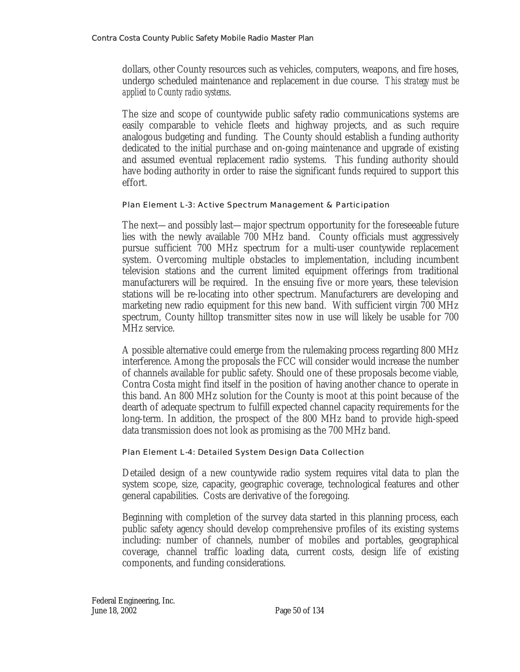dollars, other County resources such as vehicles, computers, weapons, and fire hoses, undergo scheduled maintenance and replacement in due course. *This strategy must be applied to County radio systems*.

The size and scope of countywide public safety radio communications systems are easily comparable to vehicle fleets and highway projects, and as such require analogous budgeting and funding. The County should establish a funding authority dedicated to the initial purchase and on-going maintenance and upgrade of existing and assumed eventual replacement radio systems. This funding authority should have boding authority in order to raise the significant funds required to support this effort.

#### Plan Element L-3: Active Spectrum Management & Participation

The next—and possibly last—major spectrum opportunity for the foreseeable future lies with the newly available 700 MHz band. County officials must aggressively pursue sufficient 700 MHz spectrum for a multi-user countywide replacement system. Overcoming multiple obstacles to implementation, including incumbent television stations and the current limited equipment offerings from traditional manufacturers will be required. In the ensuing five or more years, these television stations will be re-locating into other spectrum. Manufacturers are developing and marketing new radio equipment for this new band. With sufficient virgin 700 MHz spectrum, County hilltop transmitter sites now in use will likely be usable for 700 MHz service.

A possible alternative could emerge from the rulemaking process regarding 800 MHz interference. Among the proposals the FCC will consider would increase the number of channels available for public safety. Should one of these proposals become viable, Contra Costa might find itself in the position of having another chance to operate in this band. An 800 MHz solution for the County is moot at this point because of the dearth of adequate spectrum to fulfill expected channel capacity requirements for the long-term. In addition, the prospect of the 800 MHz band to provide high-speed data transmission does not look as promising as the 700 MHz band.

## Plan Element L-4: Detailed System Design Data Collection

Detailed design of a new countywide radio system requires vital data to plan the system scope, size, capacity, geographic coverage, technological features and other general capabilities. Costs are derivative of the foregoing.

Beginning with completion of the survey data started in this planning process, each public safety agency should develop comprehensive profiles of its existing systems including: number of channels, number of mobiles and portables, geographical coverage, channel traffic loading data, current costs, design life of existing components, and funding considerations.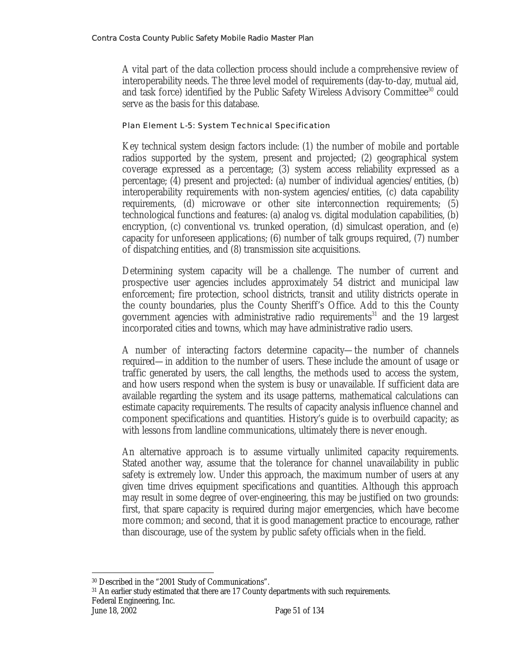A vital part of the data collection process should include a comprehensive review of interoperability needs. The three level model of requirements (day-to-day, mutual aid, and task force) identified by the Public Safety Wireless Advisory Committee<sup>30</sup> could serve as the basis for this database.

### Plan Element L-5: System Technical Specification

Key technical system design factors include: (1) the number of mobile and portable radios supported by the system, present and projected; (2) geographical system coverage expressed as a percentage; (3) system access reliability expressed as a percentage; (4) present and projected: (a) number of individual agencies/entities, (b) interoperability requirements with non-system agencies/entities, (c) data capability requirements, (d) microwave or other site interconnection requirements; (5) technological functions and features: (a) analog vs. digital modulation capabilities, (b) encryption, (c) conventional vs. trunked operation, (d) simulcast operation, and (e) capacity for unforeseen applications; (6) number of talk groups required, (7) number of dispatching entities, and (8) transmission site acquisitions.

Determining system capacity will be a challenge. The number of current and prospective user agencies includes approximately 54 district and municipal law enforcement; fire protection, school districts, transit and utility districts operate in the county boundaries, plus the County Sheriff's Office. Add to this the County government agencies with administrative radio requirements<sup>31</sup> and the 19 largest incorporated cities and towns, which may have administrative radio users.

A number of interacting factors determine capacity—the number of channels required—in addition to the number of users. These include the amount of usage or traffic generated by users, the call lengths, the methods used to access the system, and how users respond when the system is busy or unavailable. If sufficient data are available regarding the system and its usage patterns, mathematical calculations can estimate capacity requirements. The results of capacity analysis influence channel and component specifications and quantities. History's guide is to overbuild capacity; as with lessons from landline communications, ultimately there is never enough.

An alternative approach is to assume virtually unlimited capacity requirements. Stated another way, assume that the tolerance for channel unavailability in public safety is extremely low. Under this approach, the maximum number of users at any given time drives equipment specifications and quantities. Although this approach may result in some degree of over-engineering, this may be justified on two grounds: first, that spare capacity is required during major emergencies, which have become more common; and second, that it is good management practice to encourage, rather than discourage, use of the system by public safety officials when in the field.

<span id="page-50-0"></span><sup>30</sup> Described in the "2001 Study of Communications".

<span id="page-50-1"></span>Federal Engineering, Inc. 31 An earlier study estimated that there are 17 County departments with such requirements.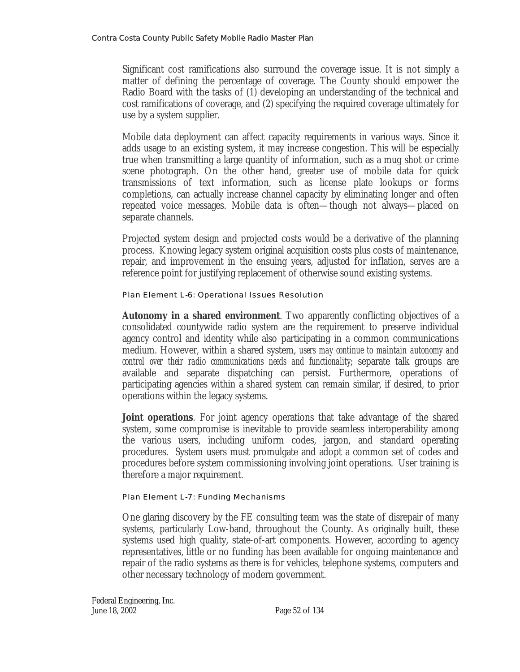Significant cost ramifications also surround the coverage issue. It is not simply a matter of defining the percentage of coverage. The County should empower the Radio Board with the tasks of (1) developing an understanding of the technical and cost ramifications of coverage, and (2) specifying the required coverage ultimately for use by a system supplier.

Mobile data deployment can affect capacity requirements in various ways. Since it adds usage to an existing system, it may increase congestion. This will be especially true when transmitting a large quantity of information, such as a mug shot or crime scene photograph. On the other hand, greater use of mobile data for quick transmissions of text information, such as license plate lookups or forms completions, can actually increase channel capacity by eliminating longer and often repeated voice messages. Mobile data is often—though not always—placed on separate channels.

Projected system design and projected costs would be a derivative of the planning process. Knowing legacy system original acquisition costs plus costs of maintenance, repair, and improvement in the ensuing years, adjusted for inflation, serves are a reference point for justifying replacement of otherwise sound existing systems.

#### Plan Element L-6: Operational Issues Resolution

**Autonomy in a shared environment**. Two apparently conflicting objectives of a consolidated countywide radio system are the requirement to preserve individual agency control and identity while also participating in a common communications medium. However, within a shared system, *users may continue to maintain autonomy and control over their radio communications needs and functionality*; separate talk groups are available and separate dispatching can persist. Furthermore, operations of participating agencies within a shared system can remain similar, if desired, to prior operations within the legacy systems.

**Joint operations**. For joint agency operations that take advantage of the shared system, some compromise is inevitable to provide seamless interoperability among the various users, including uniform codes, jargon, and standard operating procedures. System users must promulgate and adopt a common set of codes and procedures before system commissioning involving joint operations. User training is therefore a major requirement.

#### Plan Element L-7: Funding Mechanisms

One glaring discovery by the FE consulting team was the state of disrepair of many systems, particularly Low-band, throughout the County. As originally built, these systems used high quality, state-of-art components. However, according to agency representatives, little or no funding has been available for ongoing maintenance and repair of the radio systems as there is for vehicles, telephone systems, computers and other necessary technology of modern government.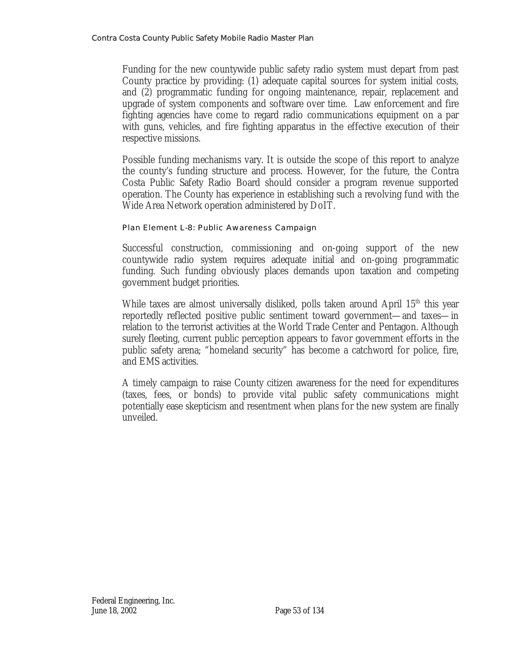Funding for the new countywide public safety radio system must depart from past County practice by providing: (1) adequate capital sources for system initial costs, and (2) programmatic funding for ongoing maintenance, repair, replacement and upgrade of system components and software over time. Law enforcement and fire fighting agencies have come to regard radio communications equipment on a par with guns, vehicles, and fire fighting apparatus in the effective execution of their respective missions.

Possible funding mechanisms vary. It is outside the scope of this report to analyze the county's funding structure and process. However, for the future, the Contra Costa Public Safety Radio Board should consider a program revenue supported operation. The County has experience in establishing such a revolving fund with the Wide Area Network operation administered by DoIT.

#### Plan Element L-8: Public Awareness Campaign

Successful construction, commissioning and on-going support of the new countywide radio system requires adequate initial and on-going programmatic funding. Such funding obviously places demands upon taxation and competing government budget priorities.

While taxes are almost universally disliked, polls taken around April 15<sup>th</sup> this year reportedly reflected positive public sentiment toward government—and taxes—in relation to the terrorist activities at the World Trade Center and Pentagon. Although surely fleeting, current public perception appears to favor government efforts in the public safety arena; "homeland security" has become a catchword for police, fire, and EMS activities.

A timely campaign to raise County citizen awareness for the need for expenditures (taxes, fees, or bonds) to provide vital public safety communications might potentially ease skepticism and resentment when plans for the new system are finally unveiled.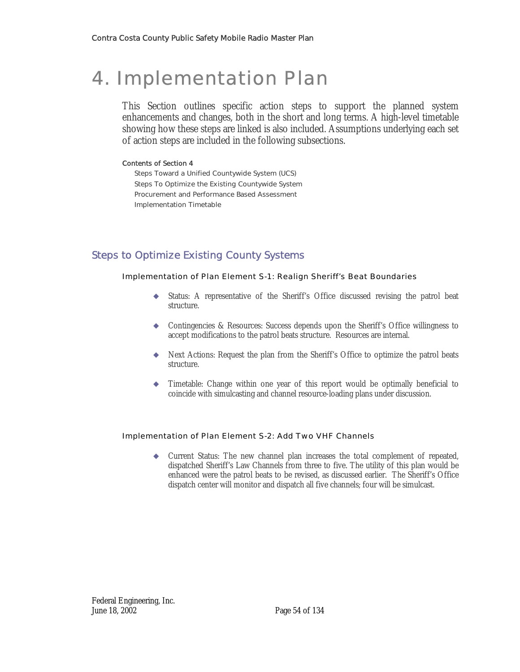# 4. Implementation Plan

This Section outlines specific action steps to support the planned system enhancements and changes, both in the short and long terms. A high-level timetable showing how these steps are linked is also included. Assumptions underlying each set of action steps are included in the following subsections.

#### Contents of Section 4

Steps Toward a Unified Countywide System (UCS) Steps To Optimize the Existing Countywide System Procurement and Performance Based Assessment Implementation Timetable

## Steps to Optimize Existing County Systems

#### Implementation of Plan Element S-1: Realign Sheriff's Beat Boundaries

- Status: A representative of the Sheriff's Office discussed revising the patrol beat structure.
- Contingencies & Resources: Success depends upon the Sheriff's Office willingness to accept modifications to the patrol beats structure. Resources are internal.
- Next Actions: Request the plan from the Sheriff's Office to optimize the patrol beats structure.
- Timetable: Change within one year of this report would be optimally beneficial to coincide with simulcasting and channel resource-loading plans under discussion.

#### Implementation of Plan Element S-2: Add Two VHF Channels

 Current Status: The new channel plan increases the total complement of repeated, dispatched Sheriff's Law Channels from three to five. The utility of this plan would be enhanced were the patrol beats to be revised, as discussed earlier. The Sheriff's Office dispatch center will monitor and dispatch all five channels; four will be simulcast.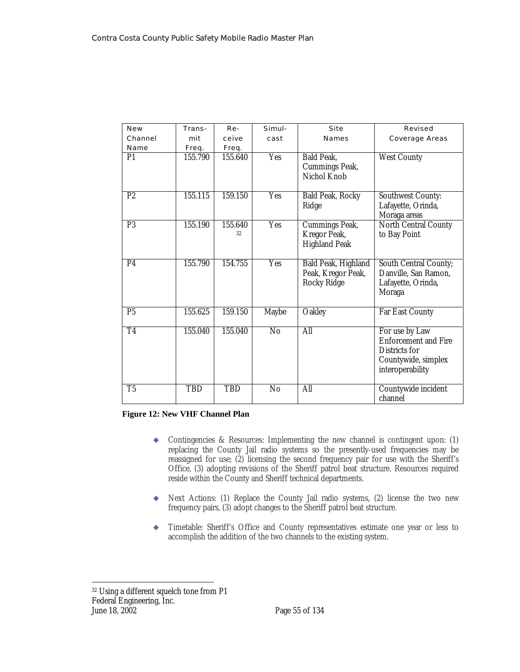| <b>New</b>             | Trans-     | Re-           | Simul-          | <b>Site</b>                                                     | <b>Revised</b>                                                                                            |
|------------------------|------------|---------------|-----------------|-----------------------------------------------------------------|-----------------------------------------------------------------------------------------------------------|
| <b>Channel</b>         | mit        | ceive         | cast            | <b>Names</b>                                                    | <b>Coverage Areas</b>                                                                                     |
| <b>Name</b>            | Freq.      | Freq.         |                 |                                                                 |                                                                                                           |
| P <sub>1</sub>         | 155.790    | 155.640       | <b>Yes</b>      | <b>Bald Peak,</b><br><b>Cummings Peak,</b><br>Nichol Knob       | <b>West County</b>                                                                                        |
| P <sub>2</sub>         | 155.115    | 159.150       | <b>Yes</b>      | <b>Bald Peak, Rocky</b><br>Ridge                                | <b>Southwest County:</b><br>Lafayette, Orinda,<br>Moraga areas                                            |
| $\overline{P3}$        | 155.190    | 155.640<br>32 | <b>Yes</b>      | <b>Cummings Peak,</b><br>Kregor Peak,<br><b>Highland Peak</b>   | <b>North Central County</b><br>to Bay Point                                                               |
| <b>P4</b>              | 155.790    | 154.755       | <b>Yes</b>      | Bald Peak, Highland<br>Peak, Kregor Peak,<br><b>Rocky Ridge</b> | <b>South Central County;</b><br>Danville, San Ramon,<br>Lafayette, Orinda,<br>Moraga                      |
| P <sub>5</sub>         | 155.625    | 159.150       | Maybe           | Oakley                                                          | Far East County                                                                                           |
| T <sub>4</sub>         | 155.040    | 155.040       | No              | All                                                             | For use by Law<br><b>Enforcement and Fire</b><br>Districts for<br>Countywide, simplex<br>interoperability |
| $\overline{\text{T5}}$ | <b>TBD</b> | <b>TBD</b>    | $\overline{No}$ | All                                                             | Countywide incident<br>channel                                                                            |

**Figure 12: New VHF Channel Plan** 

- Contingencies & Resources: Implementing the new channel is contingent upon: (1) replacing the County Jail radio systems so the presently-used frequencies may be reassigned for use; (2) licensing the second frequency pair for use with the Sheriff's Office, (3) adopting revisions of the Sheriff patrol beat structure. Resources required reside within the County and Sheriff technical departments.
- Next Actions: (1) Replace the County Jail radio systems, (2) license the two new frequency pairs, (3) adopt changes to the Sheriff patrol beat structure.
- Timetable: Sheriff's Office and County representatives estimate one year or less to accomplish the addition of the two channels to the existing system.

<span id="page-54-0"></span>Federal Engineering, Inc.<br>June 18, 2002 32 Using a different squelch tone from P1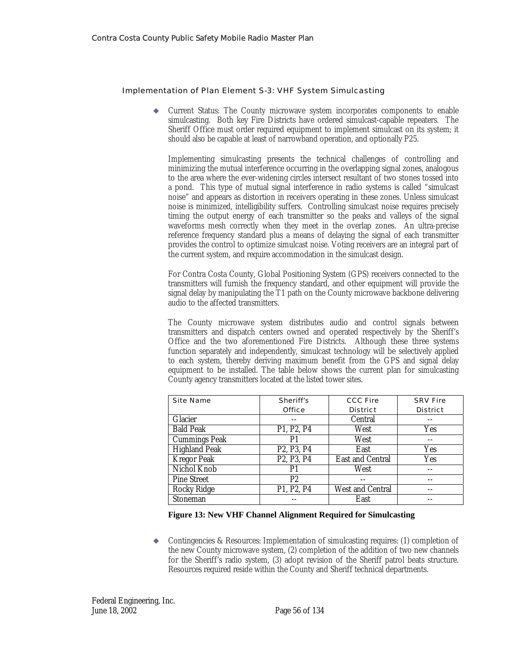#### Implementation of Plan Element S-3: VHF System Simulcasting

 Current Status: The County microwave system incorporates components to enable simulcasting. Both key Fire Districts have ordered simulcast-capable repeaters. The Sheriff Office must order required equipment to implement simulcast on its system; it should also be capable at least of narrowband operation, and optionally P25.

Implementing simulcasting presents the technical challenges of controlling and minimizing the mutual interference occurring in the overlapping signal zones, analogous to the area where the ever-widening circles intersect resultant of two stones tossed into a pond. This type of mutual signal interference in radio systems is called "simulcast noise" and appears as distortion in receivers operating in these zones. Unless simulcast noise is minimized, intelligibility suffers. Controlling simulcast noise requires precisely timing the output energy of each transmitter so the peaks and valleys of the signal waveforms mesh correctly when they meet in the overlap zones. An ultra-precise reference frequency standard plus a means of delaying the signal of each transmitter provides the control to optimize simulcast noise. Voting receivers are an integral part of the current system, and require accommodation in the simulcast design.

For Contra Costa County, Global Positioning System (GPS) receivers connected to the transmitters will furnish the frequency standard, and other equipment will provide the signal delay by manipulating the T1 path on the County microwave backbone delivering audio to the affected transmitters.

The County microwave system distributes audio and control signals between transmitters and dispatch centers owned and operated respectively by the Sheriff's Office and the two aforementioned Fire Districts. Although these three systems function separately and independently, simulcast technology will be selectively applied to each system, thereby deriving maximum benefit from the GPS and signal delay equipment to be installed. The table below shows the current plan for simulcasting County agency transmitters located at the listed tower sites.

| <b>Site Name</b>     | <b>Sheriff's</b>                                 | <b>CCC Fire</b>         | <b>SRV Fire</b> |
|----------------------|--------------------------------------------------|-------------------------|-----------------|
|                      | <b>Office</b>                                    | <b>District</b>         | <b>District</b> |
| Glacier              |                                                  | Central                 | --              |
| <b>Bald Peak</b>     | P1, P2, P4                                       | West                    | <b>Yes</b>      |
| <b>Cummings Peak</b> | P1                                               | West                    | --              |
| <b>Highland Peak</b> | P <sub>2</sub> , P <sub>3</sub> , P <sub>4</sub> | East                    | <b>Yes</b>      |
| <b>Kregor Peak</b>   | P <sub>2</sub> , P <sub>3</sub> , P <sub>4</sub> | <b>East and Central</b> | Yes             |
| Nichol Knob          | P1                                               | West                    | --              |
| <b>Pine Street</b>   | P2                                               |                         |                 |
| Rocky Ridge          | P1, P2, P4                                       | <b>West and Central</b> | --              |
| <b>Stoneman</b>      |                                                  | East                    | --              |

#### **Figure 13: New VHF Channel Alignment Required for Simulcasting**

 Contingencies & Resources: Implementation of simulcasting requires: (1) completion of the new County microwave system, (2) completion of the addition of two new channels for the Sheriff's radio system, (3) adopt revision of the Sheriff patrol beats structure. Resources required reside within the County and Sheriff technical departments.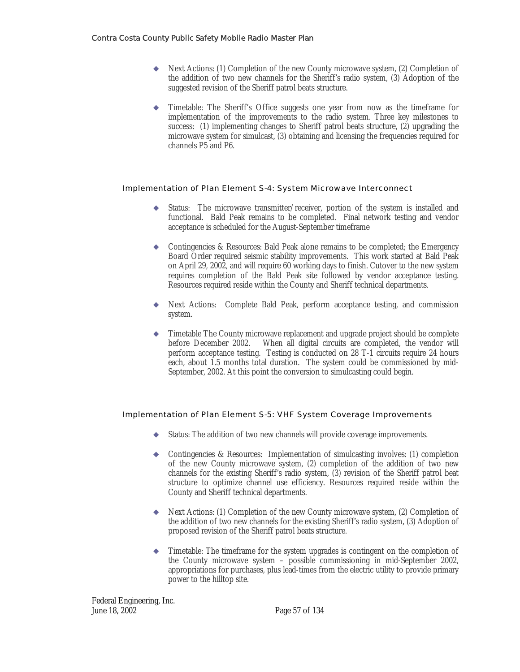- Next Actions: (1) Completion of the new County microwave system, (2) Completion of the addition of two new channels for the Sheriff's radio system, (3) Adoption of the suggested revision of the Sheriff patrol beats structure.
- Timetable: The Sheriff's Office suggests one year from now as the timeframe for implementation of the improvements to the radio system. Three key milestones to success: (1) implementing changes to Sheriff patrol beats structure, (2) upgrading the microwave system for simulcast, (3) obtaining and licensing the frequencies required for channels P5 and P6.

#### Implementation of Plan Element S-4: System Microwave Interconnect

- Status: The microwave transmitter/receiver, portion of the system is installed and functional. Bald Peak remains to be completed. Final network testing and vendor acceptance is scheduled for the August-September timeframe
- Contingencies & Resources: Bald Peak alone remains to be completed; the Emergency Board Order required seismic stability improvements. This work started at Bald Peak on April 29, 2002, and will require 60 working days to finish. Cutover to the new system requires completion of the Bald Peak site followed by vendor acceptance testing. Resources required reside within the County and Sheriff technical departments.
- Next Actions: Complete Bald Peak, perform acceptance testing, and commission system.
- Timetable The County microwave replacement and upgrade project should be complete before December 2002. When all digital circuits are completed, the vendor will perform acceptance testing. Testing is conducted on 28 T-1 circuits require 24 hours each, about 1.5 months total duration. The system could be commissioned by mid-September, 2002. At this point the conversion to simulcasting could begin.

#### Implementation of Plan Element S-5: VHF System Coverage Improvements

- Status: The addition of two new channels will provide coverage improvements.
- Contingencies & Resources: Implementation of simulcasting involves: (1) completion of the new County microwave system, (2) completion of the addition of two new channels for the existing Sheriff's radio system, (3) revision of the Sheriff patrol beat structure to optimize channel use efficiency. Resources required reside within the County and Sheriff technical departments.
- Next Actions: (1) Completion of the new County microwave system, (2) Completion of the addition of two new channels for the existing Sheriff's radio system, (3) Adoption of proposed revision of the Sheriff patrol beats structure.
- Timetable: The timeframe for the system upgrades is contingent on the completion of the County microwave system – possible commissioning in mid-September 2002, appropriations for purchases, plus lead-times from the electric utility to provide primary power to the hilltop site.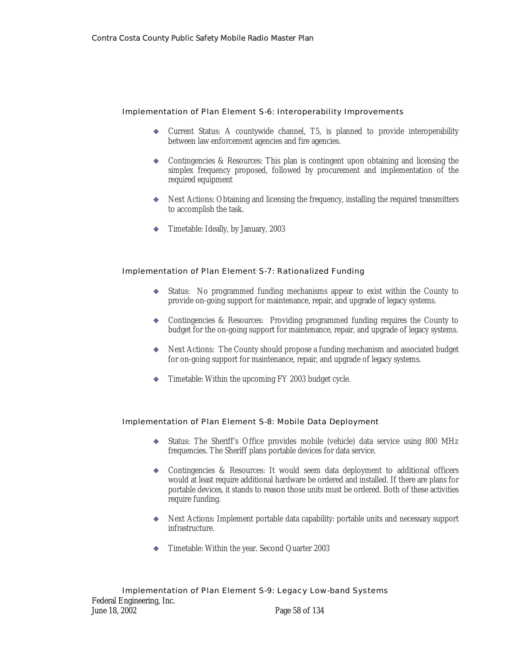#### Implementation of Plan Element S-6: Interoperability Improvements

- Current Status: A countywide channel, T5, is planned to provide interoperability between law enforcement agencies and fire agencies.
- Contingencies & Resources: This plan is contingent upon obtaining and licensing the simplex frequency proposed, followed by procurement and implementation of the required equipment
- Next Actions: Obtaining and licensing the frequency, installing the required transmitters to accomplish the task.
- Timetable: Ideally, by January, 2003

#### Implementation of Plan Element S-7: Rationalized Funding

- Status: No programmed funding mechanisms appear to exist within the County to provide on-going support for maintenance, repair, and upgrade of legacy systems.
- Contingencies & Resources: Providing programmed funding requires the County to budget for the on-going support for maintenance, repair, and upgrade of legacy systems.
- Next Actions: The County should propose a funding mechanism and associated budget for on-going support for maintenance, repair, and upgrade of legacy systems.
- Timetable: Within the upcoming FY 2003 budget cycle.

#### Implementation of Plan Element S-8: Mobile Data Deployment

- Status: The Sheriff's Office provides mobile (vehicle) data service using 800 MHz frequencies. The Sheriff plans portable devices for data service.
- Contingencies & Resources: It would seem data deployment to additional officers would at least require additional hardware be ordered and installed. If there are plans for portable devices, it stands to reason those units must be ordered. Both of these activities require funding.
- Next Actions: Implement portable data capability: portable units and necessary support infrastructure.
- Timetable: Within the year. Second Quarter 2003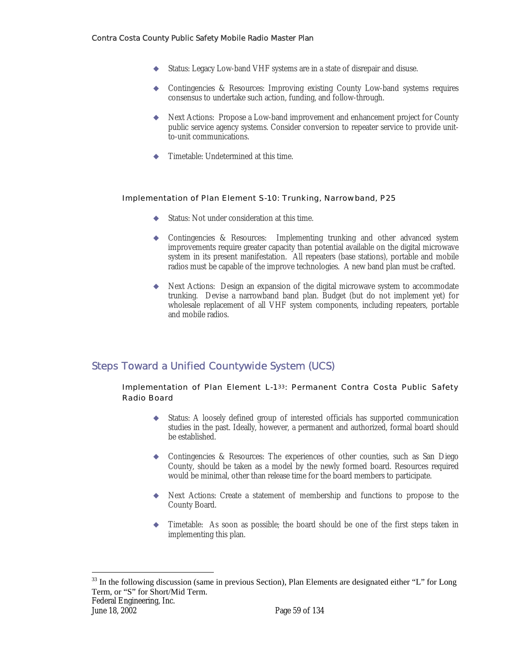- Status: Legacy Low-band VHF systems are in a state of disrepair and disuse.
- Contingencies & Resources: Improving existing County Low-band systems requires consensus to undertake such action, funding, and follow-through.
- Next Actions: Propose a Low-band improvement and enhancement project for County public service agency systems. Consider conversion to repeater service to provide unitto-unit communications.
- Timetable: Undetermined at this time.

#### Implementation of Plan Element S-10: Trunking, Narrowband, P25

- Status: Not under consideration at this time.
- Contingencies & Resources: Implementing trunking and other advanced system improvements require greater capacity than potential available on the digital microwave system in its present manifestation. All repeaters (base stations), portable and mobile radios must be capable of the improve technologies. A new band plan must be crafted.
- Next Actions: Design an expansion of the digital microwave system to accommodate trunking. Devise a narrowband band plan. Budget (but do not implement yet) for wholesale replacement of all VHF system components, including repeaters, portable and mobile radios.

## Steps Toward a Unified Countywide System (UCS)

#### Implementation of Plan Element L-1[33:](#page-58-0) Permanent Contra Costa Public Safety Radio Board

- Status: A loosely defined group of interested officials has supported communication studies in the past. Ideally, however, a permanent and authorized, formal board should be established.
- Contingencies & Resources: The experiences of other counties, such as San Diego County, should be taken as a model by the newly formed board. Resources required would be minimal, other than release time for the board members to participate.
- Next Actions: Create a statement of membership and functions to propose to the County Board.
- Timetable: As soon as possible; the board should be one of the first steps taken in implementing this plan.

<span id="page-58-0"></span><sup>&</sup>lt;sup>33</sup> In the following discussion (same in previous Section), Plan Elements are designated either "L" for Long Term, or "S" for Short/Mid Term.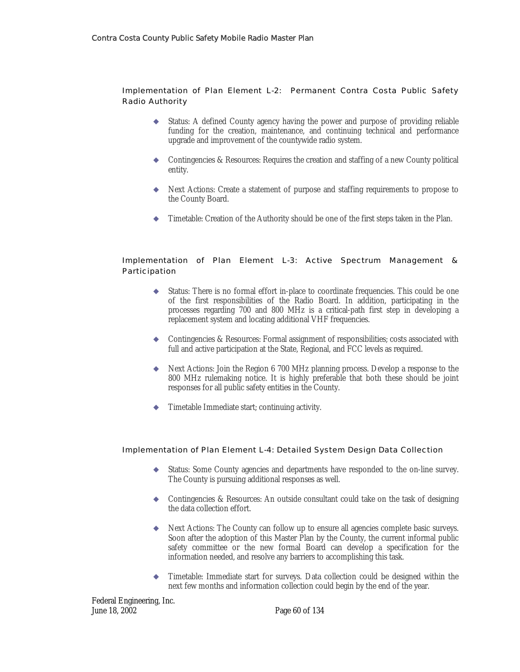#### Implementation of Plan Element L-2: Permanent Contra Costa Public Safety Radio Authority

- Status: A defined County agency having the power and purpose of providing reliable funding for the creation, maintenance, and continuing technical and performance upgrade and improvement of the countywide radio system.
- Contingencies & Resources: Requires the creation and staffing of a new County political entity.
- Next Actions: Create a statement of purpose and staffing requirements to propose to the County Board.
- Timetable: Creation of the Authority should be one of the first steps taken in the Plan.

#### Implementation of Plan Element L-3: Active Spectrum Management & Participation

- Status: There is no formal effort in-place to coordinate frequencies. This could be one of the first responsibilities of the Radio Board. In addition, participating in the processes regarding 700 and 800 MHz is a critical-path first step in developing a replacement system and locating additional VHF frequencies.
- Contingencies & Resources: Formal assignment of responsibilities; costs associated with full and active participation at the State, Regional, and FCC levels as required.
- Next Actions: Join the Region 6 700 MHz planning process. Develop a response to the 800 MHz rulemaking notice. It is highly preferable that both these should be joint responses for all public safety entities in the County.
- Timetable Immediate start; continuing activity.

#### Implementation of Plan Element L-4: Detailed System Design Data Collection

- Status: Some County agencies and departments have responded to the on-line survey. The County is pursuing additional responses as well.
- Contingencies & Resources: An outside consultant could take on the task of designing the data collection effort.
- Next Actions: The County can follow up to ensure all agencies complete basic surveys. Soon after the adoption of this Master Plan by the County, the current informal public safety committee or the new formal Board can develop a specification for the information needed, and resolve any barriers to accomplishing this task.
- Timetable: Immediate start for surveys. Data collection could be designed within the next few months and information collection could begin by the end of the year.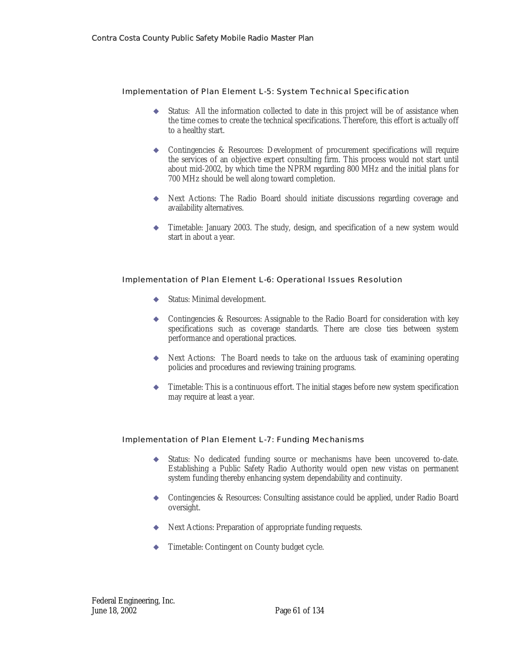#### Implementation of Plan Element L-5: System Technical Specification

- Status: All the information collected to date in this project will be of assistance when the time comes to create the technical specifications. Therefore, this effort is actually off to a healthy start.
- Contingencies & Resources: Development of procurement specifications will require the services of an objective expert consulting firm. This process would not start until about mid-2002, by which time the NPRM regarding 800 MHz and the initial plans for 700 MHz should be well along toward completion.
- Next Actions: The Radio Board should initiate discussions regarding coverage and availability alternatives.
- Timetable: January 2003. The study, design, and specification of a new system would start in about a year.

#### Implementation of Plan Element L-6: Operational Issues Resolution

- Status: Minimal development.
- Contingencies & Resources: Assignable to the Radio Board for consideration with key specifications such as coverage standards. There are close ties between system performance and operational practices.
- Next Actions: The Board needs to take on the arduous task of examining operating policies and procedures and reviewing training programs.
- Timetable: This is a continuous effort. The initial stages before new system specification may require at least a year.

#### Implementation of Plan Element L-7: Funding Mechanisms

- Status: No dedicated funding source or mechanisms have been uncovered to-date. Establishing a Public Safety Radio Authority would open new vistas on permanent system funding thereby enhancing system dependability and continuity.
- Contingencies & Resources: Consulting assistance could be applied, under Radio Board oversight.
- Next Actions: Preparation of appropriate funding requests.
- Timetable: Contingent on County budget cycle.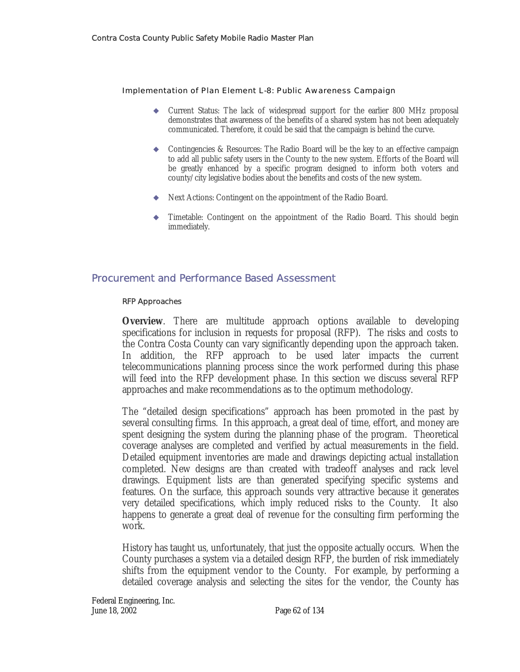#### Implementation of Plan Element L-8: Public Awareness Campaign

- Current Status: The lack of widespread support for the earlier 800 MHz proposal demonstrates that awareness of the benefits of a shared system has not been adequately communicated. Therefore, it could be said that the campaign is behind the curve.
- Contingencies & Resources: The Radio Board will be the key to an effective campaign to add all public safety users in the County to the new system. Efforts of the Board will be greatly enhanced by a specific program designed to inform both voters and county/city legislative bodies about the benefits and costs of the new system.
- Next Actions: Contingent on the appointment of the Radio Board.
- Timetable: Contingent on the appointment of the Radio Board. This should begin immediately.

#### Procurement and Performance Based Assessment

#### RFP Approaches

**Overview**. There are multitude approach options available to developing specifications for inclusion in requests for proposal (RFP). The risks and costs to the Contra Costa County can vary significantly depending upon the approach taken. In addition, the RFP approach to be used later impacts the current telecommunications planning process since the work performed during this phase will feed into the RFP development phase. In this section we discuss several RFP approaches and make recommendations as to the optimum methodology.

The "detailed design specifications" approach has been promoted in the past by several consulting firms. In this approach, a great deal of time, effort, and money are spent designing the system during the planning phase of the program. Theoretical coverage analyses are completed and verified by actual measurements in the field. Detailed equipment inventories are made and drawings depicting actual installation completed. New designs are than created with tradeoff analyses and rack level drawings. Equipment lists are than generated specifying specific systems and features. On the surface, this approach sounds very attractive because it generates very detailed specifications, which imply reduced risks to the County. It also happens to generate a great deal of revenue for the consulting firm performing the work.

History has taught us, unfortunately, that just the opposite actually occurs. When the County purchases a system via a detailed design RFP, the burden of risk immediately shifts from the equipment vendor to the County. For example, by performing a detailed coverage analysis and selecting the sites for the vendor, the County has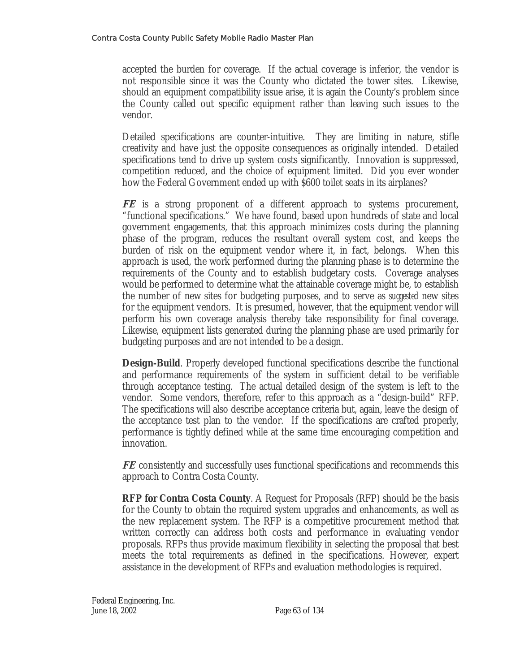accepted the burden for coverage. If the actual coverage is inferior, the vendor is not responsible since it was the County who dictated the tower sites. Likewise, should an equipment compatibility issue arise, it is again the County's problem since the County called out specific equipment rather than leaving such issues to the vendor.

Detailed specifications are counter-intuitive. They are limiting in nature, stifle creativity and have just the opposite consequences as originally intended. Detailed specifications tend to drive up system costs significantly. Innovation is suppressed, competition reduced, and the choice of equipment limited. Did you ever wonder how the Federal Government ended up with \$600 toilet seats in its airplanes?

**FE** is a strong proponent of a different approach to systems procurement, "functional specifications." We have found, based upon hundreds of state and local government engagements, that this approach minimizes costs during the planning phase of the program, reduces the resultant overall system cost, and keeps the burden of risk on the equipment vendor where it, in fact, belongs. When this approach is used, the work performed during the planning phase is to determine the requirements of the County and to establish budgetary costs. Coverage analyses would be performed to determine what the attainable coverage might be, to establish the number of new sites for budgeting purposes, and to serve as *suggested* new sites for the equipment vendors. It is presumed, however, that the equipment vendor will perform his own coverage analysis thereby take responsibility for final coverage. Likewise, equipment lists generated during the planning phase are used primarily for budgeting purposes and are not intended to be a design.

**Design-Build**. Properly developed functional specifications describe the functional and performance requirements of the system in sufficient detail to be verifiable through acceptance testing. The actual detailed design of the system is left to the vendor. Some vendors, therefore, refer to this approach as a "design-build" RFP. The specifications will also describe acceptance criteria but, again, leave the design of the acceptance test plan to the vendor. If the specifications are crafted properly, performance is tightly defined while at the same time encouraging competition and innovation.

**FE** consistently and successfully uses functional specifications and recommends this approach to Contra Costa County.

**RFP for Contra Costa County**. A Request for Proposals (RFP) should be the basis for the County to obtain the required system upgrades and enhancements, as well as the new replacement system. The RFP is a competitive procurement method that written correctly can address both costs and performance in evaluating vendor proposals. RFPs thus provide maximum flexibility in selecting the proposal that best meets the total requirements as defined in the specifications. However, expert assistance in the development of RFPs and evaluation methodologies is required.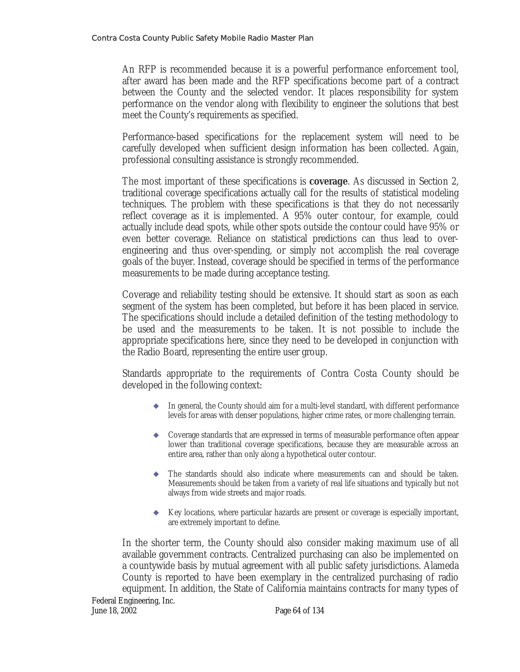An RFP is recommended because it is a powerful performance enforcement tool, after award has been made and the RFP specifications become part of a contract between the County and the selected vendor. It places responsibility for system performance on the vendor along with flexibility to engineer the solutions that best meet the County's requirements as specified.

Performance-based specifications for the replacement system will need to be carefully developed when sufficient design information has been collected. Again, professional consulting assistance is strongly recommended.

The most important of these specifications is **coverage**. As discussed in Section 2, traditional coverage specifications actually call for the results of statistical modeling techniques. The problem with these specifications is that they do not necessarily reflect coverage as it is implemented. A 95% outer contour, for example, could actually include dead spots, while other spots outside the contour could have 95% or even better coverage. Reliance on statistical predictions can thus lead to overengineering and thus over-spending, or simply not accomplish the real coverage goals of the buyer. Instead, coverage should be specified in terms of the performance measurements to be made during acceptance testing.

Coverage and reliability testing should be extensive. It should start as soon as each segment of the system has been completed, but before it has been placed in service. The specifications should include a detailed definition of the testing methodology to be used and the measurements to be taken. It is not possible to include the appropriate specifications here, since they need to be developed in conjunction with the Radio Board, representing the entire user group.

Standards appropriate to the requirements of Contra Costa County should be developed in the following context:

- In general, the County should aim for a multi-level standard, with different performance levels for areas with denser populations, higher crime rates, or more challenging terrain.
- Coverage standards that are expressed in terms of measurable performance often appear lower than traditional coverage specifications, because they are measurable across an entire area, rather than only along a hypothetical outer contour.
- The standards should also indicate where measurements can and should be taken. Measurements should be taken from a variety of real life situations and typically but not always from wide streets and major roads.
- Key locations, where particular hazards are present or coverage is especially important, are extremely important to define.

In the shorter term, the County should also consider making maximum use of all available government contracts. Centralized purchasing can also be implemented on a countywide basis by mutual agreement with all public safety jurisdictions. Alameda County is reported to have been exemplary in the centralized purchasing of radio equipment. In addition, the State of California maintains contracts for many types of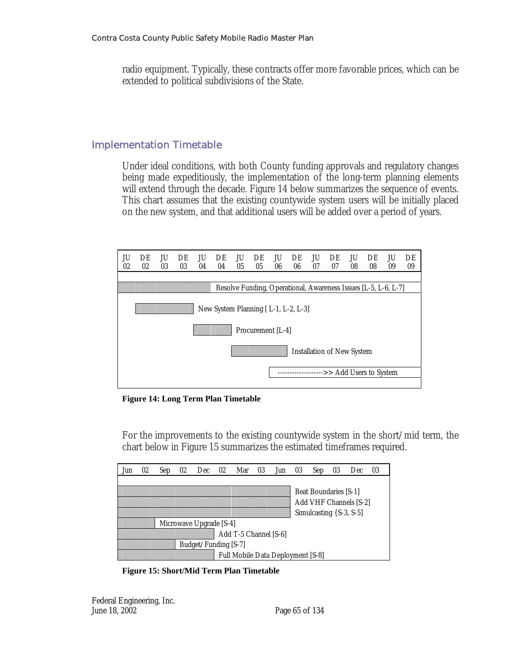radio equipment. Typically, these contracts offer more favorable prices, which can be extended to political subdivisions of the State.

## Implementation Timetable

Under ideal conditions, with both County funding approvals and regulatory changes being made expeditiously, the implementation of the long-term planning elements will extend through the decade. Figure 14 below summarizes the sequence of events. This chart assumes that the existing countywide system users will be initially placed on the new system, and that additional users will be added over a period of years.

| JU<br>02 | DE<br>02                                                        | JU<br>03 | DE<br>03 | JU<br>04 | DE<br>04 | JU<br>05 | DE<br>05 | JU<br>06 | DE<br>06 | JU<br>07 | DE<br>07 | JU<br>08 | DE<br>08                                                       | JU<br>09 | DE<br>09 |
|----------|-----------------------------------------------------------------|----------|----------|----------|----------|----------|----------|----------|----------|----------|----------|----------|----------------------------------------------------------------|----------|----------|
|          |                                                                 |          |          |          |          |          |          |          |          |          |          |          |                                                                |          |          |
|          |                                                                 |          |          |          |          |          |          |          |          |          |          |          | Resolve Funding, Operational, Awareness Issues [L-5, L-6, L-7] |          |          |
|          | New System Planning [L-1, L-2, L-3]<br><b>Procurement</b> [L-4] |          |          |          |          |          |          |          |          |          |          |          |                                                                |          |          |
|          | <b>Installation of New System</b>                               |          |          |          |          |          |          |          |          |          |          |          |                                                                |          |          |
|          |                                                                 |          |          |          |          |          |          |          |          |          |          |          | -->> Add Users to System                                       |          |          |
|          |                                                                 |          |          |          |          |          |          |          |          |          |          |          |                                                                |          |          |

**Figure 14: Long Term Plan Timetable** 

For the improvements to the existing countywide system in the short/mid term, the chart below in Figure 15 summarizes the estimated timeframes required.

| Jun                     | 02 | Sep | 02 | Dec 02               |                                          | Mar                   | 03 | Jun | 03 | <b>Sep</b>                   | 03 | Dec                    | 03 |
|-------------------------|----|-----|----|----------------------|------------------------------------------|-----------------------|----|-----|----|------------------------------|----|------------------------|----|
|                         |    |     |    |                      |                                          |                       |    |     |    |                              |    |                        |    |
|                         |    |     |    |                      |                                          |                       |    |     |    | <b>Beat Boundaries [S-1]</b> |    |                        |    |
|                         |    |     |    |                      |                                          |                       |    |     |    |                              |    | Add VHF Channels [S-2] |    |
|                         |    |     |    |                      |                                          |                       |    |     |    | Simulcasting ${S-3, S-5}$    |    |                        |    |
| Microwave Upgrade [S-4] |    |     |    |                      |                                          |                       |    |     |    |                              |    |                        |    |
|                         |    |     |    |                      |                                          | Add T-5 Channel [S-6] |    |     |    |                              |    |                        |    |
|                         |    |     |    | Budget/Funding [S-7] |                                          |                       |    |     |    |                              |    |                        |    |
|                         |    |     |    |                      | <b>Full Mobile Data Deployment [S-8]</b> |                       |    |     |    |                              |    |                        |    |

**Figure 15: Short/Mid Term Plan Timetable** 

Federal Engineering, Inc.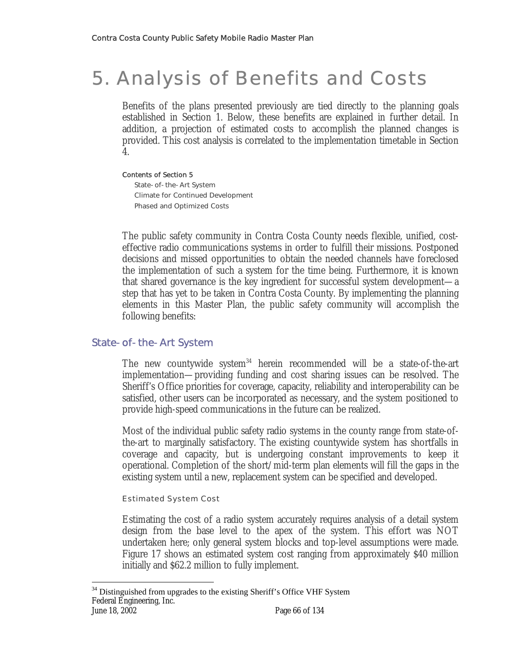# 5. Analysis of Benefits and Costs

Benefits of the plans presented previously are tied directly to the planning goals established in Section 1. Below, these benefits are explained in further detail. In addition, a projection of estimated costs to accomplish the planned changes is provided. This cost analysis is correlated to the implementation timetable in Section 4.

#### Contents of Section 5

State-of-the-Art System Climate for Continued Development Phased and Optimized Costs

The public safety community in Contra Costa County needs flexible, unified, costeffective radio communications systems in order to fulfill their missions. Postponed decisions and missed opportunities to obtain the needed channels have foreclosed the implementation of such a system for the time being. Furthermore, it is known that shared governance is the key ingredient for successful system development—a step that has yet to be taken in Contra Costa County. By implementing the planning elements in this Master Plan, the public safety community will accomplish the following benefits:

## State-of-the-Art System

The new countywide system $34$  herein recommended will be a state-of-the-art implementation—providing funding and cost sharing issues can be resolved. The Sheriff's Office priorities for coverage, capacity, reliability and interoperability can be satisfied, other users can be incorporated as necessary, and the system positioned to provide high-speed communications in the future can be realized.

Most of the individual public safety radio systems in the county range from state-ofthe-art to marginally satisfactory. The existing countywide system has shortfalls in coverage and capacity, but is undergoing constant improvements to keep it operational. Completion of the short/mid-term plan elements will fill the gaps in the existing system until a new, replacement system can be specified and developed.

## Estimated System Cost

 $\overline{a}$ 

Estimating the cost of a radio system accurately requires analysis of a detail system design from the base level to the apex of the system. This effort was NOT undertaken here; only general system blocks and top-level assumptions were made. Figure 17 shows an estimated system cost ranging from approximately \$40 million initially and \$62.2 million to fully implement.

<span id="page-65-0"></span>Federal Engineering, Inc.<br>June 18, 2002 Page 66 of 134  $34$  Distinguished from upgrades to the existing Sheriff's Office VHF System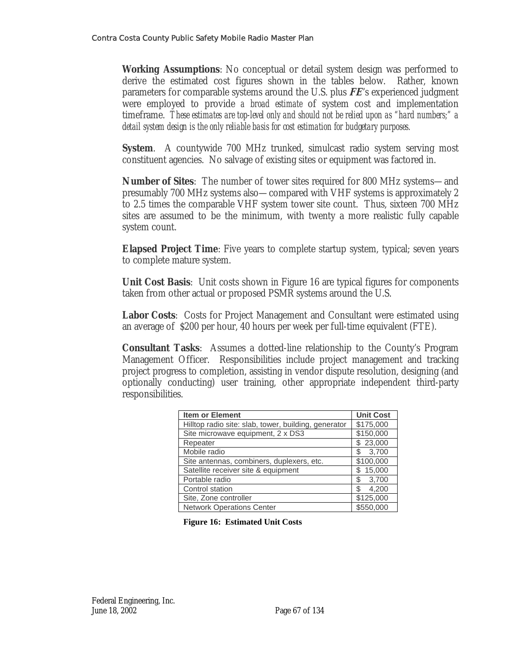**Working Assumptions**: No conceptual or detail system design was performed to derive the estimated cost figures shown in the tables below. Rather, known parameters for comparable systems around the U.S. plus **FE**'s experienced judgment were employed to provide *a broad estimate* of system cost and implementation timeframe. *These estimates are top-level only and should not be relied upon as "hard numbers;" a detail system design is the only reliable basis for cost estimation for budgetary purposes.*

**System.** A countywide 700 MHz trunked, simulcast radio system serving most constituent agencies. No salvage of existing sites or equipment was factored in.

**Number of Sites**: The number of tower sites required for 800 MHz systems—and presumably 700 MHz systems also—compared with VHF systems is approximately 2 to 2.5 times the comparable VHF system tower site count. Thus, sixteen 700 MHz sites are assumed to be the minimum, with twenty a more realistic fully capable system count.

**Elapsed Project Time**: Five years to complete startup system, typical; seven years to complete mature system.

**Unit Cost Basis**: Unit costs shown in Figure 16 are typical figures for components taken from other actual or proposed PSMR systems around the U.S.

**Labor Costs**: Costs for Project Management and Consultant were estimated using an average of \$200 per hour, 40 hours per week per full-time equivalent (FTE).

**Consultant Tasks**: Assumes a dotted-line relationship to the County's Program Management Officer. Responsibilities include project management and tracking project progress to completion, assisting in vendor dispute resolution, designing (and optionally conducting) user training, other appropriate independent third-party responsibilities.

| <b>Item or Element</b>                               | <b>Unit Cost</b> |
|------------------------------------------------------|------------------|
| Hilltop radio site: slab, tower, building, generator | \$175,000        |
| Site microwave equipment, 2 x DS3                    | \$150,000        |
| Repeater                                             | \$23,000         |
| Mobile radio                                         | 3,700<br>S       |
| Site antennas, combiners, duplexers, etc.            | \$100,000        |
| Satellite receiver site & equipment                  | 15,000           |
| Portable radio                                       | 3,700<br>S       |
| Control station                                      | 4,200<br>S       |
| Site, Zone controller                                | \$125,000        |
| <b>Network Operations Center</b>                     | \$550,000        |

**Figure 16: Estimated Unit Costs**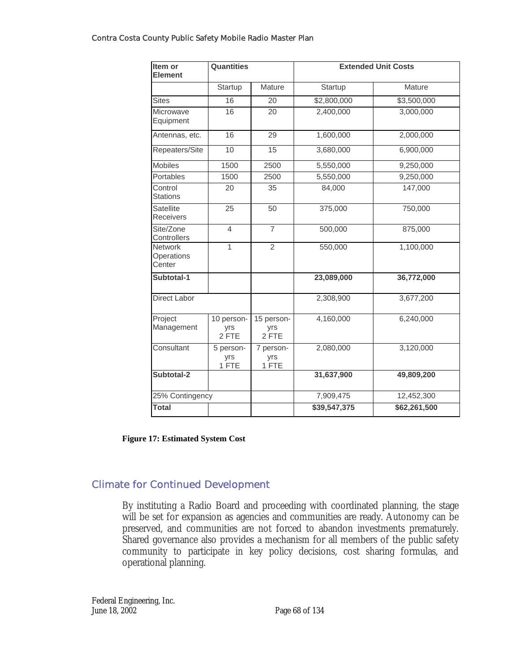| Item or<br><b>Element</b>              | <b>Quantities</b>          |                            |              | <b>Extended Unit Costs</b> |
|----------------------------------------|----------------------------|----------------------------|--------------|----------------------------|
|                                        | Startup                    | Mature                     | Startup      | Mature                     |
| <b>Sites</b>                           | 16                         | 20                         | \$2,800,000  | \$3,500,000                |
| Microwave<br>Equipment                 | 16                         | 20                         | 2,400,000    | 3,000,000                  |
| Antennas, etc.                         | 16                         | 29                         | 1,600,000    | 2,000,000                  |
| Repeaters/Site                         | 10                         | 15                         | 3,680,000    | 6,900,000                  |
| Mobiles                                | 1500                       | 2500                       | 5,550,000    | 9,250,000                  |
| Portables                              | 1500                       | 2500                       | 5,550,000    | 9,250,000                  |
| Control<br><b>Stations</b>             | 20                         | 35                         | 84,000       | 147,000                    |
| <b>Satellite</b><br><b>Receivers</b>   | $\overline{25}$            | 50                         | 375,000      | 750,000                    |
| Site/Zone<br>Controllers               | $\overline{4}$             | $\overline{7}$             | 500,000      | 875,000                    |
| <b>Network</b><br>Operations<br>Center | 1                          | $\overline{2}$             | 550,000      | 1,100,000                  |
| Subtotal-1                             |                            |                            | 23,089,000   | 36,772,000                 |
| <b>Direct Labor</b>                    |                            |                            | 2,308,900    | 3,677,200                  |
| Project<br>Management                  | 10 person-<br>yrs<br>2 FTE | 15 person-<br>yrs<br>2 FTE | 4,160,000    | 6,240,000                  |
| Consultant                             | 5 person-<br>yrs<br>1 FTE  | 7 person-<br>yrs<br>1 FTE  | 2,080,000    | 3,120,000                  |
| Subtotal-2                             |                            |                            | 31,637,900   | 49,809,200                 |
| 25% Contingency                        |                            |                            | 7,909,475    | 12,452,300                 |
| <b>Total</b>                           |                            |                            | \$39,547,375 | \$62,261,500               |

#### Contra Costa County Public Safety Mobile Radio Master Plan

**Figure 17: Estimated System Cost**

## Climate for Continued Development

By instituting a Radio Board and proceeding with coordinated planning, the stage will be set for expansion as agencies and communities are ready. Autonomy can be preserved, and communities are not forced to abandon investments prematurely. Shared governance also provides a mechanism for all members of the public safety community to participate in key policy decisions, cost sharing formulas, and operational planning.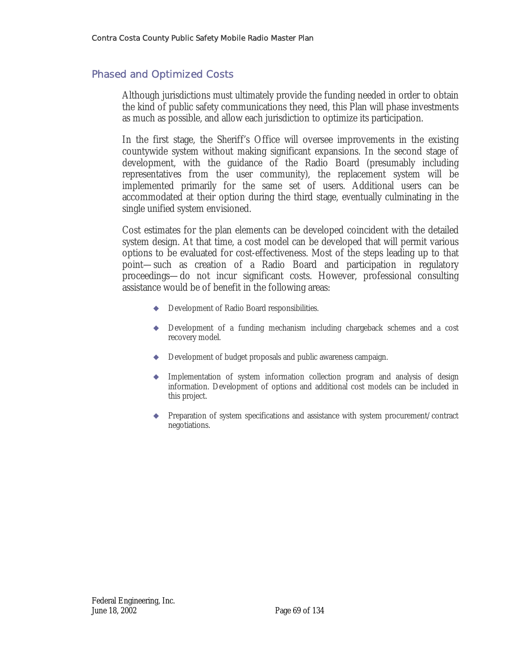## Phased and Optimized Costs

Although jurisdictions must ultimately provide the funding needed in order to obtain the kind of public safety communications they need, this Plan will phase investments as much as possible, and allow each jurisdiction to optimize its participation.

In the first stage, the Sheriff's Office will oversee improvements in the existing countywide system without making significant expansions. In the second stage of development, with the guidance of the Radio Board (presumably including representatives from the user community), the replacement system will be implemented primarily for the same set of users. Additional users can be accommodated at their option during the third stage, eventually culminating in the single unified system envisioned.

Cost estimates for the plan elements can be developed coincident with the detailed system design. At that time, a cost model can be developed that will permit various options to be evaluated for cost-effectiveness. Most of the steps leading up to that point—such as creation of a Radio Board and participation in regulatory proceedings—do not incur significant costs. However, professional consulting assistance would be of benefit in the following areas:

- Development of Radio Board responsibilities.
- Development of a funding mechanism including chargeback schemes and a cost recovery model.
- Development of budget proposals and public awareness campaign.
- Implementation of system information collection program and analysis of design information. Development of options and additional cost models can be included in this project.
- Preparation of system specifications and assistance with system procurement/contract negotiations.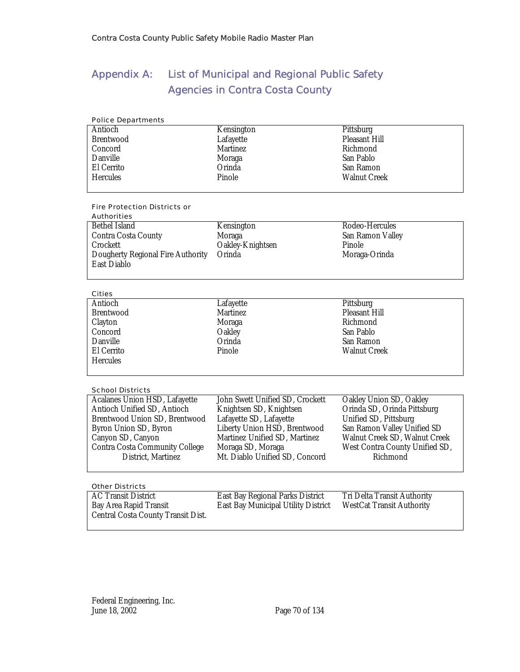## Appendix A: List of Municipal and Regional Public Safety Agencies in Contra Costa County

| <b>Police Departments</b>                 |                                     |                                    |
|-------------------------------------------|-------------------------------------|------------------------------------|
| Antioch                                   | Kensington                          | <b>Pittsburg</b>                   |
| <b>Brentwood</b>                          | Lafayette                           | <b>Pleasant Hill</b>               |
| Concord                                   | <b>Martinez</b>                     | Richmond                           |
| Danville                                  | Moraga                              | San Pablo                          |
| El Cerrito                                | Orinda                              | San Ramon                          |
| <b>Hercules</b>                           | Pinole                              | <b>Walnut Creek</b>                |
| <b>Fire Protection Districts or</b>       |                                     |                                    |
| <b>Authorities</b>                        |                                     |                                    |
| <b>Bethel Island</b>                      | Kensington                          | Rodeo-Hercules                     |
| <b>Contra Costa County</b>                | Moraga                              | <b>San Ramon Valley</b>            |
| Crockett                                  | Oakley-Knightsen                    | Pinole                             |
| Dougherty Regional Fire Authority         | Orinda                              | Moraga-Orinda                      |
| <b>East Diablo</b>                        |                                     |                                    |
|                                           |                                     |                                    |
|                                           |                                     |                                    |
| <b>Cities</b>                             |                                     |                                    |
| Antioch                                   | Lafayette                           | Pittsburg                          |
| <b>Brentwood</b>                          | <b>Martinez</b>                     | <b>Pleasant Hill</b>               |
| Clayton                                   | Moraga                              | Richmond                           |
| Concord                                   | Oakley                              | San Pablo                          |
| Danville                                  | Orinda                              | San Ramon                          |
| El Cerrito                                | Pinole                              | <b>Walnut Creek</b>                |
| <b>Hercules</b>                           |                                     |                                    |
|                                           |                                     |                                    |
| <b>School Districts</b>                   |                                     |                                    |
| Acalanes Union HSD, Lafayette             | John Swett Unified SD, Crockett     | Oakley Union SD, Oakley            |
| Antioch Unified SD, Antioch               | Knightsen SD, Knightsen             | Orinda SD, Orinda Pittsburg        |
| <b>Brentwood Union SD, Brentwood</b>      | Lafayette SD, Lafayette             | Unified SD, Pittsburg              |
| <b>Byron Union SD, Byron</b>              | Liberty Union HSD, Brentwood        | San Ramon Valley Unified SD        |
| Canyon SD, Canyon                         | Martinez Unified SD, Martinez       | Walnut Creek SD, Walnut Creek      |
| <b>Contra Costa Community College</b>     | Moraga SD, Moraga                   | West Contra County Unified SD,     |
| District, Martinez                        | Mt. Diablo Unified SD, Concord      | Richmond                           |
|                                           |                                     |                                    |
| <b>Other Districts</b>                    |                                     |                                    |
| <b>AC Transit District</b>                | East Bay Regional Parks District    | <b>Tri Delta Transit Authority</b> |
| <b>Bay Area Rapid Transit</b>             | East Bay Municipal Utility District | <b>WestCat Transit Authority</b>   |
| <b>Central Costa County Transit Dist.</b> |                                     |                                    |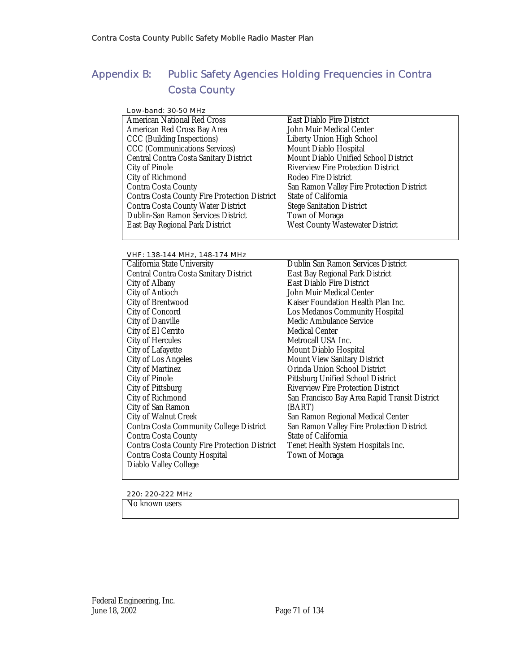## Appendix B: Public Safety Agencies Holding Frequencies in Contra Costa County

#### Low-band: 30-50 MHz

| <b>American National Red Cross</b>                  | <b>East Diablo Fire District</b>          |
|-----------------------------------------------------|-------------------------------------------|
| American Red Cross Bay Area                         | John Muir Medical Center                  |
| <b>CCC</b> (Building Inspections)                   | <b>Liberty Union High School</b>          |
| <b>CCC</b> (Communications Services)                | <b>Mount Diablo Hospital</b>              |
| <b>Central Contra Costa Sanitary District</b>       | Mount Diablo Unified School District      |
| <b>City of Pinole</b>                               | <b>Riverview Fire Protection District</b> |
| <b>City of Richmond</b>                             | Rodeo Fire District                       |
| <b>Contra Costa County</b>                          | San Ramon Valley Fire Protection District |
| <b>Contra Costa County Fire Protection District</b> | <b>State of California</b>                |
| Contra Costa County Water District                  | <b>Stege Sanitation District</b>          |
| Dublin-San Ramon Services District                  | Town of Moraga                            |
| East Bay Regional Park District                     | <b>West County Wastewater District</b>    |
|                                                     |                                           |

#### VHF: 138-144 MHz, 148-174 MHz

| California State University                         | <b>Dublin San Ramon Services District</b>     |
|-----------------------------------------------------|-----------------------------------------------|
| <b>Central Contra Costa Sanitary District</b>       | <b>East Bay Regional Park District</b>        |
| <b>City of Albany</b>                               | <b>East Diablo Fire District</b>              |
| <b>City of Antioch</b>                              | John Muir Medical Center                      |
| <b>City of Brentwood</b>                            | Kaiser Foundation Health Plan Inc.            |
| <b>City of Concord</b>                              | Los Medanos Community Hospital                |
| <b>City of Danville</b>                             | <b>Medic Ambulance Service</b>                |
| City of El Cerrito                                  | <b>Medical Center</b>                         |
| <b>City of Hercules</b>                             | Metrocall USA Inc.                            |
| <b>City of Lafayette</b>                            | Mount Diablo Hospital                         |
| <b>City of Los Angeles</b>                          | <b>Mount View Sanitary District</b>           |
| <b>City of Martinez</b>                             | Orinda Union School District                  |
| <b>City of Pinole</b>                               | <b>Pittsburg Unified School District</b>      |
| <b>City of Pittsburg</b>                            | <b>Riverview Fire Protection District</b>     |
| <b>City of Richmond</b>                             | San Francisco Bay Area Rapid Transit District |
| City of San Ramon                                   | (BART)                                        |
| <b>City of Walnut Creek</b>                         | San Ramon Regional Medical Center             |
| <b>Contra Costa Community College District</b>      | San Ramon Valley Fire Protection District     |
| <b>Contra Costa County</b>                          | <b>State of California</b>                    |
| <b>Contra Costa County Fire Protection District</b> | Tenet Health System Hospitals Inc.            |
| <b>Contra Costa County Hospital</b>                 | Town of Moraga                                |
| <b>Diablo Valley College</b>                        |                                               |
|                                                     |                                               |

#### 220: 220-222 MHz

No known users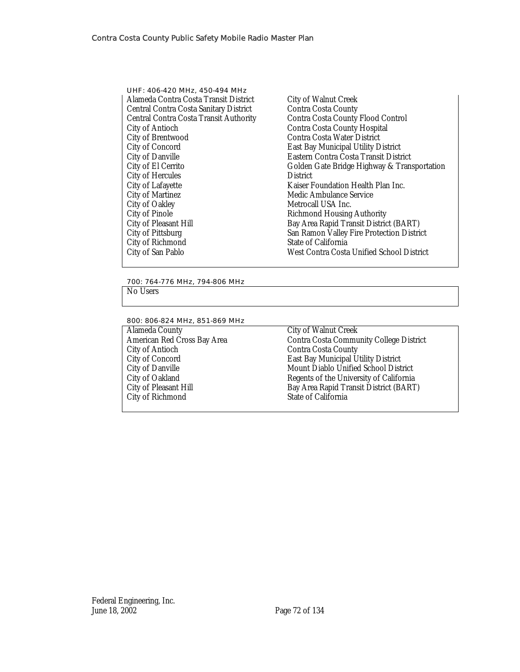#### UHF: 406-420 MHz, 450-494 MHz

| Alameda Contra Costa Transit District         | <b>City of Walnut Creek</b>                 |
|-----------------------------------------------|---------------------------------------------|
| <b>Central Contra Costa Sanitary District</b> | <b>Contra Costa County</b>                  |
| <b>Central Contra Costa Transit Authority</b> | <b>Contra Costa County Flood Control</b>    |
| <b>City of Antioch</b>                        | <b>Contra Costa County Hospital</b>         |
| City of Brentwood                             | Contra Costa Water District                 |
| <b>City of Concord</b>                        | <b>East Bay Municipal Utility District</b>  |
| <b>City of Danville</b>                       | Eastern Contra Costa Transit District       |
| City of El Cerrito                            | Golden Gate Bridge Highway & Transportation |
| <b>City of Hercules</b>                       | <b>District</b>                             |
| <b>City of Lafayette</b>                      | Kaiser Foundation Health Plan Inc.          |
| City of Martinez                              | Medic Ambulance Service                     |
| <b>City of Oakley</b>                         | Metrocall USA Inc.                          |
| <b>City of Pinole</b>                         | <b>Richmond Housing Authority</b>           |
| <b>City of Pleasant Hill</b>                  | Bay Area Rapid Transit District (BART)      |
| <b>City of Pittsburg</b>                      | San Ramon Valley Fire Protection District   |
| <b>City of Richmond</b>                       | <b>State of California</b>                  |
| City of San Pablo                             | West Contra Costa Unified School District   |
|                                               |                                             |

#### 700: 764-776 MHz, 794-806 MHz

No Users

#### 800: 806-824 MHz, 851-869 MHz

| Alameda County               | <b>City of Walnut Creek</b>                    |
|------------------------------|------------------------------------------------|
| American Red Cross Bay Area  | <b>Contra Costa Community College District</b> |
| <b>City of Antioch</b>       | <b>Contra Costa County</b>                     |
| <b>City of Concord</b>       | East Bay Municipal Utility District            |
| <b>City of Danville</b>      | Mount Diablo Unified School District           |
| <b>City of Oakland</b>       | Regents of the University of California        |
| <b>City of Pleasant Hill</b> | Bay Area Rapid Transit District (BART)         |
| <b>City of Richmond</b>      | State of California                            |
|                              |                                                |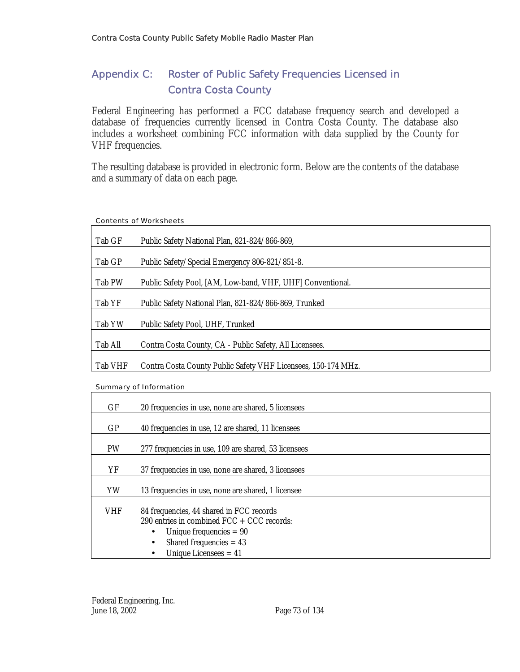# Appendix C: Roster of Public Safety Frequencies Licensed in Contra Costa County

Federal Engineering has performed a FCC database frequency search and developed a database of frequencies currently licensed in Contra Costa County. The database also includes a worksheet combining FCC information with data supplied by the County for VHF frequencies.

The resulting database is provided in electronic form. Below are the contents of the database and a summary of data on each page.

#### Contents of Worksheets

| Tab GF         | Public Safety National Plan, 821-824/866-869,                 |
|----------------|---------------------------------------------------------------|
| Tab GP         | Public Safety/Special Emergency 806-821/851-8.                |
| Tab PW         | Public Safety Pool, [AM, Low-band, VHF, UHF] Conventional.    |
| Tab YF         | Public Safety National Plan, 821-824/866-869, Trunked         |
| Tab YW         | Public Safety Pool, UHF, Trunked                              |
| Tab All        | Contra Costa County, CA - Public Safety, All Licensees.       |
| <b>Tab VHF</b> | Contra Costa County Public Safety VHF Licensees, 150-174 MHz. |

#### Summary of Information

| GF         | 20 frequencies in use, none are shared, 5 licensees                                                                                                                                                                  |
|------------|----------------------------------------------------------------------------------------------------------------------------------------------------------------------------------------------------------------------|
| GP         | 40 frequencies in use, 12 are shared, 11 licensees                                                                                                                                                                   |
| <b>PW</b>  | 277 frequencies in use, 109 are shared, 53 licensees                                                                                                                                                                 |
| YF         | 37 frequencies in use, none are shared, 3 licensees                                                                                                                                                                  |
| YW         | 13 frequencies in use, none are shared, 1 licensee                                                                                                                                                                   |
| <b>VHF</b> | 84 frequencies, 44 shared in FCC records<br>290 entries in combined $FCC + CCC$ records:<br>Unique frequencies $= 90$<br>$\bullet$<br>Shared frequencies $= 43$<br>$\bullet$<br>Unique Licensees $= 41$<br>$\bullet$ |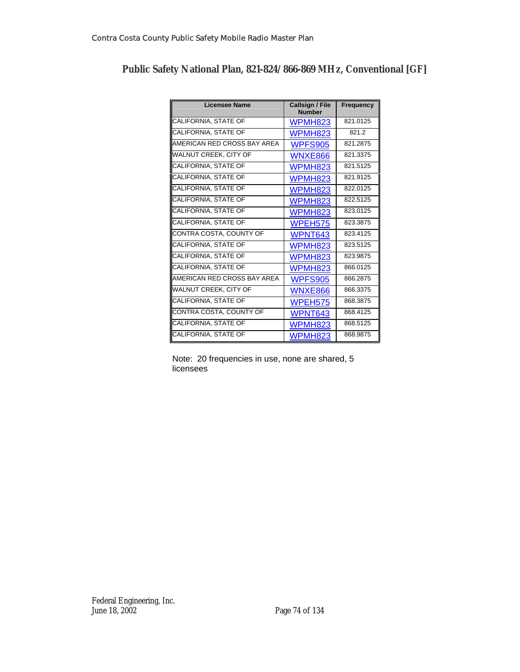| <b>Licensee Name</b>        | <b>Callsign / File</b><br><b>Number</b> | <b>Frequency</b> |
|-----------------------------|-----------------------------------------|------------------|
| CALIFORNIA, STATE OF        | <b>WPMH823</b>                          | 821.0125         |
| CALIFORNIA, STATE OF        | <b>WPMH823</b>                          | 821.2            |
| AMERICAN RED CROSS BAY AREA | <b>WPFS905</b>                          | 821.2875         |
| WALNUT CREEK, CITY OF       | <b>WNXE866</b>                          | 821.3375         |
| CALIFORNIA, STATE OF        | <b>WPMH823</b>                          | 821.5125         |
| CALIFORNIA. STATE OF        | <b>WPMH823</b>                          | 821.9125         |
| CALIFORNIA, STATE OF        | <b>WPMH823</b>                          | 822.0125         |
| CALIFORNIA. STATE OF        | <b>WPMH823</b>                          | 822.5125         |
| CALIFORNIA. STATE OF        | <b>WPMH823</b>                          | 823.0125         |
| CALIFORNIA, STATE OF        | WPEH575                                 | 823.3875         |
| CONTRA COSTA, COUNTY OF     | WPNT643                                 | 823.4125         |
| CALIFORNIA, STATE OF        | <b>WPMH823</b>                          | 823.5125         |
| CALIFORNIA, STATE OF        | <b>WPMH823</b>                          | 823.9875         |
| CALIFORNIA. STATE OF        | <b>WPMH823</b>                          | 866.0125         |
| AMERICAN RED CROSS BAY AREA | <b>WPFS905</b>                          | 866.2875         |
| WALNUT CREEK, CITY OF       | WNXE866                                 | 866.3375         |
| CALIFORNIA, STATE OF        | WPEH575                                 | 868.3875         |
| CONTRA COSTA, COUNTY OF     | WPNT643                                 | 868.4125         |
| CALIFORNIA, STATE OF        | <b>WPMH823</b>                          | 868.5125         |
| CALIFORNIA. STATE OF        | <b>WPMH823</b>                          | 868.9875         |

**Public Safety National Plan, 821-824/866-869 MHz, Conventional [GF]** 

Note: 20 frequencies in use, none are shared, 5 licensees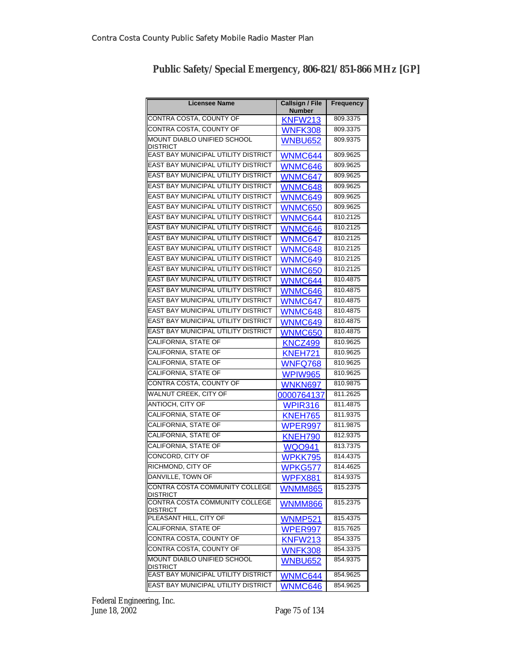| <b>Licensee Name</b>                              | <b>Callsign / File</b><br><b>Number</b> | <b>Frequency</b> |
|---------------------------------------------------|-----------------------------------------|------------------|
| CONTRA COSTA, COUNTY OF                           | <b>KNFW213</b>                          | 809.3375         |
| CONTRA COSTA, COUNTY OF                           | <b>WNFK308</b>                          | 809.3375         |
| MOUNT DIABLO UNIFIED SCHOOL<br>DISTRICT           | <b>WNBU652</b>                          | 809.9375         |
| EAST BAY MUNICIPAL UTILITY DISTRICT               | WNMC644                                 | 809.9625         |
| EAST BAY MUNICIPAL UTILITY DISTRICT               | WNMC646                                 | 809.9625         |
| EAST BAY MUNICIPAL UTILITY DISTRICT               | WNMC647                                 | 809.9625         |
| EAST BAY MUNICIPAL UTILITY DISTRICT               | WNMC648                                 | 809.9625         |
| EAST BAY MUNICIPAL UTILITY DISTRICT               | WNMC649                                 | 809.9625         |
| EAST BAY MUNICIPAL UTILITY DISTRICT               | <b>WNMC650</b>                          | 809.9625         |
| EAST BAY MUNICIPAL UTILITY DISTRICT               | WNMC644                                 | 810.2125         |
| EAST BAY MUNICIPAL UTILITY DISTRICT               | WNMC646                                 | 810.2125         |
| EAST BAY MUNICIPAL UTILITY DISTRICT               | WNMC647                                 | 810.2125         |
| EAST BAY MUNICIPAL UTILITY DISTRICT               | WNMC648                                 | 810.2125         |
| EAST BAY MUNICIPAL UTILITY DISTRICT               | WNMC649                                 | 810.2125         |
| EAST BAY MUNICIPAL UTILITY DISTRICT               | <b>WNMC650</b>                          | 810.2125         |
| EAST BAY MUNICIPAL UTILITY DISTRICT               | WNMC644                                 | 810.4875         |
| EAST BAY MUNICIPAL UTILITY DISTRICT               | WNMC646                                 | 810.4875         |
| EAST BAY MUNICIPAL UTILITY DISTRICT               | WNMC647                                 | 810.4875         |
| <b>EAST BAY MUNICIPAL UTILITY DISTRICT</b>        | <b>WNMC648</b>                          | 810.4875         |
| EAST BAY MUNICIPAL UTILITY DISTRICT               | WNMC649                                 | 810.4875         |
| EAST BAY MUNICIPAL UTILITY DISTRICT               | <b>WNMC650</b>                          | 810.4875         |
| CALIFORNIA, STATE OF                              | <b>KNCZ499</b>                          | 810.9625         |
| CALIFORNIA, STATE OF                              | KNEH721                                 | 810.9625         |
| CALIFORNIA, STATE OF                              | <b>WNFQ768</b>                          | 810.9625         |
| CALIFORNIA, STATE OF                              | <b>WPIW965</b>                          | 810.9625         |
| CONTRA COSTA, COUNTY OF                           | <b>WNKN697</b>                          | 810.9875         |
| WALNUT CREEK, CITY OF                             | 0000764137                              | 811.2625         |
| <b>ANTIOCH, CITY OF</b>                           | WPIR316                                 | 811.4875         |
| CALIFORNIA, STATE OF                              | KNEH765                                 | 811.9375         |
| CALIFORNIA, STATE OF                              | WPER997                                 | 811.9875         |
| CALIFORNIA, STATE OF                              | <b>KNEH790</b>                          | 812.9375         |
| CALIFORNIA, STATE OF                              | <b>WQO941</b>                           | 813.7375         |
| CONCORD, CITY OF                                  | WPKK795                                 | 814.4375         |
| RICHMOND, CITY OF                                 | <b>WPKG577</b>                          | 814.4625         |
| DANVILLE, TOWN OF                                 | WPFX881                                 | 814.9375         |
| CONTRA COSTA COMMUNITY COLLEGE<br>DISTRICT        | <b>WNMM865</b>                          | 815.2375         |
| CONTRA COSTA COMMUNITY COLLEGE<br><b>DISTRICT</b> | <b>WNMM866</b>                          | 815.2375         |
| PLEASANT HILL, CITY OF                            | <b>WNMP521</b>                          | 815.4375         |
| <b>CALIFORNIA, STATE OF</b>                       | WPER997                                 | 815.7625         |
| CONTRA COSTA, COUNTY OF                           | <b>KNFW213</b>                          | 854.3375         |
| CONTRA COSTA, COUNTY OF                           | <b>WNFK308</b>                          | 854.3375         |
| MOUNT DIABLO UNIFIED SCHOOL<br><b>DISTRICT</b>    | <b>WNBU652</b>                          | 854.9375         |
| EAST BAY MUNICIPAL UTILITY DISTRICT               | WNMC644                                 | 854.9625         |
| EAST BAY MUNICIPAL UTILITY DISTRICT               | WNMC646                                 | 854.9625         |

**Public Safety/Special Emergency, 806-821/851-866 MHz [GP]** 

Federal Engineering, Inc.

Page 75 of 134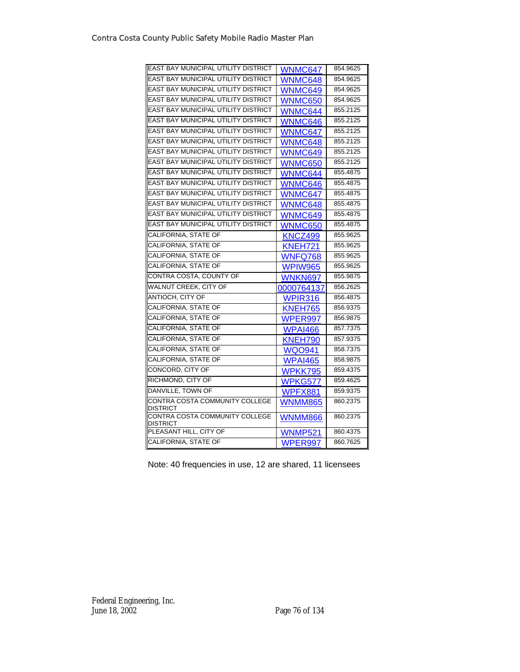| <b>EAST BAY MUNICIPAL UTILITY DISTRICT</b>        | WNMC647        | 854.9625 |
|---------------------------------------------------|----------------|----------|
| EAST BAY MUNICIPAL UTILITY DISTRICT               | WNMC648        | 854.9625 |
| EAST BAY MUNICIPAL UTILITY DISTRICT               | WNMC649        | 854.9625 |
| EAST BAY MUNICIPAL UTILITY DISTRICT               | <b>WNMC650</b> | 854.9625 |
| EAST BAY MUNICIPAL UTILITY DISTRICT               | WNMC644        | 855.2125 |
| EAST BAY MUNICIPAL UTILITY DISTRICT               | WNMC646        | 855.2125 |
| EAST BAY MUNICIPAL UTILITY DISTRICT               | WNMC647        | 855.2125 |
| EAST BAY MUNICIPAL UTILITY DISTRICT               | WNMC648        | 855.2125 |
| EAST BAY MUNICIPAL UTILITY DISTRICT               | WNMC649        | 855.2125 |
| EAST BAY MUNICIPAL UTILITY DISTRICT               | <b>WNMC650</b> | 855.2125 |
| EAST BAY MUNICIPAL UTILITY DISTRICT               | WNMC644        | 855.4875 |
| EAST BAY MUNICIPAL UTILITY DISTRICT               | WNMC646        | 855.4875 |
| EAST BAY MUNICIPAL UTILITY DISTRICT               | WNMC647        | 855.4875 |
| EAST BAY MUNICIPAL UTILITY DISTRICT               | WNMC648        | 855.4875 |
| EAST BAY MUNICIPAL UTILITY DISTRICT               | WNMC649        | 855.4875 |
| EAST BAY MUNICIPAL UTILITY DISTRICT               | <b>WNMC650</b> | 855.4875 |
| CALIFORNIA, STATE OF                              | <b>KNCZ499</b> | 855.9625 |
| CALIFORNIA, STATE OF                              | <b>KNEH721</b> | 855.9625 |
| <b>CALIFORNIA, STATE OF</b>                       | <b>WNFQ768</b> | 855.9625 |
| CALIFORNIA, STATE OF                              | <b>WPIW965</b> | 855.9625 |
| <b>CONTRA COSTA, COUNTY OF</b>                    | WNKN697        | 855.9875 |
| <b>WALNUT CREEK, CITY OF</b>                      | 0000764137     | 856.2625 |
| <b>ANTIOCH, CITY OF</b>                           | <b>WPIR316</b> | 856.4875 |
| CALIFORNIA, STATE OF                              | <b>KNEH765</b> | 856.9375 |
| <b>CALIFORNIA, STATE OF</b>                       | WPER997        | 856.9875 |
| CALIFORNIA, STATE OF                              | <b>WPAI466</b> | 857.7375 |
| CALIFORNIA, STATE OF                              | <b>KNEH790</b> | 857.9375 |
| <b>CALIFORNIA, STATE OF</b>                       | <b>WQO941</b>  | 858.7375 |
| <b>CALIFORNIA, STATE OF</b>                       | <b>WPAI465</b> | 858.9875 |
| CONCORD, CITY OF                                  | WPKK795        | 859.4375 |
| RICHMOND, CITY OF                                 | WPKG577        | 859.4625 |
| DANVILLE, TOWN OF                                 | <b>WPFX881</b> | 859.9375 |
| CONTRA COSTA COMMUNITY COLLEGE<br>DISTRICT        | <b>WNMM865</b> | 860.2375 |
| CONTRA COSTA COMMUNITY COLLEGE<br><b>DISTRICT</b> | <b>WNMM866</b> | 860.2375 |
| PLEASANT HILL, CITY OF                            | <b>WNMP521</b> | 860.4375 |
| CALIFORNIA, STATE OF                              | WPER997        | 860.7625 |

Note: 40 frequencies in use, 12 are shared, 11 licensees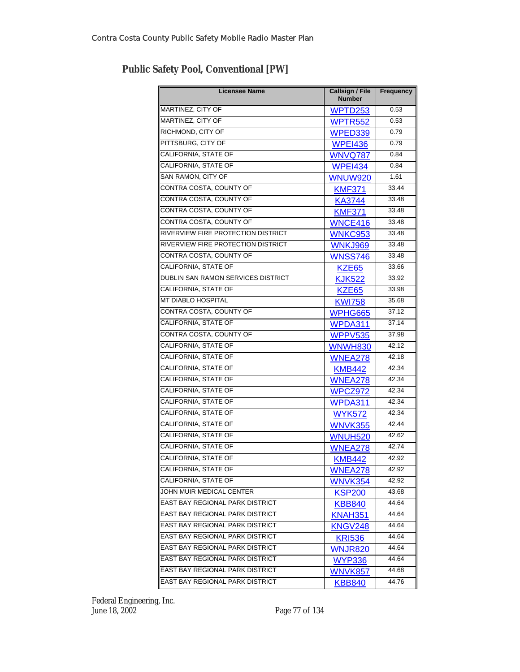### **Public Safety Pool, Conventional [PW]**

| <b>Licensee Name</b>               | Callsign / File<br><b>Number</b> | <b>Frequency</b> |
|------------------------------------|----------------------------------|------------------|
| MARTINEZ, CITY OF                  | WPTD253                          | 0.53             |
| MARTINEZ, CITY OF                  | WPTR552                          | 0.53             |
| RICHMOND, CITY OF                  | WPED339                          | 0.79             |
| PITTSBURG, CITY OF                 | <b>WPEI436</b>                   | 0.79             |
| CALIFORNIA, STATE OF               | <b>WNVQ787</b>                   | 0.84             |
| CALIFORNIA, STATE OF               | <b>WPEI434</b>                   | 0.84             |
| SAN RAMON, CITY OF                 | <b>WNUW920</b>                   | 1.61             |
| CONTRA COSTA, COUNTY OF            | <b>KMF371</b>                    | 33.44            |
| CONTRA COSTA, COUNTY OF            | <b>KA3744</b>                    | 33.48            |
| CONTRA COSTA, COUNTY OF            | <b>KMF371</b>                    | 33.48            |
| CONTRA COSTA, COUNTY OF            | WNCE416                          | 33.48            |
| RIVERVIEW FIRE PROTECTION DISTRICT | <b>WNKC953</b>                   | 33.48            |
| RIVERVIEW FIRE PROTECTION DISTRICT | <b>WNKJ969</b>                   | 33.48            |
| CONTRA COSTA, COUNTY OF            | <b>WNSS746</b>                   | 33.48            |
| <b>CALIFORNIA, STATE OF</b>        | <b>KZE65</b>                     | 33.66            |
| DUBLIN SAN RAMON SERVICES DISTRICT | <b>KJK522</b>                    | 33.92            |
| CALIFORNIA, STATE OF               | KZE65                            | 33.98            |
| MT DIABLO HOSPITAL                 | <b>KWI758</b>                    | 35.68            |
| CONTRA COSTA, COUNTY OF            | WPHG665                          | 37.12            |
| CALIFORNIA, STATE OF               | WPDA311                          | 37.14            |
| CONTRA COSTA, COUNTY OF            | <b>WPPV535</b>                   | 37.98            |
| CALIFORNIA, STATE OF               | <b>WNWH830</b>                   | 42.12            |
| CALIFORNIA, STATE OF               | <b>WNEA278</b>                   | 42.18            |
| <b>CALIFORNIA, STATE OF</b>        | <b>KMB442</b>                    | 42.34            |
| CALIFORNIA, STATE OF               | WNEA278                          | 42.34            |
| CALIFORNIA, STATE OF               | WPCZ972                          | 42.34            |
| CALIFORNIA, STATE OF               | WPDA311                          | 42.34            |
| CALIFORNIA, STATE OF               | <b>WYK572</b>                    | 42.34            |
| <b>CALIFORNIA, STATE OF</b>        | <b>WNVK355</b>                   | 42.44            |
| CALIFORNIA, STATE OF               | <b>WNUH520</b>                   | 42.62            |
| CALIFORNIA. STATE OF               | <b>WNEA278</b>                   | 42.74            |
| CALIFORNIA, STATE OF               | <b>KMB442</b>                    | 42.92            |
| <b>CALIFORNIA, STATE OF</b>        | <b>WNEA278</b>                   | 42.92            |
| CALIFORNIA, STATE OF               | WNVK354                          | 42.92            |
| JOHN MUIR MEDICAL CENTER           | <b>KSP200</b>                    | 43.68            |
| EAST BAY REGIONAL PARK DISTRICT    | <b>KBB840</b>                    | 44.64            |
| EAST BAY REGIONAL PARK DISTRICT    | <b>KNAH351</b>                   | 44.64            |
| EAST BAY REGIONAL PARK DISTRICT    | <b>KNGV248</b>                   | 44.64            |
| EAST BAY REGIONAL PARK DISTRICT    | <b>KRI536</b>                    | 44.64            |
| EAST BAY REGIONAL PARK DISTRICT    | <b>WNJR820</b>                   | 44.64            |
| EAST BAY REGIONAL PARK DISTRICT    | <b>WYP336</b>                    | 44.64            |
| EAST BAY REGIONAL PARK DISTRICT    | <b>WNVK857</b>                   | 44.68            |
| EAST BAY REGIONAL PARK DISTRICT    | <b>KBB840</b>                    | 44.76            |

Federal Engineering, Inc. June 18, 2002 Page 77 of 134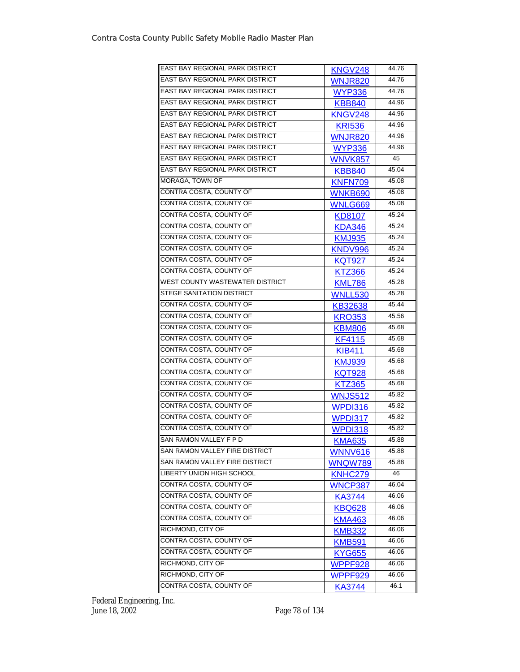| EAST BAY REGIONAL PARK DISTRICT  | <b>KNGV248</b> | 44.76 |
|----------------------------------|----------------|-------|
| EAST BAY REGIONAL PARK DISTRICT  | <b>WNJR820</b> | 44.76 |
| EAST BAY REGIONAL PARK DISTRICT  | <b>WYP336</b>  | 44.76 |
| EAST BAY REGIONAL PARK DISTRICT  | <b>KBB840</b>  | 44.96 |
| EAST BAY REGIONAL PARK DISTRICT  | <b>KNGV248</b> | 44.96 |
| EAST BAY REGIONAL PARK DISTRICT  | <b>KRI536</b>  | 44.96 |
| EAST BAY REGIONAL PARK DISTRICT  | <b>WNJR820</b> | 44.96 |
| EAST BAY REGIONAL PARK DISTRICT  | <b>WYP336</b>  | 44.96 |
| EAST BAY REGIONAL PARK DISTRICT  | WNVK857        | 45    |
| EAST BAY REGIONAL PARK DISTRICT  | <b>KBB840</b>  | 45.04 |
| MORAGA, TOWN OF                  | <b>KNFN709</b> | 45.08 |
| CONTRA COSTA, COUNTY OF          | <b>WNKB690</b> | 45.08 |
| CONTRA COSTA, COUNTY OF          | <b>WNLG669</b> | 45.08 |
| CONTRA COSTA, COUNTY OF          | KD8107         | 45.24 |
| CONTRA COSTA, COUNTY OF          | KDA346         | 45.24 |
| CONTRA COSTA, COUNTY OF          | <b>KMJ935</b>  | 45.24 |
| CONTRA COSTA, COUNTY OF          | <b>KNDV996</b> | 45.24 |
| CONTRA COSTA, COUNTY OF          | <b>KQT927</b>  | 45.24 |
| CONTRA COSTA, COUNTY OF          | <b>KTZ366</b>  | 45.24 |
| WEST COUNTY WASTEWATER DISTRICT  | <b>KML786</b>  | 45.28 |
| <b>STEGE SANITATION DISTRICT</b> | <b>WNLL530</b> | 45.28 |
| CONTRA COSTA, COUNTY OF          | KB32638        | 45.44 |
| CONTRA COSTA, COUNTY OF          | <b>KRO353</b>  | 45.56 |
| CONTRA COSTA, COUNTY OF          | <b>KBM806</b>  | 45.68 |
| CONTRA COSTA, COUNTY OF          | KF4115         | 45.68 |
| CONTRA COSTA, COUNTY OF          | <b>KIB411</b>  | 45.68 |
| CONTRA COSTA, COUNTY OF          | <b>KMJ939</b>  | 45.68 |
| CONTRA COSTA, COUNTY OF          | <b>KQT928</b>  | 45.68 |
| CONTRA COSTA, COUNTY OF          | <b>KTZ365</b>  | 45.68 |
| CONTRA COSTA, COUNTY OF          | <b>WNJS512</b> | 45.82 |
| CONTRA COSTA, COUNTY OF          | <b>WPDI316</b> | 45.82 |
| CONTRA COSTA, COUNTY OF          | WPDI317        | 45.82 |
| CONTRA COSTA, COUNTY OF          | WPDI318        | 45.82 |
| SAN RAMON VALLEY F P D           | <b>KMA635</b>  | 45.88 |
| SAN RAMON VALLEY FIRE DISTRICT   | <b>WNNV616</b> | 45.88 |
| SAN RAMON VALLEY FIRE DISTRICT   | <b>WNQW789</b> | 45.88 |
| <b>LIBERTY UNION HIGH SCHOOL</b> | KNHC279        | 46    |
| CONTRA COSTA, COUNTY OF          | WNCP387        | 46.04 |
| CONTRA COSTA, COUNTY OF          | KA3744         | 46.06 |
| CONTRA COSTA, COUNTY OF          | <b>KBQ628</b>  | 46.06 |
| CONTRA COSTA, COUNTY OF          | <b>KMA463</b>  | 46.06 |
| RICHMOND, CITY OF                | <b>KMB332</b>  | 46.06 |
| CONTRA COSTA, COUNTY OF          | <b>KMB591</b>  | 46.06 |
| CONTRA COSTA, COUNTY OF          | <b>KYG655</b>  | 46.06 |
| RICHMOND, CITY OF                | WPPF928        | 46.06 |
| RICHMOND, CITY OF                | WPPF929        | 46.06 |
| CONTRA COSTA, COUNTY OF          | KA3744         | 46.1  |
|                                  |                |       |

Federal Engineering, Inc. June 18, 2002 Page 78 of 134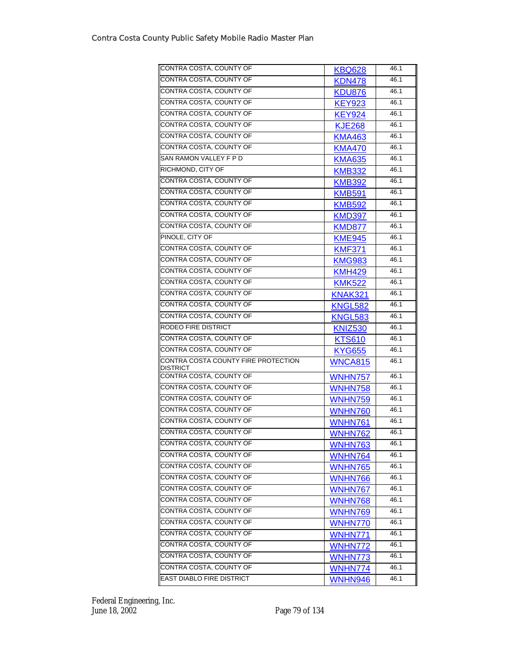| CONTRA COSTA, COUNTY OF                         | <b>KBQ628</b>  | 46.1 |
|-------------------------------------------------|----------------|------|
| CONTRA COSTA, COUNTY OF                         | <b>KDN478</b>  | 46.1 |
| CONTRA COSTA, COUNTY OF                         | <b>KDU876</b>  | 46.1 |
| CONTRA COSTA, COUNTY OF                         | <b>KEY923</b>  | 46.1 |
| CONTRA COSTA, COUNTY OF                         | <b>KEY924</b>  | 46.1 |
| CONTRA COSTA, COUNTY OF                         | <b>KJE268</b>  | 46.1 |
| CONTRA COSTA, COUNTY OF                         | <b>KMA463</b>  | 46.1 |
| CONTRA COSTA, COUNTY OF                         | <b>KMA470</b>  | 46.1 |
| SAN RAMON VALLEY F P D                          | <b>KMA635</b>  | 46.1 |
| RICHMOND, CITY OF                               | KMB332         | 46.1 |
| CONTRA COSTA, COUNTY OF                         | <b>KMB392</b>  | 46.1 |
| CONTRA COSTA, COUNTY OF                         | <b>KMB591</b>  | 46.1 |
| CONTRA COSTA, COUNTY OF                         | <b>KMB592</b>  | 46.1 |
| CONTRA COSTA, COUNTY OF                         | <b>KMD397</b>  | 46.1 |
| CONTRA COSTA, COUNTY OF                         | <b>KMD877</b>  | 46.1 |
| PINOLE, CITY OF                                 | <b>KME945</b>  | 46.1 |
| CONTRA COSTA, COUNTY OF                         | <b>KMF371</b>  | 46.1 |
| CONTRA COSTA, COUNTY OF                         | <b>KMG983</b>  | 46.1 |
| CONTRA COSTA, COUNTY OF                         | <b>KMH429</b>  | 46.1 |
| CONTRA COSTA, COUNTY OF                         | <b>KMK522</b>  | 46.1 |
| CONTRA COSTA, COUNTY OF                         | <b>KNAK321</b> | 46.1 |
| CONTRA COSTA, COUNTY OF                         | <b>KNGL582</b> | 46.1 |
| CONTRA COSTA, COUNTY OF                         | KNGL583        | 46.1 |
| RODEO FIRE DISTRICT                             | <b>KNIZ530</b> | 46.1 |
| CONTRA COSTA, COUNTY OF                         | <b>KTS610</b>  | 46.1 |
| CONTRA COSTA, COUNTY OF                         | <b>KYG655</b>  | 46.1 |
| CONTRA COSTA COUNTY FIRE PROTECTION<br>DISTRICT | WNCA815        | 46.1 |
| CONTRA COSTA, COUNTY OF                         | <b>WNHN757</b> | 46.1 |
| CONTRA COSTA, COUNTY OF                         | <b>WNHN758</b> | 46.1 |
| CONTRA COSTA, COUNTY OF                         | <b>WNHN759</b> | 46.1 |
| CONTRA COSTA, COUNTY OF                         | <b>WNHN760</b> | 46.1 |
| CONTRA COSTA, COUNTY OF                         | <b>WNHN761</b> | 46.1 |
| CONTRA COSTA, COUNTY OF                         | <b>WNHN762</b> | 46.1 |
| CONTRA COSTA, COUNTY OF                         | <b>WNHN763</b> | 46.1 |
| CONTRA COSTA, COUNTY OF                         | WNHN764        | 46.1 |
| CONTRA COSTA, COUNTY OF                         | <b>WNHN765</b> | 46.1 |
| CONTRA COSTA, COUNTY OF                         | <b>WNHN766</b> | 46.1 |
| CONTRA COSTA, COUNTY OF                         | WNHN767        | 46.1 |
| CONTRA COSTA, COUNTY OF                         | <b>WNHN768</b> | 46.1 |
| CONTRA COSTA, COUNTY OF                         | <b>WNHN769</b> | 46.1 |
| CONTRA COSTA, COUNTY OF                         | WNHN770        | 46.1 |
| CONTRA COSTA, COUNTY OF                         | <b>WNHN771</b> | 46.1 |
| CONTRA COSTA, COUNTY OF                         | WNHN772        | 46.1 |
| CONTRA COSTA, COUNTY OF                         | WNHN773        | 46.1 |
| CONTRA COSTA, COUNTY OF                         | WNHN774        | 46.1 |
| EAST DIABLO FIRE DISTRICT                       |                | 46.1 |

Federal Engineering, Inc. June 18, 2002 Page 79 of 134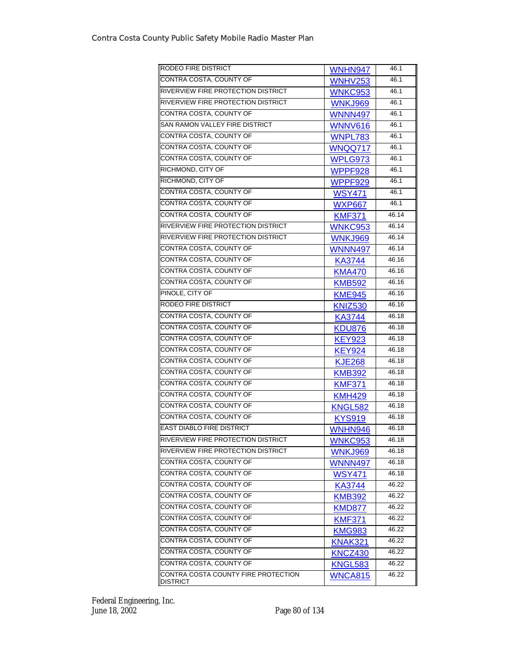| <b>RODEO FIRE DISTRICT</b>                             | <b>WNHN947</b> | 46.1  |
|--------------------------------------------------------|----------------|-------|
| CONTRA COSTA, COUNTY OF                                | <b>WNHV253</b> | 46.1  |
| RIVERVIEW FIRE PROTECTION DISTRICT                     | <b>WNKC953</b> | 46.1  |
| RIVERVIEW FIRE PROTECTION DISTRICT                     | <b>WNKJ969</b> | 46.1  |
| CONTRA COSTA, COUNTY OF                                | <b>WNNN497</b> | 46.1  |
| SAN RAMON VALLEY FIRE DISTRICT                         | <b>WNNV616</b> | 46.1  |
| CONTRA COSTA, COUNTY OF                                | <b>WNPL783</b> | 46.1  |
| CONTRA COSTA, COUNTY OF                                | WNQQ717        | 46.1  |
| CONTRA COSTA, COUNTY OF                                | WPLG973        | 46.1  |
| RICHMOND, CITY OF                                      | WPPF928        | 46.1  |
| RICHMOND, CITY OF                                      | WPPF929        | 46.1  |
| CONTRA COSTA, COUNTY OF                                | <b>WSY471</b>  | 46.1  |
| CONTRA COSTA, COUNTY OF                                | <b>WXP667</b>  | 46.1  |
| CONTRA COSTA, COUNTY OF                                | <b>KMF371</b>  | 46.14 |
| RIVERVIEW FIRE PROTECTION DISTRICT                     | <b>WNKC953</b> | 46.14 |
| RIVERVIEW FIRE PROTECTION DISTRICT                     | <b>WNKJ969</b> | 46.14 |
| CONTRA COSTA, COUNTY OF                                | <b>WNNN497</b> | 46.14 |
| CONTRA COSTA, COUNTY OF                                | <b>KA3744</b>  | 46.16 |
| CONTRA COSTA, COUNTY OF                                | <b>KMA470</b>  | 46.16 |
| CONTRA COSTA, COUNTY OF                                | <b>KMB592</b>  | 46.16 |
| PINOLE, CITY OF                                        | <b>KME945</b>  | 46.16 |
| RODEO FIRE DISTRICT                                    | <b>KNIZ530</b> | 46.16 |
| CONTRA COSTA, COUNTY OF                                | KA3744         | 46.18 |
| CONTRA COSTA, COUNTY OF                                | <b>KDU876</b>  | 46.18 |
| CONTRA COSTA, COUNTY OF                                | <b>KEY923</b>  | 46.18 |
| CONTRA COSTA, COUNTY OF                                | <b>KEY924</b>  | 46.18 |
| CONTRA COSTA, COUNTY OF                                | <b>KJE268</b>  | 46.18 |
| CONTRA COSTA, COUNTY OF                                | <b>KMB392</b>  | 46.18 |
| CONTRA COSTA, COUNTY OF                                | <b>KMF371</b>  | 46.18 |
| CONTRA COSTA, COUNTY OF                                | <b>KMH429</b>  | 46.18 |
| CONTRA COSTA, COUNTY OF                                | <b>KNGL582</b> | 46.18 |
| CONTRA COSTA, COUNTY OF                                | <b>KYS919</b>  | 46.18 |
| EAST DIABLO FIRE DISTRICT                              | <b>WNHN946</b> | 46.18 |
| <b>RIVERVIEW FIRE PROTECTION DISTRICT</b>              | <b>WNKC953</b> | 46.18 |
| RIVERVIEW FIRE PROTECTION DISTRICT                     | <b>WNKJ969</b> | 46.18 |
| CONTRA COSTA, COUNTY OF                                | <b>WNNN497</b> | 46.18 |
| CONTRA COSTA, COUNTY OF                                | <b>WSY471</b>  | 46.18 |
| CONTRA COSTA, COUNTY OF                                | KA3744         | 46.22 |
| CONTRA COSTA, COUNTY OF                                | <b>KMB392</b>  | 46.22 |
| CONTRA COSTA, COUNTY OF                                | <b>KMD877</b>  | 46.22 |
| CONTRA COSTA, COUNTY OF                                | <b>KMF371</b>  | 46.22 |
| CONTRA COSTA, COUNTY OF                                | <b>KMG983</b>  | 46.22 |
| CONTRA COSTA, COUNTY OF                                | KNAK321        | 46.22 |
| CONTRA COSTA, COUNTY OF                                | KNCZ430        | 46.22 |
| CONTRA COSTA, COUNTY OF                                | <b>KNGL583</b> | 46.22 |
| CONTRA COSTA COUNTY FIRE PROTECTION<br><b>DISTRICT</b> | <b>WNCA815</b> | 46.22 |

Federal Engineering, Inc. June 18, 2002 Page 80 of 134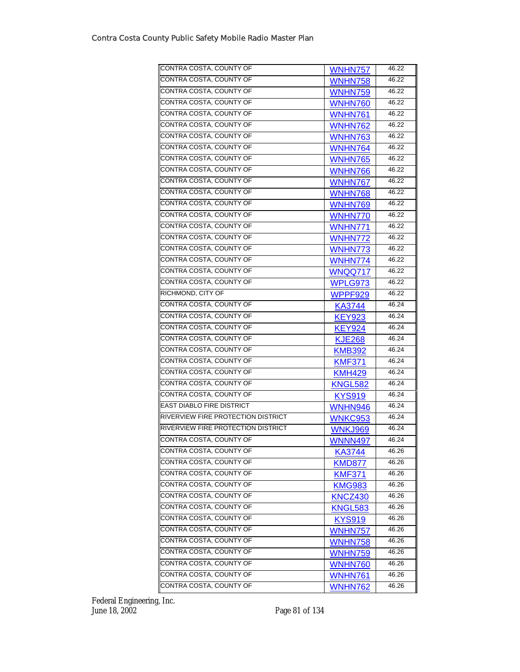| CONTRA COSTA, COUNTY OF            | <b>WNHN757</b> | 46.22 |
|------------------------------------|----------------|-------|
| CONTRA COSTA, COUNTY OF            | <b>WNHN758</b> | 46.22 |
| CONTRA COSTA, COUNTY OF            | <b>WNHN759</b> | 46.22 |
| CONTRA COSTA, COUNTY OF            | <b>WNHN760</b> | 46.22 |
| CONTRA COSTA, COUNTY OF            | <b>WNHN761</b> | 46.22 |
| CONTRA COSTA, COUNTY OF            | <b>WNHN762</b> | 46.22 |
| CONTRA COSTA, COUNTY OF            | <b>WNHN763</b> | 46.22 |
| CONTRA COSTA, COUNTY OF            | <b>WNHN764</b> | 46.22 |
| CONTRA COSTA, COUNTY OF            | <b>WNHN765</b> | 46.22 |
| CONTRA COSTA, COUNTY OF            | <b>WNHN766</b> | 46.22 |
| CONTRA COSTA, COUNTY OF            | <b>WNHN767</b> | 46.22 |
| CONTRA COSTA, COUNTY OF            | <b>WNHN768</b> | 46.22 |
| CONTRA COSTA, COUNTY OF            | <b>WNHN769</b> | 46.22 |
| CONTRA COSTA, COUNTY OF            | <b>WNHN770</b> | 46.22 |
| CONTRA COSTA, COUNTY OF            | WNHN771        | 46.22 |
| CONTRA COSTA, COUNTY OF            | WNHN772        | 46.22 |
| <b>CONTRA COSTA, COUNTY OF</b>     | <b>WNHN773</b> | 46.22 |
| CONTRA COSTA, COUNTY OF            | WNHN774        | 46.22 |
| CONTRA COSTA, COUNTY OF            | WNQQ717        | 46.22 |
| CONTRA COSTA, COUNTY OF            | WPLG973        | 46.22 |
| RICHMOND, CITY OF                  | WPPF929        | 46.22 |
| CONTRA COSTA, COUNTY OF            | <b>KA3744</b>  | 46.24 |
| CONTRA COSTA, COUNTY OF            | <b>KEY923</b>  | 46.24 |
| CONTRA COSTA, COUNTY OF            | <b>KEY924</b>  | 46.24 |
| CONTRA COSTA, COUNTY OF            | <b>KJE268</b>  | 46.24 |
| CONTRA COSTA, COUNTY OF            | <b>KMB392</b>  | 46.24 |
| CONTRA COSTA, COUNTY OF            | <b>KMF371</b>  | 46.24 |
| CONTRA COSTA, COUNTY OF            | <b>KMH429</b>  | 46.24 |
| CONTRA COSTA, COUNTY OF            | <b>KNGL582</b> | 46.24 |
| CONTRA COSTA, COUNTY OF            | <b>KYS919</b>  | 46.24 |
| <b>EAST DIABLO FIRE DISTRICT</b>   | <b>WNHN946</b> | 46.24 |
| RIVERVIEW FIRE PROTECTION DISTRICT | <b>WNKC953</b> | 46.24 |
| RIVERVIEW FIRE PROTECTION DISTRICT | <b>WNKJ969</b> | 46.24 |
| CONTRA COSTA, COUNTY OF            | <b>WNNN497</b> | 46.24 |
| CONTRA COSTA, COUNTY OF            | <b>KA3744</b>  | 46.26 |
| CONTRA COSTA, COUNTY OF            | <b>KMD877</b>  | 46.26 |
| CONTRA COSTA, COUNTY OF            | <b>KMF371</b>  | 46.26 |
| CONTRA COSTA, COUNTY OF            | <b>KMG983</b>  | 46.26 |
| CONTRA COSTA, COUNTY OF            | <b>KNCZ430</b> | 46.26 |
| CONTRA COSTA, COUNTY OF            | KNGL583        | 46.26 |
| CONTRA COSTA, COUNTY OF            | <b>KYS919</b>  | 46.26 |
| CONTRA COSTA, COUNTY OF            | <b>WNHN757</b> | 46.26 |
| CONTRA COSTA, COUNTY OF            | <b>WNHN758</b> | 46.26 |
| CONTRA COSTA, COUNTY OF            | <b>WNHN759</b> | 46.26 |
| CONTRA COSTA, COUNTY OF            | <b>WNHN760</b> | 46.26 |
| CONTRA COSTA, COUNTY OF            | <b>WNHN761</b> | 46.26 |
| CONTRA COSTA, COUNTY OF            | <b>WNHN762</b> | 46.26 |

Federal Engineering, Inc. June 18, 2002 Page 81 of 134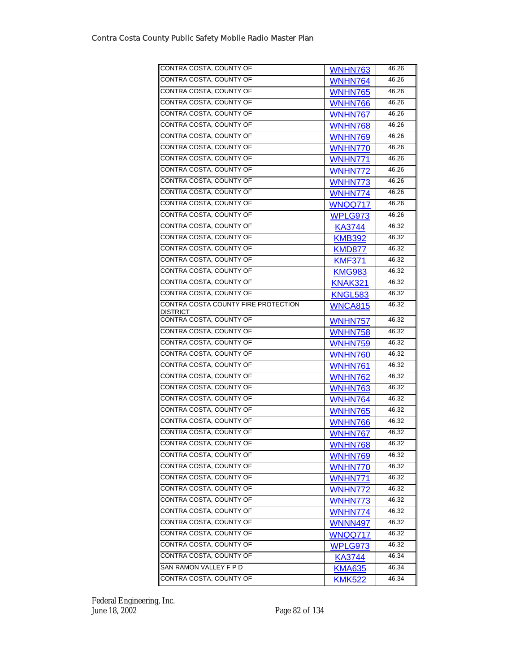| CONTRA COSTA, COUNTY OF                         | <b>WNHN763</b> | 46.26 |
|-------------------------------------------------|----------------|-------|
| CONTRA COSTA, COUNTY OF                         | <b>WNHN764</b> | 46.26 |
| CONTRA COSTA, COUNTY OF                         | <b>WNHN765</b> | 46.26 |
| CONTRA COSTA, COUNTY OF                         | <b>WNHN766</b> | 46.26 |
| CONTRA COSTA, COUNTY OF                         | WNHN767        | 46.26 |
| CONTRA COSTA, COUNTY OF                         | <b>WNHN768</b> | 46.26 |
| CONTRA COSTA, COUNTY OF                         | <b>WNHN769</b> | 46.26 |
| CONTRA COSTA, COUNTY OF                         | WNHN770        | 46.26 |
| CONTRA COSTA, COUNTY OF                         | <b>WNHN771</b> | 46.26 |
| CONTRA COSTA, COUNTY OF                         | <b>WNHN772</b> | 46.26 |
| CONTRA COSTA, COUNTY OF                         | <b>WNHN773</b> | 46.26 |
| CONTRA COSTA, COUNTY OF                         | WNHN774        | 46.26 |
| CONTRA COSTA, COUNTY OF                         | <b>WNQQ717</b> | 46.26 |
| CONTRA COSTA, COUNTY OF                         | WPLG973        | 46.26 |
| CONTRA COSTA, COUNTY OF                         | <b>KA3744</b>  | 46.32 |
| CONTRA COSTA, COUNTY OF                         | <b>KMB392</b>  | 46.32 |
| CONTRA COSTA, COUNTY OF                         | <b>KMD877</b>  | 46.32 |
| CONTRA COSTA, COUNTY OF                         | <b>KMF371</b>  | 46.32 |
| CONTRA COSTA, COUNTY OF                         | <b>KMG983</b>  | 46.32 |
| CONTRA COSTA, COUNTY OF                         | <b>KNAK321</b> | 46.32 |
| CONTRA COSTA, COUNTY OF                         | <b>KNGL583</b> | 46.32 |
| CONTRA COSTA COUNTY FIRE PROTECTION<br>DISTRICT | <b>WNCA815</b> | 46.32 |
| CONTRA COSTA, COUNTY OF                         | <b>WNHN757</b> | 46.32 |
| CONTRA COSTA, COUNTY OF                         | <b>WNHN758</b> | 46.32 |
| CONTRA COSTA, COUNTY OF                         | <b>WNHN759</b> | 46.32 |
| CONTRA COSTA, COUNTY OF                         | <b>WNHN760</b> | 46.32 |
| CONTRA COSTA, COUNTY OF                         | <b>WNHN761</b> | 46.32 |
| CONTRA COSTA, COUNTY OF                         | <b>WNHN762</b> | 46.32 |
| CONTRA COSTA, COUNTY OF                         | <b>WNHN763</b> | 46.32 |
| CONTRA COSTA, COUNTY OF                         | <b>WNHN764</b> | 46.32 |
| CONTRA COSTA, COUNTY OF                         | <b>WNHN765</b> | 46.32 |
| CONTRA COSTA, COUNTY OF                         | <b>WNHN766</b> | 46.32 |
| CONTRA COSTA, COUNTY OF                         | <b>WNHN767</b> | 46.32 |
| CONTRA COSTA, COUNTY OF                         | <b>WNHN768</b> | 46.32 |
| CONTRA COSTA, COUNTY OF                         | <b>WNHN769</b> | 46.32 |
| CONTRA COSTA, COUNTY OF                         | <b>WNHN770</b> | 46.32 |
| CONTRA COSTA, COUNTY OF                         | <b>WNHN771</b> | 46.32 |
| CONTRA COSTA, COUNTY OF                         | <b>WNHN772</b> | 46.32 |
| CONTRA COSTA, COUNTY OF                         | WNHN773        | 46.32 |
| CONTRA COSTA, COUNTY OF                         | WNHN774        | 46.32 |
| CONTRA COSTA, COUNTY OF                         | <b>WNNN497</b> | 46.32 |
| CONTRA COSTA, COUNTY OF                         | <b>WNQQ717</b> | 46.32 |
| CONTRA COSTA, COUNTY OF                         | WPLG973        | 46.32 |
| CONTRA COSTA, COUNTY OF                         | <b>KA3744</b>  | 46.34 |
| SAN RAMON VALLEY F P D                          | <b>KMA635</b>  | 46.34 |
| CONTRA COSTA, COUNTY OF                         | <b>KMK522</b>  | 46.34 |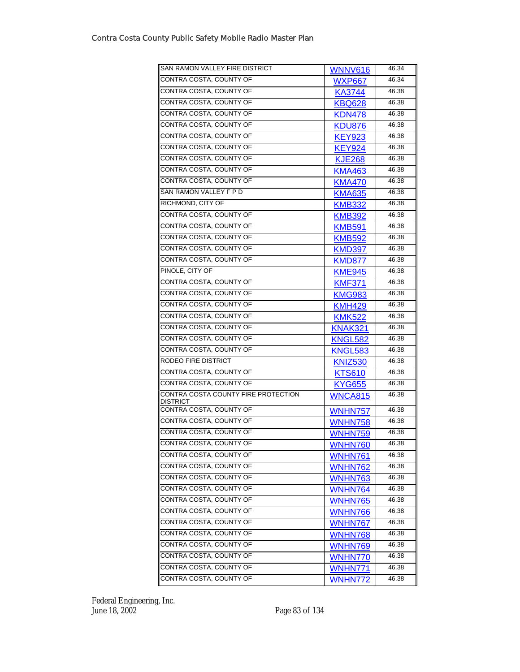| SAN RAMON VALLEY FIRE DISTRICT                         | <b>WNNV616</b> | 46.34 |
|--------------------------------------------------------|----------------|-------|
| CONTRA COSTA, COUNTY OF                                | <b>WXP667</b>  | 46.34 |
| CONTRA COSTA, COUNTY OF                                | <b>KA3744</b>  | 46.38 |
| CONTRA COSTA, COUNTY OF                                | <b>KBQ628</b>  | 46.38 |
| CONTRA COSTA, COUNTY OF                                | <b>KDN478</b>  | 46.38 |
| CONTRA COSTA, COUNTY OF                                | <b>KDU876</b>  | 46.38 |
| CONTRA COSTA, COUNTY OF                                | <b>KEY923</b>  | 46.38 |
| <b>CONTRA COSTA, COUNTY OF</b>                         | <b>KEY924</b>  | 46.38 |
| CONTRA COSTA, COUNTY OF                                | <b>KJE268</b>  | 46.38 |
| CONTRA COSTA, COUNTY OF                                | <b>KMA463</b>  | 46.38 |
| CONTRA COSTA, COUNTY OF                                | <b>KMA470</b>  | 46.38 |
| SAN RAMON VALLEY F P D                                 | <b>KMA635</b>  | 46.38 |
| RICHMOND, CITY OF                                      | <b>KMB332</b>  | 46.38 |
| CONTRA COSTA, COUNTY OF                                | <b>KMB392</b>  | 46.38 |
| CONTRA COSTA, COUNTY OF                                | <b>KMB591</b>  | 46.38 |
| CONTRA COSTA, COUNTY OF                                | <b>KMB592</b>  | 46.38 |
| CONTRA COSTA, COUNTY OF                                | <b>KMD397</b>  | 46.38 |
| CONTRA COSTA, COUNTY OF                                | <b>KMD877</b>  | 46.38 |
| PINOLE, CITY OF                                        | <b>KME945</b>  | 46.38 |
| CONTRA COSTA, COUNTY OF                                | <b>KMF371</b>  | 46.38 |
| CONTRA COSTA, COUNTY OF                                | <b>KMG983</b>  | 46.38 |
| CONTRA COSTA, COUNTY OF                                | <b>KMH429</b>  | 46.38 |
| CONTRA COSTA, COUNTY OF                                | <b>KMK522</b>  | 46.38 |
| CONTRA COSTA, COUNTY OF                                | <b>KNAK321</b> | 46.38 |
| CONTRA COSTA, COUNTY OF                                | <b>KNGL582</b> | 46.38 |
| CONTRA COSTA, COUNTY OF                                | <b>KNGL583</b> | 46.38 |
| RODEO FIRE DISTRICT                                    | <b>KNIZ530</b> | 46.38 |
| CONTRA COSTA, COUNTY OF                                | <b>KTS610</b>  | 46.38 |
| CONTRA COSTA, COUNTY OF                                | <b>KYG655</b>  | 46.38 |
| CONTRA COSTA COUNTY FIRE PROTECTION<br><b>DISTRICT</b> | <b>WNCA815</b> | 46.38 |
| CONTRA COSTA, COUNTY OF                                | <b>WNHN757</b> | 46.38 |
| CONTRA COSTA, COUNTY OF                                | WNHN758        | 46.38 |
| CONTRA COSTA, COUNTY OF                                | <b>WNHN759</b> | 46.38 |
| CONTRA COSTA, COUNTY OF                                | <b>WNHN760</b> | 46.38 |
| CONTRA COSTA, COUNTY OF                                | <b>WNHN761</b> | 46.38 |
| CONTRA COSTA, COUNTY OF                                | <b>WNHN762</b> | 46.38 |
| CONTRA COSTA, COUNTY OF                                | <b>WNHN763</b> | 46.38 |
| CONTRA COSTA, COUNTY OF                                | <b>WNHN764</b> | 46.38 |
| CONTRA COSTA, COUNTY OF                                | <b>WNHN765</b> | 46.38 |
| CONTRA COSTA, COUNTY OF                                | <b>WNHN766</b> | 46.38 |
| CONTRA COSTA, COUNTY OF                                | <b>WNHN767</b> | 46.38 |
| CONTRA COSTA, COUNTY OF                                | <b>WNHN768</b> | 46.38 |
| CONTRA COSTA, COUNTY OF                                | <b>WNHN769</b> | 46.38 |
| CONTRA COSTA, COUNTY OF                                | WNHN770        | 46.38 |
| CONTRA COSTA, COUNTY OF                                | <b>WNHN771</b> | 46.38 |
| CONTRA COSTA, COUNTY OF                                | WNHN772        | 46.38 |

Federal Engineering, Inc. June 18, 2002 Page 83 of 134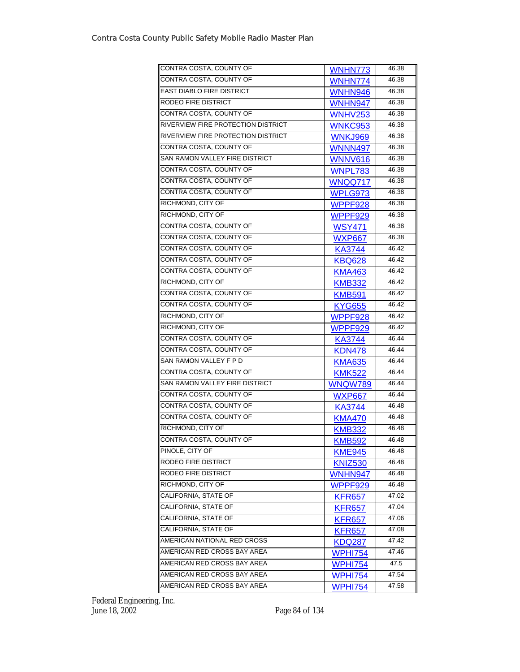| CONTRA COSTA, COUNTY OF            | WNHN773        | 46.38 |
|------------------------------------|----------------|-------|
| CONTRA COSTA, COUNTY OF            | <b>WNHN774</b> | 46.38 |
| EAST DIABLO FIRE DISTRICT          | <b>WNHN946</b> | 46.38 |
| RODEO FIRE DISTRICT                | <b>WNHN947</b> | 46.38 |
| CONTRA COSTA, COUNTY OF            | <b>WNHV253</b> | 46.38 |
| RIVERVIEW FIRE PROTECTION DISTRICT | WNKC953        | 46.38 |
| RIVERVIEW FIRE PROTECTION DISTRICT | <b>WNKJ969</b> | 46.38 |
| CONTRA COSTA, COUNTY OF            | <b>WNNN497</b> | 46.38 |
| SAN RAMON VALLEY FIRE DISTRICT     | <b>WNNV616</b> | 46.38 |
| CONTRA COSTA, COUNTY OF            | <b>WNPL783</b> | 46.38 |
| CONTRA COSTA, COUNTY OF            | WNQQ717        | 46.38 |
| CONTRA COSTA, COUNTY OF            | WPLG973        | 46.38 |
| RICHMOND, CITY OF                  | WPPF928        | 46.38 |
| RICHMOND, CITY OF                  | WPPF929        | 46.38 |
| CONTRA COSTA, COUNTY OF            | <b>WSY471</b>  | 46.38 |
| CONTRA COSTA, COUNTY OF            | <b>WXP667</b>  | 46.38 |
| CONTRA COSTA, COUNTY OF            | <b>KA3744</b>  | 46.42 |
| CONTRA COSTA, COUNTY OF            | <b>KBQ628</b>  | 46.42 |
| CONTRA COSTA, COUNTY OF            | <b>KMA463</b>  | 46.42 |
| RICHMOND, CITY OF                  | <b>KMB332</b>  | 46.42 |
| CONTRA COSTA, COUNTY OF            | <b>KMB591</b>  | 46.42 |
| CONTRA COSTA, COUNTY OF            | <b>KYG655</b>  | 46.42 |
| RICHMOND, CITY OF                  | WPPF928        | 46.42 |
| RICHMOND, CITY OF                  | WPPF929        | 46.42 |
| CONTRA COSTA, COUNTY OF            | KA3744         | 46.44 |
| CONTRA COSTA, COUNTY OF            | <b>KDN478</b>  | 46.44 |
| SAN RAMON VALLEY F P D             | <b>KMA635</b>  | 46.44 |
| CONTRA COSTA, COUNTY OF            | <b>KMK522</b>  | 46.44 |
| SAN RAMON VALLEY FIRE DISTRICT     | <b>WNQW789</b> | 46.44 |
| CONTRA COSTA, COUNTY OF            | <b>WXP667</b>  | 46.44 |
| CONTRA COSTA, COUNTY OF            | <b>KA3744</b>  | 46.48 |
| CONTRA COSTA, COUNTY OF            | <b>KMA470</b>  | 46.48 |
| RICHMOND, CITY OF                  | <b>KMB332</b>  | 46.48 |
| <b>CONTRA COSTA, COUNTY OF</b>     | <b>KMB592</b>  | 46.48 |
| PINOLE, CITY OF                    | <b>KME945</b>  | 46.48 |
| RODEO FIRE DISTRICT                | <b>KNIZ530</b> | 46.48 |
| RODEO FIRE DISTRICT                | WNHN947        | 46.48 |
| RICHMOND, CITY OF                  | WPPF929        | 46.48 |
| CALIFORNIA, STATE OF               | <b>KFR657</b>  | 47.02 |
| CALIFORNIA, STATE OF               | <b>KFR657</b>  | 47.04 |
| CALIFORNIA, STATE OF               | <b>KFR657</b>  | 47.06 |
| CALIFORNIA, STATE OF               | <b>KFR657</b>  | 47.08 |
| AMERICAN NATIONAL RED CROSS        | <b>KDQ287</b>  | 47.42 |
| AMERICAN RED CROSS BAY AREA        | <b>WPHI754</b> | 47.46 |
| AMERICAN RED CROSS BAY AREA        | <b>WPHI754</b> | 47.5  |
| AMERICAN RED CROSS BAY AREA        | <b>WPHI754</b> | 47.54 |
| AMERICAN RED CROSS BAY AREA        | <b>WPHI754</b> | 47.58 |

Federal Engineering, Inc. June 18, 2002 Page 84 of 134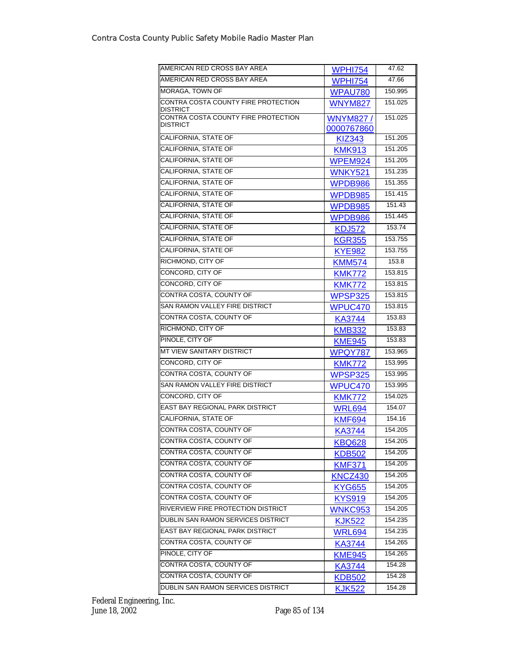| AMERICAN RED CROSS BAY AREA                            | <b>WPHI754</b>                | 47.62   |
|--------------------------------------------------------|-------------------------------|---------|
| AMERICAN RED CROSS BAY AREA                            | <b>WPHI754</b>                | 47.66   |
| MORAGA. TOWN OF                                        | <b>WPAU780</b>                | 150.995 |
| CONTRA COSTA COUNTY FIRE PROTECTION<br>DISTRICT        | <b>WNYM827</b>                | 151.025 |
| CONTRA COSTA COUNTY FIRE PROTECTION<br><b>DISTRICT</b> | <b>WNYM827/</b><br>0000767860 | 151.025 |
| CALIFORNIA, STATE OF                                   | <b>KIZ343</b>                 | 151.205 |
| CALIFORNIA, STATE OF                                   | <b>KMK913</b>                 | 151.205 |
| CALIFORNIA, STATE OF                                   | WPEM924                       | 151.205 |
| CALIFORNIA. STATE OF                                   | <b>WNKY521</b>                | 151.235 |
| CALIFORNIA, STATE OF                                   | WPDB986                       | 151.355 |
| CALIFORNIA, STATE OF                                   | <b>WPDB985</b>                | 151.415 |
| CALIFORNIA, STATE OF                                   | WPDB985                       | 151.43  |
| CALIFORNIA, STATE OF                                   | WPDB986                       | 151.445 |
| CALIFORNIA, STATE OF                                   | <b>KDJ572</b>                 | 153.74  |
| CALIFORNIA, STATE OF                                   | <b>KGR355</b>                 | 153.755 |
| CALIFORNIA, STATE OF                                   | <b>KYE982</b>                 | 153.755 |
| RICHMOND, CITY OF                                      | <b>KMM574</b>                 | 153.8   |
| CONCORD, CITY OF                                       | <b>KMK772</b>                 | 153.815 |
| CONCORD, CITY OF                                       | <b>KMK772</b>                 | 153.815 |
| CONTRA COSTA, COUNTY OF                                | <b>WPSP325</b>                | 153.815 |
| SAN RAMON VALLEY FIRE DISTRICT                         | WPUC470                       | 153.815 |
| CONTRA COSTA, COUNTY OF                                | KA3744                        | 153.83  |
| RICHMOND, CITY OF                                      | <b>KMB332</b>                 | 153.83  |
| PINOLE, CITY OF                                        | <b>KME945</b>                 | 153.83  |
| MT VIEW SANITARY DISTRICT                              | WPQY787                       | 153.965 |
| CONCORD, CITY OF                                       | <b>KMK772</b>                 | 153.995 |
| CONTRA COSTA, COUNTY OF                                | <b>WPSP325</b>                | 153.995 |
| SAN RAMON VALLEY FIRE DISTRICT                         | WPUC470                       | 153.995 |
| CONCORD, CITY OF                                       | <b>KMK772</b>                 | 154.025 |
| EAST BAY REGIONAL PARK DISTRICT                        | <b>WRL694</b>                 | 154.07  |
| CALIFORNIA, STATE OF                                   | <b>KMF694</b>                 | 154.16  |
| CONTRA COSTA, COUNTY OF                                | <b>KA3744</b>                 | 154.205 |
| CONTRA COSTA, COUNTY OF                                | <b>KBQ628</b>                 | 154.205 |
| CONTRA COSTA, COUNTY OF                                | <b>KDB502</b>                 | 154.205 |
| CONTRA COSTA, COUNTY OF                                | <b>KMF371</b>                 | 154.205 |
| CONTRA COSTA, COUNTY OF                                | KNCZ430                       | 154.205 |
| CONTRA COSTA, COUNTY OF                                | <b>KYG655</b>                 | 154.205 |
| CONTRA COSTA, COUNTY OF                                | <b>KYS919</b>                 | 154.205 |
| RIVERVIEW FIRE PROTECTION DISTRICT                     | WNKC953                       | 154.205 |
| DUBLIN SAN RAMON SERVICES DISTRICT                     | <b>KJK522</b>                 | 154.235 |
| EAST BAY REGIONAL PARK DISTRICT                        | <b>WRL694</b>                 | 154.235 |
| CONTRA COSTA, COUNTY OF                                | KA3744                        | 154.265 |
| PINOLE, CITY OF                                        | <b>KME945</b>                 | 154.265 |
| CONTRA COSTA, COUNTY OF                                | <b>KA3744</b>                 | 154.28  |
| CONTRA COSTA, COUNTY OF                                | <b>KDB502</b>                 | 154.28  |
| DUBLIN SAN RAMON SERVICES DISTRICT                     | <b>KJK522</b>                 | 154.28  |

Federal Engineering, Inc. June 18, 2002 Page 85 of 134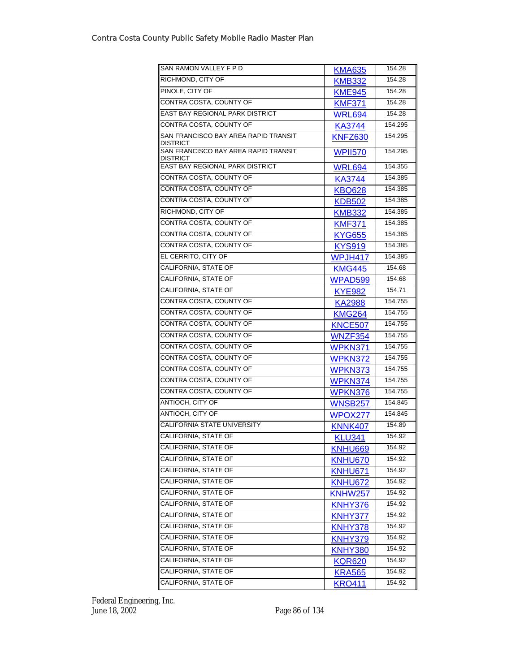| SAN RAMON VALLEY F P D                           | <b>KMA635</b>  | 154.28  |
|--------------------------------------------------|----------------|---------|
| RICHMOND, CITY OF                                | <b>KMB332</b>  | 154.28  |
| PINOLE, CITY OF                                  | <b>KME945</b>  | 154.28  |
| CONTRA COSTA, COUNTY OF                          | <b>KMF371</b>  | 154.28  |
| EAST BAY REGIONAL PARK DISTRICT                  | <b>WRL694</b>  | 154.28  |
| CONTRA COSTA, COUNTY OF                          | <b>KA3744</b>  | 154.295 |
| SAN FRANCISCO BAY AREA RAPID TRANSIT<br>DISTRICT | KNFZ630        | 154.295 |
| SAN FRANCISCO BAY AREA RAPID TRANSIT<br>DISTRICT | <b>WPII570</b> | 154.295 |
| EAST BAY REGIONAL PARK DISTRICT                  | <b>WRL694</b>  | 154.355 |
| CONTRA COSTA, COUNTY OF                          | KA3744         | 154.385 |
| CONTRA COSTA, COUNTY OF                          | <b>KBQ628</b>  | 154.385 |
| CONTRA COSTA, COUNTY OF                          | <b>KDB502</b>  | 154.385 |
| RICHMOND, CITY OF                                | <b>KMB332</b>  | 154.385 |
| CONTRA COSTA, COUNTY OF                          | <b>KMF371</b>  | 154.385 |
| CONTRA COSTA, COUNTY OF                          | <b>KYG655</b>  | 154.385 |
| CONTRA COSTA, COUNTY OF                          | <b>KYS919</b>  | 154.385 |
| EL CERRITO, CITY OF                              | WPJH417        | 154.385 |
| CALIFORNIA, STATE OF                             | <b>KMG445</b>  | 154.68  |
| CALIFORNIA, STATE OF                             | WPAD599        | 154.68  |
| CALIFORNIA, STATE OF                             | <b>KYE982</b>  | 154.71  |
| CONTRA COSTA, COUNTY OF                          | <b>KA2988</b>  | 154.755 |
| CONTRA COSTA, COUNTY OF                          | <b>KMG264</b>  | 154.755 |
| CONTRA COSTA, COUNTY OF                          | <b>KNCE507</b> | 154.755 |
| CONTRA COSTA, COUNTY OF                          | WNZF354        | 154.755 |
| CONTRA COSTA, COUNTY OF                          | WPKN371        | 154.755 |
| CONTRA COSTA, COUNTY OF                          | <b>WPKN372</b> | 154.755 |
| CONTRA COSTA, COUNTY OF                          | WPKN373        | 154.755 |
| CONTRA COSTA, COUNTY OF                          | WPKN374        | 154.755 |
| CONTRA COSTA, COUNTY OF                          | WPKN376        | 154.755 |
| ANTIOCH, CITY OF                                 | <b>WNSB257</b> | 154.845 |
| ANTIOCH, CITY OF                                 | WPOX277        | 154.845 |
| CALIFORNIA STATE UNIVERSITY                      | <b>KNNK407</b> | 154.89  |
| CALIFORNIA, STATE OF                             | <b>KLU341</b>  | 154.92  |
| CALIFORNIA, STATE OF                             | <b>KNHU669</b> | 154.92  |
| CALIFORNIA, STATE OF                             | <b>KNHU670</b> | 154.92  |
| CALIFORNIA, STATE OF                             | <b>KNHU671</b> | 154.92  |
| CALIFORNIA, STATE OF                             | <b>KNHU672</b> | 154.92  |
| CALIFORNIA, STATE OF                             | <b>KNHW257</b> | 154.92  |
| CALIFORNIA, STATE OF                             | KNHY376        | 154.92  |
| CALIFORNIA, STATE OF                             | KNHY377        | 154.92  |
| CALIFORNIA, STATE OF                             | <b>KNHY378</b> | 154.92  |
| CALIFORNIA, STATE OF                             | KNHY379        | 154.92  |
| CALIFORNIA, STATE OF                             | KNHY380        | 154.92  |
| CALIFORNIA, STATE OF                             | <b>KQR620</b>  | 154.92  |
| CALIFORNIA, STATE OF                             | <b>KRA565</b>  | 154.92  |
| CALIFORNIA, STATE OF                             | <b>KRO411</b>  | 154.92  |
|                                                  |                |         |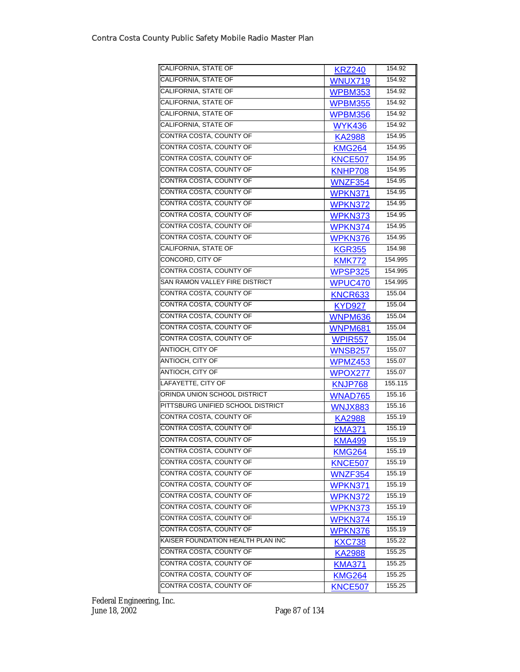| CALIFORNIA, STATE OF              | <b>KRZ240</b>       | 154.92  |
|-----------------------------------|---------------------|---------|
| CALIFORNIA, STATE OF              | <b>WNUX719</b>      | 154.92  |
| CALIFORNIA, STATE OF              | <b>WPBM353</b>      | 154.92  |
| CALIFORNIA, STATE OF              | <b>WPBM355</b>      | 154.92  |
| CALIFORNIA, STATE OF              | WPBM356             | 154.92  |
| CALIFORNIA, STATE OF              | <b>WYK436</b>       | 154.92  |
| CONTRA COSTA, COUNTY OF           | <b>KA2988</b>       | 154.95  |
| CONTRA COSTA, COUNTY OF           | <b>KMG264</b>       | 154.95  |
| CONTRA COSTA, COUNTY OF           | <b>KNCE507</b>      | 154.95  |
| CONTRA COSTA, COUNTY OF           | KNHP708             | 154.95  |
| CONTRA COSTA, COUNTY OF           | WNZF354             | 154.95  |
| CONTRA COSTA, COUNTY OF           | WPKN371             | 154.95  |
| CONTRA COSTA, COUNTY OF           | WPKN372             | 154.95  |
| CONTRA COSTA, COUNTY OF           | WPKN373             | 154.95  |
| CONTRA COSTA, COUNTY OF           | WPKN374             | 154.95  |
| CONTRA COSTA, COUNTY OF           | WPKN376             | 154.95  |
| CALIFORNIA, STATE OF              | <b>KGR355</b>       | 154.98  |
| CONCORD, CITY OF                  | <b>KMK772</b>       | 154.995 |
| CONTRA COSTA, COUNTY OF           | <b>WPSP325</b>      | 154.995 |
| SAN RAMON VALLEY FIRE DISTRICT    | WPUC470             | 154.995 |
| CONTRA COSTA, COUNTY OF           | <b>KNCR633</b>      | 155.04  |
| CONTRA COSTA, COUNTY OF           | <b>KYD927</b>       | 155.04  |
| CONTRA COSTA, COUNTY OF           | <b>WNPM636</b>      | 155.04  |
| CONTRA COSTA, COUNTY OF           | <b>WNPM681</b>      | 155.04  |
| CONTRA COSTA, COUNTY OF           | WPIR <sub>557</sub> | 155.04  |
| ANTIOCH, CITY OF                  | <b>WNSB257</b>      | 155.07  |
| ANTIOCH, CITY OF                  | WPMZ453             | 155.07  |
| ANTIOCH, CITY OF                  | WPOX277             | 155.07  |
| LAFAYETTE, CITY OF                | KNJP768             | 155.115 |
| ORINDA UNION SCHOOL DISTRICT      | <b>WNAD765</b>      | 155.16  |
| PITTSBURG UNIFIED SCHOOL DISTRICT | <b>WNJX883</b>      | 155.16  |
| CONTRA COSTA, COUNTY OF           | <b>KA2988</b>       | 155.19  |
| CONTRA COSTA, COUNTY OF           | <b>KMA371</b>       | 155.19  |
| CONTRA COSTA, COUNTY OF           | <b>KMA499</b>       | 155.19  |
| CONTRA COSTA, COUNTY OF           | <b>KMG264</b>       | 155.19  |
| CONTRA COSTA, COUNTY OF           | <b>KNCE507</b>      | 155.19  |
| CONTRA COSTA, COUNTY OF           | WNZF354             | 155.19  |
| CONTRA COSTA, COUNTY OF           | WPKN371             | 155.19  |
| CONTRA COSTA, COUNTY OF           | <b>WPKN372</b>      | 155.19  |
| CONTRA COSTA, COUNTY OF           | WPKN373             | 155.19  |
| CONTRA COSTA, COUNTY OF           | WPKN374             | 155.19  |
| CONTRA COSTA, COUNTY OF           | WPKN376             | 155.19  |
| KAISER FOUNDATION HEALTH PLAN INC | <b>KXC738</b>       | 155.22  |
| CONTRA COSTA, COUNTY OF           | KA2988              | 155.25  |
| CONTRA COSTA, COUNTY OF           | <b>KMA371</b>       | 155.25  |
| CONTRA COSTA, COUNTY OF           | <b>KMG264</b>       | 155.25  |
| CONTRA COSTA, COUNTY OF           | <b>KNCE507</b>      | 155.25  |

Federal Engineering, Inc. June 18, 2002 Page 87 of 134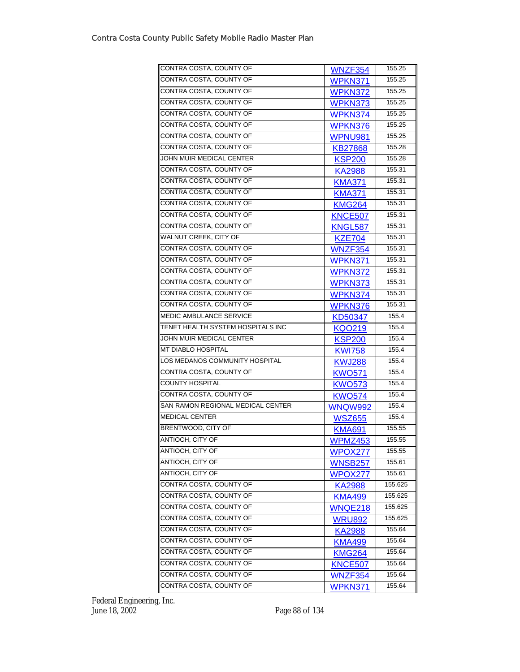| CONTRA COSTA, COUNTY OF           | WNZF354        | 155.25  |
|-----------------------------------|----------------|---------|
| CONTRA COSTA, COUNTY OF           | WPKN371        | 155.25  |
| CONTRA COSTA, COUNTY OF           | <b>WPKN372</b> | 155.25  |
| CONTRA COSTA, COUNTY OF           | WPKN373        | 155.25  |
| CONTRA COSTA, COUNTY OF           | WPKN374        | 155.25  |
| CONTRA COSTA, COUNTY OF           | WPKN376        | 155.25  |
| CONTRA COSTA, COUNTY OF           | <b>WPNU981</b> | 155.25  |
| CONTRA COSTA, COUNTY OF           | <b>KB27868</b> | 155.28  |
| JOHN MUIR MEDICAL CENTER          | <b>KSP200</b>  | 155.28  |
| CONTRA COSTA, COUNTY OF           | KA2988         | 155.31  |
| CONTRA COSTA, COUNTY OF           | <b>KMA371</b>  | 155.31  |
| CONTRA COSTA, COUNTY OF           | <b>KMA371</b>  | 155.31  |
| CONTRA COSTA, COUNTY OF           | <b>KMG264</b>  | 155.31  |
| CONTRA COSTA, COUNTY OF           | <b>KNCE507</b> | 155.31  |
| CONTRA COSTA, COUNTY OF           | <b>KNGL587</b> | 155.31  |
| WALNUT CREEK, CITY OF             | <b>KZE704</b>  | 155.31  |
| CONTRA COSTA, COUNTY OF           | WNZF354        | 155.31  |
| <b>CONTRA COSTA, COUNTY OF</b>    | WPKN371        | 155.31  |
| CONTRA COSTA, COUNTY OF           | WPKN372        | 155.31  |
| CONTRA COSTA, COUNTY OF           | WPKN373        | 155.31  |
| CONTRA COSTA, COUNTY OF           | WPKN374        | 155.31  |
| CONTRA COSTA, COUNTY OF           | WPKN376        | 155.31  |
| <b>MEDIC AMBULANCE SERVICE</b>    | KD50347        | 155.4   |
| TENET HEALTH SYSTEM HOSPITALS INC | <b>KQO219</b>  | 155.4   |
| JOHN MUIR MEDICAL CENTER          | <b>KSP200</b>  | 155.4   |
| MT DIABLO HOSPITAL                | <b>KWI758</b>  | 155.4   |
| LOS MEDANOS COMMUNITY HOSPITAL    | <b>KWJ288</b>  | 155.4   |
| CONTRA COSTA, COUNTY OF           | <b>KWO571</b>  | 155.4   |
| <b>COUNTY HOSPITAL</b>            | <b>KWO573</b>  | 155.4   |
| CONTRA COSTA, COUNTY OF           | <b>KWO574</b>  | 155.4   |
| SAN RAMON REGIONAL MEDICAL CENTER | <b>WNQW992</b> | 155.4   |
| <b>MEDICAL CENTER</b>             | <b>WSZ655</b>  | 155.4   |
| <b>BRENTWOOD, CITY OF</b>         | <b>KMA691</b>  | 155.55  |
| ANTIOCH, CITY OF                  | <b>WPMZ453</b> | 155.55  |
| ANTIOCH, CITY OF                  | WPOX277        | 155.55  |
| ANTIOCH, CITY OF                  | <b>WNSB257</b> | 155.61  |
| ANTIOCH, CITY OF                  | WPOX277        | 155.61  |
| CONTRA COSTA, COUNTY OF           | KA2988         | 155.625 |
| CONTRA COSTA, COUNTY OF           | <b>KMA499</b>  | 155.625 |
| CONTRA COSTA, COUNTY OF           | <b>WNQE218</b> | 155.625 |
| CONTRA COSTA, COUNTY OF           | <b>WRU892</b>  | 155.625 |
| CONTRA COSTA, COUNTY OF           | <b>KA2988</b>  | 155.64  |
| CONTRA COSTA, COUNTY OF           | <b>KMA499</b>  | 155.64  |
| CONTRA COSTA, COUNTY OF           | <b>KMG264</b>  | 155.64  |
| CONTRA COSTA, COUNTY OF           | <b>KNCE507</b> | 155.64  |
| CONTRA COSTA, COUNTY OF           | WNZF354        | 155.64  |
| CONTRA COSTA, COUNTY OF           | WPKN371        | 155.64  |

Federal Engineering, Inc. June 18, 2002 Page 88 of 134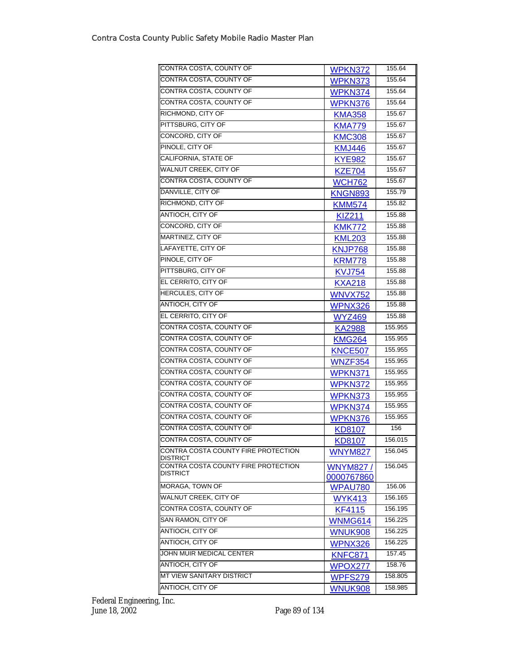| CONTRA COSTA, COUNTY OF                         | <b>WPKN372</b> | 155.64  |
|-------------------------------------------------|----------------|---------|
| CONTRA COSTA, COUNTY OF                         | WPKN373        | 155.64  |
| CONTRA COSTA, COUNTY OF                         | WPKN374        | 155.64  |
| CONTRA COSTA, COUNTY OF                         | WPKN376        | 155.64  |
| RICHMOND, CITY OF                               | <b>KMA358</b>  | 155.67  |
| PITTSBURG, CITY OF                              | <b>KMA779</b>  | 155.67  |
| CONCORD, CITY OF                                | <b>KMC308</b>  | 155.67  |
| PINOLE, CITY OF                                 | <b>KMJ446</b>  | 155.67  |
| <b>CALIFORNIA, STATE OF</b>                     | <b>KYE982</b>  | 155.67  |
| <b>WALNUT CREEK, CITY OF</b>                    | <b>KZE704</b>  | 155.67  |
| CONTRA COSTA, COUNTY OF                         | <b>WCH762</b>  | 155.67  |
| DANVILLE, CITY OF                               | <b>KNGN893</b> | 155.79  |
| RICHMOND, CITY OF                               | <b>KMM574</b>  | 155.82  |
| ANTIOCH, CITY OF                                | <b>KIZ211</b>  | 155.88  |
| CONCORD, CITY OF                                | <b>KMK772</b>  | 155.88  |
| MARTINEZ, CITY OF                               | <b>KML203</b>  | 155.88  |
| LAFAYETTE, CITY OF                              | <b>KNJP768</b> | 155.88  |
| PINOLE, CITY OF                                 | <b>KRM778</b>  | 155.88  |
| PITTSBURG, CITY OF                              | <b>KVJ754</b>  | 155.88  |
| EL CERRITO, CITY OF                             | <b>KXA218</b>  | 155.88  |
| HERCULES, CITY OF                               | <b>WNVX752</b> | 155.88  |
| ANTIOCH, CITY OF                                | <b>WPNX326</b> | 155.88  |
| EL CERRITO, CITY OF                             | <b>WYZ469</b>  | 155.88  |
| CONTRA COSTA, COUNTY OF                         | <b>KA2988</b>  | 155.955 |
| CONTRA COSTA, COUNTY OF                         | <b>KMG264</b>  | 155.955 |
| CONTRA COSTA, COUNTY OF                         | <b>KNCE507</b> | 155.955 |
| CONTRA COSTA, COUNTY OF                         | WNZF354        | 155.955 |
| CONTRA COSTA, COUNTY OF                         | WPKN371        | 155.955 |
| CONTRA COSTA, COUNTY OF                         | WPKN372        | 155.955 |
| CONTRA COSTA, COUNTY OF                         | WPKN373        | 155.955 |
| CONTRA COSTA, COUNTY OF                         | WPKN374        | 155.955 |
| CONTRA COSTA, COUNTY OF                         | WPKN376        | 155.955 |
| CONTRA COSTA, COUNTY OF                         | <b>KD8107</b>  | 156     |
| CONTRA COSTA, COUNTY OF                         | <b>KD8107</b>  | 156.015 |
| CONTRA COSTA COUNTY FIRE PROTECTION<br>DISTRICT | <b>WNYM827</b> | 156.045 |
| CONTRA COSTA COUNTY FIRE PROTECTION             | WNYM827 /      | 156.045 |
| <b>DISTRICT</b>                                 | 0000767860     |         |
| MORAGA, TOWN OF                                 | <b>WPAU780</b> | 156.06  |
| WALNUT CREEK, CITY OF                           | <b>WYK413</b>  | 156.165 |
| CONTRA COSTA, COUNTY OF                         | <b>KF4115</b>  | 156.195 |
| SAN RAMON, CITY OF                              | <b>WNMG614</b> | 156.225 |
| ANTIOCH, CITY OF                                | <b>WNUK908</b> | 156.225 |
| ANTIOCH, CITY OF                                | <b>WPNX326</b> | 156.225 |
| JOHN MUIR MEDICAL CENTER                        | <b>KNFC871</b> | 157.45  |
| ANTIOCH, CITY OF                                | WPOX277        | 158.76  |
| MT VIEW SANITARY DISTRICT                       | <b>WPFS279</b> | 158.805 |
| ANTIOCH, CITY OF                                | <b>WNUK908</b> | 158.985 |

Federal Engineering, Inc. June 18, 2002 Page 89 of 134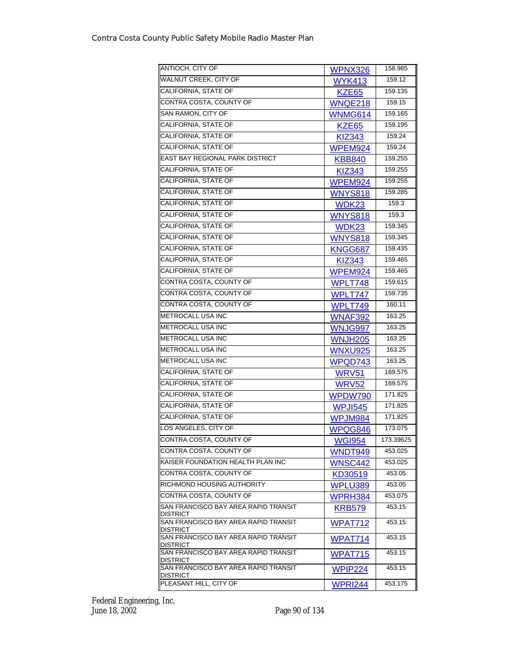| ANTIOCH, CITY OF                                                    | <b>WPNX326</b> | 158.985   |
|---------------------------------------------------------------------|----------------|-----------|
| WALNUT CREEK, CITY OF                                               | <b>WYK413</b>  | 159.12    |
| <b>CALIFORNIA, STATE OF</b>                                         | <b>KZE65</b>   | 159.135   |
| CONTRA COSTA, COUNTY OF                                             | <b>WNQE218</b> | 159.15    |
| SAN RAMON, CITY OF                                                  | <b>WNMG614</b> | 159.165   |
| CALIFORNIA, STATE OF                                                | <b>KZE65</b>   | 159.195   |
| CALIFORNIA, STATE OF                                                | <b>KIZ343</b>  | 159.24    |
| CALIFORNIA, STATE OF                                                | WPEM924        | 159.24    |
| EAST BAY REGIONAL PARK DISTRICT                                     | <b>KBB840</b>  | 159.255   |
| CALIFORNIA, STATE OF                                                | <b>KIZ343</b>  | 159.255   |
| CALIFORNIA, STATE OF                                                | <b>WPEM924</b> | 159.255   |
| CALIFORNIA, STATE OF                                                | <b>WNYS818</b> | 159.285   |
| CALIFORNIA, STATE OF                                                | WDK23          | 159.3     |
| CALIFORNIA, STATE OF                                                | <b>WNYS818</b> | 159.3     |
| CALIFORNIA, STATE OF                                                | WDK23          | 159.345   |
| CALIFORNIA, STATE OF                                                | <b>WNYS818</b> | 159.345   |
| CALIFORNIA, STATE OF                                                | KNGG687        | 159.435   |
| CALIFORNIA, STATE OF                                                | <b>KIZ343</b>  | 159.465   |
| CALIFORNIA, STATE OF                                                | WPEM924        | 159.465   |
| CONTRA COSTA, COUNTY OF                                             | WPLT748        | 159.615   |
| CONTRA COSTA, COUNTY OF                                             | WPLT747        | 159.735   |
| CONTRA COSTA, COUNTY OF                                             | WPLT749        | 160.11    |
| METROCALL USA INC                                                   | <b>WNAF392</b> | 163.25    |
| METROCALL USA INC                                                   | WNJG997        | 163.25    |
| METROCALL USA INC                                                   | <b>WNJH205</b> | 163.25    |
| METROCALL USA INC                                                   | <b>WNXU925</b> | 163.25    |
| METROCALL USA INC                                                   | WPQD743        | 163.25    |
| CALIFORNIA, STATE OF                                                | <b>WRV51</b>   | 169.575   |
| CALIFORNIA, STATE OF                                                | <b>WRV52</b>   | 169.575   |
| CALIFORNIA, STATE OF                                                | <b>WPDW790</b> | 171.825   |
| CALIFORNIA, STATE OF                                                | <b>WPJI545</b> | 171.825   |
| CALIFORNIA, STATE OF                                                | <b>WPJM984</b> | 171.825   |
| LOS ANGELES, CITY OF                                                | WPQG846        | 173.075   |
| CONTRA COSTA, COUNTY OF                                             | <b>WGI954</b>  | 173.39625 |
| CONTRA COSTA, COUNTY OF                                             | WNDT949        | 453.025   |
| KAISER FOUNDATION HEALTH PLAN INC                                   | <b>WNSC442</b> | 453.025   |
| CONTRA COSTA, COUNTY OF                                             | KD30519        | 453.05    |
| RICHMOND HOUSING AUTHORITY                                          | WPLU389        | 453.05    |
| CONTRA COSTA, COUNTY OF                                             | WPRH384        | 453.075   |
| SAN FRANCISCO BAY AREA RAPID TRANSIT                                | <b>KRB579</b>  | 453.15    |
| <b>DISTRICT</b><br>SAN FRANCISCO BAY AREA RAPID TRANSIT<br>DISTRICT | <b>WPAT712</b> | 453.15    |
| SAN FRANCISCO BAY AREA RAPID TRANSIT<br>DISTRICT                    | WPAT714        | 453.15    |
| SAN FRANCISCO BAY AREA RAPID TRANSIT<br>DISTRICT                    | WPAT715        | 453.15    |
| SAN FRANCISCO BAY AREA RAPID TRANSIT<br>DISTRICT                    | WPIP224        | 453.15    |
| PLEASANT HILL, CITY OF                                              | <b>WPRI244</b> | 453.175   |

Federal Engineering, Inc. June 18, 2002 Page 90 of 134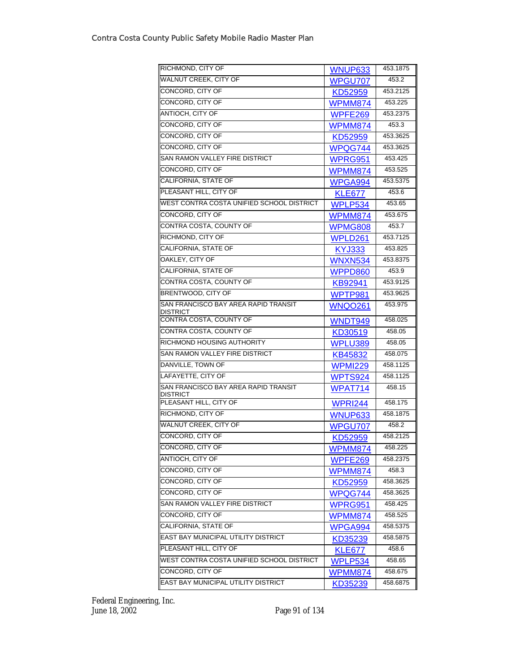| <b>WNUP633</b> | 453.1875 |
|----------------|----------|
| <b>WPGU707</b> | 453.2    |
| KD52959        | 453.2125 |
| WPMM874        | 453.225  |
| WPFE269        | 453.2375 |
| <b>WPMM874</b> | 453.3    |
| KD52959        | 453.3625 |
| WPQG744        | 453.3625 |
| <b>WPRG951</b> | 453.425  |
| WPMM874        | 453.525  |
| WPGA994        | 453.5375 |
| <b>KLE677</b>  | 453.6    |
| WPLP534        | 453.65   |
| WPMM874        | 453.675  |
| <b>WPMG808</b> | 453.7    |
| WPLD261        | 453.7125 |
| <b>KYJ333</b>  | 453.825  |
| <b>WNXN534</b> | 453.8375 |
| WPPD860        | 453.9    |
| KB92941        | 453.9125 |
| WPTP981        | 453.9625 |
| <b>WNQO261</b> | 453.975  |
| <b>WNDT949</b> | 458.025  |
| KD30519        | 458.05   |
| WPLU389        | 458.05   |
| KB45832        | 458.075  |
| <b>WPMI229</b> | 458.1125 |
| <b>WPTS924</b> | 458.1125 |
| WPAT714        | 458.15   |
| <b>WPRI244</b> | 458.175  |
|                |          |
| <b>WNUP633</b> | 458.1875 |
| WPGU707        | 458.2    |
| KD52959        | 458.2125 |
| WPMM874        | 458.225  |
| WPFE269        | 458.2375 |
| <b>WPMM874</b> | 458.3    |
| KD52959        | 458.3625 |
| WPQG744        | 458.3625 |
| <b>WPRG951</b> | 458.425  |
| <b>WPMM874</b> | 458.525  |
| WPGA994        | 458.5375 |
| KD35239        | 458.5875 |
| <b>KLE677</b>  | 458.6    |
| WPLP534        | 458.65   |
| WPMM874        | 458.675  |
|                |          |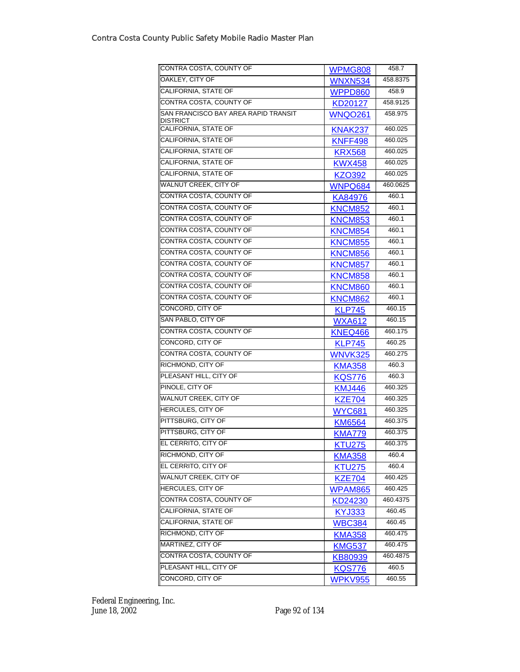| OAKLEY, CITY OF<br>458.8375<br><b>WNXN534</b><br>CALIFORNIA, STATE OF<br>458.9<br>WPPD860<br>CONTRA COSTA, COUNTY OF<br>458.9125<br>KD20127<br>SAN FRANCISCO BAY AREA RAPID TRANSIT<br>458.975<br><b>WNQO261</b><br><b>DISTRICT</b><br>CALIFORNIA, STATE OF<br>460.025<br><b>KNAK237</b><br>CALIFORNIA, STATE OF<br>460.025<br>KNFF498<br>CALIFORNIA, STATE OF<br>460.025<br><b>KRX568</b><br><b>CALIFORNIA, STATE OF</b><br>460.025<br><b>KWX458</b><br>CALIFORNIA, STATE OF<br>460.025<br><b>KZO392</b><br>WALNUT CREEK, CITY OF<br>460.0625<br><b>WNPQ684</b><br>CONTRA COSTA, COUNTY OF<br>460.1<br>KA84976<br>CONTRA COSTA, COUNTY OF<br>460.1<br><b>KNCM852</b><br>CONTRA COSTA, COUNTY OF<br>460.1<br><b>KNCM853</b><br><b>CONTRA COSTA, COUNTY OF</b><br>460.1<br><b>KNCM854</b><br>CONTRA COSTA, COUNTY OF<br>460.1<br><b>KNCM855</b><br>CONTRA COSTA, COUNTY OF<br>460.1<br><b>KNCM856</b><br>CONTRA COSTA, COUNTY OF<br>460.1<br><b>KNCM857</b><br>CONTRA COSTA, COUNTY OF<br>460.1<br><b>KNCM858</b><br>CONTRA COSTA, COUNTY OF<br>460.1<br><b>KNCM860</b><br>CONTRA COSTA, COUNTY OF<br>460.1<br><b>KNCM862</b><br>CONCORD, CITY OF<br>460.15<br><b>KLP745</b><br>SAN PABLO, CITY OF<br>460.15<br><b>WXA612</b><br>CONTRA COSTA, COUNTY OF<br>460.175<br><b>KNEQ466</b><br>CONCORD, CITY OF<br>460.25<br><b>KLP745</b><br>CONTRA COSTA, COUNTY OF<br>460.275<br><b>WNVK325</b><br>RICHMOND, CITY OF<br>460.3<br><b>KMA358</b><br>PLEASANT HILL, CITY OF<br>460.3<br><b>KQS776</b><br>PINOLE, CITY OF<br>460.325<br><b>KMJ446</b><br>WALNUT CREEK, CITY OF<br>460.325<br><b>KZE704</b><br>HERCULES, CITY OF<br>460.325<br><b>WYC681</b><br>PITTSBURG, CITY OF<br>460.375<br><b>KM6564</b><br>PITTSBURG, CITY OF<br>460.375<br><b>KMA779</b><br>EL CERRITO, CITY OF<br>460.375<br><b>KTU275</b><br>RICHMOND, CITY OF<br>460.4<br>KMA358<br>EL CERRITO, CITY OF<br>460.4<br><b>KTU275</b><br>WALNUT CREEK, CITY OF<br>460.425<br><b>KZE704</b><br><b>HERCULES, CITY OF</b><br>460.425<br><b>WPAM865</b><br>CONTRA COSTA, COUNTY OF<br>460.4375<br>KD24230<br>CALIFORNIA, STATE OF<br>460.45<br><b>KYJ333</b><br>CALIFORNIA, STATE OF<br>460.45<br><b>WBC384</b><br>RICHMOND, CITY OF<br>460.475<br><b>KMA358</b><br>MARTINEZ, CITY OF<br>460.475<br><b>KMG537</b><br>CONTRA COSTA, COUNTY OF<br>460.4875<br><u>KB80939</u><br>PLEASANT HILL, CITY OF<br>460.5<br><b>KQS776</b><br>CONCORD, CITY OF<br>460.55 | CONTRA COSTA, COUNTY OF | <b>WPMG808</b> | 458.7 |
|------------------------------------------------------------------------------------------------------------------------------------------------------------------------------------------------------------------------------------------------------------------------------------------------------------------------------------------------------------------------------------------------------------------------------------------------------------------------------------------------------------------------------------------------------------------------------------------------------------------------------------------------------------------------------------------------------------------------------------------------------------------------------------------------------------------------------------------------------------------------------------------------------------------------------------------------------------------------------------------------------------------------------------------------------------------------------------------------------------------------------------------------------------------------------------------------------------------------------------------------------------------------------------------------------------------------------------------------------------------------------------------------------------------------------------------------------------------------------------------------------------------------------------------------------------------------------------------------------------------------------------------------------------------------------------------------------------------------------------------------------------------------------------------------------------------------------------------------------------------------------------------------------------------------------------------------------------------------------------------------------------------------------------------------------------------------------------------------------------------------------------------------------------------------------------------------------------------------------------------------------------------------------------------------------------------------------------------------------------------------------------------------------------------------|-------------------------|----------------|-------|
|                                                                                                                                                                                                                                                                                                                                                                                                                                                                                                                                                                                                                                                                                                                                                                                                                                                                                                                                                                                                                                                                                                                                                                                                                                                                                                                                                                                                                                                                                                                                                                                                                                                                                                                                                                                                                                                                                                                                                                                                                                                                                                                                                                                                                                                                                                                                                                                                                        |                         |                |       |
|                                                                                                                                                                                                                                                                                                                                                                                                                                                                                                                                                                                                                                                                                                                                                                                                                                                                                                                                                                                                                                                                                                                                                                                                                                                                                                                                                                                                                                                                                                                                                                                                                                                                                                                                                                                                                                                                                                                                                                                                                                                                                                                                                                                                                                                                                                                                                                                                                        |                         |                |       |
|                                                                                                                                                                                                                                                                                                                                                                                                                                                                                                                                                                                                                                                                                                                                                                                                                                                                                                                                                                                                                                                                                                                                                                                                                                                                                                                                                                                                                                                                                                                                                                                                                                                                                                                                                                                                                                                                                                                                                                                                                                                                                                                                                                                                                                                                                                                                                                                                                        |                         |                |       |
|                                                                                                                                                                                                                                                                                                                                                                                                                                                                                                                                                                                                                                                                                                                                                                                                                                                                                                                                                                                                                                                                                                                                                                                                                                                                                                                                                                                                                                                                                                                                                                                                                                                                                                                                                                                                                                                                                                                                                                                                                                                                                                                                                                                                                                                                                                                                                                                                                        |                         |                |       |
|                                                                                                                                                                                                                                                                                                                                                                                                                                                                                                                                                                                                                                                                                                                                                                                                                                                                                                                                                                                                                                                                                                                                                                                                                                                                                                                                                                                                                                                                                                                                                                                                                                                                                                                                                                                                                                                                                                                                                                                                                                                                                                                                                                                                                                                                                                                                                                                                                        |                         |                |       |
|                                                                                                                                                                                                                                                                                                                                                                                                                                                                                                                                                                                                                                                                                                                                                                                                                                                                                                                                                                                                                                                                                                                                                                                                                                                                                                                                                                                                                                                                                                                                                                                                                                                                                                                                                                                                                                                                                                                                                                                                                                                                                                                                                                                                                                                                                                                                                                                                                        |                         |                |       |
|                                                                                                                                                                                                                                                                                                                                                                                                                                                                                                                                                                                                                                                                                                                                                                                                                                                                                                                                                                                                                                                                                                                                                                                                                                                                                                                                                                                                                                                                                                                                                                                                                                                                                                                                                                                                                                                                                                                                                                                                                                                                                                                                                                                                                                                                                                                                                                                                                        |                         |                |       |
|                                                                                                                                                                                                                                                                                                                                                                                                                                                                                                                                                                                                                                                                                                                                                                                                                                                                                                                                                                                                                                                                                                                                                                                                                                                                                                                                                                                                                                                                                                                                                                                                                                                                                                                                                                                                                                                                                                                                                                                                                                                                                                                                                                                                                                                                                                                                                                                                                        |                         |                |       |
|                                                                                                                                                                                                                                                                                                                                                                                                                                                                                                                                                                                                                                                                                                                                                                                                                                                                                                                                                                                                                                                                                                                                                                                                                                                                                                                                                                                                                                                                                                                                                                                                                                                                                                                                                                                                                                                                                                                                                                                                                                                                                                                                                                                                                                                                                                                                                                                                                        |                         |                |       |
|                                                                                                                                                                                                                                                                                                                                                                                                                                                                                                                                                                                                                                                                                                                                                                                                                                                                                                                                                                                                                                                                                                                                                                                                                                                                                                                                                                                                                                                                                                                                                                                                                                                                                                                                                                                                                                                                                                                                                                                                                                                                                                                                                                                                                                                                                                                                                                                                                        |                         |                |       |
|                                                                                                                                                                                                                                                                                                                                                                                                                                                                                                                                                                                                                                                                                                                                                                                                                                                                                                                                                                                                                                                                                                                                                                                                                                                                                                                                                                                                                                                                                                                                                                                                                                                                                                                                                                                                                                                                                                                                                                                                                                                                                                                                                                                                                                                                                                                                                                                                                        |                         |                |       |
|                                                                                                                                                                                                                                                                                                                                                                                                                                                                                                                                                                                                                                                                                                                                                                                                                                                                                                                                                                                                                                                                                                                                                                                                                                                                                                                                                                                                                                                                                                                                                                                                                                                                                                                                                                                                                                                                                                                                                                                                                                                                                                                                                                                                                                                                                                                                                                                                                        |                         |                |       |
|                                                                                                                                                                                                                                                                                                                                                                                                                                                                                                                                                                                                                                                                                                                                                                                                                                                                                                                                                                                                                                                                                                                                                                                                                                                                                                                                                                                                                                                                                                                                                                                                                                                                                                                                                                                                                                                                                                                                                                                                                                                                                                                                                                                                                                                                                                                                                                                                                        |                         |                |       |
|                                                                                                                                                                                                                                                                                                                                                                                                                                                                                                                                                                                                                                                                                                                                                                                                                                                                                                                                                                                                                                                                                                                                                                                                                                                                                                                                                                                                                                                                                                                                                                                                                                                                                                                                                                                                                                                                                                                                                                                                                                                                                                                                                                                                                                                                                                                                                                                                                        |                         |                |       |
|                                                                                                                                                                                                                                                                                                                                                                                                                                                                                                                                                                                                                                                                                                                                                                                                                                                                                                                                                                                                                                                                                                                                                                                                                                                                                                                                                                                                                                                                                                                                                                                                                                                                                                                                                                                                                                                                                                                                                                                                                                                                                                                                                                                                                                                                                                                                                                                                                        |                         |                |       |
|                                                                                                                                                                                                                                                                                                                                                                                                                                                                                                                                                                                                                                                                                                                                                                                                                                                                                                                                                                                                                                                                                                                                                                                                                                                                                                                                                                                                                                                                                                                                                                                                                                                                                                                                                                                                                                                                                                                                                                                                                                                                                                                                                                                                                                                                                                                                                                                                                        |                         |                |       |
|                                                                                                                                                                                                                                                                                                                                                                                                                                                                                                                                                                                                                                                                                                                                                                                                                                                                                                                                                                                                                                                                                                                                                                                                                                                                                                                                                                                                                                                                                                                                                                                                                                                                                                                                                                                                                                                                                                                                                                                                                                                                                                                                                                                                                                                                                                                                                                                                                        |                         |                |       |
|                                                                                                                                                                                                                                                                                                                                                                                                                                                                                                                                                                                                                                                                                                                                                                                                                                                                                                                                                                                                                                                                                                                                                                                                                                                                                                                                                                                                                                                                                                                                                                                                                                                                                                                                                                                                                                                                                                                                                                                                                                                                                                                                                                                                                                                                                                                                                                                                                        |                         |                |       |
|                                                                                                                                                                                                                                                                                                                                                                                                                                                                                                                                                                                                                                                                                                                                                                                                                                                                                                                                                                                                                                                                                                                                                                                                                                                                                                                                                                                                                                                                                                                                                                                                                                                                                                                                                                                                                                                                                                                                                                                                                                                                                                                                                                                                                                                                                                                                                                                                                        |                         |                |       |
|                                                                                                                                                                                                                                                                                                                                                                                                                                                                                                                                                                                                                                                                                                                                                                                                                                                                                                                                                                                                                                                                                                                                                                                                                                                                                                                                                                                                                                                                                                                                                                                                                                                                                                                                                                                                                                                                                                                                                                                                                                                                                                                                                                                                                                                                                                                                                                                                                        |                         |                |       |
|                                                                                                                                                                                                                                                                                                                                                                                                                                                                                                                                                                                                                                                                                                                                                                                                                                                                                                                                                                                                                                                                                                                                                                                                                                                                                                                                                                                                                                                                                                                                                                                                                                                                                                                                                                                                                                                                                                                                                                                                                                                                                                                                                                                                                                                                                                                                                                                                                        |                         |                |       |
|                                                                                                                                                                                                                                                                                                                                                                                                                                                                                                                                                                                                                                                                                                                                                                                                                                                                                                                                                                                                                                                                                                                                                                                                                                                                                                                                                                                                                                                                                                                                                                                                                                                                                                                                                                                                                                                                                                                                                                                                                                                                                                                                                                                                                                                                                                                                                                                                                        |                         |                |       |
|                                                                                                                                                                                                                                                                                                                                                                                                                                                                                                                                                                                                                                                                                                                                                                                                                                                                                                                                                                                                                                                                                                                                                                                                                                                                                                                                                                                                                                                                                                                                                                                                                                                                                                                                                                                                                                                                                                                                                                                                                                                                                                                                                                                                                                                                                                                                                                                                                        |                         |                |       |
|                                                                                                                                                                                                                                                                                                                                                                                                                                                                                                                                                                                                                                                                                                                                                                                                                                                                                                                                                                                                                                                                                                                                                                                                                                                                                                                                                                                                                                                                                                                                                                                                                                                                                                                                                                                                                                                                                                                                                                                                                                                                                                                                                                                                                                                                                                                                                                                                                        |                         |                |       |
|                                                                                                                                                                                                                                                                                                                                                                                                                                                                                                                                                                                                                                                                                                                                                                                                                                                                                                                                                                                                                                                                                                                                                                                                                                                                                                                                                                                                                                                                                                                                                                                                                                                                                                                                                                                                                                                                                                                                                                                                                                                                                                                                                                                                                                                                                                                                                                                                                        |                         |                |       |
|                                                                                                                                                                                                                                                                                                                                                                                                                                                                                                                                                                                                                                                                                                                                                                                                                                                                                                                                                                                                                                                                                                                                                                                                                                                                                                                                                                                                                                                                                                                                                                                                                                                                                                                                                                                                                                                                                                                                                                                                                                                                                                                                                                                                                                                                                                                                                                                                                        |                         |                |       |
|                                                                                                                                                                                                                                                                                                                                                                                                                                                                                                                                                                                                                                                                                                                                                                                                                                                                                                                                                                                                                                                                                                                                                                                                                                                                                                                                                                                                                                                                                                                                                                                                                                                                                                                                                                                                                                                                                                                                                                                                                                                                                                                                                                                                                                                                                                                                                                                                                        |                         |                |       |
|                                                                                                                                                                                                                                                                                                                                                                                                                                                                                                                                                                                                                                                                                                                                                                                                                                                                                                                                                                                                                                                                                                                                                                                                                                                                                                                                                                                                                                                                                                                                                                                                                                                                                                                                                                                                                                                                                                                                                                                                                                                                                                                                                                                                                                                                                                                                                                                                                        |                         |                |       |
|                                                                                                                                                                                                                                                                                                                                                                                                                                                                                                                                                                                                                                                                                                                                                                                                                                                                                                                                                                                                                                                                                                                                                                                                                                                                                                                                                                                                                                                                                                                                                                                                                                                                                                                                                                                                                                                                                                                                                                                                                                                                                                                                                                                                                                                                                                                                                                                                                        |                         |                |       |
|                                                                                                                                                                                                                                                                                                                                                                                                                                                                                                                                                                                                                                                                                                                                                                                                                                                                                                                                                                                                                                                                                                                                                                                                                                                                                                                                                                                                                                                                                                                                                                                                                                                                                                                                                                                                                                                                                                                                                                                                                                                                                                                                                                                                                                                                                                                                                                                                                        |                         |                |       |
|                                                                                                                                                                                                                                                                                                                                                                                                                                                                                                                                                                                                                                                                                                                                                                                                                                                                                                                                                                                                                                                                                                                                                                                                                                                                                                                                                                                                                                                                                                                                                                                                                                                                                                                                                                                                                                                                                                                                                                                                                                                                                                                                                                                                                                                                                                                                                                                                                        |                         |                |       |
|                                                                                                                                                                                                                                                                                                                                                                                                                                                                                                                                                                                                                                                                                                                                                                                                                                                                                                                                                                                                                                                                                                                                                                                                                                                                                                                                                                                                                                                                                                                                                                                                                                                                                                                                                                                                                                                                                                                                                                                                                                                                                                                                                                                                                                                                                                                                                                                                                        |                         |                |       |
|                                                                                                                                                                                                                                                                                                                                                                                                                                                                                                                                                                                                                                                                                                                                                                                                                                                                                                                                                                                                                                                                                                                                                                                                                                                                                                                                                                                                                                                                                                                                                                                                                                                                                                                                                                                                                                                                                                                                                                                                                                                                                                                                                                                                                                                                                                                                                                                                                        |                         |                |       |
|                                                                                                                                                                                                                                                                                                                                                                                                                                                                                                                                                                                                                                                                                                                                                                                                                                                                                                                                                                                                                                                                                                                                                                                                                                                                                                                                                                                                                                                                                                                                                                                                                                                                                                                                                                                                                                                                                                                                                                                                                                                                                                                                                                                                                                                                                                                                                                                                                        |                         |                |       |
|                                                                                                                                                                                                                                                                                                                                                                                                                                                                                                                                                                                                                                                                                                                                                                                                                                                                                                                                                                                                                                                                                                                                                                                                                                                                                                                                                                                                                                                                                                                                                                                                                                                                                                                                                                                                                                                                                                                                                                                                                                                                                                                                                                                                                                                                                                                                                                                                                        |                         |                |       |
|                                                                                                                                                                                                                                                                                                                                                                                                                                                                                                                                                                                                                                                                                                                                                                                                                                                                                                                                                                                                                                                                                                                                                                                                                                                                                                                                                                                                                                                                                                                                                                                                                                                                                                                                                                                                                                                                                                                                                                                                                                                                                                                                                                                                                                                                                                                                                                                                                        |                         |                |       |
|                                                                                                                                                                                                                                                                                                                                                                                                                                                                                                                                                                                                                                                                                                                                                                                                                                                                                                                                                                                                                                                                                                                                                                                                                                                                                                                                                                                                                                                                                                                                                                                                                                                                                                                                                                                                                                                                                                                                                                                                                                                                                                                                                                                                                                                                                                                                                                                                                        |                         |                |       |
|                                                                                                                                                                                                                                                                                                                                                                                                                                                                                                                                                                                                                                                                                                                                                                                                                                                                                                                                                                                                                                                                                                                                                                                                                                                                                                                                                                                                                                                                                                                                                                                                                                                                                                                                                                                                                                                                                                                                                                                                                                                                                                                                                                                                                                                                                                                                                                                                                        |                         |                |       |
|                                                                                                                                                                                                                                                                                                                                                                                                                                                                                                                                                                                                                                                                                                                                                                                                                                                                                                                                                                                                                                                                                                                                                                                                                                                                                                                                                                                                                                                                                                                                                                                                                                                                                                                                                                                                                                                                                                                                                                                                                                                                                                                                                                                                                                                                                                                                                                                                                        |                         |                |       |
|                                                                                                                                                                                                                                                                                                                                                                                                                                                                                                                                                                                                                                                                                                                                                                                                                                                                                                                                                                                                                                                                                                                                                                                                                                                                                                                                                                                                                                                                                                                                                                                                                                                                                                                                                                                                                                                                                                                                                                                                                                                                                                                                                                                                                                                                                                                                                                                                                        |                         |                |       |
|                                                                                                                                                                                                                                                                                                                                                                                                                                                                                                                                                                                                                                                                                                                                                                                                                                                                                                                                                                                                                                                                                                                                                                                                                                                                                                                                                                                                                                                                                                                                                                                                                                                                                                                                                                                                                                                                                                                                                                                                                                                                                                                                                                                                                                                                                                                                                                                                                        |                         |                |       |
|                                                                                                                                                                                                                                                                                                                                                                                                                                                                                                                                                                                                                                                                                                                                                                                                                                                                                                                                                                                                                                                                                                                                                                                                                                                                                                                                                                                                                                                                                                                                                                                                                                                                                                                                                                                                                                                                                                                                                                                                                                                                                                                                                                                                                                                                                                                                                                                                                        |                         |                |       |
|                                                                                                                                                                                                                                                                                                                                                                                                                                                                                                                                                                                                                                                                                                                                                                                                                                                                                                                                                                                                                                                                                                                                                                                                                                                                                                                                                                                                                                                                                                                                                                                                                                                                                                                                                                                                                                                                                                                                                                                                                                                                                                                                                                                                                                                                                                                                                                                                                        |                         |                |       |
|                                                                                                                                                                                                                                                                                                                                                                                                                                                                                                                                                                                                                                                                                                                                                                                                                                                                                                                                                                                                                                                                                                                                                                                                                                                                                                                                                                                                                                                                                                                                                                                                                                                                                                                                                                                                                                                                                                                                                                                                                                                                                                                                                                                                                                                                                                                                                                                                                        |                         |                |       |
|                                                                                                                                                                                                                                                                                                                                                                                                                                                                                                                                                                                                                                                                                                                                                                                                                                                                                                                                                                                                                                                                                                                                                                                                                                                                                                                                                                                                                                                                                                                                                                                                                                                                                                                                                                                                                                                                                                                                                                                                                                                                                                                                                                                                                                                                                                                                                                                                                        |                         | <b>WPKV955</b> |       |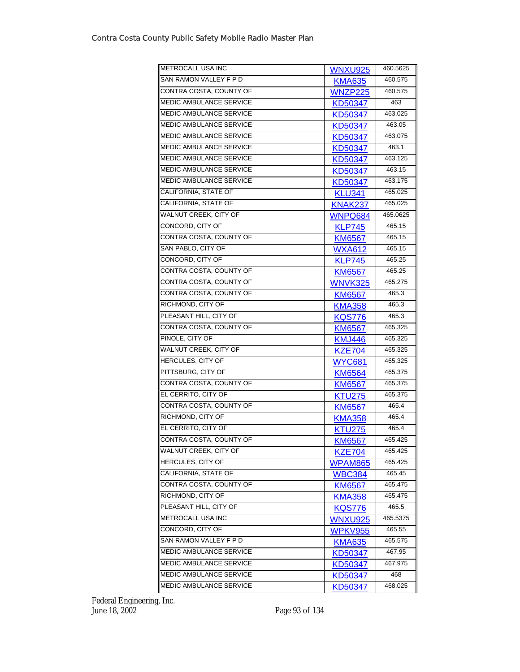| <b>METROCALL USA INC</b>       | <b>WNXU925</b> | 460.5625 |
|--------------------------------|----------------|----------|
| SAN RAMON VALLEY F P D         | <b>KMA635</b>  | 460.575  |
| CONTRA COSTA, COUNTY OF        | <b>WNZP225</b> | 460.575  |
| <b>MEDIC AMBULANCE SERVICE</b> | KD50347        | 463      |
| <b>MEDIC AMBULANCE SERVICE</b> | KD50347        | 463.025  |
| <b>MEDIC AMBULANCE SERVICE</b> | KD50347        | 463.05   |
| <b>MEDIC AMBULANCE SERVICE</b> | KD50347        | 463.075  |
| MEDIC AMBULANCE SERVICE        | KD50347        | 463.1    |
| <b>MEDIC AMBULANCE SERVICE</b> | KD50347        | 463.125  |
| <b>MEDIC AMBULANCE SERVICE</b> | KD50347        | 463.15   |
| <b>MEDIC AMBULANCE SERVICE</b> | KD50347        | 463.175  |
| CALIFORNIA, STATE OF           | <b>KLU341</b>  | 465.025  |
| <b>CALIFORNIA, STATE OF</b>    | <b>KNAK237</b> | 465.025  |
| WALNUT CREEK, CITY OF          | WNPQ684        | 465.0625 |
| CONCORD, CITY OF               | <b>KLP745</b>  | 465.15   |
| CONTRA COSTA, COUNTY OF        | <b>KM6567</b>  | 465.15   |
| SAN PABLO, CITY OF             | <b>WXA612</b>  | 465.15   |
| CONCORD, CITY OF               | <b>KLP745</b>  | 465.25   |
| CONTRA COSTA, COUNTY OF        | <b>KM6567</b>  | 465.25   |
| CONTRA COSTA, COUNTY OF        | <b>WNVK325</b> | 465.275  |
| CONTRA COSTA, COUNTY OF        | <b>KM6567</b>  | 465.3    |
| RICHMOND, CITY OF              | <b>KMA358</b>  | 465.3    |
| PLEASANT HILL, CITY OF         | <b>KQS776</b>  | 465.3    |
| CONTRA COSTA, COUNTY OF        | <b>KM6567</b>  | 465.325  |
| PINOLE, CITY OF                | <b>KMJ446</b>  | 465.325  |
| WALNUT CREEK, CITY OF          | <b>KZE704</b>  | 465.325  |
| <b>HERCULES, CITY OF</b>       | <b>WYC681</b>  | 465.325  |
| PITTSBURG, CITY OF             | <b>KM6564</b>  | 465.375  |
| CONTRA COSTA, COUNTY OF        | <b>KM6567</b>  | 465.375  |
| EL CERRITO, CITY OF            | <b>KTU275</b>  | 465.375  |
| CONTRA COSTA, COUNTY OF        | <b>KM6567</b>  | 465.4    |
| RICHMOND, CITY OF              | <b>KMA358</b>  | 465.4    |
| EL CERRITO, CITY OF            | <b>KTU275</b>  | 465.4    |
| CONTRA COSTA, COUNTY OF        | <b>KM6567</b>  | 465.425  |
| WALNUT CREEK, CITY OF          | <b>KZE704</b>  | 465.425  |
| <b>HERCULES, CITY OF</b>       | <b>WPAM865</b> | 465.425  |
| CALIFORNIA, STATE OF           | <b>WBC384</b>  | 465.45   |
| CONTRA COSTA, COUNTY OF        | <b>KM6567</b>  | 465.475  |
| RICHMOND, CITY OF              | <b>KMA358</b>  | 465.475  |
| PLEASANT HILL, CITY OF         | <b>KQS776</b>  | 465.5    |
| METROCALL USA INC              | <b>WNXU925</b> | 465.5375 |
| CONCORD, CITY OF               | <b>WPKV955</b> | 465.55   |
| SAN RAMON VALLEY F P D         | <b>KMA635</b>  | 465.575  |
| <b>MEDIC AMBULANCE SERVICE</b> | KD50347        | 467.95   |
| MEDIC AMBULANCE SERVICE        | KD50347        | 467.975  |
| <b>MEDIC AMBULANCE SERVICE</b> | KD50347        | 468      |
| MEDIC AMBULANCE SERVICE        | KD50347        | 468.025  |

Federal Engineering, Inc. June 18, 2002 Page 93 of 134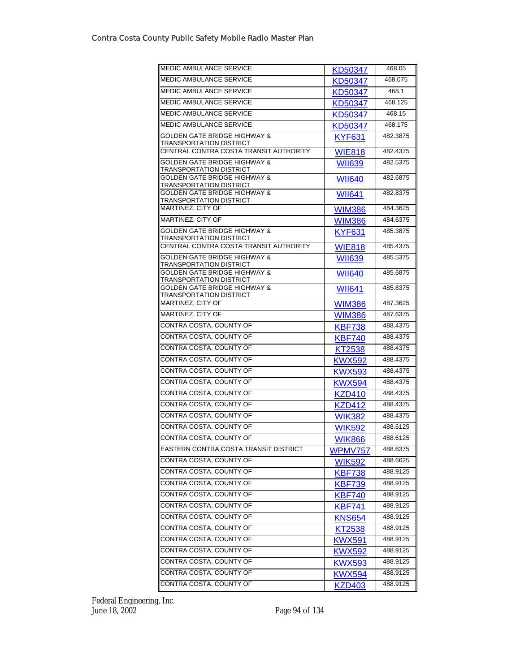| MEDIC AMBULANCE SERVICE                                                   | KD50347        | 468.05   |
|---------------------------------------------------------------------------|----------------|----------|
| <b>MEDIC AMBULANCE SERVICE</b>                                            | KD50347        | 468.075  |
| MEDIC AMBULANCE SERVICE                                                   | KD50347        | 468.1    |
| MEDIC AMBULANCE SERVICE                                                   | KD50347        | 468.125  |
| <b>MEDIC AMBULANCE SERVICE</b>                                            | KD50347        | 468.15   |
| MEDIC AMBULANCE SERVICE                                                   | KD50347        | 468.175  |
| GOLDEN GATE BRIDGE HIGHWAY &<br>TRANSPORTATION DISTRICT                   | <b>KYF631</b>  | 482.3875 |
| CENTRAL CONTRA COSTA TRANSIT AUTHORITY                                    | <b>WIE818</b>  | 482.4375 |
| <b>GOLDEN GATE BRIDGE HIGHWAY &amp;</b><br>TRANSPORTATION DISTRICT        | <b>WII639</b>  | 482.5375 |
| <b>GOLDEN GATE BRIDGE HIGHWAY &amp;</b><br>TRANSPORTATION DISTRICT        | <b>WII640</b>  | 482.6875 |
| <b>GOLDEN GATE BRIDGE HIGHWAY &amp;</b><br>TRANSPORTATION DISTRICT        | <b>WII641</b>  | 482.8375 |
| MARTINEZ, CITY OF                                                         | <b>WIM386</b>  | 484.3625 |
| MARTINEZ, CITY OF                                                         | <b>WIM386</b>  | 484.6375 |
| <b>GOLDEN GATE BRIDGE HIGHWAY &amp;</b>                                   | <b>KYF631</b>  | 485.3875 |
| TRANSPORTATION DISTRICT<br>CENTRAL CONTRA COSTA TRANSIT AUTHORITY         |                | 485.4375 |
| <b>GOLDEN GATE BRIDGE HIGHWAY &amp;</b>                                   | <b>WIE818</b>  |          |
| TRANSPORTATION DISTRICT                                                   | <b>WII639</b>  | 485.5375 |
| <b>GOLDEN GATE BRIDGE HIGHWAY &amp;</b><br>TRANSPORTATION DISTRICT        | <b>WII640</b>  | 485.6875 |
| <b>GOLDEN GATE BRIDGE HIGHWAY &amp;</b><br><b>TRANSPORTATION DISTRICT</b> | <b>WII641</b>  | 485.8375 |
| MARTINEZ, CITY OF                                                         | <b>WIM386</b>  | 487.3625 |
| MARTINEZ, CITY OF                                                         | <b>WIM386</b>  | 487.6375 |
| CONTRA COSTA, COUNTY OF                                                   | <b>KBF738</b>  | 488.4375 |
| CONTRA COSTA, COUNTY OF                                                   | <b>KBF740</b>  | 488.4375 |
| CONTRA COSTA, COUNTY OF                                                   | KT2538         | 488.4375 |
| CONTRA COSTA, COUNTY OF                                                   | <b>KWX592</b>  | 488.4375 |
| CONTRA COSTA, COUNTY OF                                                   | <b>KWX593</b>  | 488.4375 |
| CONTRA COSTA, COUNTY OF                                                   | <b>KWX594</b>  | 488.4375 |
| CONTRA COSTA, COUNTY OF                                                   | <b>KZD410</b>  | 488.4375 |
| CONTRA COSTA, COUNTY OF                                                   | <b>KZD412</b>  | 488.4375 |
| CONTRA COSTA, COUNTY OF                                                   | <b>WIK382</b>  | 488.4375 |
| CONTRA COSTA, COUNTY OF                                                   | <b>WIK592</b>  | 488.6125 |
| CONTRA COSTA, COUNTY OF                                                   | <b>WIK866</b>  | 488.6125 |
| EASTERN CONTRA COSTA TRANSIT DISTRICT                                     | <b>WPMV757</b> | 488.6375 |
| CONTRA COSTA, COUNTY OF                                                   | <b>WIK592</b>  | 488.6625 |
| CONTRA COSTA, COUNTY OF                                                   | <b>KBF738</b>  | 488.9125 |
| CONTRA COSTA, COUNTY OF                                                   | <b>KBF739</b>  | 488.9125 |
| CONTRA COSTA, COUNTY OF                                                   | <b>KBF740</b>  | 488.9125 |
| CONTRA COSTA, COUNTY OF                                                   | <b>KBF741</b>  | 488.9125 |
| CONTRA COSTA, COUNTY OF                                                   | <b>KNS654</b>  | 488.9125 |
| CONTRA COSTA, COUNTY OF                                                   | <b>KT2538</b>  | 488.9125 |
| CONTRA COSTA, COUNTY OF                                                   | <b>KWX591</b>  | 488.9125 |
| CONTRA COSTA, COUNTY OF                                                   | <b>KWX592</b>  | 488.9125 |
| CONTRA COSTA, COUNTY OF                                                   | <b>KWX593</b>  | 488.9125 |
| CONTRA COSTA, COUNTY OF                                                   | <b>KWX594</b>  | 488.9125 |
| CONTRA COSTA, COUNTY OF                                                   | KZD403         | 488.9125 |
|                                                                           |                |          |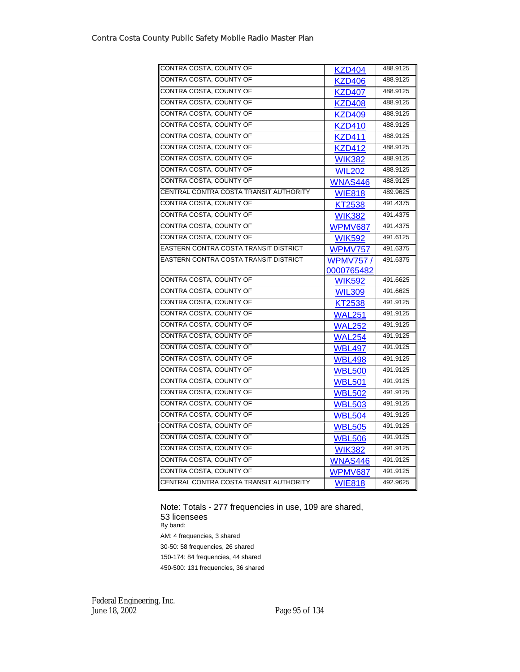| CONTRA COSTA, COUNTY OF                | <b>KZD404</b>   | 488.9125 |
|----------------------------------------|-----------------|----------|
| <b>CONTRA COSTA, COUNTY OF</b>         | <b>KZD406</b>   | 488.9125 |
| CONTRA COSTA, COUNTY OF                | <b>KZD407</b>   | 488.9125 |
| CONTRA COSTA, COUNTY OF                | <b>KZD408</b>   | 488.9125 |
| CONTRA COSTA, COUNTY OF                | KZD409          | 488.9125 |
| CONTRA COSTA, COUNTY OF                | <b>KZD410</b>   | 488.9125 |
| CONTRA COSTA, COUNTY OF                | <b>KZD411</b>   | 488.9125 |
| CONTRA COSTA, COUNTY OF                | <b>KZD412</b>   | 488.9125 |
| CONTRA COSTA, COUNTY OF                | <b>WIK382</b>   | 488.9125 |
| CONTRA COSTA, COUNTY OF                | <b>WIL202</b>   | 488.9125 |
| CONTRA COSTA, COUNTY OF                | <b>WNAS446</b>  | 488.9125 |
| CENTRAL CONTRA COSTA TRANSIT AUTHORITY | <b>WIE818</b>   | 489.9625 |
| CONTRA COSTA, COUNTY OF                | <b>KT2538</b>   | 491.4375 |
| <b>CONTRA COSTA, COUNTY OF</b>         | <b>WIK382</b>   | 491.4375 |
| CONTRA COSTA, COUNTY OF                | <b>WPMV687</b>  | 491.4375 |
| CONTRA COSTA, COUNTY OF                | <b>WIK592</b>   | 491.6125 |
| EASTERN CONTRA COSTA TRANSIT DISTRICT  | <b>WPMV757</b>  | 491.6375 |
| EASTERN CONTRA COSTA TRANSIT DISTRICT  | <b>WPMV757/</b> | 491.6375 |
|                                        | 0000765482      |          |
| CONTRA COSTA, COUNTY OF                | <b>WIK592</b>   | 491.6625 |
| CONTRA COSTA, COUNTY OF                | <b>WIL309</b>   | 491.6625 |
| CONTRA COSTA, COUNTY OF                | <b>KT2538</b>   | 491.9125 |
| <b>CONTRA COSTA, COUNTY OF</b>         | <b>WAL251</b>   | 491.9125 |
| CONTRA COSTA, COUNTY OF                | <b>WAL252</b>   | 491.9125 |
| CONTRA COSTA, COUNTY OF                | <b>WAL254</b>   | 491.9125 |
| CONTRA COSTA, COUNTY OF                | <b>WBL497</b>   | 491.9125 |
| CONTRA COSTA, COUNTY OF                | <b>WBL498</b>   | 491.9125 |
| <b>CONTRA COSTA, COUNTY OF</b>         | <b>WBL500</b>   | 491.9125 |
| <b>CONTRA COSTA, COUNTY OF</b>         | <b>WBL501</b>   | 491.9125 |
| CONTRA COSTA, COUNTY OF                | <b>WBL502</b>   | 491.9125 |
| CONTRA COSTA, COUNTY OF                | <b>WBL503</b>   | 491.9125 |
| CONTRA COSTA, COUNTY OF                | <b>WBL504</b>   | 491.9125 |
| CONTRA COSTA, COUNTY OF                | <b>WBL505</b>   | 491.9125 |
| CONTRA COSTA, COUNTY OF                | <b>WBL506</b>   | 491.9125 |
| CONTRA COSTA, COUNTY OF                | <b>WIK382</b>   | 491.9125 |
| CONTRA COSTA, COUNTY OF                | <b>WNAS446</b>  | 491.9125 |
| CONTRA COSTA, COUNTY OF                | WPMV687         | 491.9125 |
| CENTRAL CONTRA COSTA TRANSIT AUTHORITY | <b>WIE818</b>   | 492.9625 |

Note: Totals - 277 frequencies in use, 109 are shared, 53 licensees By band: AM: 4 frequencies, 3 shared 30-50: 58 frequencies, 26 shared 150-174: 84 frequencies, 44 shared 450-500: 131 frequencies, 36 shared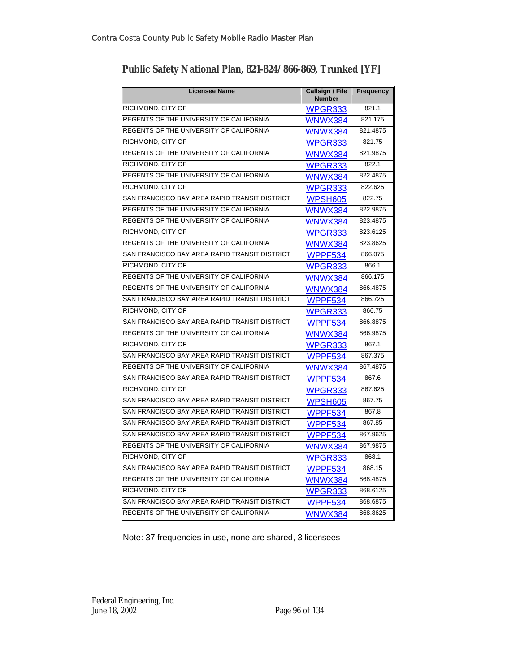| <b>Licensee Name</b>                          | Callsign / File<br><b>Number</b> | <b>Frequency</b> |
|-----------------------------------------------|----------------------------------|------------------|
| RICHMOND, CITY OF                             | WPGR333                          | 821.1            |
| REGENTS OF THE UNIVERSITY OF CALIFORNIA       | <b>WNWX384</b>                   | 821.175          |
| REGENTS OF THE UNIVERSITY OF CALIFORNIA       | WNWX384                          | 821.4875         |
| RICHMOND, CITY OF                             | WPGR333                          | 821.75           |
| REGENTS OF THE UNIVERSITY OF CALIFORNIA       | <b>WNWX384</b>                   | 821.9875         |
| RICHMOND, CITY OF                             | WPGR333                          | 822.1            |
| REGENTS OF THE UNIVERSITY OF CALIFORNIA       | WNWX384                          | 822.4875         |
| RICHMOND, CITY OF                             | WPGR333                          | 822.625          |
| SAN FRANCISCO BAY AREA RAPID TRANSIT DISTRICT | <b>WPSH605</b>                   | 822.75           |
| REGENTS OF THE UNIVERSITY OF CALIFORNIA       | WNWX384                          | 822.9875         |
| REGENTS OF THE UNIVERSITY OF CALIFORNIA       | WNWX384                          | 823.4875         |
| RICHMOND, CITY OF                             | WPGR333                          | 823.6125         |
| REGENTS OF THE UNIVERSITY OF CALIFORNIA       | <b>WNWX384</b>                   | 823.8625         |
| SAN FRANCISCO BAY AREA RAPID TRANSIT DISTRICT | <b>WPPF534</b>                   | 866.075          |
| RICHMOND, CITY OF                             | WPGR333                          | 866.1            |
| REGENTS OF THE UNIVERSITY OF CALIFORNIA       | WNWX384                          | 866.175          |
| REGENTS OF THE UNIVERSITY OF CALIFORNIA       | WNWX384                          | 866.4875         |
| SAN FRANCISCO BAY AREA RAPID TRANSIT DISTRICT | WPPF534                          | 866.725          |
| RICHMOND, CITY OF                             | WPGR333                          | 866.75           |
| SAN FRANCISCO BAY AREA RAPID TRANSIT DISTRICT | WPPF534                          | 866.8875         |
| REGENTS OF THE UNIVERSITY OF CALIFORNIA       | WNWX384                          | 866.9875         |
| RICHMOND, CITY OF                             | WPGR333                          | 867.1            |
| SAN FRANCISCO BAY AREA RAPID TRANSIT DISTRICT | WPPF534                          | 867.375          |
| REGENTS OF THE UNIVERSITY OF CALIFORNIA       | <b>WNWX384</b>                   | 867.4875         |
| SAN FRANCISCO BAY AREA RAPID TRANSIT DISTRICT | WPPF534                          | 867.6            |
| RICHMOND, CITY OF                             | <b>WPGR333</b>                   | 867.625          |
| SAN FRANCISCO BAY AREA RAPID TRANSIT DISTRICT | <b>WPSH605</b>                   | 867.75           |
| SAN FRANCISCO BAY AREA RAPID TRANSIT DISTRICT | WPPF534                          | 867.8            |
| SAN FRANCISCO BAY AREA RAPID TRANSIT DISTRICT | WPPF534                          | 867.85           |
| SAN FRANCISCO BAY AREA RAPID TRANSIT DISTRICT | WPPF534                          | 867.9625         |
| REGENTS OF THE UNIVERSITY OF CALIFORNIA       | WNWX384                          | 867.9875         |
| RICHMOND, CITY OF                             | WPGR333                          | 868.1            |
| SAN FRANCISCO BAY AREA RAPID TRANSIT DISTRICT | WPPF534                          | 868.15           |
| REGENTS OF THE UNIVERSITY OF CALIFORNIA       | WNWX384                          | 868.4875         |
| RICHMOND, CITY OF                             | WPGR333                          | 868.6125         |
| SAN FRANCISCO BAY AREA RAPID TRANSIT DISTRICT | WPPF534                          | 868.6875         |
| REGENTS OF THE UNIVERSITY OF CALIFORNIA       | <b>WNWX384</b>                   | 868.8625         |

**Public Safety National Plan, 821-824/866-869, Trunked [YF]** 

Note: 37 frequencies in use, none are shared, 3 licensees

Federal Engineering, Inc.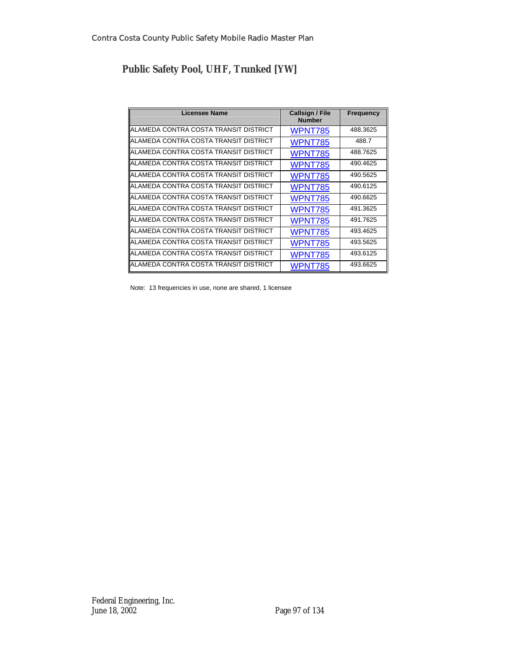## **Public Safety Pool, UHF, Trunked [YW]**

| <b>Licensee Name</b>                   | <b>Callsign / File</b><br><b>Number</b> | <b>Frequency</b> |
|----------------------------------------|-----------------------------------------|------------------|
| ALAMEDA CONTRA COSTA TRANSIT DISTRICT  | <b>WPNT785</b>                          | 488.3625         |
| ALAMEDA CONTRA COSTA TRANSIT DISTRICT  | <b>WPNT785</b>                          | 488.7            |
| ALAMEDA CONTRA COSTA TRANSIT DISTRICT  | <b>WPNT785</b>                          | 488.7625         |
| ALAMEDA CONTRA COSTA TRANSIT DISTRICT  | <b>WPNT785</b>                          | 490.4625         |
| IALAMEDA CONTRA COSTA TRANSIT DISTRICT | <b>WPNT785</b>                          | 490.5625         |
| ALAMEDA CONTRA COSTA TRANSIT DISTRICT  | <b>WPNT785</b>                          | 490.6125         |
| ALAMEDA CONTRA COSTA TRANSIT DISTRICT  | <b>WPNT785</b>                          | 490.6625         |
| ALAMEDA CONTRA COSTA TRANSIT DISTRICT  | <b>WPNT785</b>                          | 491.3625         |
| IALAMEDA CONTRA COSTA TRANSIT DISTRICT | <b>WPNT785</b>                          | 491.7625         |
| IALAMEDA CONTRA COSTA TRANSIT DISTRICT | <b>WPNT785</b>                          | 493.4625         |
| IALAMEDA CONTRA COSTA TRANSIT DISTRICT | <b>WPNT785</b>                          | 493.5625         |
| ALAMEDA CONTRA COSTA TRANSIT DISTRICT  | <b>WPNT785</b>                          | 493.6125         |
| IALAMEDA CONTRA COSTA TRANSIT DISTRICT | WPNT785                                 | 493.6625         |

Note: 13 frequencies in use, none are shared, 1 licensee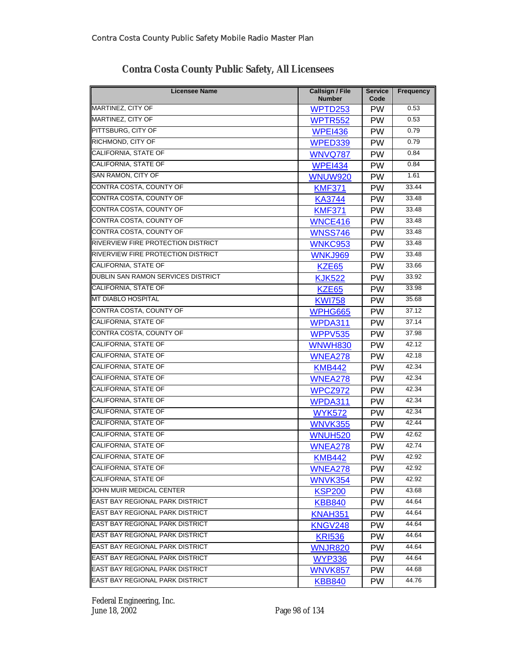| <b>Licensee Name</b>                      | <b>Callsign / File</b><br><b>Number</b> | <b>Service</b><br>Code | <b>Frequency</b> |
|-------------------------------------------|-----------------------------------------|------------------------|------------------|
| MARTINEZ, CITY OF                         | WPTD253                                 | PW                     | 0.53             |
| MARTINEZ, CITY OF                         | <b>WPTR552</b>                          | <b>PW</b>              | 0.53             |
| PITTSBURG, CITY OF                        | <b>WPEI436</b>                          | <b>PW</b>              | 0.79             |
| RICHMOND, CITY OF                         | WPED339                                 | <b>PW</b>              | 0.79             |
| CALIFORNIA, STATE OF                      | <b>WNVQ787</b>                          | <b>PW</b>              | 0.84             |
| CALIFORNIA, STATE OF                      | <b>WPEI434</b>                          | <b>PW</b>              | 0.84             |
| SAN RAMON, CITY OF                        | <b>WNUW920</b>                          | <b>PW</b>              | 1.61             |
| CONTRA COSTA, COUNTY OF                   | <b>KMF371</b>                           | <b>PW</b>              | 33.44            |
| CONTRA COSTA, COUNTY OF                   | <b>KA3744</b>                           | <b>PW</b>              | 33.48            |
| CONTRA COSTA, COUNTY OF                   | <b>KMF371</b>                           | <b>PW</b>              | 33.48            |
| CONTRA COSTA, COUNTY OF                   | WNCE416                                 | <b>PW</b>              | 33.48            |
| CONTRA COSTA, COUNTY OF                   | <b>WNSS746</b>                          | <b>PW</b>              | 33.48            |
| RIVERVIEW FIRE PROTECTION DISTRICT        | WNKC953                                 | PW                     | 33.48            |
| <b>RIVERVIEW FIRE PROTECTION DISTRICT</b> | <b>WNKJ969</b>                          | <b>PW</b>              | 33.48            |
| CALIFORNIA, STATE OF                      | <b>KZE65</b>                            | <b>PW</b>              | 33.66            |
| <b>DUBLIN SAN RAMON SERVICES DISTRICT</b> | <b>KJK522</b>                           | <b>PW</b>              | 33.92            |
| CALIFORNIA, STATE OF                      | <b>KZE65</b>                            | <b>PW</b>              | 33.98            |
| <b>MT DIABLO HOSPITAL</b>                 | <b>KWI758</b>                           | <b>PW</b>              | 35.68            |
| CONTRA COSTA, COUNTY OF                   | WPHG665                                 | <b>PW</b>              | 37.12            |
| <b>CALIFORNIA, STATE OF</b>               | WPDA311                                 | <b>PW</b>              | 37.14            |
| CONTRA COSTA, COUNTY OF                   | <b>WPPV535</b>                          | <b>PW</b>              | 37.98            |
| CALIFORNIA, STATE OF                      | <b>WNWH830</b>                          | <b>PW</b>              | 42.12            |
| CALIFORNIA, STATE OF                      | WNEA278                                 | <b>PW</b>              | 42.18            |
| CALIFORNIA, STATE OF                      | <b>KMB442</b>                           | <b>PW</b>              | 42.34            |
| CALIFORNIA, STATE OF                      | WNEA278                                 | <b>PW</b>              | 42.34            |
| <b>CALIFORNIA, STATE OF</b>               | WPCZ972                                 | <b>PW</b>              | 42.34            |
| CALIFORNIA, STATE OF                      | WPDA311                                 | <b>PW</b>              | 42.34            |
| CALIFORNIA, STATE OF                      | <b>WYK572</b>                           | <b>PW</b>              | 42.34            |
| CALIFORNIA, STATE OF                      | <b>WNVK355</b>                          | <b>PW</b>              | 42.44            |
| CALIFORNIA, STATE OF                      | <b>WNUH520</b>                          | <b>PW</b>              | 42.62            |
| CALIFORNIA, STATE OF                      | WNEA278                                 | <b>PW</b>              | 42.74            |
| CALIFORNIA, STATE OF                      | <b>KMB442</b>                           | <b>PW</b>              | 42.92            |
| CALIFORNIA, STATE OF                      | <b>WNEA278</b>                          | PW                     | 42.92            |
| CALIFORNIA, STATE OF                      | WNVK354                                 | <b>PW</b>              | 42.92            |
| JOHN MUIR MEDICAL CENTER                  | <b>KSP200</b>                           | PW                     | 43.68            |
| EAST BAY REGIONAL PARK DISTRICT           | <b>KBB840</b>                           | PW                     | 44.64            |
| <b>EAST BAY REGIONAL PARK DISTRICT</b>    | <b>KNAH351</b>                          | <b>PW</b>              | 44.64            |
| EAST BAY REGIONAL PARK DISTRICT           | <b>KNGV248</b>                          | PW                     | 44.64            |
| <b>EAST BAY REGIONAL PARK DISTRICT</b>    | <b>KRI536</b>                           | <b>PW</b>              | 44.64            |
| EAST BAY REGIONAL PARK DISTRICT           | <b>WNJR820</b>                          | PW                     | 44.64            |
| EAST BAY REGIONAL PARK DISTRICT           | <b>WYP336</b>                           | PW                     | 44.64            |
| <b>EAST BAY REGIONAL PARK DISTRICT</b>    | WNVK857                                 | PW.                    | 44.68            |
| EAST BAY REGIONAL PARK DISTRICT           | <b>KBB840</b>                           | PW                     | 44.76            |

### **Contra Costa County Public Safety, All Licensees**

Federal Engineering, Inc. June 18, 2002 Page 98 of 134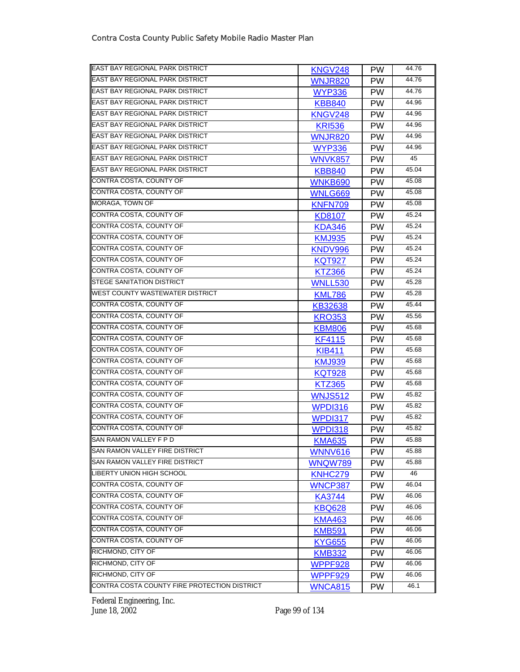| <b>EAST BAY REGIONAL PARK DISTRICT</b>       | <b>KNGV248</b> | <b>PW</b>       | 44.76 |
|----------------------------------------------|----------------|-----------------|-------|
| <b>EAST BAY REGIONAL PARK DISTRICT</b>       | <b>WNJR820</b> | <b>PW</b>       | 44.76 |
| EAST BAY REGIONAL PARK DISTRICT              | <b>WYP336</b>  | <b>PW</b>       | 44.76 |
| EAST BAY REGIONAL PARK DISTRICT              | <b>KBB840</b>  | <b>PW</b>       | 44.96 |
| EAST BAY REGIONAL PARK DISTRICT              | <b>KNGV248</b> | <b>PW</b>       | 44.96 |
| EAST BAY REGIONAL PARK DISTRICT              | <b>KRI536</b>  | PW.             | 44.96 |
| <b>EAST BAY REGIONAL PARK DISTRICT</b>       | <b>WNJR820</b> | <b>PW</b>       | 44.96 |
| EAST BAY REGIONAL PARK DISTRICT              | <b>WYP336</b>  | <b>PW</b>       | 44.96 |
| EAST BAY REGIONAL PARK DISTRICT              | WNVK857        | <b>PW</b>       | 45    |
| EAST BAY REGIONAL PARK DISTRICT              | <b>KBB840</b>  | <b>PW</b>       | 45.04 |
| CONTRA COSTA, COUNTY OF                      | <b>WNKB690</b> | <b>PW</b>       | 45.08 |
| CONTRA COSTA, COUNTY OF                      | <b>WNLG669</b> | <b>PW</b>       | 45.08 |
| MORAGA, TOWN OF                              | <b>KNFN709</b> | PW              | 45.08 |
| CONTRA COSTA, COUNTY OF                      | <b>KD8107</b>  | <b>PW</b>       | 45.24 |
| CONTRA COSTA, COUNTY OF                      | <b>KDA346</b>  | <b>PW</b>       | 45.24 |
| CONTRA COSTA, COUNTY OF                      | <b>KMJ935</b>  | <b>PW</b>       | 45.24 |
| CONTRA COSTA, COUNTY OF                      | <b>KNDV996</b> | <b>PW</b>       | 45.24 |
| CONTRA COSTA, COUNTY OF                      | <b>KQT927</b>  | <b>PW</b>       | 45.24 |
| CONTRA COSTA, COUNTY OF                      | <b>KTZ366</b>  | <b>PW</b>       | 45.24 |
| <b>STEGE SANITATION DISTRICT</b>             | <b>WNLL530</b> | <b>PW</b>       | 45.28 |
| WEST COUNTY WASTEWATER DISTRICT              | <b>KML786</b>  | <b>PW</b>       | 45.28 |
| CONTRA COSTA, COUNTY OF                      | <b>KB32638</b> | <b>PW</b>       | 45.44 |
| CONTRA COSTA, COUNTY OF                      | <b>KRO353</b>  | <b>PW</b>       | 45.56 |
| CONTRA COSTA, COUNTY OF                      | <b>KBM806</b>  | <b>PW</b>       | 45.68 |
| CONTRA COSTA, COUNTY OF                      | <b>KF4115</b>  | <b>PW</b>       | 45.68 |
| CONTRA COSTA, COUNTY OF                      | <b>KIB411</b>  | <b>PW</b>       | 45.68 |
| CONTRA COSTA, COUNTY OF                      | <b>KMJ939</b>  | <b>PW</b>       | 45.68 |
| CONTRA COSTA, COUNTY OF                      | <b>KQT928</b>  | <b>PW</b>       | 45.68 |
| CONTRA COSTA, COUNTY OF                      | <b>KTZ365</b>  | <b>PW</b>       | 45.68 |
| CONTRA COSTA, COUNTY OF                      | <b>WNJS512</b> | <b>PW</b>       | 45.82 |
| CONTRA COSTA, COUNTY OF                      | <b>WPDI316</b> | <b>PW</b>       | 45.82 |
| CONTRA COSTA, COUNTY OF                      | WPDI317        | <b>PW</b>       | 45.82 |
| CONTRA COSTA, COUNTY OF                      | <b>WPDI318</b> | <b>PW</b>       | 45.82 |
| SAN RAMON VALLEY F P D                       | <b>KMA635</b>  | $\overline{PW}$ | 45.88 |
| SAN RAMON VALLEY FIRE DISTRICT               | <b>WNNV616</b> | PW              | 45.88 |
| SAN RAMON VALLEY FIRE DISTRICT               | <b>WNQW789</b> | PW              | 45.88 |
| LIBERTY UNION HIGH SCHOOL                    | <b>KNHC279</b> | PW              | 46    |
| CONTRA COSTA, COUNTY OF                      | WNCP387        | PW              | 46.04 |
| CONTRA COSTA, COUNTY OF                      | <b>KA3744</b>  | <b>PW</b>       | 46.06 |
| CONTRA COSTA, COUNTY OF                      | <b>KBQ628</b>  | <b>PW</b>       | 46.06 |
| CONTRA COSTA, COUNTY OF                      | <b>KMA463</b>  | PW              | 46.06 |
| CONTRA COSTA, COUNTY OF                      | <b>KMB591</b>  | PW              | 46.06 |
| CONTRA COSTA, COUNTY OF                      | <b>KYG655</b>  | <b>PW</b>       | 46.06 |
| RICHMOND, CITY OF                            | <b>KMB332</b>  | PW              | 46.06 |
| RICHMOND, CITY OF                            | WPPF928        | <b>PW</b>       | 46.06 |
| RICHMOND, CITY OF                            | WPPF929        | PW              | 46.06 |
| CONTRA COSTA COUNTY FIRE PROTECTION DISTRICT | <b>WNCA815</b> | <b>PW</b>       | 46.1  |

Federal Engineering, Inc. June 18, 2002 Page 99 of 134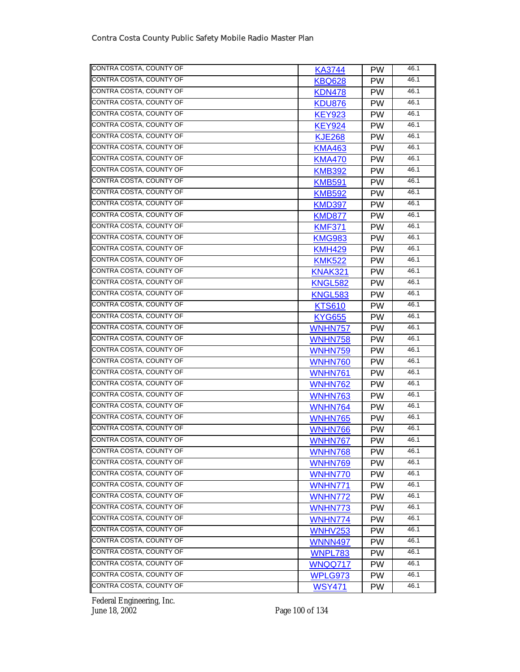| CONTRA COSTA, COUNTY OF | <b>KA3744</b>  | <b>PW</b> | 46.1 |
|-------------------------|----------------|-----------|------|
| CONTRA COSTA, COUNTY OF | <b>KBQ628</b>  | <b>PW</b> | 46.1 |
| CONTRA COSTA, COUNTY OF | <b>KDN478</b>  | <b>PW</b> | 46.1 |
| CONTRA COSTA, COUNTY OF | <b>KDU876</b>  | <b>PW</b> | 46.1 |
| CONTRA COSTA, COUNTY OF | <b>KEY923</b>  | <b>PW</b> | 46.1 |
| CONTRA COSTA, COUNTY OF | <b>KEY924</b>  | <b>PW</b> | 46.1 |
| CONTRA COSTA, COUNTY OF | <b>KJE268</b>  | <b>PW</b> | 46.1 |
| CONTRA COSTA, COUNTY OF | <b>KMA463</b>  | <b>PW</b> | 46.1 |
| CONTRA COSTA, COUNTY OF | <b>KMA470</b>  | <b>PW</b> | 46.1 |
| CONTRA COSTA, COUNTY OF | <b>KMB392</b>  | <b>PW</b> | 46.1 |
| CONTRA COSTA, COUNTY OF | <b>KMB591</b>  | <b>PW</b> | 46.1 |
| CONTRA COSTA, COUNTY OF | <b>KMB592</b>  | <b>PW</b> | 46.1 |
| CONTRA COSTA, COUNTY OF | <b>KMD397</b>  | <b>PW</b> | 46.1 |
| CONTRA COSTA, COUNTY OF | <b>KMD877</b>  | <b>PW</b> | 46.1 |
| CONTRA COSTA, COUNTY OF | <b>KMF371</b>  | <b>PW</b> | 46.1 |
| CONTRA COSTA, COUNTY OF | <b>KMG983</b>  | <b>PW</b> | 46.1 |
| CONTRA COSTA, COUNTY OF | <b>KMH429</b>  | <b>PW</b> | 46.1 |
| CONTRA COSTA, COUNTY OF | <b>KMK522</b>  | <b>PW</b> | 46.1 |
| CONTRA COSTA, COUNTY OF | <b>KNAK321</b> | <b>PW</b> | 46.1 |
| CONTRA COSTA, COUNTY OF | <b>KNGL582</b> | <b>PW</b> | 46.1 |
| CONTRA COSTA, COUNTY OF | <b>KNGL583</b> | <b>PW</b> | 46.1 |
| CONTRA COSTA, COUNTY OF | <b>KTS610</b>  | PW        | 46.1 |
| CONTRA COSTA, COUNTY OF | <b>KYG655</b>  | <b>PW</b> | 46.1 |
| CONTRA COSTA, COUNTY OF | <b>WNHN757</b> | <b>PW</b> | 46.1 |
| CONTRA COSTA, COUNTY OF | <b>WNHN758</b> | <b>PW</b> | 46.1 |
| CONTRA COSTA, COUNTY OF | <b>WNHN759</b> | <b>PW</b> | 46.1 |
| CONTRA COSTA, COUNTY OF | <b>WNHN760</b> | <b>PW</b> | 46.1 |
| CONTRA COSTA, COUNTY OF | <b>WNHN761</b> | <b>PW</b> | 46.1 |
| CONTRA COSTA, COUNTY OF | <b>WNHN762</b> | <b>PW</b> | 46.1 |
| CONTRA COSTA, COUNTY OF | <b>WNHN763</b> | <b>PW</b> | 46.1 |
| CONTRA COSTA, COUNTY OF | <b>WNHN764</b> | PW        | 46.1 |
| CONTRA COSTA, COUNTY OF | <b>WNHN765</b> | <b>PW</b> | 46.1 |
| CONTRA COSTA, COUNTY OF | <b>WNHN766</b> | <b>PW</b> | 46.1 |
| CONTRA COSTA, COUNTY OF | <b>WNHN767</b> | <b>PW</b> | 46.1 |
| CONTRA COSTA, COUNTY OF | <b>WNHN768</b> | <b>PW</b> | 46.1 |
| CONTRA COSTA, COUNTY OF | <b>WNHN769</b> | <b>PW</b> | 46.1 |
| CONTRA COSTA, COUNTY OF | <b>WNHN770</b> | <b>PW</b> | 46.1 |
| CONTRA COSTA, COUNTY OF | <b>WNHN771</b> | <b>PW</b> | 46.1 |
| CONTRA COSTA, COUNTY OF | WNHN772        | <b>PW</b> | 46.1 |
| CONTRA COSTA, COUNTY OF | <b>WNHN773</b> | <b>PW</b> | 46.1 |
| CONTRA COSTA, COUNTY OF | WNHN774        | <b>PW</b> | 46.1 |
| CONTRA COSTA, COUNTY OF | <b>WNHV253</b> | <b>PW</b> | 46.1 |
| CONTRA COSTA, COUNTY OF | <b>WNNN497</b> | <b>PW</b> | 46.1 |
| CONTRA COSTA, COUNTY OF | WNPL783        | <b>PW</b> | 46.1 |
| CONTRA COSTA, COUNTY OF | WNQQ717        | <b>PW</b> | 46.1 |
| CONTRA COSTA, COUNTY OF | WPLG973        | <b>PW</b> | 46.1 |
| CONTRA COSTA, COUNTY OF | <b>WSY471</b>  | PW        | 46.1 |

Federal Engineering, Inc. June 18, 2002 Page 100 of 134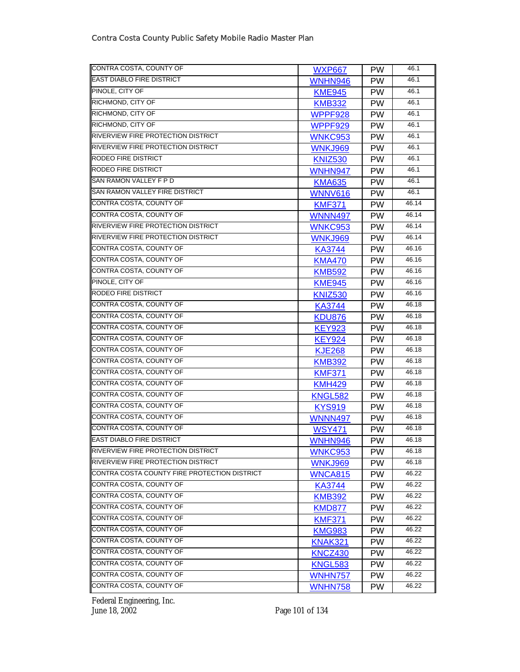| CONTRA COSTA, COUNTY OF                      | <b>WXP667</b>  | <b>PW</b>              | 46.1  |
|----------------------------------------------|----------------|------------------------|-------|
| <b>EAST DIABLO FIRE DISTRICT</b>             | <b>WNHN946</b> | <b>PW</b>              | 46.1  |
| PINOLE, CITY OF                              | <b>KME945</b>  | <b>PW</b>              | 46.1  |
| RICHMOND, CITY OF                            | <b>KMB332</b>  | <b>PW</b>              | 46.1  |
| RICHMOND, CITY OF                            | WPPF928        | PW                     | 46.1  |
| RICHMOND, CITY OF                            | WPPF929        | <b>PW</b>              | 46.1  |
| RIVERVIEW FIRE PROTECTION DISTRICT           | <b>WNKC953</b> | <b>PW</b>              | 46.1  |
| RIVERVIEW FIRE PROTECTION DISTRICT           | <b>WNKJ969</b> | <b>PW</b>              | 46.1  |
| <b>RODEO FIRE DISTRICT</b>                   | <b>KNIZ530</b> | <b>PW</b>              | 46.1  |
| <b>RODEO FIRE DISTRICT</b>                   | WNHN947        | <b>PW</b>              | 46.1  |
| SAN RAMON VALLEY F P D                       | <b>KMA635</b>  | PW                     | 46.1  |
| SAN RAMON VALLEY FIRE DISTRICT               | <b>WNNV616</b> | <b>PW</b>              | 46.1  |
| CONTRA COSTA, COUNTY OF                      | <b>KMF371</b>  | PW                     | 46.14 |
| CONTRA COSTA, COUNTY OF                      | <b>WNNN497</b> | <b>PW</b>              | 46.14 |
| RIVERVIEW FIRE PROTECTION DISTRICT           | <b>WNKC953</b> | <b>PW</b>              | 46.14 |
| <b>RIVERVIEW FIRE PROTECTION DISTRICT</b>    | <b>WNKJ969</b> | <b>PW</b>              | 46.14 |
| CONTRA COSTA, COUNTY OF                      | <b>KA3744</b>  | <b>PW</b>              | 46.16 |
| CONTRA COSTA, COUNTY OF                      | <b>KMA470</b>  | <b>PW</b>              | 46.16 |
| CONTRA COSTA, COUNTY OF                      | <b>KMB592</b>  | <b>PW</b>              | 46.16 |
| PINOLE, CITY OF                              | <b>KME945</b>  | <b>PW</b>              | 46.16 |
| RODEO FIRE DISTRICT                          | <b>KNIZ530</b> | <b>PW</b>              | 46.16 |
| CONTRA COSTA, COUNTY OF                      | <b>KA3744</b>  | $\overline{\text{PW}}$ | 46.18 |
| CONTRA COSTA, COUNTY OF                      | <b>KDU876</b>  | <b>PW</b>              | 46.18 |
| CONTRA COSTA, COUNTY OF                      | <b>KEY923</b>  | PW                     | 46.18 |
| CONTRA COSTA, COUNTY OF                      | <b>KEY924</b>  | <b>PW</b>              | 46.18 |
| CONTRA COSTA, COUNTY OF                      | <b>KJE268</b>  | <b>PW</b>              | 46.18 |
| CONTRA COSTA, COUNTY OF                      | <b>KMB392</b>  | <b>PW</b>              | 46.18 |
| CONTRA COSTA, COUNTY OF                      | <b>KMF371</b>  | <b>PW</b>              | 46.18 |
| CONTRA COSTA, COUNTY OF                      | <b>KMH429</b>  | PW                     | 46.18 |
| CONTRA COSTA, COUNTY OF                      | <b>KNGL582</b> | <b>PW</b>              | 46.18 |
| CONTRA COSTA, COUNTY OF                      | <b>KYS919</b>  | <b>PW</b>              | 46.18 |
| CONTRA COSTA, COUNTY OF                      | <b>WNNN497</b> | <b>PW</b>              | 46.18 |
| CONTRA COSTA, COUNTY OF                      | <b>WSY471</b>  | <b>PW</b>              | 46.18 |
| <b>EAST DIABLO FIRE DISTRICT</b>             | WNHN946        | <b>PW</b>              | 46.18 |
| <b>RIVERVIEW FIRE PROTECTION DISTRICT</b>    | WNKC953        | PW                     | 46.18 |
| RIVERVIEW FIRE PROTECTION DISTRICT           | <b>WNKJ969</b> | PW                     | 46.18 |
| CONTRA COSTA COUNTY FIRE PROTECTION DISTRICT | <b>WNCA815</b> | PW                     | 46.22 |
| CONTRA COSTA, COUNTY OF                      | <b>KA3744</b>  | PW                     | 46.22 |
| CONTRA COSTA, COUNTY OF                      | <b>KMB392</b>  | PW                     | 46.22 |
| CONTRA COSTA, COUNTY OF                      | <b>KMD877</b>  | PW                     | 46.22 |
| CONTRA COSTA, COUNTY OF                      | <b>KMF371</b>  | PW                     | 46.22 |
| CONTRA COSTA, COUNTY OF                      | <b>KMG983</b>  | PW                     | 46.22 |
| CONTRA COSTA, COUNTY OF                      | <b>KNAK321</b> | PW                     | 46.22 |
| CONTRA COSTA, COUNTY OF                      | <b>KNCZ430</b> | PW                     | 46.22 |
| CONTRA COSTA, COUNTY OF                      | <b>KNGL583</b> | PW                     | 46.22 |
| CONTRA COSTA, COUNTY OF                      | <b>WNHN757</b> | <b>PW</b>              | 46.22 |
| CONTRA COSTA, COUNTY OF                      | <b>WNHN758</b> | <b>PW</b>              | 46.22 |

Federal Engineering, Inc. June 18, 2002 Page 101 of 134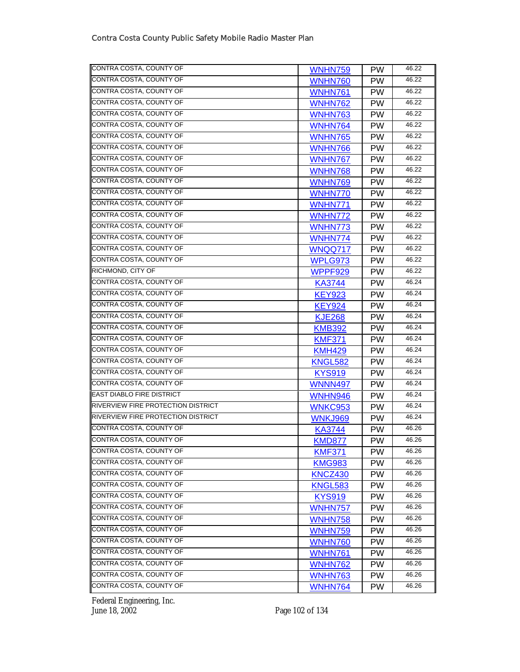| CONTRA COSTA, COUNTY OF            | WNHN759        | <b>PW</b> | 46.22 |
|------------------------------------|----------------|-----------|-------|
| CONTRA COSTA, COUNTY OF            | <b>WNHN760</b> | <b>PW</b> | 46.22 |
| CONTRA COSTA, COUNTY OF            | WNHN761        | <b>PW</b> | 46.22 |
| CONTRA COSTA, COUNTY OF            | <b>WNHN762</b> | <b>PW</b> | 46.22 |
| CONTRA COSTA, COUNTY OF            | <b>WNHN763</b> | <b>PW</b> | 46.22 |
| CONTRA COSTA, COUNTY OF            | <b>WNHN764</b> | <b>PW</b> | 46.22 |
| CONTRA COSTA, COUNTY OF            | <b>WNHN765</b> | PW        | 46.22 |
| CONTRA COSTA, COUNTY OF            | <b>WNHN766</b> | <b>PW</b> | 46.22 |
| CONTRA COSTA, COUNTY OF            | <b>WNHN767</b> | <b>PW</b> | 46.22 |
| CONTRA COSTA, COUNTY OF            | <b>WNHN768</b> | PW        | 46.22 |
| CONTRA COSTA, COUNTY OF            | <b>WNHN769</b> | <b>PW</b> | 46.22 |
| CONTRA COSTA, COUNTY OF            | <b>WNHN770</b> | <b>PW</b> | 46.22 |
| CONTRA COSTA, COUNTY OF            | WNHN771        | <b>PW</b> | 46.22 |
| CONTRA COSTA, COUNTY OF            | WNHN772        | <b>PW</b> | 46.22 |
| CONTRA COSTA, COUNTY OF            | WNHN773        | <b>PW</b> | 46.22 |
| CONTRA COSTA, COUNTY OF            | WNHN774        | <b>PW</b> | 46.22 |
| CONTRA COSTA, COUNTY OF            | WNQQ717        | <b>PW</b> | 46.22 |
| CONTRA COSTA, COUNTY OF            | WPLG973        | <b>PW</b> | 46.22 |
| RICHMOND, CITY OF                  | WPPF929        | <b>PW</b> | 46.22 |
| CONTRA COSTA, COUNTY OF            | <b>KA3744</b>  | <b>PW</b> | 46.24 |
| CONTRA COSTA, COUNTY OF            | <b>KEY923</b>  | <b>PW</b> | 46.24 |
| CONTRA COSTA, COUNTY OF            | <b>KEY924</b>  | <b>PW</b> | 46.24 |
| CONTRA COSTA, COUNTY OF            | <b>KJE268</b>  | <b>PW</b> | 46.24 |
| CONTRA COSTA, COUNTY OF            | <b>KMB392</b>  | <b>PW</b> | 46.24 |
| CONTRA COSTA, COUNTY OF            | <b>KMF371</b>  | <b>PW</b> | 46.24 |
| CONTRA COSTA, COUNTY OF            | <b>KMH429</b>  | <b>PW</b> | 46.24 |
| CONTRA COSTA, COUNTY OF            | <b>KNGL582</b> | <b>PW</b> | 46.24 |
| CONTRA COSTA, COUNTY OF            | <b>KYS919</b>  | <b>PW</b> | 46.24 |
| CONTRA COSTA, COUNTY OF            | <b>WNNN497</b> | <b>PW</b> | 46.24 |
| <b>EAST DIABLO FIRE DISTRICT</b>   | <b>WNHN946</b> | <b>PW</b> | 46.24 |
| RIVERVIEW FIRE PROTECTION DISTRICT | WNKC953        | PW        | 46.24 |
| RIVERVIEW FIRE PROTECTION DISTRICT | <b>WNKJ969</b> | <b>PW</b> | 46.24 |
| CONTRA COSTA, COUNTY OF            | <b>KA3744</b>  | PW        | 46.26 |
| CONTRA COSTA, COUNTY OF            | <b>KMD877</b>  | PW        | 46.26 |
| CONTRA COSTA, COUNTY OF            | <b>KMF371</b>  | <b>PW</b> | 46.26 |
| CONTRA COSTA, COUNTY OF            | <b>KMG983</b>  | <b>PW</b> | 46.26 |
| CONTRA COSTA, COUNTY OF            | <b>KNCZ430</b> | <b>PW</b> | 46.26 |
| CONTRA COSTA, COUNTY OF            | <b>KNGL583</b> | <b>PW</b> | 46.26 |
| CONTRA COSTA, COUNTY OF            | <b>KYS919</b>  | <b>PW</b> | 46.26 |
| CONTRA COSTA, COUNTY OF            | <b>WNHN757</b> | <b>PW</b> | 46.26 |
| CONTRA COSTA, COUNTY OF            | <b>WNHN758</b> | <b>PW</b> | 46.26 |
| CONTRA COSTA, COUNTY OF            | <b>WNHN759</b> | <b>PW</b> | 46.26 |
| CONTRA COSTA, COUNTY OF            | <b>WNHN760</b> | <b>PW</b> | 46.26 |
| CONTRA COSTA, COUNTY OF            | WNHN761        | <b>PW</b> | 46.26 |
| CONTRA COSTA, COUNTY OF            | <b>WNHN762</b> | <b>PW</b> | 46.26 |
| CONTRA COSTA, COUNTY OF            | <b>WNHN763</b> | <b>PW</b> | 46.26 |
| CONTRA COSTA, COUNTY OF            | <b>WNHN764</b> | PW        | 46.26 |

Federal Engineering, Inc. June 18, 2002 Page 102 of 134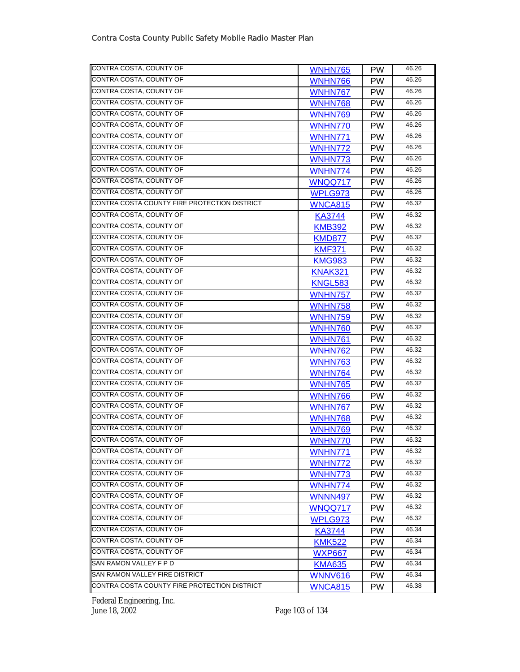| CONTRA COSTA, COUNTY OF                      | <b>WNHN765</b> | <b>PW</b> | 46.26 |
|----------------------------------------------|----------------|-----------|-------|
| CONTRA COSTA, COUNTY OF                      | <b>WNHN766</b> | <b>PW</b> | 46.26 |
| CONTRA COSTA, COUNTY OF                      | <b>WNHN767</b> | <b>PW</b> | 46.26 |
| CONTRA COSTA, COUNTY OF                      | <b>WNHN768</b> | PW        | 46.26 |
| CONTRA COSTA, COUNTY OF                      | <b>WNHN769</b> | <b>PW</b> | 46.26 |
| CONTRA COSTA, COUNTY OF                      | WNHN770        | <b>PW</b> | 46.26 |
| CONTRA COSTA, COUNTY OF                      | <b>WNHN771</b> | <b>PW</b> | 46.26 |
| CONTRA COSTA, COUNTY OF                      | <b>WNHN772</b> | <b>PW</b> | 46.26 |
| CONTRA COSTA, COUNTY OF                      | WNHN773        | <b>PW</b> | 46.26 |
| CONTRA COSTA, COUNTY OF                      | WNHN774        | PW        | 46.26 |
| CONTRA COSTA, COUNTY OF                      | WNQQ717        | <b>PW</b> | 46.26 |
| CONTRA COSTA, COUNTY OF                      | WPLG973        | <b>PW</b> | 46.26 |
| CONTRA COSTA COUNTY FIRE PROTECTION DISTRICT | <b>WNCA815</b> | PW        | 46.32 |
| CONTRA COSTA, COUNTY OF                      | <b>KA3744</b>  | <b>PW</b> | 46.32 |
| CONTRA COSTA, COUNTY OF                      | <b>KMB392</b>  | <b>PW</b> | 46.32 |
| CONTRA COSTA, COUNTY OF                      | <b>KMD877</b>  | PW        | 46.32 |
| CONTRA COSTA, COUNTY OF                      | <b>KMF371</b>  | <b>PW</b> | 46.32 |
| CONTRA COSTA, COUNTY OF                      | <b>KMG983</b>  | <b>PW</b> | 46.32 |
| CONTRA COSTA, COUNTY OF                      | <b>KNAK321</b> | <b>PW</b> | 46.32 |
| CONTRA COSTA, COUNTY OF                      | <b>KNGL583</b> | <b>PW</b> | 46.32 |
| CONTRA COSTA, COUNTY OF                      | <b>WNHN757</b> | <b>PW</b> | 46.32 |
| CONTRA COSTA, COUNTY OF                      | <b>WNHN758</b> | PW        | 46.32 |
| CONTRA COSTA, COUNTY OF                      | <b>WNHN759</b> | <b>PW</b> | 46.32 |
| CONTRA COSTA, COUNTY OF                      | <b>WNHN760</b> | <b>PW</b> | 46.32 |
| CONTRA COSTA, COUNTY OF                      | <b>WNHN761</b> | <b>PW</b> | 46.32 |
| CONTRA COSTA, COUNTY OF                      | <b>WNHN762</b> | <b>PW</b> | 46.32 |
| CONTRA COSTA, COUNTY OF                      | <b>WNHN763</b> | <b>PW</b> | 46.32 |
| CONTRA COSTA, COUNTY OF                      | <b>WNHN764</b> | <b>PW</b> | 46.32 |
| CONTRA COSTA, COUNTY OF                      | <b>WNHN765</b> | <b>PW</b> | 46.32 |
| CONTRA COSTA, COUNTY OF                      | <b>WNHN766</b> | <b>PW</b> | 46.32 |
| CONTRA COSTA, COUNTY OF                      | <b>WNHN767</b> | PW        | 46.32 |
| CONTRA COSTA, COUNTY OF                      | <b>WNHN768</b> | <b>PW</b> | 46.32 |
| CONTRA COSTA, COUNTY OF                      | <b>WNHN769</b> | <b>PW</b> | 46.32 |
| CONTRA COSTA, COUNTY OF                      | WNHN770        | PW        | 46.32 |
| CONTRA COSTA, COUNTY OF                      | WNHN771        | <b>PW</b> | 46.32 |
| CONTRA COSTA, COUNTY OF                      | <b>WNHN772</b> | PW        | 46.32 |
| CONTRA COSTA, COUNTY OF                      | <b>WNHN773</b> | <b>PW</b> | 46.32 |
| CONTRA COSTA, COUNTY OF                      | WNHN774        | <b>PW</b> | 46.32 |
| CONTRA COSTA, COUNTY OF                      | <b>WNNN497</b> | <b>PW</b> | 46.32 |
| CONTRA COSTA, COUNTY OF                      | <b>WNQQ717</b> | <b>PW</b> | 46.32 |
| CONTRA COSTA, COUNTY OF                      | WPLG973        | <b>PW</b> | 46.32 |
| CONTRA COSTA, COUNTY OF                      | <b>KA3744</b>  | PW        | 46.34 |
| CONTRA COSTA, COUNTY OF                      | <b>KMK522</b>  | <b>PW</b> | 46.34 |
| CONTRA COSTA, COUNTY OF                      | <b>WXP667</b>  | PW        | 46.34 |
| SAN RAMON VALLEY F P D                       | <b>KMA635</b>  | <b>PW</b> | 46.34 |
| SAN RAMON VALLEY FIRE DISTRICT               | <b>WNNV616</b> | <b>PW</b> | 46.34 |
| CONTRA COSTA COUNTY FIRE PROTECTION DISTRICT | <b>WNCA815</b> | <b>PW</b> | 46.38 |

Federal Engineering, Inc. June 18, 2002 Page 103 of 134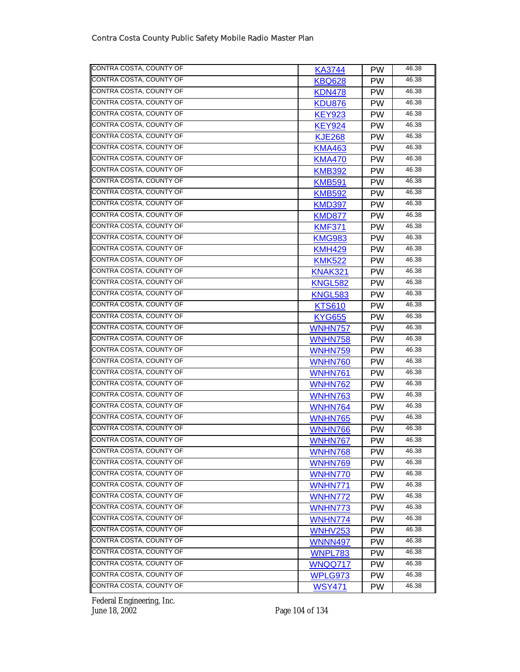| CONTRA COSTA, COUNTY OF | <b>KA3744</b>  | PW        | 46.38 |
|-------------------------|----------------|-----------|-------|
| CONTRA COSTA, COUNTY OF | <b>KBQ628</b>  | <b>PW</b> | 46.38 |
| CONTRA COSTA, COUNTY OF | <b>KDN478</b>  | <b>PW</b> | 46.38 |
| CONTRA COSTA, COUNTY OF | <b>KDU876</b>  | <b>PW</b> | 46.38 |
| CONTRA COSTA, COUNTY OF | <b>KEY923</b>  | <b>PW</b> | 46.38 |
| CONTRA COSTA, COUNTY OF | <b>KEY924</b>  | <b>PW</b> | 46.38 |
| CONTRA COSTA, COUNTY OF | <b>KJE268</b>  | <b>PW</b> | 46.38 |
| CONTRA COSTA, COUNTY OF | <b>KMA463</b>  | <b>PW</b> | 46.38 |
| CONTRA COSTA, COUNTY OF | <b>KMA470</b>  | <b>PW</b> | 46.38 |
| CONTRA COSTA, COUNTY OF | <b>KMB392</b>  | PW        | 46.38 |
| CONTRA COSTA, COUNTY OF | <b>KMB591</b>  | <b>PW</b> | 46.38 |
| CONTRA COSTA, COUNTY OF | <b>KMB592</b>  | <b>PW</b> | 46.38 |
| CONTRA COSTA, COUNTY OF | <b>KMD397</b>  | PW        | 46.38 |
| CONTRA COSTA, COUNTY OF | <b>KMD877</b>  | <b>PW</b> | 46.38 |
| CONTRA COSTA, COUNTY OF | <b>KMF371</b>  | <b>PW</b> | 46.38 |
| CONTRA COSTA, COUNTY OF | <b>KMG983</b>  | <b>PW</b> | 46.38 |
| CONTRA COSTA, COUNTY OF | <b>KMH429</b>  | <b>PW</b> | 46.38 |
| CONTRA COSTA, COUNTY OF | <b>KMK522</b>  | <b>PW</b> | 46.38 |
| CONTRA COSTA, COUNTY OF | <b>KNAK321</b> | <b>PW</b> | 46.38 |
| CONTRA COSTA, COUNTY OF | <b>KNGL582</b> | <b>PW</b> | 46.38 |
| CONTRA COSTA, COUNTY OF | <b>KNGL583</b> | <b>PW</b> | 46.38 |
| CONTRA COSTA, COUNTY OF | <b>KTS610</b>  | PW        | 46.38 |
| CONTRA COSTA, COUNTY OF | <b>KYG655</b>  | <b>PW</b> | 46.38 |
| CONTRA COSTA, COUNTY OF | <b>WNHN757</b> | PW        | 46.38 |
| CONTRA COSTA, COUNTY OF | <b>WNHN758</b> | <b>PW</b> | 46.38 |
| CONTRA COSTA, COUNTY OF | <b>WNHN759</b> | <b>PW</b> | 46.38 |
| CONTRA COSTA, COUNTY OF | <b>WNHN760</b> | PW        | 46.38 |
| CONTRA COSTA, COUNTY OF | WNHN761        | <b>PW</b> | 46.38 |
| CONTRA COSTA, COUNTY OF | <b>WNHN762</b> | PW        | 46.38 |
| CONTRA COSTA, COUNTY OF | WNHN763        | PW        | 46.38 |
| CONTRA COSTA, COUNTY OF | <b>WNHN764</b> | PW        | 46.38 |
| CONTRA COSTA, COUNTY OF | <b>WNHN765</b> | PW        | 46.38 |
| CONTRA COSTA, COUNTY OF | <b>WNHN766</b> | <b>PW</b> | 46.38 |
| CONTRA COSTA, COUNTY OF | WNHN767        | <b>PW</b> | 46.38 |
| CONTRA COSTA, COUNTY OF | <b>WNHN768</b> | PW        | 46.38 |
| CONTRA COSTA, COUNTY OF | <b>WNHN769</b> | PW        | 46.38 |
| CONTRA COSTA, COUNTY OF | <b>WNHN770</b> | <b>PW</b> | 46.38 |
| CONTRA COSTA, COUNTY OF | <b>WNHN771</b> | PW        | 46.38 |
| CONTRA COSTA, COUNTY OF | WNHN772        | <b>PW</b> | 46.38 |
| CONTRA COSTA, COUNTY OF | WNHN773        | <b>PW</b> | 46.38 |
| CONTRA COSTA, COUNTY OF | <b>WNHN774</b> | PW        | 46.38 |
| CONTRA COSTA, COUNTY OF | <b>WNHV253</b> | PW        | 46.38 |
| CONTRA COSTA, COUNTY OF | <b>WNNN497</b> | <b>PW</b> | 46.38 |
| CONTRA COSTA, COUNTY OF | WNPL783        | PW        | 46.38 |
| CONTRA COSTA, COUNTY OF | WNQQ717        | <b>PW</b> | 46.38 |
| CONTRA COSTA, COUNTY OF | WPLG973        | PW        | 46.38 |
| CONTRA COSTA, COUNTY OF | <b>WSY471</b>  | <b>PW</b> | 46.38 |

Federal Engineering, Inc. June 18, 2002 Page 104 of 134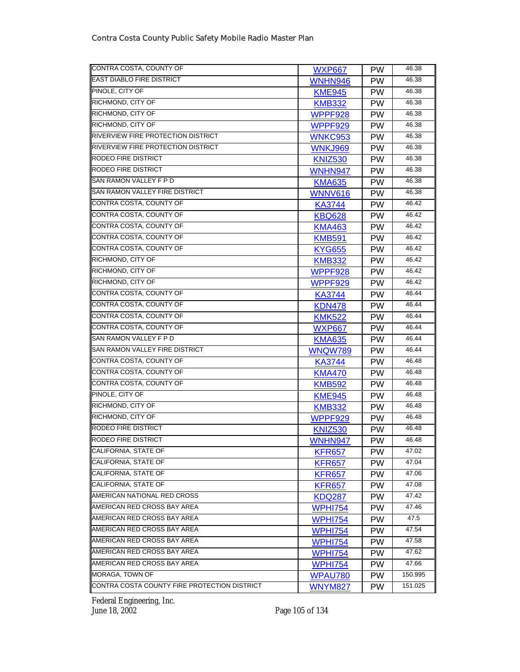| CONTRA COSTA, COUNTY OF                      | <b>WXP667</b>  | <b>PW</b> | 46.38   |
|----------------------------------------------|----------------|-----------|---------|
| EAST DIABLO FIRE DISTRICT                    | <b>WNHN946</b> | <b>PW</b> | 46.38   |
| PINOLE, CITY OF                              | <b>KME945</b>  | <b>PW</b> | 46.38   |
| RICHMOND, CITY OF                            | <b>KMB332</b>  | <b>PW</b> | 46.38   |
| RICHMOND, CITY OF                            | WPPF928        | <b>PW</b> | 46.38   |
| RICHMOND, CITY OF                            | WPPF929        | <b>PW</b> | 46.38   |
| RIVERVIEW FIRE PROTECTION DISTRICT           | <b>WNKC953</b> | <b>PW</b> | 46.38   |
| RIVERVIEW FIRE PROTECTION DISTRICT           | <b>WNKJ969</b> | <b>PW</b> | 46.38   |
| RODEO FIRE DISTRICT                          | <b>KNIZ530</b> | <b>PW</b> | 46.38   |
| <b>RODEO FIRE DISTRICT</b>                   | <b>WNHN947</b> | <b>PW</b> | 46.38   |
| SAN RAMON VALLEY F P D                       | <b>KMA635</b>  | <b>PW</b> | 46.38   |
| SAN RAMON VALLEY FIRE DISTRICT               | <b>WNNV616</b> | <b>PW</b> | 46.38   |
| CONTRA COSTA, COUNTY OF                      | <b>KA3744</b>  | <b>PW</b> | 46.42   |
| CONTRA COSTA, COUNTY OF                      | <b>KBQ628</b>  | <b>PW</b> | 46.42   |
| CONTRA COSTA, COUNTY OF                      | <b>KMA463</b>  | <b>PW</b> | 46.42   |
| CONTRA COSTA, COUNTY OF                      | <b>KMB591</b>  | <b>PW</b> | 46.42   |
| CONTRA COSTA, COUNTY OF                      | <b>KYG655</b>  | <b>PW</b> | 46.42   |
| RICHMOND, CITY OF                            | <b>KMB332</b>  | <b>PW</b> | 46.42   |
| RICHMOND, CITY OF                            | WPPF928        | <b>PW</b> | 46.42   |
| RICHMOND, CITY OF                            | WPPF929        | <b>PW</b> | 46.42   |
| CONTRA COSTA, COUNTY OF                      | <b>KA3744</b>  | <b>PW</b> | 46.44   |
| CONTRA COSTA, COUNTY OF                      | <b>KDN478</b>  | <b>PW</b> | 46.44   |
| CONTRA COSTA, COUNTY OF                      | <b>KMK522</b>  | <b>PW</b> | 46.44   |
| CONTRA COSTA, COUNTY OF                      | <b>WXP667</b>  | <b>PW</b> | 46.44   |
| SAN RAMON VALLEY F P D                       | <b>KMA635</b>  | <b>PW</b> | 46.44   |
| SAN RAMON VALLEY FIRE DISTRICT               | <b>WNQW789</b> | <b>PW</b> | 46.44   |
| CONTRA COSTA, COUNTY OF                      | <b>KA3744</b>  | <b>PW</b> | 46.48   |
| CONTRA COSTA, COUNTY OF                      | <b>KMA470</b>  | <b>PW</b> | 46.48   |
| CONTRA COSTA, COUNTY OF                      | <b>KMB592</b>  | <b>PW</b> | 46.48   |
| PINOLE, CITY OF                              | <b>KME945</b>  | <b>PW</b> | 46.48   |
| RICHMOND, CITY OF                            | <b>KMB332</b>  | <b>PW</b> | 46.48   |
| RICHMOND, CITY OF                            | WPPF929        | <b>PW</b> | 46.48   |
| RODEO FIRE DISTRICT                          | <b>KNIZ530</b> | <b>PW</b> | 46.48   |
| <b>RODEO FIRE DISTRICT</b>                   | <b>WNHN947</b> | <b>PW</b> | 46.48   |
| CALIFORNIA, STATE OF                         | <b>KFR657</b>  | <b>PW</b> | 47.02   |
| CALIFORNIA, STATE OF                         | <b>KFR657</b>  | <b>PW</b> | 47.04   |
| CALIFORNIA, STATE OF                         | <b>KFR657</b>  | <b>PW</b> | 47.06   |
| CALIFORNIA, STATE OF                         | <b>KFR657</b>  | <b>PW</b> | 47.08   |
| AMERICAN NATIONAL RED CROSS                  | <b>KDQ287</b>  | <b>PW</b> | 47.42   |
| AMERICAN RED CROSS BAY AREA                  | <b>WPHI754</b> | <b>PW</b> | 47.46   |
| AMERICAN RED CROSS BAY AREA                  | <b>WPHI754</b> | <b>PW</b> | 47.5    |
| AMERICAN RED CROSS BAY AREA                  | <b>WPHI754</b> | <b>PW</b> | 47.54   |
| AMERICAN RED CROSS BAY AREA                  | <b>WPHI754</b> | <b>PW</b> | 47.58   |
| AMERICAN RED CROSS BAY AREA                  | <b>WPHI754</b> | <b>PW</b> | 47.62   |
| AMERICAN RED CROSS BAY AREA                  | <b>WPHI754</b> | <b>PW</b> | 47.66   |
| MORAGA, TOWN OF                              | <b>WPAU780</b> | <b>PW</b> | 150.995 |
| CONTRA COSTA COUNTY FIRE PROTECTION DISTRICT | WNYM827        | <b>PW</b> | 151.025 |

Federal Engineering, Inc. June 18, 2002 Page 105 of 134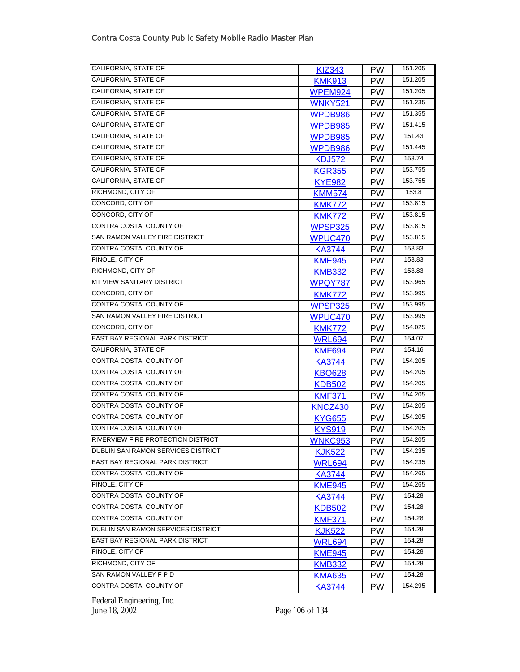| CALIFORNIA, STATE OF                      | <b>KIZ343</b>  | <b>PW</b> | 151.205 |
|-------------------------------------------|----------------|-----------|---------|
| CALIFORNIA, STATE OF                      | <b>KMK913</b>  | <b>PW</b> | 151.205 |
| CALIFORNIA, STATE OF                      | <b>WPEM924</b> | <b>PW</b> | 151.205 |
| <b>CALIFORNIA, STATE OF</b>               | <b>WNKY521</b> | <b>PW</b> | 151.235 |
| CALIFORNIA, STATE OF                      | WPDB986        | <b>PW</b> | 151.355 |
| CALIFORNIA, STATE OF                      | WPDB985        | PW        | 151.415 |
| CALIFORNIA, STATE OF                      | WPDB985        | <b>PW</b> | 151.43  |
| CALIFORNIA, STATE OF                      | <b>WPDB986</b> | <b>PW</b> | 151.445 |
| CALIFORNIA, STATE OF                      | <b>KDJ572</b>  | <b>PW</b> | 153.74  |
| CALIFORNIA, STATE OF                      | <b>KGR355</b>  | <b>PW</b> | 153.755 |
| CALIFORNIA, STATE OF                      | <b>KYE982</b>  | <b>PW</b> | 153.755 |
| RICHMOND, CITY OF                         | <b>KMM574</b>  | <b>PW</b> | 153.8   |
| CONCORD, CITY OF                          | <b>KMK772</b>  | <b>PW</b> | 153.815 |
| CONCORD, CITY OF                          | <b>KMK772</b>  | <b>PW</b> | 153.815 |
| CONTRA COSTA, COUNTY OF                   | <b>WPSP325</b> | <b>PW</b> | 153.815 |
| SAN RAMON VALLEY FIRE DISTRICT            | WPUC470        | <b>PW</b> | 153.815 |
| CONTRA COSTA, COUNTY OF                   | <b>KA3744</b>  | <b>PW</b> | 153.83  |
| PINOLE, CITY OF                           | <b>KME945</b>  | <b>PW</b> | 153.83  |
| RICHMOND, CITY OF                         | <b>KMB332</b>  | <b>PW</b> | 153.83  |
| MT VIEW SANITARY DISTRICT                 | <b>WPQY787</b> | <b>PW</b> | 153.965 |
| CONCORD, CITY OF                          | <b>KMK772</b>  | <b>PW</b> | 153.995 |
| CONTRA COSTA, COUNTY OF                   | <b>WPSP325</b> | PW        | 153.995 |
| SAN RAMON VALLEY FIRE DISTRICT            | <b>WPUC470</b> | <b>PW</b> | 153.995 |
| CONCORD, CITY OF                          | <b>KMK772</b>  | <b>PW</b> | 154.025 |
| EAST BAY REGIONAL PARK DISTRICT           | <b>WRL694</b>  | <b>PW</b> | 154.07  |
| CALIFORNIA, STATE OF                      | <b>KMF694</b>  | <b>PW</b> | 154.16  |
| CONTRA COSTA, COUNTY OF                   | <b>KA3744</b>  | <b>PW</b> | 154.205 |
| CONTRA COSTA, COUNTY OF                   | <b>KBQ628</b>  | <b>PW</b> | 154.205 |
| CONTRA COSTA, COUNTY OF                   | <b>KDB502</b>  | <b>PW</b> | 154.205 |
| CONTRA COSTA, COUNTY OF                   | <b>KMF371</b>  | <b>PW</b> | 154.205 |
| CONTRA COSTA, COUNTY OF                   | <b>KNCZ430</b> | <b>PW</b> | 154.205 |
| CONTRA COSTA, COUNTY OF                   | <b>KYG655</b>  | <b>PW</b> | 154.205 |
| CONTRA COSTA, COUNTY OF                   | <b>KYS919</b>  | <b>PW</b> | 154.205 |
| <b>RIVERVIEW FIRE PROTECTION DISTRICT</b> | <b>WNKC953</b> | <b>PW</b> | 154.205 |
| DUBLIN SAN RAMON SERVICES DISTRICT        | <b>KJK522</b>  | <b>PW</b> | 154.235 |
| EAST BAY REGIONAL PARK DISTRICT           | <b>WRL694</b>  | <b>PW</b> | 154.235 |
| CONTRA COSTA, COUNTY OF                   | <b>KA3744</b>  | <b>PW</b> | 154.265 |
| PINOLE, CITY OF                           | <b>KME945</b>  | <b>PW</b> | 154.265 |
| CONTRA COSTA, COUNTY OF                   | <b>KA3744</b>  | <b>PW</b> | 154.28  |
| CONTRA COSTA, COUNTY OF                   | <b>KDB502</b>  | <b>PW</b> | 154.28  |
| CONTRA COSTA, COUNTY OF                   | <b>KMF371</b>  | <b>PW</b> | 154.28  |
| DUBLIN SAN RAMON SERVICES DISTRICT        | <b>KJK522</b>  | <b>PW</b> | 154.28  |
| EAST BAY REGIONAL PARK DISTRICT           | <b>WRL694</b>  | <b>PW</b> | 154.28  |
| PINOLE, CITY OF                           | <b>KME945</b>  | <b>PW</b> | 154.28  |
| RICHMOND, CITY OF                         | <b>KMB332</b>  | <b>PW</b> | 154.28  |
| SAN RAMON VALLEY F P D                    | <b>KMA635</b>  | <b>PW</b> | 154.28  |
| CONTRA COSTA, COUNTY OF                   | <b>KA3744</b>  | <b>PW</b> | 154.295 |

Federal Engineering, Inc. June 18, 2002 Page 106 of 134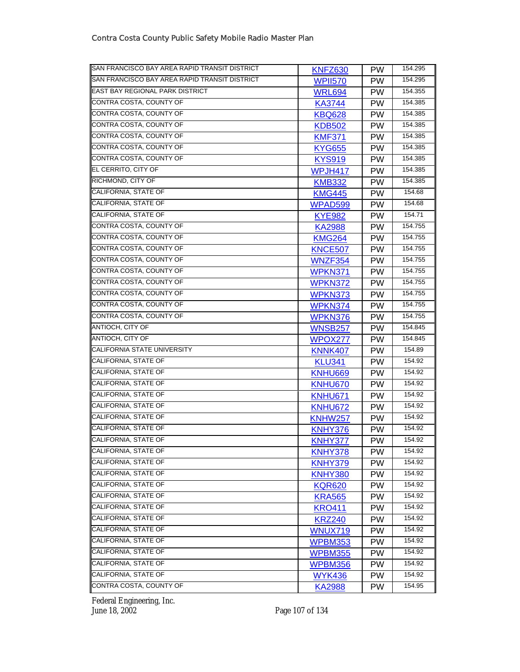| SAN FRANCISCO BAY AREA RAPID TRANSIT DISTRICT | KNFZ630        | <b>PW</b> | 154.295 |
|-----------------------------------------------|----------------|-----------|---------|
| SAN FRANCISCO BAY AREA RAPID TRANSIT DISTRICT | <b>WPII570</b> | <b>PW</b> | 154.295 |
| EAST BAY REGIONAL PARK DISTRICT               | <b>WRL694</b>  | <b>PW</b> | 154.355 |
| CONTRA COSTA, COUNTY OF                       | <b>KA3744</b>  | <b>PW</b> | 154.385 |
| CONTRA COSTA, COUNTY OF                       | <b>KBQ628</b>  | <b>PW</b> | 154.385 |
| CONTRA COSTA, COUNTY OF                       | <b>KDB502</b>  | <b>PW</b> | 154.385 |
| CONTRA COSTA, COUNTY OF                       | <b>KMF371</b>  | <b>PW</b> | 154.385 |
| CONTRA COSTA, COUNTY OF                       | <b>KYG655</b>  | <b>PW</b> | 154.385 |
| CONTRA COSTA, COUNTY OF                       | <b>KYS919</b>  | <b>PW</b> | 154.385 |
| EL CERRITO, CITY OF                           | WPJH417        | <b>PW</b> | 154.385 |
| RICHMOND, CITY OF                             | <b>KMB332</b>  | <b>PW</b> | 154.385 |
| CALIFORNIA, STATE OF                          | <b>KMG445</b>  | <b>PW</b> | 154.68  |
| CALIFORNIA, STATE OF                          | WPAD599        | <b>PW</b> | 154.68  |
| CALIFORNIA, STATE OF                          | <b>KYE982</b>  | <b>PW</b> | 154.71  |
| CONTRA COSTA, COUNTY OF                       | <b>KA2988</b>  | <b>PW</b> | 154.755 |
| CONTRA COSTA, COUNTY OF                       | <b>KMG264</b>  | <b>PW</b> | 154.755 |
| CONTRA COSTA, COUNTY OF                       | <b>KNCE507</b> | <b>PW</b> | 154.755 |
| CONTRA COSTA, COUNTY OF                       | WNZF354        | <b>PW</b> | 154.755 |
| CONTRA COSTA, COUNTY OF                       | WPKN371        | <b>PW</b> | 154.755 |
| CONTRA COSTA, COUNTY OF                       | WPKN372        | <b>PW</b> | 154.755 |
| CONTRA COSTA, COUNTY OF                       | WPKN373        | <b>PW</b> | 154.755 |
| CONTRA COSTA, COUNTY OF                       | WPKN374        | <b>PW</b> | 154.755 |
| CONTRA COSTA, COUNTY OF                       | WPKN376        | <b>PW</b> | 154.755 |
| ANTIOCH, CITY OF                              | <b>WNSB257</b> | <b>PW</b> | 154.845 |
| ANTIOCH, CITY OF                              | WPOX277        | <b>PW</b> | 154.845 |
| CALIFORNIA STATE UNIVERSITY                   | <b>KNNK407</b> | <b>PW</b> | 154.89  |
| CALIFORNIA, STATE OF                          | <b>KLU341</b>  | <b>PW</b> | 154.92  |
| CALIFORNIA, STATE OF                          | <b>KNHU669</b> | <b>PW</b> | 154.92  |
| CALIFORNIA, STATE OF                          | <b>KNHU670</b> | <b>PW</b> | 154.92  |
| CALIFORNIA, STATE OF                          | <b>KNHU671</b> | <b>PW</b> | 154.92  |
| CALIFORNIA, STATE OF                          | <b>KNHU672</b> | <b>PW</b> | 154.92  |
| CALIFORNIA, STATE OF                          | <b>KNHW257</b> | <b>PW</b> | 154.92  |
| CALIFORNIA, STATE OF                          | KNHY376        | <b>PW</b> | 154.92  |
| <b>CALIFORNIA, STATE OF</b>                   | KNHY377        | <b>PW</b> | 154.92  |
| CALIFORNIA, STATE OF                          | KNHY378        | <b>PW</b> | 154.92  |
| CALIFORNIA, STATE OF                          | KNHY379        | <b>PW</b> | 154.92  |
| CALIFORNIA, STATE OF                          | <b>KNHY380</b> | <b>PW</b> | 154.92  |
| CALIFORNIA, STATE OF                          | <b>KQR620</b>  | <b>PW</b> | 154.92  |
| CALIFORNIA, STATE OF                          | <b>KRA565</b>  | <b>PW</b> | 154.92  |
| CALIFORNIA, STATE OF                          | <b>KRO411</b>  | <b>PW</b> | 154.92  |
| CALIFORNIA, STATE OF                          | <b>KRZ240</b>  | <b>PW</b> | 154.92  |
| CALIFORNIA, STATE OF                          | <b>WNUX719</b> | <b>PW</b> | 154.92  |
| CALIFORNIA, STATE OF                          | <b>WPBM353</b> | <b>PW</b> | 154.92  |
| CALIFORNIA, STATE OF                          | <b>WPBM355</b> | <b>PW</b> | 154.92  |
| CALIFORNIA, STATE OF                          | WPBM356        | <b>PW</b> | 154.92  |
| CALIFORNIA, STATE OF                          | <b>WYK436</b>  | <b>PW</b> | 154.92  |
| CONTRA COSTA, COUNTY OF                       | <b>KA2988</b>  | PW        | 154.95  |

Federal Engineering, Inc. June 18, 2002 Page 107 of 134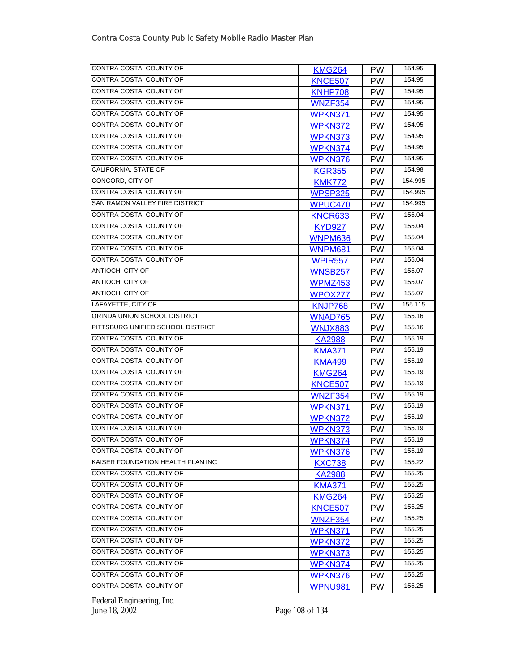| CONTRA COSTA, COUNTY OF           | <b>KMG264</b>  | <b>PW</b>        | 154.95  |
|-----------------------------------|----------------|------------------|---------|
| CONTRA COSTA, COUNTY OF           | <b>KNCE507</b> | <b>PW</b>        | 154.95  |
| CONTRA COSTA, COUNTY OF           | KNHP708        | <b>PW</b>        | 154.95  |
| CONTRA COSTA, COUNTY OF           | WNZF354        | <b>PW</b>        | 154.95  |
| CONTRA COSTA, COUNTY OF           | WPKN371        | PW               | 154.95  |
| CONTRA COSTA, COUNTY OF           | WPKN372        | <b>PW</b>        | 154.95  |
| CONTRA COSTA, COUNTY OF           | WPKN373        | <b>PW</b>        | 154.95  |
| CONTRA COSTA, COUNTY OF           | WPKN374        | <b>PW</b>        | 154.95  |
| CONTRA COSTA, COUNTY OF           | WPKN376        | PW               | 154.95  |
| CALIFORNIA, STATE OF              | <b>KGR355</b>  | <b>PW</b>        | 154.98  |
| CONCORD, CITY OF                  | <b>KMK772</b>  | <b>PW</b>        | 154.995 |
| CONTRA COSTA, COUNTY OF           | <b>WPSP325</b> | <b>PW</b>        | 154.995 |
| SAN RAMON VALLEY FIRE DISTRICT    | <b>WPUC470</b> | <b>PW</b>        | 154.995 |
| CONTRA COSTA, COUNTY OF           | <b>KNCR633</b> | <b>PW</b>        | 155.04  |
| CONTRA COSTA, COUNTY OF           | <b>KYD927</b>  | <b>PW</b>        | 155.04  |
| CONTRA COSTA, COUNTY OF           | <b>WNPM636</b> | <b>PW</b>        | 155.04  |
| CONTRA COSTA, COUNTY OF           | <b>WNPM681</b> | <b>PW</b>        | 155.04  |
| CONTRA COSTA, COUNTY OF           | <b>WPIR557</b> | <b>PW</b>        | 155.04  |
| ANTIOCH, CITY OF                  | <b>WNSB257</b> | <b>PW</b>        | 155.07  |
| ANTIOCH, CITY OF                  | WPMZ453        | <b>PW</b>        | 155.07  |
| ANTIOCH, CITY OF                  | WPOX277        | PW               | 155.07  |
| LAFAYETTE, CITY OF                | <b>KNJP768</b> | <b>PW</b>        | 155.115 |
| ORINDA UNION SCHOOL DISTRICT      | <b>WNAD765</b> | <b>PW</b>        | 155.16  |
| PITTSBURG UNIFIED SCHOOL DISTRICT | <b>WNJX883</b> | <b>PW</b>        | 155.16  |
| CONTRA COSTA, COUNTY OF           | <b>KA2988</b>  | <b>PW</b>        | 155.19  |
| CONTRA COSTA, COUNTY OF           | <b>KMA371</b>  | <b>PW</b>        | 155.19  |
| CONTRA COSTA, COUNTY OF           | <b>KMA499</b>  | <b>PW</b>        | 155.19  |
| CONTRA COSTA, COUNTY OF           | <b>KMG264</b>  | <b>PW</b>        | 155.19  |
| CONTRA COSTA, COUNTY OF           | KNCE507        | <b>PW</b>        | 155.19  |
| CONTRA COSTA, COUNTY OF           | WNZF354        | <b>PW</b>        | 155.19  |
| CONTRA COSTA, COUNTY OF           | WPKN371        | PW               | 155.19  |
| CONTRA COSTA, COUNTY OF           | WPKN372        | <b>PW</b>        | 155.19  |
| CONTRA COSTA, COUNTY OF           | WPKN373        | PW               | 155.19  |
| CONTRA COSTA, COUNTY OF           | WPKN374        | $PW\overline{V}$ | 155.19  |
| CONTRA COSTA, COUNTY OF           | WPKN376        | <b>PW</b>        | 155.19  |
| KAISER FOUNDATION HEALTH PLAN INC | <b>KXC738</b>  | <b>PW</b>        | 155.22  |
| CONTRA COSTA, COUNTY OF           | <b>KA2988</b>  | <b>PW</b>        | 155.25  |
| CONTRA COSTA, COUNTY OF           | <b>KMA371</b>  | PW               | 155.25  |
| CONTRA COSTA, COUNTY OF           | <b>KMG264</b>  | <b>PW</b>        | 155.25  |
| CONTRA COSTA, COUNTY OF           | <b>KNCE507</b> | PW               | 155.25  |
| CONTRA COSTA, COUNTY OF           | WNZF354        | <b>PW</b>        | 155.25  |
| CONTRA COSTA, COUNTY OF           | WPKN371        | <b>PW</b>        | 155.25  |
| CONTRA COSTA, COUNTY OF           | WPKN372        | <b>PW</b>        | 155.25  |
| CONTRA COSTA, COUNTY OF           | WPKN373        | <b>PW</b>        | 155.25  |
| CONTRA COSTA, COUNTY OF           | WPKN374        | <b>PW</b>        | 155.25  |
| CONTRA COSTA, COUNTY OF           | WPKN376        | PW               | 155.25  |
| CONTRA COSTA, COUNTY OF           | <b>WPNU981</b> | PW               | 155.25  |

Federal Engineering, Inc. June 18, 2002 Page 108 of 134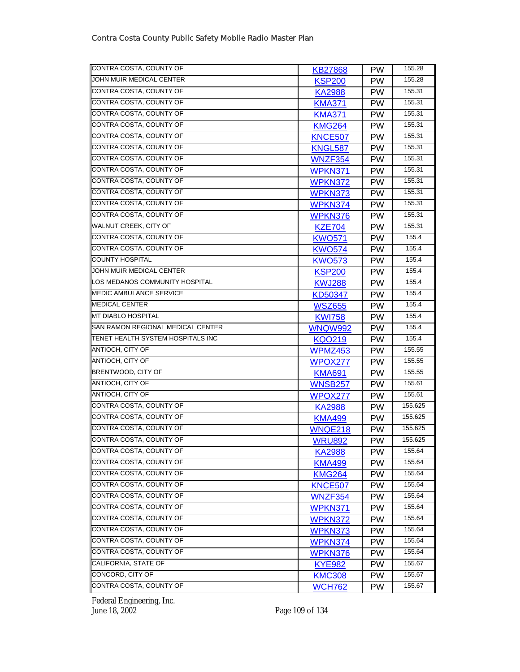| CONTRA COSTA, COUNTY OF           | <b>KB27868</b> | <b>PW</b> | 155.28  |
|-----------------------------------|----------------|-----------|---------|
| JOHN MUIR MEDICAL CENTER          | <b>KSP200</b>  | <b>PW</b> | 155.28  |
| CONTRA COSTA, COUNTY OF           | <b>KA2988</b>  | <b>PW</b> | 155.31  |
| CONTRA COSTA, COUNTY OF           | <b>KMA371</b>  | <b>PW</b> | 155.31  |
| CONTRA COSTA, COUNTY OF           | <b>KMA371</b>  | <b>PW</b> | 155.31  |
| CONTRA COSTA, COUNTY OF           | <b>KMG264</b>  | <b>PW</b> | 155.31  |
| CONTRA COSTA, COUNTY OF           | <b>KNCE507</b> | <b>PW</b> | 155.31  |
| CONTRA COSTA, COUNTY OF           | <b>KNGL587</b> | <b>PW</b> | 155.31  |
| CONTRA COSTA, COUNTY OF           | WNZF354        | <b>PW</b> | 155.31  |
| CONTRA COSTA, COUNTY OF           | WPKN371        | <b>PW</b> | 155.31  |
| CONTRA COSTA, COUNTY OF           | WPKN372        | <b>PW</b> | 155.31  |
| CONTRA COSTA, COUNTY OF           | WPKN373        | <b>PW</b> | 155.31  |
| CONTRA COSTA, COUNTY OF           | WPKN374        | PW        | 155.31  |
| CONTRA COSTA, COUNTY OF           | WPKN376        | <b>PW</b> | 155.31  |
| WALNUT CREEK, CITY OF             | <b>KZE704</b>  | <b>PW</b> | 155.31  |
| CONTRA COSTA, COUNTY OF           | <b>KWO571</b>  | <b>PW</b> | 155.4   |
| CONTRA COSTA, COUNTY OF           | <b>KWO574</b>  | <b>PW</b> | 155.4   |
| <b>COUNTY HOSPITAL</b>            | <b>KWO573</b>  | <b>PW</b> | 155.4   |
| JOHN MUIR MEDICAL CENTER          | <b>KSP200</b>  | <b>PW</b> | 155.4   |
| LOS MEDANOS COMMUNITY HOSPITAL    | <b>KWJ288</b>  | <b>PW</b> | 155.4   |
| MEDIC AMBULANCE SERVICE           | KD50347        | <b>PW</b> | 155.4   |
| <b>MEDICAL CENTER</b>             | <b>WSZ655</b>  | PW        | 155.4   |
| MT DIABLO HOSPITAL                | <b>KWI758</b>  | <b>PW</b> | 155.4   |
| SAN RAMON REGIONAL MEDICAL CENTER | <b>WNQW992</b> | <b>PW</b> | 155.4   |
| TENET HEALTH SYSTEM HOSPITALS INC | <b>KQO219</b>  | <b>PW</b> | 155.4   |
| ANTIOCH, CITY OF                  | WPMZ453        | <b>PW</b> | 155.55  |
| ANTIOCH, CITY OF                  | WPOX277        | <b>PW</b> | 155.55  |
| <b>BRENTWOOD, CITY OF</b>         | <b>KMA691</b>  | <b>PW</b> | 155.55  |
| ANTIOCH, CITY OF                  | <b>WNSB257</b> | <b>PW</b> | 155.61  |
| ANTIOCH, CITY OF                  | WPOX277        | <b>PW</b> | 155.61  |
| CONTRA COSTA, COUNTY OF           | <b>KA2988</b>  | <b>PW</b> | 155.625 |
| CONTRA COSTA, COUNTY OF           | <b>KMA499</b>  | <b>PW</b> | 155.625 |
| CONTRA COSTA, COUNTY OF           | <b>WNQE218</b> | <b>PW</b> | 155.625 |
| CONTRA COSTA, COUNTY OF           | <b>WRU892</b>  | <b>PW</b> | 155.625 |
| CONTRA COSTA, COUNTY OF           | <b>KA2988</b>  | <b>PW</b> | 155.64  |
| CONTRA COSTA, COUNTY OF           | <b>KMA499</b>  | <b>PW</b> | 155.64  |
| CONTRA COSTA, COUNTY OF           | <b>KMG264</b>  | <b>PW</b> | 155.64  |
| CONTRA COSTA, COUNTY OF           | <b>KNCE507</b> | <b>PW</b> | 155.64  |
| CONTRA COSTA, COUNTY OF           | WNZF354        | <b>PW</b> | 155.64  |
| CONTRA COSTA, COUNTY OF           | <b>WPKN371</b> | <b>PW</b> | 155.64  |
| CONTRA COSTA, COUNTY OF           | WPKN372        | <b>PW</b> | 155.64  |
| CONTRA COSTA, COUNTY OF           | WPKN373        | <b>PW</b> | 155.64  |
| CONTRA COSTA, COUNTY OF           | WPKN374        | <b>PW</b> | 155.64  |
| CONTRA COSTA, COUNTY OF           | WPKN376        | <b>PW</b> | 155.64  |
| CALIFORNIA, STATE OF              | <b>KYE982</b>  | <b>PW</b> | 155.67  |
| CONCORD, CITY OF                  | <b>KMC308</b>  | <b>PW</b> | 155.67  |
| CONTRA COSTA, COUNTY OF           | <b>WCH762</b>  | PW        | 155.67  |

Federal Engineering, Inc. June 18, 2002 Page 109 of 134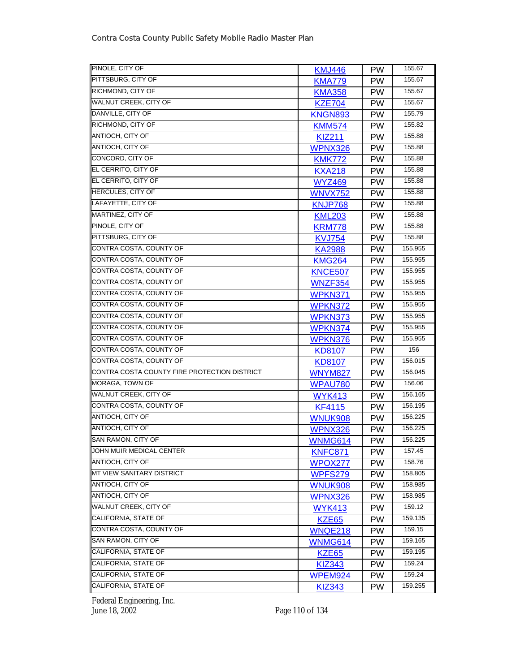| PINOLE, CITY OF                              | <b>KMJ446</b>  | <b>PW</b> | 155.67  |
|----------------------------------------------|----------------|-----------|---------|
| PITTSBURG, CITY OF                           | <b>KMA779</b>  | <b>PW</b> | 155.67  |
| RICHMOND, CITY OF                            | <b>KMA358</b>  | <b>PW</b> | 155.67  |
| WALNUT CREEK, CITY OF                        | <b>KZE704</b>  | <b>PW</b> | 155.67  |
| DANVILLE, CITY OF                            | <b>KNGN893</b> | <b>PW</b> | 155.79  |
| RICHMOND, CITY OF                            | <b>KMM574</b>  | <b>PW</b> | 155.82  |
| ANTIOCH, CITY OF                             | <b>KIZ211</b>  | PW        | 155.88  |
| ANTIOCH, CITY OF                             | <b>WPNX326</b> | <b>PW</b> | 155.88  |
| CONCORD, CITY OF                             | <b>KMK772</b>  | <b>PW</b> | 155.88  |
| EL CERRITO, CITY OF                          | <b>KXA218</b>  | <b>PW</b> | 155.88  |
| EL CERRITO, CITY OF                          | <b>WYZ469</b>  | <b>PW</b> | 155.88  |
| HERCULES, CITY OF                            | <b>WNVX752</b> | <b>PW</b> | 155.88  |
| LAFAYETTE, CITY OF                           | <b>KNJP768</b> | <b>PW</b> | 155.88  |
| MARTINEZ, CITY OF                            | <b>KML203</b>  | <b>PW</b> | 155.88  |
| PINOLE, CITY OF                              | <b>KRM778</b>  | <b>PW</b> | 155.88  |
| PITTSBURG, CITY OF                           | <b>KVJ754</b>  | PW        | 155.88  |
| CONTRA COSTA, COUNTY OF                      | <b>KA2988</b>  | <b>PW</b> | 155.955 |
| CONTRA COSTA, COUNTY OF                      | <b>KMG264</b>  | <b>PW</b> | 155.955 |
| CONTRA COSTA, COUNTY OF                      | <b>KNCE507</b> | <b>PW</b> | 155.955 |
| CONTRA COSTA, COUNTY OF                      | WNZF354        | <b>PW</b> | 155.955 |
| CONTRA COSTA, COUNTY OF                      | WPKN371        | <b>PW</b> | 155.955 |
| CONTRA COSTA, COUNTY OF                      | WPKN372        | <b>PW</b> | 155.955 |
| CONTRA COSTA, COUNTY OF                      | WPKN373        | <b>PW</b> | 155.955 |
| CONTRA COSTA, COUNTY OF                      | WPKN374        | <b>PW</b> | 155.955 |
| CONTRA COSTA, COUNTY OF                      | WPKN376        | <b>PW</b> | 155.955 |
| CONTRA COSTA, COUNTY OF                      | <b>KD8107</b>  | <b>PW</b> | 156     |
| CONTRA COSTA, COUNTY OF                      | <b>KD8107</b>  | <b>PW</b> | 156.015 |
| CONTRA COSTA COUNTY FIRE PROTECTION DISTRICT | <b>WNYM827</b> | <b>PW</b> | 156.045 |
| MORAGA, TOWN OF                              | <b>WPAU780</b> | <b>PW</b> | 156.06  |
| WALNUT CREEK, CITY OF                        | <b>WYK413</b>  | <b>PW</b> | 156.165 |
| CONTRA COSTA, COUNTY OF                      | <b>KF4115</b>  | PW        | 156.195 |
| ANTIOCH, CITY OF                             | <b>WNUK908</b> | <b>PW</b> | 156.225 |
| ANTIOCH, CITY OF                             | WPNX326        | <b>PW</b> | 156.225 |
| SAN RAMON, CITY OF                           | <b>WNMG614</b> | <b>PW</b> | 156.225 |
| JOHN MUIR MEDICAL CENTER                     | <b>KNFC871</b> | <b>PW</b> | 157.45  |
| ANTIOCH, CITY OF                             | WPOX277        | <b>PW</b> | 158.76  |
| MT VIEW SANITARY DISTRICT                    | WPFS279        | <b>PW</b> | 158.805 |
| ANTIOCH, CITY OF                             | <b>WNUK908</b> | <b>PW</b> | 158.985 |
| ANTIOCH, CITY OF                             | <b>WPNX326</b> | <b>PW</b> | 158.985 |
| WALNUT CREEK, CITY OF                        | <b>WYK413</b>  | <b>PW</b> | 159.12  |
| CALIFORNIA, STATE OF                         | <b>KZE65</b>   | <b>PW</b> | 159.135 |
| CONTRA COSTA, COUNTY OF                      | <b>WNQE218</b> | <b>PW</b> | 159.15  |
| SAN RAMON, CITY OF                           | <b>WNMG614</b> | <b>PW</b> | 159.165 |
| CALIFORNIA, STATE OF                         | <b>KZE65</b>   | <b>PW</b> | 159.195 |
| CALIFORNIA, STATE OF                         | <b>KIZ343</b>  | <b>PW</b> | 159.24  |
| CALIFORNIA, STATE OF                         | WPEM924        | <b>PW</b> | 159.24  |
| CALIFORNIA, STATE OF                         | <b>KIZ343</b>  | <b>PW</b> | 159.255 |

Federal Engineering, Inc. June 18, 2002 Page 110 of 134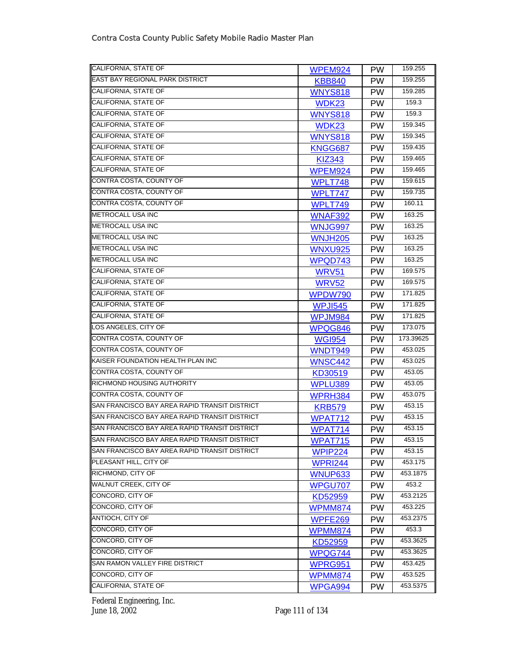| CALIFORNIA, STATE OF                          | <b>WPEM924</b> | <b>PW</b> | 159.255   |
|-----------------------------------------------|----------------|-----------|-----------|
| EAST BAY REGIONAL PARK DISTRICT               | <b>KBB840</b>  | <b>PW</b> | 159.255   |
| CALIFORNIA, STATE OF                          | <b>WNYS818</b> | <b>PW</b> | 159.285   |
| CALIFORNIA, STATE OF                          | WDK23          | <b>PW</b> | 159.3     |
| CALIFORNIA, STATE OF                          | <b>WNYS818</b> | <b>PW</b> | 159.3     |
| CALIFORNIA, STATE OF                          | WDK23          | <b>PW</b> | 159.345   |
| CALIFORNIA, STATE OF                          | <b>WNYS818</b> | <b>PW</b> | 159.345   |
| CALIFORNIA, STATE OF                          | KNGG687        | <b>PW</b> | 159.435   |
| CALIFORNIA, STATE OF                          | <b>KIZ343</b>  | <b>PW</b> | 159.465   |
| CALIFORNIA, STATE OF                          | WPEM924        | <b>PW</b> | 159.465   |
| CONTRA COSTA, COUNTY OF                       | WPLT748        | <b>PW</b> | 159.615   |
| CONTRA COSTA, COUNTY OF                       | WPLT747        | <b>PW</b> | 159.735   |
| CONTRA COSTA, COUNTY OF                       | WPLT749        | <b>PW</b> | 160.11    |
| METROCALL USA INC                             | <b>WNAF392</b> | <b>PW</b> | 163.25    |
| <b>METROCALL USA INC</b>                      | WNJG997        | <b>PW</b> | 163.25    |
| <b>METROCALL USA INC</b>                      | <b>WNJH205</b> | <b>PW</b> | 163.25    |
| METROCALL USA INC                             | <b>WNXU925</b> | <b>PW</b> | 163.25    |
| METROCALL USA INC                             | WPQD743        | <b>PW</b> | 163.25    |
| CALIFORNIA, STATE OF                          | <b>WRV51</b>   | <b>PW</b> | 169.575   |
| CALIFORNIA, STATE OF                          | <b>WRV52</b>   | <b>PW</b> | 169.575   |
| CALIFORNIA, STATE OF                          | <b>WPDW790</b> | <b>PW</b> | 171.825   |
| CALIFORNIA, STATE OF                          | <b>WPJI545</b> | <b>PW</b> | 171.825   |
| CALIFORNIA, STATE OF                          | WPJM984        | <b>PW</b> | 171.825   |
| LOS ANGELES, CITY OF                          | WPQG846        | <b>PW</b> | 173.075   |
| CONTRA COSTA, COUNTY OF                       | <b>WGI954</b>  | <b>PW</b> | 173.39625 |
| CONTRA COSTA, COUNTY OF                       | WNDT949        | <b>PW</b> | 453.025   |
| KAISER FOUNDATION HEALTH PLAN INC             | <b>WNSC442</b> | <b>PW</b> | 453.025   |
| CONTRA COSTA, COUNTY OF                       | KD30519        | <b>PW</b> | 453.05    |
| <b>RICHMOND HOUSING AUTHORITY</b>             | WPLU389        | <b>PW</b> | 453.05    |
| CONTRA COSTA, COUNTY OF                       | WPRH384        | <b>PW</b> | 453.075   |
| SAN FRANCISCO BAY AREA RAPID TRANSIT DISTRICT | <b>KRB579</b>  | <b>PW</b> | 453.15    |
| SAN FRANCISCO BAY AREA RAPID TRANSIT DISTRICT | WPAT712        | <b>PW</b> | 453.15    |
| SAN FRANCISCO BAY AREA RAPID TRANSIT DISTRICT | WPAT714        | <b>PW</b> | 453.15    |
| SAN FRANCISCO BAY AREA RAPID TRANSIT DISTRICT | <b>WPAT715</b> | <b>PW</b> | 453.15    |
| SAN FRANCISCO BAY AREA RAPID TRANSIT DISTRICT | WPIP224        | <b>PW</b> | 453.15    |
| PLEASANT HILL, CITY OF                        | <b>WPRI244</b> | <b>PW</b> | 453.175   |
| RICHMOND, CITY OF                             | <b>WNUP633</b> | <b>PW</b> | 453.1875  |
| <b>WALNUT CREEK, CITY OF</b>                  | WPGU707        | <b>PW</b> | 453.2     |
| CONCORD, CITY OF                              | KD52959        | <b>PW</b> | 453.2125  |
| CONCORD, CITY OF                              | <b>WPMM874</b> | PW        | 453.225   |
| ANTIOCH, CITY OF                              | WPFE269        | PW        | 453.2375  |
| CONCORD, CITY OF                              | WPMM874        | <b>PW</b> | 453.3     |
| CONCORD, CITY OF                              | KD52959        | <b>PW</b> | 453.3625  |
| CONCORD, CITY OF                              | WPQG744        | <b>PW</b> | 453.3625  |
| SAN RAMON VALLEY FIRE DISTRICT                | <b>WPRG951</b> | <b>PW</b> | 453.425   |
| CONCORD, CITY OF                              | <b>WPMM874</b> | PW        | 453.525   |
| CALIFORNIA, STATE OF                          | WPGA994        | <b>PW</b> | 453.5375  |

Federal Engineering, Inc. June 18, 2002 Page 111 of 134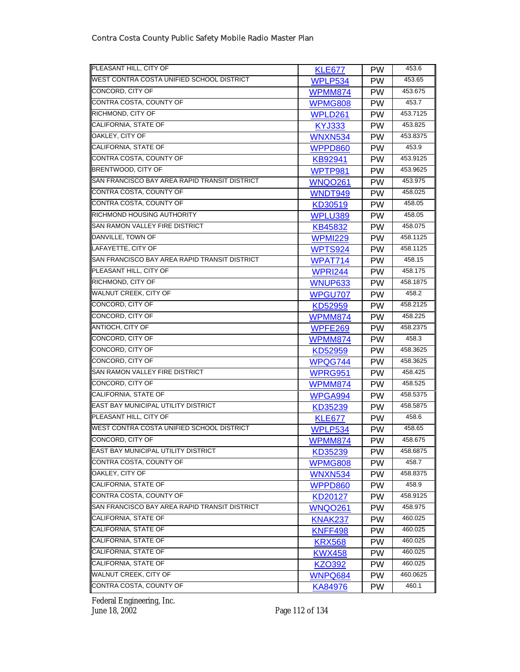| PLEASANT HILL, CITY OF                           | <b>KLE677</b>  | <b>PW</b> | 453.6    |
|--------------------------------------------------|----------------|-----------|----------|
| WEST CONTRA COSTA UNIFIED SCHOOL DISTRICT        | WPLP534        | <b>PW</b> | 453.65   |
| CONCORD, CITY OF                                 | <b>WPMM874</b> | <b>PW</b> | 453.675  |
| CONTRA COSTA, COUNTY OF                          | <b>WPMG808</b> | <b>PW</b> | 453.7    |
| RICHMOND, CITY OF                                | WPLD261        | <b>PW</b> | 453.7125 |
| CALIFORNIA, STATE OF                             | <b>KYJ333</b>  | <b>PW</b> | 453.825  |
| OAKLEY, CITY OF                                  | <b>WNXN534</b> | <b>PW</b> | 453.8375 |
| CALIFORNIA, STATE OF                             | <b>WPPD860</b> | <b>PW</b> | 453.9    |
| CONTRA COSTA, COUNTY OF                          | <b>KB92941</b> | <b>PW</b> | 453.9125 |
| BRENTWOOD, CITY OF                               | WPTP981        | <b>PW</b> | 453.9625 |
| SAN FRANCISCO BAY AREA RAPID TRANSIT DISTRICT    | <b>WNQO261</b> | <b>PW</b> | 453.975  |
| CONTRA COSTA, COUNTY OF                          | <b>WNDT949</b> | <b>PW</b> | 458.025  |
| CONTRA COSTA, COUNTY OF                          | KD30519        | <b>PW</b> | 458.05   |
| RICHMOND HOUSING AUTHORITY                       | WPLU389        | <b>PW</b> | 458.05   |
| SAN RAMON VALLEY FIRE DISTRICT                   | <b>KB45832</b> | <b>PW</b> | 458.075  |
| DANVILLE, TOWN OF                                | <b>WPMI229</b> | <b>PW</b> | 458.1125 |
| LAFAYETTE, CITY OF                               | <b>WPTS924</b> | <b>PW</b> | 458.1125 |
| SAN FRANCISCO BAY AREA RAPID TRANSIT DISTRICT    | WPAT714        | <b>PW</b> | 458.15   |
| PLEASANT HILL, CITY OF                           | <b>WPRI244</b> | <b>PW</b> | 458.175  |
| RICHMOND, CITY OF                                | WNUP633        | <b>PW</b> | 458.1875 |
| WALNUT CREEK, CITY OF                            | WPGU707        | <b>PW</b> | 458.2    |
| CONCORD, CITY OF                                 | KD52959        | PW        | 458.2125 |
| CONCORD, CITY OF                                 | WPMM874        | <b>PW</b> | 458.225  |
| ANTIOCH, CITY OF                                 | WPFE269        | <b>PW</b> | 458.2375 |
| CONCORD, CITY OF                                 | <b>WPMM874</b> | <b>PW</b> | 458.3    |
| CONCORD, CITY OF                                 | KD52959        | <b>PW</b> | 458.3625 |
| CONCORD, CITY OF                                 | WPQG744        | <b>PW</b> | 458.3625 |
| SAN RAMON VALLEY FIRE DISTRICT                   | <b>WPRG951</b> | <b>PW</b> | 458.425  |
| CONCORD, CITY OF                                 | WPMM874        | <b>PW</b> | 458.525  |
| CALIFORNIA, STATE OF                             | WPGA994        | <b>PW</b> | 458.5375 |
| EAST BAY MUNICIPAL UTILITY DISTRICT              | KD35239        | <b>PW</b> | 458.5875 |
| PLEASANT HILL, CITY OF                           | <b>KLE677</b>  | <b>PW</b> | 458.6    |
| <b>WEST CONTRA COSTA UNIFIED SCHOOL DISTRICT</b> | WPLP534        | <b>PW</b> | 458.65   |
| CONCORD, CITY OF                                 | <b>WPMM874</b> | <b>PW</b> | 458.675  |
| <b>EAST BAY MUNICIPAL UTILITY DISTRICT</b>       | KD35239        | <b>PW</b> | 458.6875 |
| CONTRA COSTA, COUNTY OF                          | <b>WPMG808</b> | <b>PW</b> | 458.7    |
| OAKLEY, CITY OF                                  | <b>WNXN534</b> | <b>PW</b> | 458.8375 |
| CALIFORNIA, STATE OF                             | WPPD860        | <b>PW</b> | 458.9    |
| CONTRA COSTA, COUNTY OF                          | KD20127        | <b>PW</b> | 458.9125 |
| SAN FRANCISCO BAY AREA RAPID TRANSIT DISTRICT    | <b>WNQO261</b> | <b>PW</b> | 458.975  |
| CALIFORNIA, STATE OF                             | <b>KNAK237</b> | <b>PW</b> | 460.025  |
| CALIFORNIA, STATE OF                             | <b>KNFF498</b> | <b>PW</b> | 460.025  |
| CALIFORNIA, STATE OF                             | <b>KRX568</b>  | <b>PW</b> | 460.025  |
| CALIFORNIA, STATE OF                             | <b>KWX458</b>  | <b>PW</b> | 460.025  |
| CALIFORNIA, STATE OF                             | <b>KZO392</b>  | <b>PW</b> | 460.025  |
| WALNUT CREEK, CITY OF                            | <b>WNPQ684</b> | PW        | 460.0625 |
| CONTRA COSTA, COUNTY OF                          | KA84976        | <b>PW</b> | 460.1    |

Federal Engineering, Inc. June 18, 2002 Page 112 of 134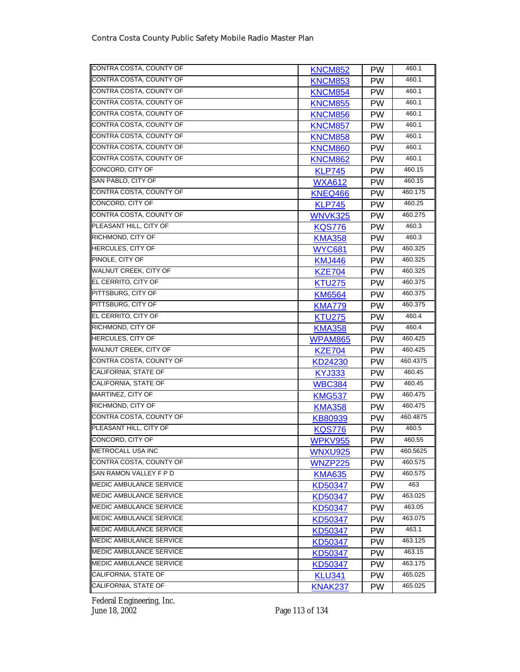| CONTRA COSTA, COUNTY OF        | <b>KNCM852</b> | <b>PW</b> | 460.1    |
|--------------------------------|----------------|-----------|----------|
| CONTRA COSTA, COUNTY OF        | <b>KNCM853</b> | <b>PW</b> | 460.1    |
| CONTRA COSTA, COUNTY OF        | <b>KNCM854</b> | <b>PW</b> | 460.1    |
| CONTRA COSTA, COUNTY OF        | <b>KNCM855</b> | <b>PW</b> | 460.1    |
| CONTRA COSTA, COUNTY OF        | <b>KNCM856</b> | <b>PW</b> | 460.1    |
| CONTRA COSTA, COUNTY OF        | <b>KNCM857</b> | <b>PW</b> | 460.1    |
| CONTRA COSTA, COUNTY OF        | <b>KNCM858</b> | <b>PW</b> | 460.1    |
| CONTRA COSTA, COUNTY OF        | <b>KNCM860</b> | <b>PW</b> | 460.1    |
| CONTRA COSTA, COUNTY OF        | <b>KNCM862</b> | <b>PW</b> | 460.1    |
| CONCORD, CITY OF               | <b>KLP745</b>  | <b>PW</b> | 460.15   |
| SAN PABLO, CITY OF             | <b>WXA612</b>  | <b>PW</b> | 460.15   |
| CONTRA COSTA, COUNTY OF        | <b>KNEQ466</b> | <b>PW</b> | 460.175  |
| CONCORD, CITY OF               | <b>KLP745</b>  | <b>PW</b> | 460.25   |
| CONTRA COSTA, COUNTY OF        | <b>WNVK325</b> | <b>PW</b> | 460.275  |
| PLEASANT HILL, CITY OF         | <b>KQS776</b>  | <b>PW</b> | 460.3    |
| RICHMOND, CITY OF              | <b>KMA358</b>  | <b>PW</b> | 460.3    |
| HERCULES, CITY OF              | <b>WYC681</b>  | <b>PW</b> | 460.325  |
| PINOLE, CITY OF                | <b>KMJ446</b>  | <b>PW</b> | 460.325  |
| <b>WALNUT CREEK, CITY OF</b>   | <b>KZE704</b>  | <b>PW</b> | 460.325  |
| EL CERRITO, CITY OF            | <b>KTU275</b>  | <b>PW</b> | 460.375  |
| PITTSBURG, CITY OF             | <b>KM6564</b>  | <b>PW</b> | 460.375  |
| PITTSBURG, CITY OF             | <b>KMA779</b>  | PW        | 460.375  |
| EL CERRITO, CITY OF            | <b>KTU275</b>  | <b>PW</b> | 460.4    |
| RICHMOND, CITY OF              | <b>KMA358</b>  | <b>PW</b> | 460.4    |
| <b>HERCULES, CITY OF</b>       | WPAM865        | <b>PW</b> | 460.425  |
| <b>WALNUT CREEK, CITY OF</b>   | <b>KZE704</b>  | PW        | 460.425  |
| CONTRA COSTA, COUNTY OF        | KD24230        | <b>PW</b> | 460.4375 |
| <b>CALIFORNIA, STATE OF</b>    | <b>KYJ333</b>  | <b>PW</b> | 460.45   |
| CALIFORNIA, STATE OF           | <b>WBC384</b>  | <b>PW</b> | 460.45   |
| MARTINEZ, CITY OF              | <b>KMG537</b>  | <b>PW</b> | 460.475  |
| RICHMOND, CITY OF              | <b>KMA358</b>  | PW        | 460.475  |
| CONTRA COSTA, COUNTY OF        | <b>KB80939</b> | <b>PW</b> | 460.4875 |
| PLEASANT HILL, CITY OF         | <b>KQS776</b>  | <b>PW</b> | 460.5    |
| CONCORD, CITY OF               | <b>WPKV955</b> | <b>PW</b> | 460.55   |
| METROCALL USA INC              | <b>WNXU925</b> | <b>PW</b> | 460.5625 |
| CONTRA COSTA, COUNTY OF        | WNZP225        | <b>PW</b> | 460.575  |
| SAN RAMON VALLEY F P D         | <b>KMA635</b>  | <b>PW</b> | 460.575  |
| MEDIC AMBULANCE SERVICE        | KD50347        | <b>PW</b> | 463      |
| MEDIC AMBULANCE SERVICE        | KD50347        | <b>PW</b> | 463.025  |
| MEDIC AMBULANCE SERVICE        | KD50347        | <b>PW</b> | 463.05   |
| MEDIC AMBULANCE SERVICE        | KD50347        | <b>PW</b> | 463.075  |
| MEDIC AMBULANCE SERVICE        | KD50347        | <b>PW</b> | 463.1    |
| <b>MEDIC AMBULANCE SERVICE</b> | KD50347        | PW        | 463.125  |
| MEDIC AMBULANCE SERVICE        | KD50347        | <b>PW</b> | 463.15   |
| MEDIC AMBULANCE SERVICE        | KD50347        | <b>PW</b> | 463.175  |
| CALIFORNIA, STATE OF           | <b>KLU341</b>  | <b>PW</b> | 465.025  |
| CALIFORNIA, STATE OF           | <b>KNAK237</b> | <b>PW</b> | 465.025  |

Federal Engineering, Inc. June 18, 2002 Page 113 of 134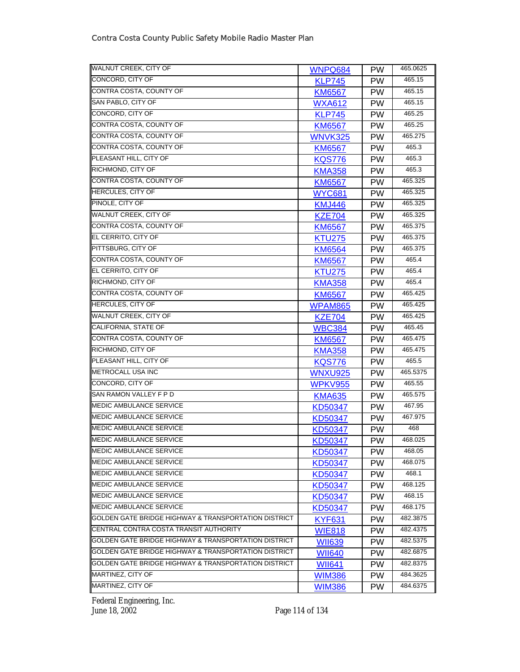| <b>WALNUT CREEK, CITY OF</b>                         | <b>WNPQ684</b> | <b>PW</b> | 465.0625 |
|------------------------------------------------------|----------------|-----------|----------|
| CONCORD, CITY OF                                     | <b>KLP745</b>  | <b>PW</b> | 465.15   |
| CONTRA COSTA, COUNTY OF                              | <b>KM6567</b>  | <b>PW</b> | 465.15   |
| SAN PABLO, CITY OF                                   | <b>WXA612</b>  | PW        | 465.15   |
| CONCORD, CITY OF                                     | <b>KLP745</b>  | <b>PW</b> | 465.25   |
| CONTRA COSTA, COUNTY OF                              | <b>KM6567</b>  | <b>PW</b> | 465.25   |
| CONTRA COSTA, COUNTY OF                              | <b>WNVK325</b> | <b>PW</b> | 465.275  |
| CONTRA COSTA, COUNTY OF                              | <b>KM6567</b>  | <b>PW</b> | 465.3    |
| PLEASANT HILL, CITY OF                               | <b>KQS776</b>  | <b>PW</b> | 465.3    |
| RICHMOND, CITY OF                                    | <b>KMA358</b>  | <b>PW</b> | 465.3    |
| CONTRA COSTA, COUNTY OF                              | <b>KM6567</b>  | <b>PW</b> | 465.325  |
| HERCULES, CITY OF                                    | <b>WYC681</b>  | <b>PW</b> | 465.325  |
| PINOLE, CITY OF                                      | <b>KMJ446</b>  | PW        | 465.325  |
| WALNUT CREEK, CITY OF                                | <b>KZE704</b>  | <b>PW</b> | 465.325  |
| CONTRA COSTA, COUNTY OF                              | <b>KM6567</b>  | <b>PW</b> | 465.375  |
| EL CERRITO, CITY OF                                  | <b>KTU275</b>  | PW        | 465.375  |
| PITTSBURG, CITY OF                                   | <b>KM6564</b>  | <b>PW</b> | 465.375  |
| CONTRA COSTA, COUNTY OF                              | <b>KM6567</b>  | <b>PW</b> | 465.4    |
| EL CERRITO, CITY OF                                  | <b>KTU275</b>  | PW        | 465.4    |
| RICHMOND, CITY OF                                    | <b>KMA358</b>  | <b>PW</b> | 465.4    |
| CONTRA COSTA, COUNTY OF                              | <b>KM6567</b>  | <b>PW</b> | 465.425  |
| HERCULES, CITY OF                                    | <b>WPAM865</b> | <b>PW</b> | 465.425  |
| WALNUT CREEK, CITY OF                                | <b>KZE704</b>  | <b>PW</b> | 465.425  |
| CALIFORNIA, STATE OF                                 | <b>WBC384</b>  | <b>PW</b> | 465.45   |
| CONTRA COSTA, COUNTY OF                              | <b>KM6567</b>  | <b>PW</b> | 465.475  |
| RICHMOND, CITY OF                                    | <b>KMA358</b>  | <b>PW</b> | 465.475  |
| PLEASANT HILL, CITY OF                               | <b>KQS776</b>  | PW        | 465.5    |
| <b>METROCALL USA INC</b>                             | <b>WNXU925</b> | PW        | 465.5375 |
| CONCORD, CITY OF                                     | <b>WPKV955</b> | <b>PW</b> | 465.55   |
| SAN RAMON VALLEY F P D                               | <b>KMA635</b>  | <b>PW</b> | 465.575  |
| <b>MEDIC AMBULANCE SERVICE</b>                       | KD50347        | <b>PW</b> | 467.95   |
| MEDIC AMBULANCE SERVICE                              | KD50347        | <b>PW</b> | 467.975  |
| MEDIC AMBULANCE SERVICE                              | KD50347        | <b>PW</b> | 468      |
| <b>MEDIC AMBULANCE SERVICE</b>                       | KD50347        | <b>PW</b> | 468.025  |
| <b>MEDIC AMBULANCE SERVICE</b>                       | KD50347        | PW        | 468.05   |
| <b>MEDIC AMBULANCE SERVICE</b>                       | KD50347        | <b>PW</b> | 468.075  |
| <b>MEDIC AMBULANCE SERVICE</b>                       | KD50347        | PW.       | 468.1    |
| MEDIC AMBULANCE SERVICE                              | KD50347        | PW.       | 468.125  |
| <b>MEDIC AMBULANCE SERVICE</b>                       | KD50347        | PW        | 468.15   |
| MEDIC AMBULANCE SERVICE                              | KD50347        | <b>PW</b> | 468.175  |
| GOLDEN GATE BRIDGE HIGHWAY & TRANSPORTATION DISTRICT | <b>KYF631</b>  | PW        | 482.3875 |
| CENTRAL CONTRA COSTA TRANSIT AUTHORITY               | <b>WIE818</b>  | PW        | 482.4375 |
| GOLDEN GATE BRIDGE HIGHWAY & TRANSPORTATION DISTRICT | <b>WII639</b>  | <b>PW</b> | 482.5375 |
| GOLDEN GATE BRIDGE HIGHWAY & TRANSPORTATION DISTRICT | <b>WII640</b>  | PW.       | 482.6875 |
| GOLDEN GATE BRIDGE HIGHWAY & TRANSPORTATION DISTRICT | <b>WII641</b>  | <b>PW</b> | 482.8375 |
| MARTINEZ, CITY OF                                    | <b>WIM386</b>  | <b>PW</b> | 484.3625 |
| MARTINEZ, CITY OF                                    | <b>WIM386</b>  | PW.       | 484.6375 |

Federal Engineering, Inc. June 18, 2002 Page 114 of 134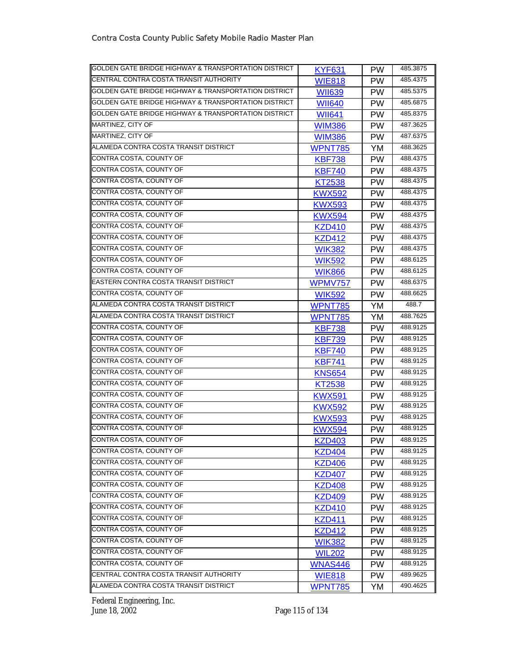| GOLDEN GATE BRIDGE HIGHWAY & TRANSPORTATION DISTRICT | <b>KYF631</b>  | <b>PW</b> | 485.3875             |
|------------------------------------------------------|----------------|-----------|----------------------|
| CENTRAL CONTRA COSTA TRANSIT AUTHORITY               | <b>WIE818</b>  | <b>PW</b> | 485.4375             |
| GOLDEN GATE BRIDGE HIGHWAY & TRANSPORTATION DISTRICT | <b>WII639</b>  | <b>PW</b> | 485.5375             |
| GOLDEN GATE BRIDGE HIGHWAY & TRANSPORTATION DISTRICT | <b>WII640</b>  | <b>PW</b> | 485.6875             |
| GOLDEN GATE BRIDGE HIGHWAY & TRANSPORTATION DISTRICT | <b>WII641</b>  | <b>PW</b> | 485.8375             |
| MARTINEZ, CITY OF                                    | <b>WIM386</b>  | <b>PW</b> | 487.3625             |
| <b>MARTINEZ, CITY OF</b>                             | <b>WIM386</b>  | <b>PW</b> | 487.6375             |
| ALAMEDA CONTRA COSTA TRANSIT DISTRICT                | <b>WPNT785</b> | YM        | 488.3625             |
| CONTRA COSTA, COUNTY OF                              | <b>KBF738</b>  | <b>PW</b> | 488.4375             |
| CONTRA COSTA, COUNTY OF                              | <b>KBF740</b>  | PW        | 488.4375             |
| CONTRA COSTA, COUNTY OF                              | <b>KT2538</b>  | <b>PW</b> | 488.4375             |
| CONTRA COSTA, COUNTY OF                              | <b>KWX592</b>  | <b>PW</b> | 488.4375             |
| CONTRA COSTA, COUNTY OF                              | <b>KWX593</b>  | <b>PW</b> | 488.4375             |
| CONTRA COSTA, COUNTY OF                              | <b>KWX594</b>  | <b>PW</b> | 488.4375             |
| CONTRA COSTA, COUNTY OF                              | <b>KZD410</b>  | <b>PW</b> | 488.4375             |
| CONTRA COSTA, COUNTY OF                              | <b>KZD412</b>  | <b>PW</b> | 488.4375             |
| CONTRA COSTA, COUNTY OF                              | <b>WIK382</b>  | <b>PW</b> | 488.4375             |
| CONTRA COSTA, COUNTY OF                              | <b>WIK592</b>  | <b>PW</b> | 488.6125             |
| CONTRA COSTA, COUNTY OF                              | <b>WIK866</b>  | PW        | 488.6125             |
| EASTERN CONTRA COSTA TRANSIT DISTRICT                | <b>WPMV757</b> | <b>PW</b> | 488.6375             |
| CONTRA COSTA, COUNTY OF                              | <b>WIK592</b>  | <b>PW</b> | 488.6625             |
| ALAMEDA CONTRA COSTA TRANSIT DISTRICT                | <b>WPNT785</b> | YM        | 488.7                |
| ALAMEDA CONTRA COSTA TRANSIT DISTRICT                | <b>WPNT785</b> | YM        | 488.7625             |
| CONTRA COSTA, COUNTY OF                              | <b>KBF738</b>  | <b>PW</b> | 488.9125             |
| CONTRA COSTA, COUNTY OF                              | <b>KBF739</b>  | <b>PW</b> | 488.9125             |
| CONTRA COSTA, COUNTY OF                              | <b>KBF740</b>  | <b>PW</b> | 488.9125             |
| CONTRA COSTA, COUNTY OF                              | <b>KBF741</b>  | <b>PW</b> | 488.9125             |
| CONTRA COSTA, COUNTY OF                              | <b>KNS654</b>  | <b>PW</b> | 488.9125             |
| CONTRA COSTA, COUNTY OF                              | <b>KT2538</b>  | <b>PW</b> | 488.9125             |
| CONTRA COSTA, COUNTY OF                              | <b>KWX591</b>  | <b>PW</b> | 488.9125             |
| CONTRA COSTA, COUNTY OF                              | <b>KWX592</b>  | <b>PW</b> | 488.9125             |
| CONTRA COSTA, COUNTY OF                              | <b>KWX593</b>  | <b>PW</b> | 488.9125             |
| CONTRA COSTA, COUNTY OF                              | <b>KWX594</b>  | <b>PW</b> | 488.9125             |
| CONTRA COSTA, COUNTY OF                              | <b>KZD403</b>  | PW        | 488.9125             |
| CONTRA COSTA, COUNTY OF                              | <b>KZD404</b>  | <b>PW</b> | 488.9125             |
| CONTRA COSTA, COUNTY OF                              | <b>KZD406</b>  | <b>PW</b> | 488.9125             |
| CONTRA COSTA, COUNTY OF                              | <b>KZD407</b>  | <b>PW</b> | 488.9125             |
| CONTRA COSTA, COUNTY OF                              | <b>KZD408</b>  | <b>PW</b> | 488.9125             |
| CONTRA COSTA, COUNTY OF                              | <b>KZD409</b>  | <b>PW</b> | 488.9125             |
| CONTRA COSTA, COUNTY OF                              | <b>KZD410</b>  | PW        | 488.9125             |
| CONTRA COSTA, COUNTY OF                              | <b>KZD411</b>  | <b>PW</b> | 488.9125             |
| CONTRA COSTA, COUNTY OF                              | <b>KZD412</b>  | <b>PW</b> | 488.9125             |
| CONTRA COSTA, COUNTY OF<br>CONTRA COSTA, COUNTY OF   | <b>WIK382</b>  | <b>PW</b> | 488.9125             |
| CONTRA COSTA, COUNTY OF                              | <b>WIL202</b>  | PW        | 488.9125             |
| CENTRAL CONTRA COSTA TRANSIT AUTHORITY               | <b>WNAS446</b> | PW        | 488.9125<br>489.9625 |
| ALAMEDA CONTRA COSTA TRANSIT DISTRICT                | <b>WIE818</b>  | <b>PW</b> |                      |
|                                                      | <b>WPNT785</b> | YM        | 490.4625             |

Federal Engineering, Inc. June 18, 2002 Page 115 of 134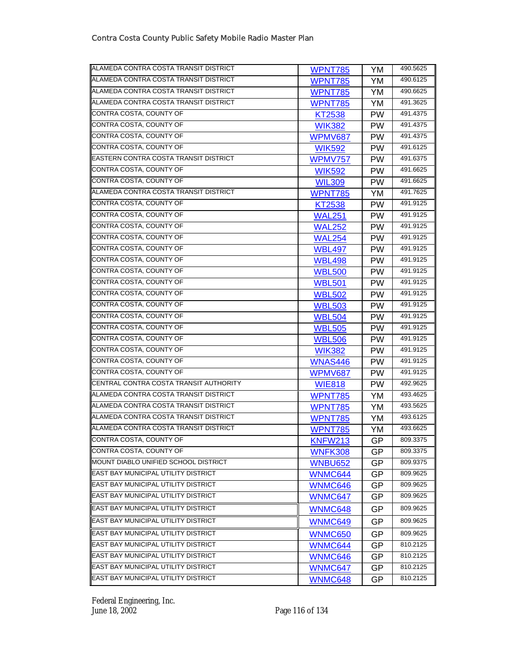| ALAMEDA CONTRA COSTA TRANSIT DISTRICT  | <b>WPNT785</b> | YM.       | 490.5625 |
|----------------------------------------|----------------|-----------|----------|
| ALAMEDA CONTRA COSTA TRANSIT DISTRICT  | <b>WPNT785</b> | YM        | 490.6125 |
| ALAMEDA CONTRA COSTA TRANSIT DISTRICT  | <b>WPNT785</b> | YM        | 490.6625 |
| ALAMEDA CONTRA COSTA TRANSIT DISTRICT  | <b>WPNT785</b> | YM        | 491.3625 |
| CONTRA COSTA, COUNTY OF                | <b>KT2538</b>  | <b>PW</b> | 491.4375 |
| CONTRA COSTA, COUNTY OF                | <b>WIK382</b>  | <b>PW</b> | 491.4375 |
| CONTRA COSTA, COUNTY OF                | <b>WPMV687</b> | <b>PW</b> | 491.4375 |
| CONTRA COSTA, COUNTY OF                | <b>WIK592</b>  | <b>PW</b> | 491.6125 |
| EASTERN CONTRA COSTA TRANSIT DISTRICT  | WPMV757        | <b>PW</b> | 491.6375 |
| CONTRA COSTA, COUNTY OF                | <b>WIK592</b>  | <b>PW</b> | 491.6625 |
| CONTRA COSTA, COUNTY OF                | <b>WIL309</b>  | <b>PW</b> | 491.6625 |
| ALAMEDA CONTRA COSTA TRANSIT DISTRICT  | <b>WPNT785</b> | YM        | 491.7625 |
| CONTRA COSTA, COUNTY OF                | <b>KT2538</b>  | <b>PW</b> | 491.9125 |
| CONTRA COSTA, COUNTY OF                | <b>WAL251</b>  | <b>PW</b> | 491.9125 |
| CONTRA COSTA, COUNTY OF                | <b>WAL252</b>  | <b>PW</b> | 491.9125 |
| CONTRA COSTA, COUNTY OF                | <b>WAL254</b>  | <b>PW</b> | 491.9125 |
| CONTRA COSTA, COUNTY OF                | <b>WBL497</b>  | <b>PW</b> | 491.9125 |
| CONTRA COSTA, COUNTY OF                | <b>WBL498</b>  | <b>PW</b> | 491.9125 |
| CONTRA COSTA, COUNTY OF                | <b>WBL500</b>  | <b>PW</b> | 491.9125 |
| CONTRA COSTA, COUNTY OF                | <b>WBL501</b>  | <b>PW</b> | 491.9125 |
| CONTRA COSTA, COUNTY OF                | <b>WBL502</b>  | <b>PW</b> | 491.9125 |
| CONTRA COSTA, COUNTY OF                | <b>WBL503</b>  | <b>PW</b> | 491.9125 |
| CONTRA COSTA, COUNTY OF                | <b>WBL504</b>  | <b>PW</b> | 491.9125 |
| CONTRA COSTA, COUNTY OF                | <b>WBL505</b>  | <b>PW</b> | 491.9125 |
| CONTRA COSTA, COUNTY OF                | <b>WBL506</b>  | <b>PW</b> | 491.9125 |
| CONTRA COSTA, COUNTY OF                | <b>WIK382</b>  | <b>PW</b> | 491.9125 |
| CONTRA COSTA, COUNTY OF                | WNAS446        | <b>PW</b> | 491.9125 |
| CONTRA COSTA, COUNTY OF                | <b>WPMV687</b> | <b>PW</b> | 491.9125 |
| CENTRAL CONTRA COSTA TRANSIT AUTHORITY | <b>WIE818</b>  | <b>PW</b> | 492.9625 |
| ALAMEDA CONTRA COSTA TRANSIT DISTRICT  | <b>WPNT785</b> | YM.       | 493.4625 |
| ALAMEDA CONTRA COSTA TRANSIT DISTRICT  | <b>WPNT785</b> | YM        | 493.5625 |
| ALAMEDA CONTRA COSTA TRANSIT DISTRICT  | <b>WPNT785</b> | YM.       | 493.6125 |
| ALAMEDA CONTRA COSTA TRANSIT DISTRICT  | <b>WPNT785</b> | YM        | 493.6625 |
| CONTRA COSTA, COUNTY OF                | <b>KNFW213</b> | GP        | 809.3375 |
| CONTRA COSTA, COUNTY OF                | <b>WNFK308</b> | GP        | 809.3375 |
| MOUNT DIABLO UNIFIED SCHOOL DISTRICT   | <b>WNBU652</b> | GP        | 809.9375 |
| EAST BAY MUNICIPAL UTILITY DISTRICT    | WNMC644        | GP.       | 809.9625 |
| EAST BAY MUNICIPAL UTILITY DISTRICT    | <b>WNMC646</b> | GP        | 809.9625 |
| EAST BAY MUNICIPAL UTILITY DISTRICT    | WNMC647        | GP        | 809.9625 |
| EAST BAY MUNICIPAL UTILITY DISTRICT    | <b>WNMC648</b> | GP        | 809.9625 |
| EAST BAY MUNICIPAL UTILITY DISTRICT    | <b>WNMC649</b> | GP        | 809.9625 |
| EAST BAY MUNICIPAL UTILITY DISTRICT    | WNMC650        | GP        | 809.9625 |
| EAST BAY MUNICIPAL UTILITY DISTRICT    | WNMC644        | GP.       | 810.2125 |
| EAST BAY MUNICIPAL UTILITY DISTRICT    | WNMC646        | GP        | 810.2125 |
| EAST BAY MUNICIPAL UTILITY DISTRICT    | WNMC647        | GP.       | 810.2125 |
| EAST BAY MUNICIPAL UTILITY DISTRICT    | WNMC648        | <b>GP</b> | 810.2125 |

Federal Engineering, Inc. June 18, 2002 Page 116 of 134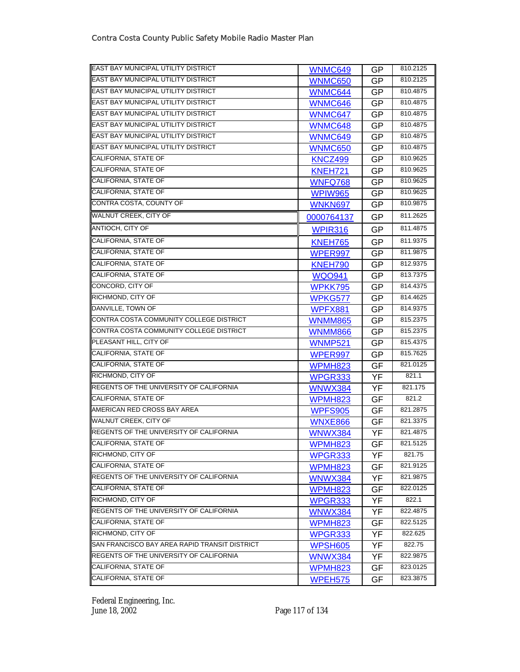| <b>LEAST BAY MUNICIPAL UTILITY DISTRICT</b>   | <b>WNMC649</b>            | GP              | 810.2125 |
|-----------------------------------------------|---------------------------|-----------------|----------|
| <b>EAST BAY MUNICIPAL UTILITY DISTRICT</b>    | <b>WNMC650</b>            | GP              | 810.2125 |
| EAST BAY MUNICIPAL UTILITY DISTRICT           | WNMC644                   | GP              | 810.4875 |
| EAST BAY MUNICIPAL UTILITY DISTRICT           | WNMC646                   | GP              | 810.4875 |
| EAST BAY MUNICIPAL UTILITY DISTRICT           | WNMC647                   | GP              | 810.4875 |
| EAST BAY MUNICIPAL UTILITY DISTRICT           | <b>WNMC648</b>            | GP              | 810.4875 |
| EAST BAY MUNICIPAL UTILITY DISTRICT           | WNMC649                   | GP              | 810.4875 |
| EAST BAY MUNICIPAL UTILITY DISTRICT           | <b>WNMC650</b>            | GP              | 810.4875 |
| CALIFORNIA, STATE OF                          | <b>KNCZ499</b>            | GP              | 810.9625 |
| CALIFORNIA, STATE OF                          | <b>KNEH721</b>            | GP              | 810.9625 |
| CALIFORNIA, STATE OF                          | <b>WNFQ768</b>            | GP              | 810.9625 |
| CALIFORNIA, STATE OF                          | <b>WPIW965</b>            | <b>GP</b>       | 810.9625 |
| CONTRA COSTA, COUNTY OF                       | <b>WNKN697</b>            | GP              | 810.9875 |
| WALNUT CREEK, CITY OF                         | 0000764137                | GP              | 811.2625 |
| ANTIOCH, CITY OF                              | <b>WPIR316</b>            | GP              | 811.4875 |
| CALIFORNIA, STATE OF                          |                           |                 | 811.9375 |
| <b>CALIFORNIA, STATE OF</b>                   | <b>KNEH765</b>            | GP              | 811.9875 |
| CALIFORNIA, STATE OF                          | WPER997<br><b>KNEH790</b> | GP<br><b>GP</b> | 812.9375 |
| CALIFORNIA, STATE OF                          |                           | GP              | 813.7375 |
| CONCORD, CITY OF                              | <b>WQO941</b>             |                 | 814.4375 |
| RICHMOND, CITY OF                             | WPKK795                   | GP              | 814.4625 |
| DANVILLE, TOWN OF                             | WPKG577                   | GP              | 814.9375 |
| CONTRA COSTA COMMUNITY COLLEGE DISTRICT       | <b>WPFX881</b>            | GP              | 815.2375 |
| CONTRA COSTA COMMUNITY COLLEGE DISTRICT       | <b>WNMM865</b>            | GP              | 815.2375 |
| PLEASANT HILL, CITY OF                        | <b>WNMM866</b>            | GP              |          |
|                                               | <b>WNMP521</b>            | GP              | 815.4375 |
| CALIFORNIA, STATE OF                          | WPER997                   | GP              | 815.7625 |
| CALIFORNIA, STATE OF                          | WPMH823                   | GF              | 821.0125 |
| RICHMOND, CITY OF                             | WPGR333                   | YF              | 821.1    |
| REGENTS OF THE UNIVERSITY OF CALIFORNIA       | WNWX384                   | YF              | 821.175  |
| CALIFORNIA, STATE OF                          | WPMH823                   | <b>GF</b>       | 821.2    |
| AMERICAN RED CROSS BAY AREA                   | <b>WPFS905</b>            | GF              | 821.2875 |
| WALNUT CREEK, CITY OF                         | <b>WNXE866</b>            | GF              | 821.3375 |
| REGENTS OF THE UNIVERSITY OF CALIFORNIA       | <b>WNWX384</b>            | YF              | 821.4875 |
| CALIFORNIA, STATE OF                          | <b>WPMH823</b>            | GF              | 821.5125 |
| RICHMOND, CITY OF                             | WPGR333                   | YF              | 821.75   |
| CALIFORNIA, STATE OF                          | WPMH823                   | GF              | 821.9125 |
| REGENTS OF THE UNIVERSITY OF CALIFORNIA       | WNWX384                   | YF              | 821.9875 |
| CALIFORNIA, STATE OF                          | WPMH823                   | GF              | 822.0125 |
| RICHMOND, CITY OF                             | WPGR333                   | YF              | 822.1    |
| REGENTS OF THE UNIVERSITY OF CALIFORNIA       | WNWX384                   | YF              | 822.4875 |
| CALIFORNIA, STATE OF                          | WPMH823                   | GF              | 822.5125 |
| RICHMOND, CITY OF                             | WPGR333                   | YF              | 822.625  |
| SAN FRANCISCO BAY AREA RAPID TRANSIT DISTRICT | <b>WPSH605</b>            | YF              | 822.75   |
| REGENTS OF THE UNIVERSITY OF CALIFORNIA       | WNWX384                   | YF              | 822.9875 |
| CALIFORNIA, STATE OF                          | WPMH823                   | <b>GF</b>       | 823.0125 |
| CALIFORNIA, STATE OF                          | WPEH575                   | <b>GF</b>       | 823.3875 |

Federal Engineering, Inc. June 18, 2002 Page 117 of 134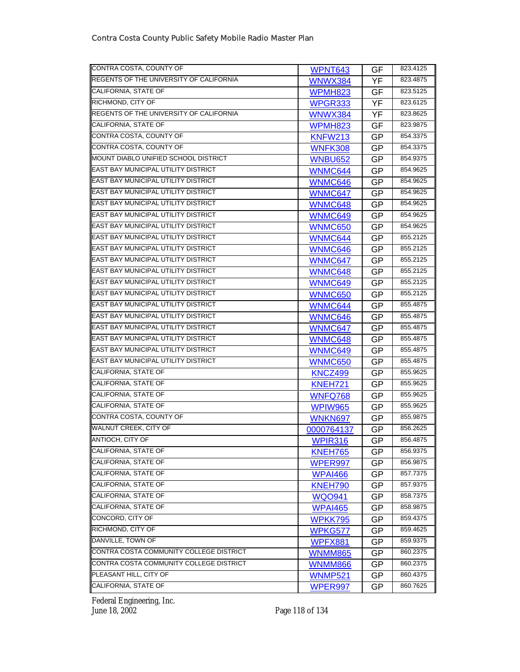| CONTRA COSTA, COUNTY OF                 | WPNT643        | GF        | 823.4125 |
|-----------------------------------------|----------------|-----------|----------|
| REGENTS OF THE UNIVERSITY OF CALIFORNIA | <b>WNWX384</b> | YF        | 823.4875 |
| CALIFORNIA, STATE OF                    | <b>WPMH823</b> | GF        | 823.5125 |
| RICHMOND, CITY OF                       | WPGR333        | YF        | 823.6125 |
| REGENTS OF THE UNIVERSITY OF CALIFORNIA | <b>WNWX384</b> | YF        | 823.8625 |
| CALIFORNIA, STATE OF                    | WPMH823        | GF        | 823.9875 |
| CONTRA COSTA, COUNTY OF                 | <b>KNFW213</b> | GP        | 854.3375 |
| CONTRA COSTA, COUNTY OF                 | <b>WNFK308</b> | GP        | 854.3375 |
| MOUNT DIABLO UNIFIED SCHOOL DISTRICT    | <b>WNBU652</b> | GP        | 854.9375 |
| EAST BAY MUNICIPAL UTILITY DISTRICT     | WNMC644        | GP        | 854.9625 |
| EAST BAY MUNICIPAL UTILITY DISTRICT     | <b>WNMC646</b> | GP        | 854.9625 |
| EAST BAY MUNICIPAL UTILITY DISTRICT     | WNMC647        | GP        | 854.9625 |
| EAST BAY MUNICIPAL UTILITY DISTRICT     | WNMC648        | GP        | 854.9625 |
| EAST BAY MUNICIPAL UTILITY DISTRICT     | <b>WNMC649</b> | GP        | 854.9625 |
| EAST BAY MUNICIPAL UTILITY DISTRICT     | <b>WNMC650</b> | GP        | 854.9625 |
| EAST BAY MUNICIPAL UTILITY DISTRICT     | WNMC644        | GP        | 855.2125 |
| EAST BAY MUNICIPAL UTILITY DISTRICT     | WNMC646        | GP        | 855.2125 |
| EAST BAY MUNICIPAL UTILITY DISTRICT     | WNMC647        | GP        | 855.2125 |
| EAST BAY MUNICIPAL UTILITY DISTRICT     | WNMC648        | GP        | 855.2125 |
| EAST BAY MUNICIPAL UTILITY DISTRICT     | WNMC649        | GP        | 855.2125 |
| EAST BAY MUNICIPAL UTILITY DISTRICT     | <b>WNMC650</b> | GP        | 855.2125 |
| EAST BAY MUNICIPAL UTILITY DISTRICT     | WNMC644        | GP        | 855.4875 |
| EAST BAY MUNICIPAL UTILITY DISTRICT     | <b>WNMC646</b> | GP        | 855.4875 |
| EAST BAY MUNICIPAL UTILITY DISTRICT     | WNMC647        | GP        | 855.4875 |
| EAST BAY MUNICIPAL UTILITY DISTRICT     | <b>WNMC648</b> | GP        | 855.4875 |
| EAST BAY MUNICIPAL UTILITY DISTRICT     | <b>WNMC649</b> | GP        | 855.4875 |
| EAST BAY MUNICIPAL UTILITY DISTRICT     | <b>WNMC650</b> | GP        | 855.4875 |
| <b>CALIFORNIA, STATE OF</b>             | <b>KNCZ499</b> | GP        | 855.9625 |
| CALIFORNIA, STATE OF                    | <b>KNEH721</b> | GP        | 855.9625 |
| CALIFORNIA, STATE OF                    | <b>WNFQ768</b> | GP        | 855.9625 |
| CALIFORNIA, STATE OF                    | <b>WPIW965</b> | GP        | 855.9625 |
| CONTRA COSTA, COUNTY OF                 | <b>WNKN697</b> | GP        | 855.9875 |
| WALNUT CREEK, CITY OF                   | 0000764137     | GP        | 856.2625 |
| ANTIOCH, CITY OF                        | <b>WPIR316</b> | GP        | 856.4875 |
| CALIFORNIA, STATE OF                    | <b>KNEH765</b> | GP        | 856.9375 |
| CALIFORNIA, STATE OF                    | WPER997        | GP        | 856.9875 |
| CALIFORNIA, STATE OF                    | <b>WPAI466</b> | GP        | 857.7375 |
| CALIFORNIA, STATE OF                    | <b>KNEH790</b> | <b>GP</b> | 857.9375 |
| CALIFORNIA, STATE OF                    | <b>WQO941</b>  | GP        | 858.7375 |
| CALIFORNIA, STATE OF                    | <b>WPAI465</b> | GP        | 858.9875 |
| CONCORD, CITY OF                        | WPKK795        | GP        | 859.4375 |
| RICHMOND, CITY OF                       | WPKG577        | GP        | 859.4625 |
| DANVILLE, TOWN OF                       | WPFX881        | GP        | 859.9375 |
| CONTRA COSTA COMMUNITY COLLEGE DISTRICT | <b>WNMM865</b> | GP        | 860.2375 |
| CONTRA COSTA COMMUNITY COLLEGE DISTRICT | <b>WNMM866</b> | GP        | 860.2375 |
| PLEASANT HILL, CITY OF                  | <b>WNMP521</b> | <b>GP</b> | 860.4375 |
| CALIFORNIA, STATE OF                    | WPER997        | <b>GP</b> | 860.7625 |

Federal Engineering, Inc. June 18, 2002 Page 118 of 134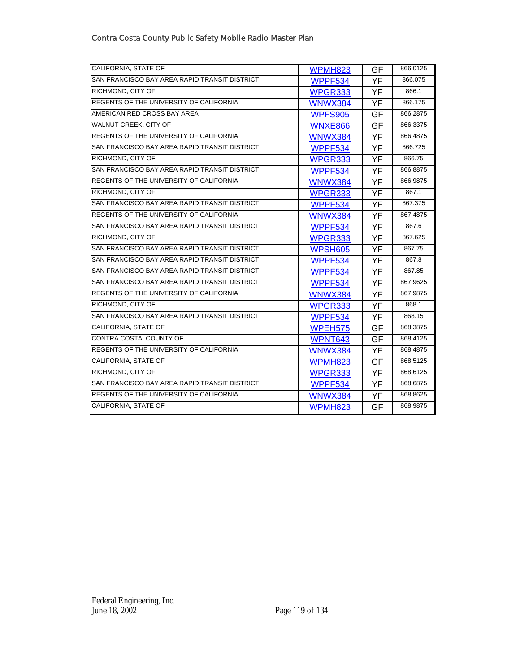| CALIFORNIA, STATE OF                          | WPMH823        | GF        | 866.0125 |
|-----------------------------------------------|----------------|-----------|----------|
| SAN FRANCISCO BAY AREA RAPID TRANSIT DISTRICT | WPPF534        | YF.       | 866.075  |
| RICHMOND, CITY OF                             | WPGR333        | YF.       | 866.1    |
| REGENTS OF THE UNIVERSITY OF CALIFORNIA       | <b>WNWX384</b> | YF        | 866.175  |
| AMERICAN RED CROSS BAY AREA                   | <b>WPFS905</b> | GF        | 866.2875 |
| WALNUT CREEK, CITY OF                         | <b>WNXE866</b> | <b>GF</b> | 866.3375 |
| REGENTS OF THE UNIVERSITY OF CALIFORNIA       | <b>WNWX384</b> | YF        | 866.4875 |
| SAN FRANCISCO BAY AREA RAPID TRANSIT DISTRICT | WPPF534        | YF        | 866.725  |
| RICHMOND, CITY OF                             | <b>WPGR333</b> | YF        | 866.75   |
| SAN FRANCISCO BAY AREA RAPID TRANSIT DISTRICT | WPPF534        | YF        | 866.8875 |
| REGENTS OF THE UNIVERSITY OF CALIFORNIA       | <b>WNWX384</b> | YF        | 866.9875 |
| RICHMOND, CITY OF                             | WPGR333        | YF        | 867.1    |
| SAN FRANCISCO BAY AREA RAPID TRANSIT DISTRICT | WPPF534        | YF.       | 867.375  |
| REGENTS OF THE UNIVERSITY OF CALIFORNIA       | <b>WNWX384</b> | YF        | 867.4875 |
| SAN FRANCISCO BAY AREA RAPID TRANSIT DISTRICT | WPPF534        | YF        | 867.6    |
| RICHMOND, CITY OF                             | WPGR333        | YF        | 867.625  |
| SAN FRANCISCO BAY AREA RAPID TRANSIT DISTRICT | <b>WPSH605</b> | YF        | 867.75   |
| SAN FRANCISCO BAY AREA RAPID TRANSIT DISTRICT | WPPF534        | YF        | 867.8    |
| SAN FRANCISCO BAY AREA RAPID TRANSIT DISTRICT | WPPF534        | YF        | 867.85   |
| SAN FRANCISCO BAY AREA RAPID TRANSIT DISTRICT | WPPF534        | YF        | 867.9625 |
| REGENTS OF THE UNIVERSITY OF CALIFORNIA       | <b>WNWX384</b> | YF        | 867.9875 |
| RICHMOND, CITY OF                             | WPGR333        | YF        | 868.1    |
| SAN FRANCISCO BAY AREA RAPID TRANSIT DISTRICT | WPPF534        | YF        | 868.15   |
| CALIFORNIA, STATE OF                          | WPEH575        | <b>GF</b> | 868.3875 |
| CONTRA COSTA, COUNTY OF                       | WPNT643        | <b>GF</b> | 868.4125 |
| REGENTS OF THE UNIVERSITY OF CALIFORNIA       | WNWX384        | YF        | 868.4875 |
| CALIFORNIA, STATE OF                          | <b>WPMH823</b> | GF        | 868.5125 |
| RICHMOND, CITY OF                             | WPGR333        | YF        | 868.6125 |
| SAN FRANCISCO BAY AREA RAPID TRANSIT DISTRICT | WPPF534        | YF        | 868.6875 |
| REGENTS OF THE UNIVERSITY OF CALIFORNIA       | <b>WNWX384</b> | YF        | 868.8625 |
| CALIFORNIA, STATE OF                          | WPMH823        | GF        | 868.9875 |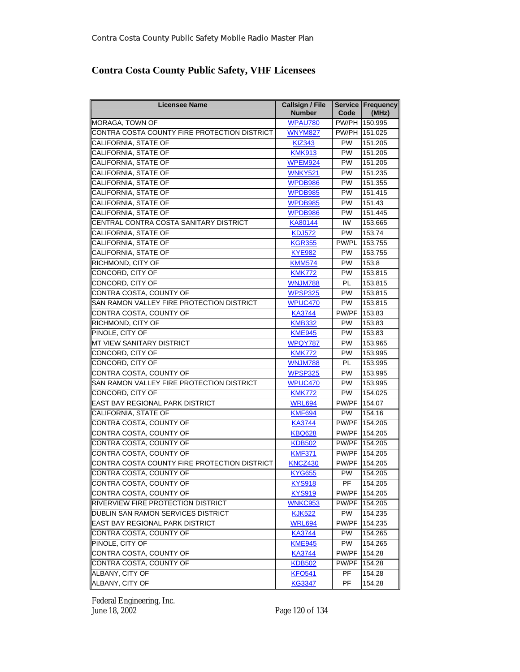# **Contra Costa County Public Safety, VHF Licensees**

| <b>Licensee Name</b>                         | <b>Callsign / File</b><br><b>Number</b> | Code      | Service   Frequency<br>(MHz) |
|----------------------------------------------|-----------------------------------------|-----------|------------------------------|
| MORAGA, TOWN OF                              | <b>WPAU780</b>                          |           | PW/PH 150.995                |
| CONTRA COSTA COUNTY FIRE PROTECTION DISTRICT | <b>WNYM827</b>                          |           | PW/PH 151.025                |
| CALIFORNIA, STATE OF                         | <b>KIZ343</b>                           | <b>PW</b> | 151.205                      |
| CALIFORNIA, STATE OF                         | <b>KMK913</b>                           | <b>PW</b> | 151.205                      |
| CALIFORNIA, STATE OF                         | WPEM924                                 | <b>PW</b> | 151.205                      |
| CALIFORNIA, STATE OF                         | <b>WNKY521</b>                          | <b>PW</b> | 151.235                      |
| <b>CALIFORNIA, STATE OF</b>                  | <b>WPDB986</b>                          | <b>PW</b> | 151.355                      |
| CALIFORNIA, STATE OF                         | <b>WPDB985</b>                          | <b>PW</b> | 151.415                      |
| CALIFORNIA, STATE OF                         | <b>WPDB985</b>                          | <b>PW</b> | 151.43                       |
| CALIFORNIA, STATE OF                         | WPDB986                                 | <b>PW</b> | 151.445                      |
| CENTRAL CONTRA COSTA SANITARY DISTRICT       | <b>KA80144</b>                          | IW        | 153.665                      |
| CALIFORNIA, STATE OF                         | <b>KDJ572</b>                           | PW        | 153.74                       |
| <b>CALIFORNIA, STATE OF</b>                  | <b>KGR355</b>                           | PW/PL     | 153.755                      |
| CALIFORNIA, STATE OF                         | <b>KYE982</b>                           | PW        | 153.755                      |
| RICHMOND, CITY OF                            | <b>KMM574</b>                           | <b>PW</b> | 153.8                        |
| CONCORD, CITY OF                             | <b>KMK772</b>                           | <b>PW</b> | 153.815                      |
| CONCORD, CITY OF                             | <b>WNJM788</b>                          | <b>PL</b> | 153.815                      |
| CONTRA COSTA, COUNTY OF                      | <b>WPSP325</b>                          | <b>PW</b> | 153.815                      |
| SAN RAMON VALLEY FIRE PROTECTION DISTRICT    | <b>WPUC470</b>                          | <b>PW</b> | 153.815                      |
| <b>CONTRA COSTA, COUNTY OF</b>               | <b>KA3744</b>                           | PW/PF     | 153.83                       |
| RICHMOND, CITY OF                            | <b>KMB332</b>                           | <b>PW</b> | 153.83                       |
| PINOLE, CITY OF                              | <b>KME945</b>                           | <b>PW</b> | 153.83                       |
| MT VIEW SANITARY DISTRICT                    | WPQY787                                 | <b>PW</b> | 153.965                      |
| CONCORD, CITY OF                             | <b>KMK772</b>                           | <b>PW</b> | 153.995                      |
| CONCORD, CITY OF                             | <b>WNJM788</b>                          | <b>PL</b> | 153.995                      |
| CONTRA COSTA, COUNTY OF                      | <b>WPSP325</b>                          | <b>PW</b> | 153.995                      |
| SAN RAMON VALLEY FIRE PROTECTION DISTRICT    | <b>WPUC470</b>                          | <b>PW</b> | 153.995                      |
| CONCORD, CITY OF                             | <b>KMK772</b>                           | PW        | 154.025                      |
| EAST BAY REGIONAL PARK DISTRICT              | <b>WRL694</b>                           | PW/PF     | 154.07                       |
| CALIFORNIA, STATE OF                         | <b>KMF694</b>                           | <b>PW</b> | 154.16                       |
| CONTRA COSTA, COUNTY OF                      | <b>KA3744</b>                           | PW/PF     | 154.205                      |
| CONTRA COSTA, COUNTY OF                      | <b>KBQ628</b>                           | PW/PF     | 154.205                      |
| CONTRA COSTA, COUNTY OF                      | <b>KDB502</b>                           | PW/PF     | 154.205                      |
| CONTRA COSTA, COUNTY OF                      | <b>KMF371</b>                           | PW/PF     | 154.205                      |
| CONTRA COSTA COUNTY FIRE PROTECTION DISTRICT | <b>KNCZ430</b>                          | PW/PF     | 154.205                      |
| CONTRA COSTA, COUNTY OF                      | <b>KYG655</b>                           | <b>PW</b> | 154.205                      |
| CONTRA COSTA, COUNTY OF                      | <u>KYS918</u>                           | PF        | 154.205                      |
| CONTRA COSTA, COUNTY OF                      | <b>KYS919</b>                           | PW/PF     | 154.205                      |
| RIVERVIEW FIRE PROTECTION DISTRICT           | <b>WNKC953</b>                          | PW/PF     | 154.205                      |
| DUBLIN SAN RAMON SERVICES DISTRICT           | <b>KJK522</b>                           | <b>PW</b> | 154.235                      |
| EAST BAY REGIONAL PARK DISTRICT              | <b>WRL694</b>                           | PW/PF     | 154.235                      |
| CONTRA COSTA, COUNTY OF                      | <b>KA3744</b>                           | PW        | 154.265                      |
| PINOLE, CITY OF                              | <b>KME945</b>                           | PW        | 154.265                      |
| CONTRA COSTA, COUNTY OF                      | <b>KA3744</b>                           | PW/PF     | 154.28                       |
| CONTRA COSTA, COUNTY OF                      | <b>KDB502</b>                           | PW/PF     | 154.28                       |
| ALBANY, CITY OF                              | <b>KFO541</b>                           | PF        | 154.28                       |
| ALBANY, CITY OF                              | <b>KG3347</b>                           | PF        | 154.28                       |

Federal Engineering, Inc. June 18, 2002 Page 120 of 134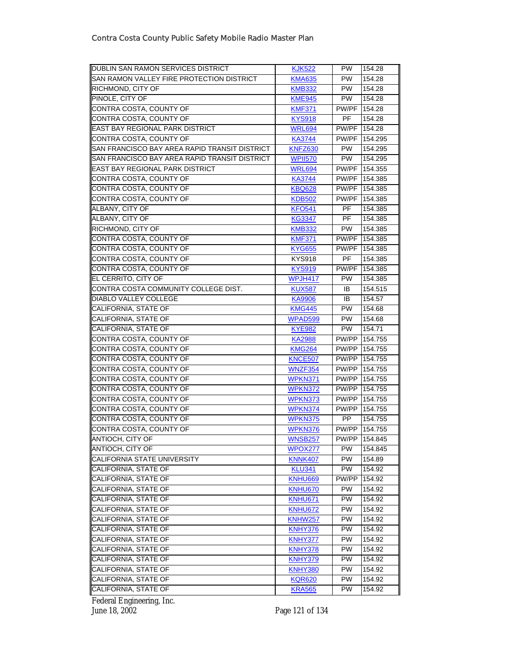### DUBLIN SAN RAMON SERVICES DISTRICT FOR THE KJK522 PW 154.28 SAN RAMON VALLEY FIRE PROTECTION DISTRICT **KMA635** PW 154.28 RICHMOND, CITY OF KMB332 PW 154.28 PINOLE, CITY OF THE RESERVE THAT THE RESERVE THAT A RESERVE THAT A RESERVE THAT A RESERVE THAT A RESERVE THAT A CONTRA COSTA, COUNTY OF **KMF371** PW/PF 154.28 CONTRA COSTA, COUNTY OF KYS918 PF 154.28 EAST BAY REGIONAL PARK DISTRICT WRL694 PW/PF 154.28 CONTRA COSTA, COUNTY OF **KA3744** PW/PF 154.295 SAN FRANCISCO BAY AREA RAPID TRANSIT DISTRICT KNFZ630 PW 154.295 SAN FRANCISCO BAY AREA RAPID TRANSIT DISTRICT | WPII570 | PW | 154.295 EAST BAY REGIONAL PARK DISTRICT MET WRL694 PW/PF 154.355 CONTRA COSTA, COUNTY OF KA3744 PW/PF 154.385 CONTRA COSTA, COUNTY OF KBQ628 PW/PF 154.385 CONTRA COSTA, COUNTY OF **KDB502** PW/PF 154.385 ALBANY, CITY OF **KEOS41** PF 154.385 ALBANY, CITY OF **KG3347** PF 154.385 RICHMOND, CITY OF **KMB332** PW 154.385 CONTRA COSTA, COUNTY OF KMF371 PW/PF 154.385 CONTRA COSTA, COUNTY OF **KYG655** PW/PF 154.385 CONTRA COSTA, COUNTY OF **KYS918** PF 154.385 CONTRA COSTA, COUNTY OF **KYS919** PW/PF 154.385 EL CERRITO, CITY OF **WPJH417** PW 154.385 CONTRA COSTA COMMUNITY COLLEGE DIST. KUX587 IB 154.515 DIABLO VALLEY COLLEGE **KA9906** IB 154.57 CALIFORNIA, STATE OF KMG445 PW 154.68 CALIFORNIA, STATE OF **WEADFILL** WPAD599 PW 154.68 CALIFORNIA, STATE OF THE CONSTRUCTION OF THE RESERVED BY A RESERVED OF THE RESERVED OF THE RESERVED OF THE RES CONTRA COSTA, COUNTY OF KA2988 PW/PP 154.755 CONTRA COSTA, COUNTY OF KMG264 PW/PP 154.755 CONTRA COSTA, COUNTY OF **KNCE507** PW/PP 154.755 CONTRA COSTA, COUNTY OF WINZF354 PW/PP 154.755 CONTRA COSTA, COUNTY OF WPKN371 PW/PP 154.755 CONTRA COSTA, COUNTY OF WPKN372 PW/PP 154.755 CONTRA COSTA, COUNTY OF WPKN373 PW/PP 154.755 CONTRA COSTA, COUNTY OF **Example 20 YO ME** WORKN374 PW/PP 154.755 CONTRA COSTA, COUNTY OF WPKN375 PP 154.755 CONTRA COSTA, COUNTY OF WPKN376 PW/PP 154.755 ANTIOCH, CITY OF **WINSB257** PW/PP 154.845 ANTIOCH, CITY OF WPOX277 PW 154.845 CALIFORNIA STATE UNIVERSITY KNNK407 PW 154.89 CALIFORNIA, STATE OF KLU341 PW 154.92 CALIFORNIA, STATE OF **CALIFORNIA, STATE OF CALIFORNIA**, STATE OF CALIFORNIA, STATE OF KNHU670 PW 154.92 CALIFORNIA, STATE OF **KNHU671** PW 154.92 CALIFORNIA, STATE OF **KNHU672** PW 154.92 CALIFORNIA, STATE OF **Example 20 and STATE OF A CONSTRUCT 1** RNHW257 PW 154.92 CALIFORNIA, STATE OF **KNHY376** PW 154.92 CALIFORNIA, STATE OF **Example 20 Set Alice 20 Set AN ACCES 20 SET AT ACCES 20 SET AT ACCES 20 SET ACCES 20 SET ACCES** CALIFORNIA, STATE OF KNHY378 PW 154.92 CALIFORNIA, STATE OF **KNHY379** PW 154.92 CALIFORNIA, STATE OF **KNHY380** PW 154.92 CALIFORNIA, STATE OF **KOR620** PW 154.92 CALIFORNIA, STATE OF **EXAMPLE 19** KRA565 PW 154.92

#### Contra Costa County Public Safety Mobile Radio Master Plan

Federal Engineering, Inc.

Page 121 of 134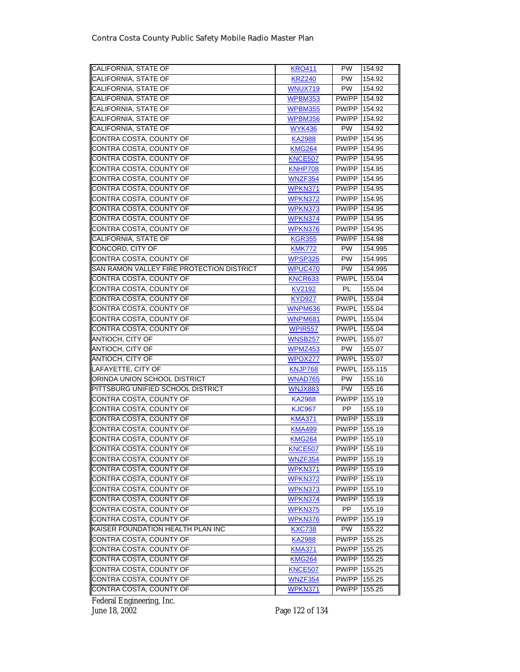| CALIFORNIA, STATE OF                      | <b>KRO411</b>                  | <b>PW</b>    | 154.92           |
|-------------------------------------------|--------------------------------|--------------|------------------|
| CALIFORNIA, STATE OF                      | <b>KRZ240</b>                  | <b>PW</b>    | 154.92           |
| CALIFORNIA, STATE OF                      | <b>WNUX719</b>                 | <b>PW</b>    | 154.92           |
| CALIFORNIA, STATE OF                      | <b>WPBM353</b>                 | PW/PP        | 154.92           |
| CALIFORNIA, STATE OF                      | <b>WPBM355</b>                 | PW/PP        | 154.92           |
| CALIFORNIA, STATE OF                      | <b>WPBM356</b>                 | PW/PP        | 154.92           |
| CALIFORNIA, STATE OF                      | <b>WYK436</b>                  | PW           | 154.92           |
| CONTRA COSTA, COUNTY OF                   | <b>KA2988</b>                  | PW/PP        | 154.95           |
| CONTRA COSTA, COUNTY OF                   | <b>KMG264</b>                  | PW/PP        | 154.95           |
| CONTRA COSTA, COUNTY OF                   | <b>KNCE507</b>                 | PW/PP        | 154.95           |
| CONTRA COSTA, COUNTY OF                   | <b>KNHP708</b>                 | PW/PP        | 154.95           |
| CONTRA COSTA, COUNTY OF                   | <b>WNZF354</b>                 | PW/PP        | 154.95           |
| CONTRA COSTA, COUNTY OF                   | <b>WPKN371</b>                 | PW/PP        | 154.95           |
| CONTRA COSTA, COUNTY OF                   | <b>WPKN372</b>                 | PW/PP 154.95 |                  |
| CONTRA COSTA, COUNTY OF                   | <b>WPKN373</b>                 | PW/PP        | 154.95           |
| CONTRA COSTA, COUNTY OF                   | <b>WPKN374</b>                 | PW/PP        | 154.95           |
| CONTRA COSTA, COUNTY OF                   | <b>WPKN376</b>                 | PW/PP        | 154.95           |
| <b>CALIFORNIA, STATE OF</b>               | <b>KGR355</b>                  | PW/PF        | 154.98           |
| CONCORD, CITY OF                          | <b>KMK772</b>                  | <b>PW</b>    | 154.995          |
| CONTRA COSTA, COUNTY OF                   | <b>WPSP325</b>                 | <b>PW</b>    | 154.995          |
| SAN RAMON VALLEY FIRE PROTECTION DISTRICT | WPUC470                        | <b>PW</b>    | 154.995          |
| CONTRA COSTA, COUNTY OF                   | <b>KNCR633</b>                 | PW/PL        | 155.04           |
| CONTRA COSTA, COUNTY OF                   |                                |              |                  |
| CONTRA COSTA, COUNTY OF                   | <b>KV2192</b><br><b>KYD927</b> | PL<br>PW/PL  | 155.04<br>155.04 |
|                                           |                                |              |                  |
| CONTRA COSTA, COUNTY OF                   | <b>WNPM636</b>                 | PW/PL        | 155.04           |
| CONTRA COSTA, COUNTY OF                   | <b>WNPM681</b>                 | PW/PL        | 155.04           |
| CONTRA COSTA, COUNTY OF                   | <b>WPIR557</b>                 | PW/PL        | 155.04           |
| ANTIOCH, CITY OF                          | <b>WNSB257</b>                 | PW/PL        | 155.07           |
| <b>ANTIOCH, CITY OF</b>                   | WPMZ453                        | PW           | 155.07           |
| ANTIOCH, CITY OF                          | WPOX277                        | PW/PL        | 155.07           |
| LAFAYETTE, CITY OF                        | <b>KNJP768</b>                 | PW/PL        | 155.115          |
| ORINDA UNION SCHOOL DISTRICT              | <b>WNAD765</b>                 | <b>PW</b>    | 155.16           |
| PITTSBURG UNIFIED SCHOOL DISTRICT         | <b>WNJX883</b>                 | <b>PW</b>    | 155.16           |
| CONTRA COSTA, COUNTY OF                   | <b>KA2988</b>                  | PW/PP        | 155.19           |
| CONTRA COSTA, COUNTY OF                   | <b>KJC967</b>                  | <b>PP</b>    | 155.19           |
| CONTRA COSTA, COUNTY OF                   | <b>KMA371</b>                  | PW/PP        | 155.19           |
| CONTRA COSTA, COUNTY OF                   | <b>KMA499</b>                  | PW/PP        | 155.19           |
| CONTRA COSTA, COUNTY OF                   | <b>KMG264</b>                  | PW/PP 155.19 |                  |
| CONTRA COSTA, COUNTY OF                   | <b>KNCE507</b>                 | PW/PP        | 155.19           |
| CONTRA COSTA, COUNTY OF                   | <b>WNZF354</b>                 | PW/PP        | 155.19           |
| CONTRA COSTA, COUNTY OF                   | <b>WPKN371</b>                 | PW/PP        | 155.19           |
| CONTRA COSTA, COUNTY OF                   | <b>WPKN372</b>                 | PW/PP        | 155.19           |
| CONTRA COSTA, COUNTY OF                   | <b>WPKN373</b>                 | PW/PP        | 155.19           |
| CONTRA COSTA, COUNTY OF                   | <b>WPKN374</b>                 | PW/PP        | 155.19           |
| CONTRA COSTA, COUNTY OF                   | WPKN375                        | PP           | 155.19           |
| CONTRA COSTA, COUNTY OF                   | WPKN376                        | PW/PP        | 155.19           |
| KAISER FOUNDATION HEALTH PLAN INC         | <b>KXC738</b>                  | <b>PW</b>    | 155.22           |
| CONTRA COSTA, COUNTY OF                   | <b>KA2988</b>                  | PW/PP        | 155.25           |
| CONTRA COSTA, COUNTY OF                   | <b>KMA371</b>                  | PW/PP        | 155.25           |
| CONTRA COSTA, COUNTY OF                   | <b>KMG264</b>                  | PW/PP        | 155.25           |
| CONTRA COSTA, COUNTY OF                   | <b>KNCE507</b>                 | PW/PP        | 155.25           |
| CONTRA COSTA, COUNTY OF                   | WNZF354                        | PW/PP        | 155.25           |
| CONTRA COSTA, COUNTY OF                   | WPKN371                        | PW/PP        | 155.25           |

Federal Engineering, Inc. June 18, 2002 Page 122 of 134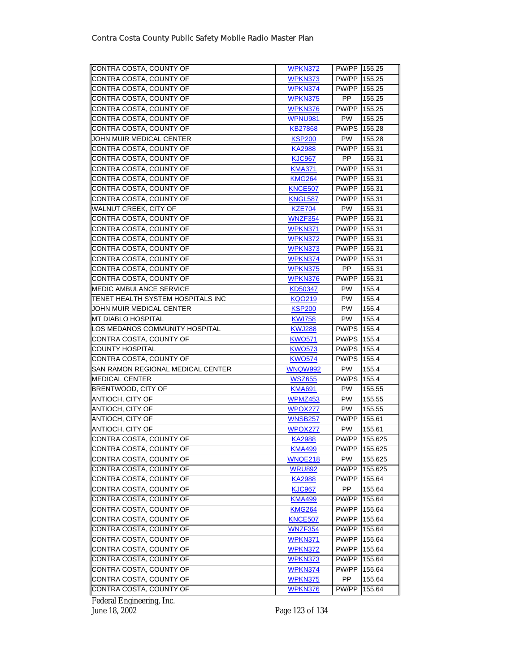| CONTRA COSTA, COUNTY OF           | <b>WPKN372</b> | PW/PP 155.25 |               |
|-----------------------------------|----------------|--------------|---------------|
| CONTRA COSTA, COUNTY OF           | WPKN373        | PW/PP        | 155.25        |
| <b>CONTRA COSTA, COUNTY OF</b>    | <b>WPKN374</b> | PW/PP        | 155.25        |
| CONTRA COSTA, COUNTY OF           | WPKN375        | <b>PP</b>    | 155.25        |
| CONTRA COSTA, COUNTY OF           | <b>WPKN376</b> | PW/PP        | 155.25        |
| CONTRA COSTA, COUNTY OF           | <b>WPNU981</b> | <b>PW</b>    | 155.25        |
| CONTRA COSTA, COUNTY OF           | <b>KB27868</b> | PW/PS        | 155.28        |
| JOHN MUIR MEDICAL CENTER          | <b>KSP200</b>  | <b>PW</b>    | 155.28        |
| CONTRA COSTA, COUNTY OF           | <b>KA2988</b>  | PW/PP        | 155.31        |
| CONTRA COSTA, COUNTY OF           | <b>KJC967</b>  | <b>PP</b>    | 155.31        |
| CONTRA COSTA, COUNTY OF           | <b>KMA371</b>  | PW/PP        | 155.31        |
| CONTRA COSTA, COUNTY OF           | <b>KMG264</b>  | PW/PP        | 155.31        |
| CONTRA COSTA, COUNTY OF           | <b>KNCE507</b> | PW/PP        | 155.31        |
| CONTRA COSTA, COUNTY OF           | <b>KNGL587</b> | PW/PP        | 155.31        |
| WALNUT CREEK, CITY OF             | <b>KZE704</b>  | <b>PW</b>    | 155.31        |
| CONTRA COSTA, COUNTY OF           | WNZF354        | PW/PP 155.31 |               |
| CONTRA COSTA, COUNTY OF           | <b>WPKN371</b> | PW/PP        | 155.31        |
| <b>CONTRA COSTA, COUNTY OF</b>    | <b>WPKN372</b> | PW/PP 155.31 |               |
| CONTRA COSTA, COUNTY OF           | WPKN373        | PW/PP 155.31 |               |
| CONTRA COSTA, COUNTY OF           | <b>WPKN374</b> | PW/PP        | 155.31        |
| CONTRA COSTA, COUNTY OF           | <b>WPKN375</b> | <b>PP</b>    | 155.31        |
| CONTRA COSTA, COUNTY OF           | WPKN376        | PW/PP        | 155.31        |
| <b>MEDIC AMBULANCE SERVICE</b>    | KD50347        | <b>PW</b>    | 155.4         |
| TENET HEALTH SYSTEM HOSPITALS INC | <b>KQO219</b>  | <b>PW</b>    | 155.4         |
| JOHN MUIR MEDICAL CENTER          | <b>KSP200</b>  | <b>PW</b>    | 155.4         |
| MT DIABLO HOSPITAL                | <b>KWI758</b>  | <b>PW</b>    | 155.4         |
| LOS MEDANOS COMMUNITY HOSPITAL    | <b>KWJ288</b>  | PW/PS        | 155.4         |
| CONTRA COSTA, COUNTY OF           | <b>KWO571</b>  | PW/PS        | 155.4         |
| <b>COUNTY HOSPITAL</b>            | <b>KWO573</b>  | PW/PS        | 155.4         |
| CONTRA COSTA, COUNTY OF           | <b>KWO574</b>  | PW/PS        | 155.4         |
| SAN RAMON REGIONAL MEDICAL CENTER | <b>WNQW992</b> | PW           | 155.4         |
| <b>MEDICAL CENTER</b>             | <b>WSZ655</b>  | PW/PS        | 155.4         |
| <b>BRENTWOOD, CITY OF</b>         | <b>KMA691</b>  | <b>PW</b>    | 155.55        |
| ANTIOCH, CITY OF                  | <b>WPMZ453</b> | <b>PW</b>    | 155.55        |
| ANTIOCH, CITY OF                  | <b>WPOX277</b> | PW           | 155.55        |
| ANTIOCH, CITY OF                  | <b>WNSB257</b> | PW/PP        | 155.61        |
| ANTIOCH, CITY OF                  | <b>WPOX277</b> | <b>PW</b>    | 155.61        |
| CONTRA COSTA, COUNTY OF           | <b>KA2988</b>  |              | PW/PP 155.625 |
| CONTRA COSTA, COUNTY OF           | <b>KMA499</b>  | PW/PP        | 155.625       |
| CONTRA COSTA, COUNTY OF           | <b>WNQE218</b> | PW           | 155.625       |
| CONTRA COSTA, COUNTY OF           | <b>WRU892</b>  | PW/PP        | 155.625       |
| CONTRA COSTA, COUNTY OF           | <b>KA2988</b>  | PW/PP        | 155.64        |
| CONTRA COSTA, COUNTY OF           | <b>KJC967</b>  | PP           | 155.64        |
| CONTRA COSTA, COUNTY OF           | <b>KMA499</b>  | PW/PP        | 155.64        |
| CONTRA COSTA, COUNTY OF           | <b>KMG264</b>  | PW/PP        | 155.64        |
| CONTRA COSTA, COUNTY OF           | <b>KNCE507</b> | PW/PP        | 155.64        |
| CONTRA COSTA, COUNTY OF           | WNZF354        | PW/PP        | 155.64        |
| CONTRA COSTA, COUNTY OF           | <b>WPKN371</b> | PW/PP        | 155.64        |
| CONTRA COSTA, COUNTY OF           | <b>WPKN372</b> | PW/PP        | 155.64        |
| CONTRA COSTA, COUNTY OF           | WPKN373        | PW/PP        | 155.64        |
| CONTRA COSTA, COUNTY OF           | WPKN374        | PW/PP        | 155.64        |
| CONTRA COSTA, COUNTY OF           | WPKN375        | PP           | 155.64        |
| CONTRA COSTA, COUNTY OF           | WPKN376        | PW/PP        | 155.64        |

Federal Engineering, Inc. June 18, 2002 Page 123 of 134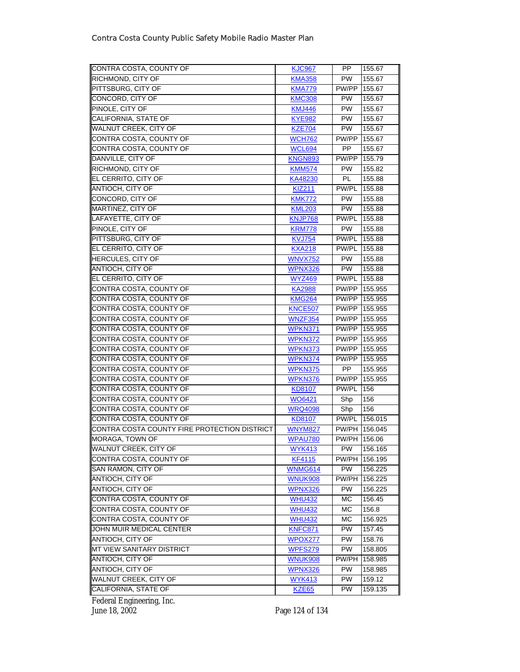| CONTRA COSTA, COUNTY OF                      | <b>KJC967</b>  | PP.          | 155.67        |
|----------------------------------------------|----------------|--------------|---------------|
| RICHMOND, CITY OF                            | <b>KMA358</b>  | <b>PW</b>    | 155.67        |
| PITTSBURG, CITY OF                           | <b>KMA779</b>  | PW/PP        | 155.67        |
| CONCORD, CITY OF                             | <b>KMC308</b>  | <b>PW</b>    | 155.67        |
| PINOLE, CITY OF                              | <b>KMJ446</b>  | <b>PW</b>    | 155.67        |
| CALIFORNIA, STATE OF                         | <b>KYE982</b>  | <b>PW</b>    | 155.67        |
| WALNUT CREEK, CITY OF                        | <b>KZE704</b>  | PW           | 155.67        |
| CONTRA COSTA, COUNTY OF                      | <b>WCH762</b>  | PW/PP        | 155.67        |
| CONTRA COSTA, COUNTY OF                      | <b>WCL694</b>  | <b>PP</b>    | 155.67        |
| DANVILLE, CITY OF                            | <b>KNGN893</b> | PW/PP        | 155.79        |
| RICHMOND, CITY OF                            | <b>KMM574</b>  | <b>PW</b>    | 155.82        |
| EL CERRITO, CITY OF                          | KA48230        | PL           | 155.88        |
| ANTIOCH, CITY OF                             | <b>KIZ211</b>  | PW/PL        | 155.88        |
| CONCORD, CITY OF                             | <b>KMK772</b>  | <b>PW</b>    | 155.88        |
| MARTINEZ, CITY OF                            | <b>KML203</b>  | <b>PW</b>    | 155.88        |
| LAFAYETTE, CITY OF                           | <b>KNJP768</b> | PW/PL        | 155.88        |
| PINOLE, CITY OF                              | <b>KRM778</b>  | <b>PW</b>    | 155.88        |
| PITTSBURG, CITY OF                           | <b>KVJ754</b>  | PW/PL        | 155.88        |
| EL CERRITO, CITY OF                          | <b>KXA218</b>  | PW/PL        | 155.88        |
| <b>HERCULES, CITY OF</b>                     | <b>WNVX752</b> | <b>PW</b>    | 155.88        |
| ANTIOCH, CITY OF                             | <b>WPNX326</b> | <b>PW</b>    | 155.88        |
| EL CERRITO, CITY OF                          | <b>WYZ469</b>  | PW/PL        | 155.88        |
| CONTRA COSTA, COUNTY OF                      | <b>KA2988</b>  |              | PW/PP 155.955 |
| CONTRA COSTA, COUNTY OF                      | <b>KMG264</b>  | PW/PP        | 155.955       |
| CONTRA COSTA, COUNTY OF                      | <b>KNCE507</b> | PW/PP        | 155.955       |
| CONTRA COSTA, COUNTY OF                      | WNZF354        | PW/PP        | 155.955       |
| CONTRA COSTA, COUNTY OF                      | WPKN371        | PW/PP        | 155.955       |
| CONTRA COSTA, COUNTY OF                      | WPKN372        | PW/PP        | 155.955       |
| CONTRA COSTA, COUNTY OF                      | WPKN373        | PW/PP        | 155.955       |
| CONTRA COSTA, COUNTY OF                      | WPKN374        | PW/PP        | 155.955       |
| CONTRA COSTA, COUNTY OF                      | WPKN375        | <b>PP</b>    | 155.955       |
| CONTRA COSTA, COUNTY OF                      | WPKN376        | PW/PP        | 155.955       |
| CONTRA COSTA, COUNTY OF                      | <b>KD8107</b>  | PW/PL        | 156           |
| CONTRA COSTA, COUNTY OF                      | <b>WO6421</b>  | Shp          | 156           |
| CONTRA COSTA, COUNTY OF                      | <b>WRQ4098</b> | Shp          | 156           |
| CONTRA COSTA, COUNTY OF                      | <b>KD8107</b>  | PW/PL        | 156.015       |
| CONTRA COSTA COUNTY FIRE PROTECTION DISTRICT | <b>WNYM827</b> |              | PW/PH 156.045 |
| MORAGA, TOWN OF                              | <b>WPAU780</b> | PW/PH 156.06 |               |
| WALNUT CREEK, CITY OF                        | <b>WYK413</b>  | PW           | 156.165       |
| CONTRA COSTA, COUNTY OF                      | <b>KF4115</b>  | PW/PH        | 156.195       |
| SAN RAMON, CITY OF                           | <b>WNMG614</b> | PW           | 156.225       |
| ANTIOCH, CITY OF                             | <b>WNUK908</b> | PW/PH        | 156.225       |
| ANTIOCH, CITY OF                             | <b>WPNX326</b> | <b>PW</b>    | 156.225       |
| CONTRA COSTA, COUNTY OF                      | <b>WHU432</b>  | МC           | 156.45        |
| CONTRA COSTA, COUNTY OF                      | <b>WHU432</b>  | МC           | 156.8         |
| CONTRA COSTA, COUNTY OF                      | <b>WHU432</b>  | МC           | 156.925       |
| JOHN MUIR MEDICAL CENTER                     | <b>KNFC871</b> | <b>PW</b>    | 157.45        |
| ANTIOCH, CITY OF                             | WPOX277        | PW           | 158.76        |
| MT VIEW SANITARY DISTRICT                    | <b>WPFS279</b> | PW           | 158.805       |
| ANTIOCH, CITY OF                             | <b>WNUK908</b> | PW/PH        | 158.985       |
| ANTIOCH, CITY OF                             | <b>WPNX326</b> | PW           | 158.985       |
| <b>WALNUT CREEK, CITY OF</b>                 | <b>WYK413</b>  | PW           | 159.12        |
| CALIFORNIA, STATE OF                         | KZE65          | PW           | 159.135       |

Federal Engineering, Inc. June 18, 2002 Page 124 of 134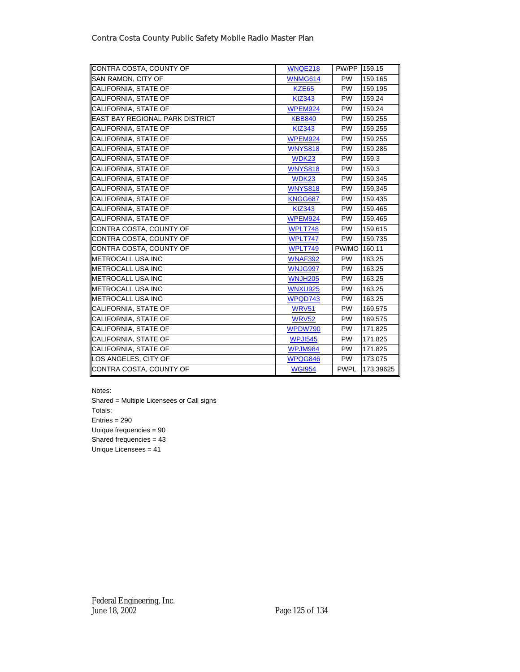| CONTRA COSTA, COUNTY OF                | <b>WNQE218</b> | PW/PP 159.15 |           |
|----------------------------------------|----------------|--------------|-----------|
| SAN RAMON, CITY OF                     | <b>WNMG614</b> | <b>PW</b>    | 159.165   |
| CALIFORNIA, STATE OF                   | <b>KZE65</b>   | <b>PW</b>    | 159.195   |
| CALIFORNIA, STATE OF                   | <b>KIZ343</b>  | <b>PW</b>    | 159.24    |
| CALIFORNIA, STATE OF                   | <b>WPEM924</b> | <b>PW</b>    | 159.24    |
| <b>EAST BAY REGIONAL PARK DISTRICT</b> | <b>KBB840</b>  | <b>PW</b>    | 159.255   |
| CALIFORNIA, STATE OF                   | <b>KIZ343</b>  | <b>PW</b>    | 159.255   |
| CALIFORNIA, STATE OF                   | WPEM924        | <b>PW</b>    | 159.255   |
| CALIFORNIA, STATE OF                   | <b>WNYS818</b> | PW           | 159.285   |
| CALIFORNIA, STATE OF                   | WDK23          | PW           | 159.3     |
| CALIFORNIA, STATE OF                   | <b>WNYS818</b> | <b>PW</b>    | 159.3     |
| CALIFORNIA, STATE OF                   | WDK23          | <b>PW</b>    | 159.345   |
| CALIFORNIA, STATE OF                   | <b>WNYS818</b> | <b>PW</b>    | 159.345   |
| CALIFORNIA, STATE OF                   | KNGG687        | <b>PW</b>    | 159.435   |
| CALIFORNIA, STATE OF                   | <b>KIZ343</b>  | <b>PW</b>    | 159.465   |
| CALIFORNIA, STATE OF                   | WPEM924        | <b>PW</b>    | 159.465   |
| CONTRA COSTA, COUNTY OF                | <b>WPLT748</b> | <b>PW</b>    | 159.615   |
| CONTRA COSTA, COUNTY OF                | WPLT747        | <b>PW</b>    | 159.735   |
| CONTRA COSTA, COUNTY OF                | WPLT749        | PW/MO        | 160.11    |
| <b>METROCALL USA INC</b>               | <b>WNAF392</b> | <b>PW</b>    | 163.25    |
| <b>METROCALL USA INC</b>               | <b>WNJG997</b> | <b>PW</b>    | 163.25    |
| METROCALL USA INC                      | <b>WNJH205</b> | <b>PW</b>    | 163.25    |
| <b>METROCALL USA INC</b>               | <b>WNXU925</b> | <b>PW</b>    | 163.25    |
| <b>METROCALL USA INC</b>               | WPQD743        | PW           | 163.25    |
| CALIFORNIA, STATE OF                   | <b>WRV51</b>   | <b>PW</b>    | 169.575   |
| CALIFORNIA, STATE OF                   | <b>WRV52</b>   | <b>PW</b>    | 169.575   |
| CALIFORNIA, STATE OF                   | <b>WPDW790</b> | <b>PW</b>    | 171.825   |
| CALIFORNIA, STATE OF                   | <b>WPJI545</b> | <b>PW</b>    | 171.825   |
| CALIFORNIA, STATE OF                   | <b>WPJM984</b> | <b>PW</b>    | 171.825   |
| LOS ANGELES, CITY OF                   | WPQG846        | <b>PW</b>    | 173.075   |
| CONTRA COSTA, COUNTY OF                | <b>WGI954</b>  | <b>PWPL</b>  | 173.39625 |

Notes:<br>Shared = Multiple Licensees or Call signs<br>Totals:<br>Entries = 290<br>Unique frequencies = 90<br>Shared frequencies = 43<br>Unique Licensees = 41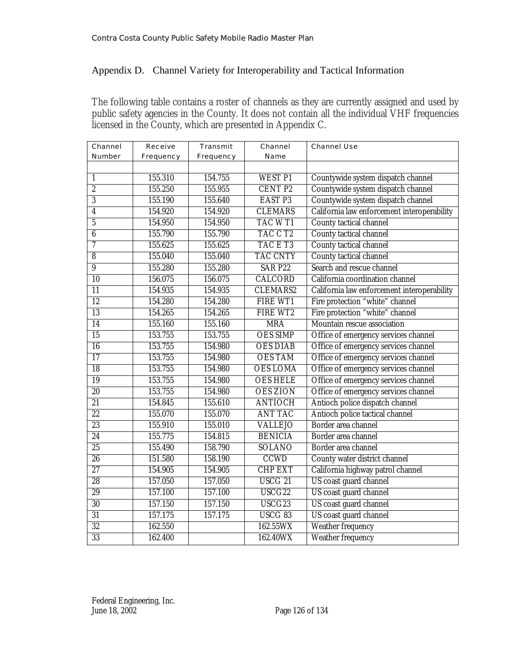# Appendix D. Channel Variety for Interoperability and Tactical Information

The following table contains a roster of channels as they are currently assigned and used by public safety agencies in the County. It does not contain all the individual VHF frequencies licensed in the County, which are presented in Appendix C.

| <b>Channel</b>           | <b>Receive</b> | <b>Transmit</b> | <b>Channel</b>      | <b>Channel Use</b>                          |
|--------------------------|----------------|-----------------|---------------------|---------------------------------------------|
| <b>Number</b>            | Frequency      | Frequency       | <b>Name</b>         |                                             |
|                          |                |                 |                     |                                             |
| $\mathbf{1}$             | 155.310        | 154.755         | <b>WEST P1</b>      | Countywide system dispatch channel          |
| $\overline{2}$           | 155.250        | 155.955         | <b>CENT P2</b>      | Countywide system dispatch channel          |
| 3                        | 155.190        | 155.640         | <b>EAST P3</b>      | Countywide system dispatch channel          |
| $\boldsymbol{4}$         | 154.920        | 154.920         | <b>CLEMARS</b>      | California law enforcement interoperability |
| $\mathbf 5$              | 154.950        | 154.950         | TAC WT1             | County tactical channel                     |
| 6                        | 155.790        | 155.790         | TAC CT <sub>2</sub> | County tactical channel                     |
| $\overline{\mathcal{U}}$ | 155.625        | 155.625         | TAC E T3            | County tactical channel                     |
| $\overline{8}$           | 155.040        | 155.040         | <b>TAC CNTY</b>     | County tactical channel                     |
| $\overline{9}$           | 155.280        | 155.280         | <b>SAR P22</b>      | Search and rescue channel                   |
| 10                       | 156.075        | 156.075         | <b>CALCORD</b>      | California coordination channel             |
| $\overline{11}$          | 154.935        | 154.935         | <b>CLEMARS2</b>     | California law enforcement interoperability |
| $\overline{12}$          | 154.280        | 154.280         | <b>FIRE WT1</b>     | Fire protection "white" channel             |
| 13                       | 154.265        | 154.265         | FIRE WT2            | Fire protection "white" channel             |
| $\overline{14}$          | 155.160        | 155.160         | <b>MRA</b>          | Mountain rescue association                 |
| $\overline{15}$          | 153.755        | 153.755         | <b>OES SIMP</b>     | Office of emergency services channel        |
| 16                       | 153.755        | 154.980         | <b>OES DIAB</b>     | Office of emergency services channel        |
| 17                       | 153.755        | 154.980         | <b>OESTAM</b>       | Office of emergency services channel        |
| $\overline{18}$          | 153.755        | 154.980         | <b>OES LOMA</b>     | Office of emergency services channel        |
| $\overline{19}$          | 153.755        | 154.980         | <b>OES HELE</b>     | Office of emergency services channel        |
| $\overline{20}$          | 153.755        | 154.980         | <b>OES ZION</b>     | Office of emergency services channel        |
| 21                       | 154.845        | 155.610         | <b>ANTIOCH</b>      | Antioch police dispatch channel             |
| $\overline{22}$          | 155.070        | 155.070         | <b>ANT TAC</b>      | Antioch police tactical channel             |
| 23                       | 155.910        | 155.010         | <b>VALLEJO</b>      | Border area channel                         |
| $\overline{24}$          | 155.775        | 154.815         | <b>BENICIA</b>      | Border area channel                         |
| 25                       | 155.490        | 158.790         | <b>SOLANO</b>       | Border area channel                         |
| 26                       | 151.580        | 158.190         | <b>CCWD</b>         | County water district channel               |
| $\overline{27}$          | 154.905        | 154.905         | <b>CHP EXT</b>      | California highway patrol channel           |
| 28                       | 157.050        | 157.050         | <b>USCG 21</b>      | US coast guard channel                      |
| 29                       | 157.100        | 157.100         | USCG22              | US coast guard channel                      |
| 30                       | 157.150        | 157.150         | USCG23              | US coast guard channel                      |
| 31                       | 157.175        | 157.175         | <b>USCG 83</b>      | US coast guard channel                      |
| $\overline{32}$          | 162.550        |                 | 162.55WX            | <b>Weather frequency</b>                    |
| 33                       | 162.400        |                 | 162.40WX            | <b>Weather frequency</b>                    |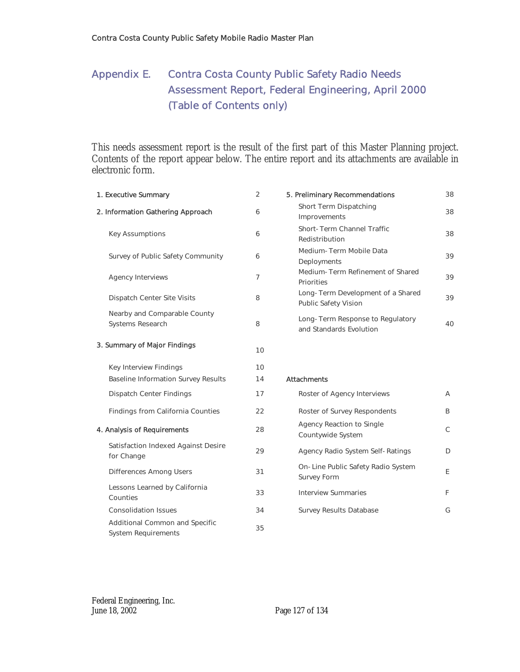# Appendix E. Contra Costa County Public Safety Radio Needs Assessment Report, Federal Engineering, April 2000 (Table of Contents only)

This needs assessment report is the result of the first part of this Master Planning project. Contents of the report appear below. The entire report and its attachments are available in electronic form.

| 1. Executive Summary                                         | 2              | 5. Preliminary Recommendations                              | 38 |
|--------------------------------------------------------------|----------------|-------------------------------------------------------------|----|
| 2. Information Gathering Approach                            | 6              | Short Term Dispatching<br>Improvements                      | 38 |
| Key Assumptions                                              | 6              | Short-Term Channel Traffic<br>Redistribution                | 38 |
| Survey of Public Safety Community                            | 6              | Medium-Term Mobile Data<br>Deployments                      | 39 |
| <b>Agency Interviews</b>                                     | $\overline{7}$ | Medium-Term Refinement of Shared<br>Priorities              | 39 |
| Dispatch Center Site Visits                                  | 8              | Long-Term Development of a Shared<br>Public Safety Vision   | 39 |
| Nearby and Comparable County<br>Systems Research             | 8              | Long-Term Response to Regulatory<br>and Standards Evolution | 40 |
| 3. Summary of Major Findings                                 | 10             |                                                             |    |
| Key Interview Findings                                       | 10             |                                                             |    |
| <b>Baseline Information Survey Results</b>                   | 14             | <b>Attachments</b>                                          |    |
| <b>Dispatch Center Findings</b>                              | 17             | Roster of Agency Interviews                                 | A  |
| Findings from California Counties                            | 22             | Roster of Survey Respondents                                | B  |
| 4. Analysis of Requirements                                  | 28             | Agency Reaction to Single<br>Countywide System              | C  |
| Satisfaction Indexed Against Desire<br>for Change            | 29             | Agency Radio System Self-Ratings                            | D  |
| <b>Differences Among Users</b>                               | 31             | On-Line Public Safety Radio System<br><b>Survey Form</b>    | E  |
| Lessons Learned by California<br>Counties                    | 33             | <b>Interview Summaries</b>                                  | F  |
| <b>Consolidation Issues</b>                                  | 34             | <b>Survey Results Database</b>                              | G  |
| Additional Common and Specific<br><b>System Requirements</b> | 35             |                                                             |    |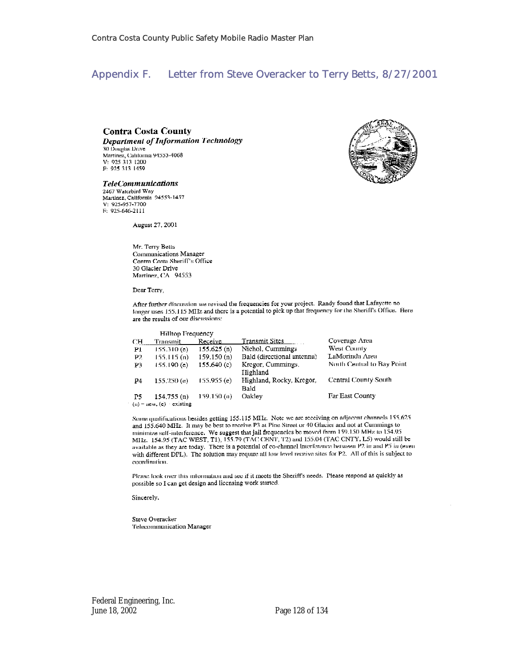### Appendix F. Letter from Steve Overacker to Terry Betts, 8/27/2001

### **Contra Costa County**

**Department of Information Technology** 30 Douglas Drive Martinez, California 94553-4068 V: 925-313-1200 F: 925-313-1459

**TeleCommunications** 

2467 Waterbird Way<br>Martinez, California 94553-1457 V: 925-957-7700 F: 925-646-2111

August 27, 2001

Mr. Terry Betts Communications Manager Contra Costa Sheriff's Office 30 Glacier Drive Martinez, CA 94553

Dear Terry,

After further discussion we revised the frequencies for your project. Randy found that Lafayette no longer uses 155.115 MHz and there is a potential to pick up that frequency for the Sheriff's Office. Here are the results of our discussions:

|           | Hilltop Frequency             |            |                            |                            |
|-----------|-------------------------------|------------|----------------------------|----------------------------|
| CН        | Transmit                      | Receive    | <b>Transmit Sites</b>      | Coverage Area              |
| ΡI        | 155.310(e)                    | 155.625(n) | Nichol, Cummings           | West County                |
| <b>P2</b> | 155.115(n)                    | 159.150(n) | Bald (directional antenna) | LaMorinda Area             |
| <b>P3</b> | 155.190(e)                    | 155.640(e) | Kregor, Cummings,          | North Central to Bay Point |
|           |                               |            | Highland                   |                            |
| P4        | 155,250(e)                    | 155.955(c) | Highland, Rocky, Kregor,   | Central County South       |
|           |                               |            | Bald                       |                            |
| <b>P5</b> | 154.755(n)                    | 159.150(n) | Oakley                     | Far East County            |
|           | $(n)$ = new, $(e)$ = existing |            |                            |                            |

Some qualifications besides getting 155.115 MHz. Note we are receiving on adjacent channels 155.625 and 155.640 MHz. It may be best to receive P3 at Pine Street or 40 Glacier and not at Cummings to minimize self-interference. We suggest that jail frequencies be moved from 159.150 MHz to 154.95 MHz. 154.95 (TAC WEST, T1), 155.79 (TAC CENT, T2) and 155.04 (TAC CNTY, L5) would still be available as they are today. There is a potential of co-channel interference between P2 in and P5 in (even with different DPL). The solution may require all low level receive sites for P2. All of this is subject to coordination.

Please look over this information and see if it meets the Sheriff's needs. Please respond as quickly as possible so I can get design and licensing work started.

Sincerely,

Steve Overacker Telecommunication Manager

Federal Engineering, Inc.

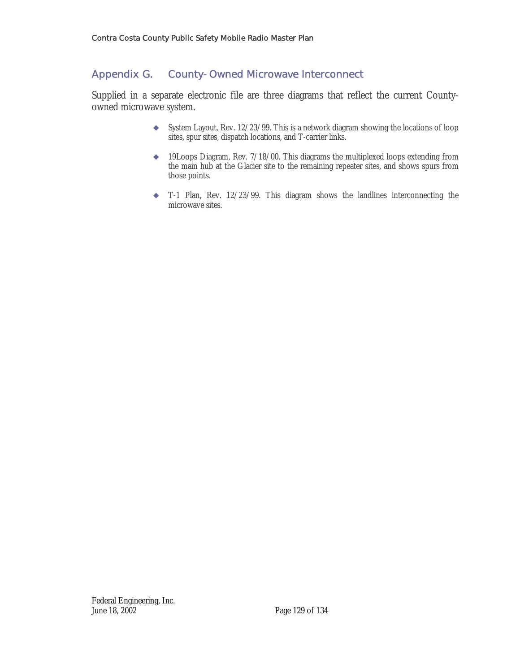# Appendix G. County-Owned Microwave Interconnect

Supplied in a separate electronic file are three diagrams that reflect the current Countyowned microwave system.

- System Layout, Rev. 12/23/99. This is a network diagram showing the locations of loop sites, spur sites, dispatch locations, and T-carrier links.
- ◆ 19Loops Diagram, Rev. 7/18/00. This diagrams the multiplexed loops extending from the main hub at the Glacier site to the remaining repeater sites, and shows spurs from those points.
- T-1 Plan, Rev. 12/23/99. This diagram shows the landlines interconnecting the microwave sites.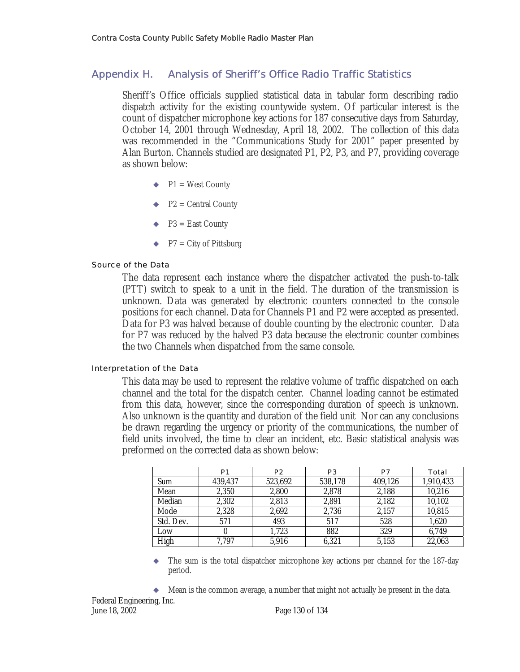# Appendix H. Analysis of Sheriff's Office Radio Traffic Statistics

Sheriff's Office officials supplied statistical data in tabular form describing radio dispatch activity for the existing countywide system. Of particular interest is the count of dispatcher microphone key actions for 187 consecutive days from Saturday, October 14, 2001 through Wednesday, April 18, 2002. The collection of this data was recommended in the "Communications Study for 2001" paper presented by Alan Burton. Channels studied are designated P1, P2, P3, and P7, providing coverage as shown below:

- $\blacktriangleright$  P1 = West County
- $\rightarrow$  P2 = Central County
- $\rightarrow$  P3 = East County
- $\rightarrow$  P7 = City of Pittsburg

### Source of the Data

The data represent each instance where the dispatcher activated the push-to-talk (PTT) switch to speak to a unit in the field. The duration of the transmission is unknown. Data was generated by electronic counters connected to the console positions for each channel. Data for Channels P1 and P2 were accepted as presented. Data for P3 was halved because of double counting by the electronic counter. Data for P7 was reduced by the halved P3 data because the electronic counter combines the two Channels when dispatched from the same console.

### Interpretation of the Data

This data may be used to represent the relative volume of traffic dispatched on each channel and the total for the dispatch center. Channel loading cannot be estimated from this data, however, since the corresponding duration of speech is unknown. Also unknown is the quantity and duration of the field unit Nor can any conclusions be drawn regarding the urgency or priority of the communications, the number of field units involved, the time to clear an incident, etc. Basic statistical analysis was preformed on the corrected data as shown below:

|           | P1      | P <sub>2</sub> | P3      | P7      | <b>Total</b> |
|-----------|---------|----------------|---------|---------|--------------|
| Sum       | 439,437 | 523,692        | 538,178 | 409,126 | 1,910,433    |
| Mean      | 2,350   | 2,800          | 2,878   | 2,188   | 10,216       |
| Median    | 2,302   | 2,813          | 2,891   | 2,182   | 10,102       |
| Mode      | 2,328   | 2,692          | 2,736   | 2,157   | 10,815       |
| Std. Dev. | 571     | 493            | 517     | 528     | 1,620        |
| Low       |         | 1,723          | 882     | 329     | 6,749        |
| High      | 7,797   | 5,916          | 6,321   | 5,153   | 22,063       |

 The sum is the total dispatcher microphone key actions per channel for the 187-day period.

Mean is the common average, a number that might not actually be present in the data.

Federal Engineering, Inc.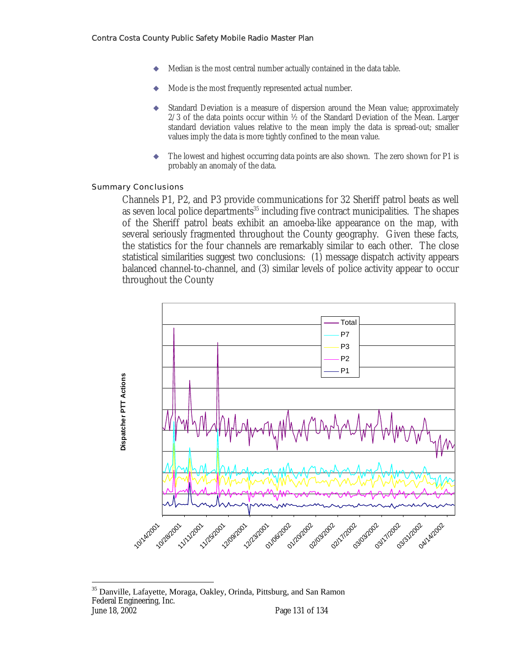- Median is the most central number actually contained in the data table.
- Mode is the most frequently represented actual number.
- Standard Deviation is a measure of dispersion around the Mean value; approximately  $2/3$  of the data points occur within  $\frac{1}{2}$  of the Standard Deviation of the Mean. Larger standard deviation values relative to the mean imply the data is spread-out; smaller values imply the data is more tightly confined to the mean value.
- The lowest and highest occurring data points are also shown. The zero shown for P1 is probably an anomaly of the data.

### Summary Conclusions

 $\overline{a}$ 

Channels P1, P2, and P3 provide communications for 32 Sheriff patrol beats as well as seven local police departments<sup>35</sup> including five contract municipalities. The shapes of the Sheriff patrol beats exhibit an amoeba-like appearance on the map, with several seriously fragmented throughout the County geography. Given these facts, the statistics for the four channels are remarkably similar to each other. The close statistical similarities suggest two conclusions: (1) message dispatch activity appears balanced channel-to-channel, and (3) similar levels of police activity appear to occur throughout the County



<span id="page-130-0"></span>Federal Engineering, Inc. Page 131 of 134 <sup>35</sup> Danville, Lafayette, Moraga, Oakley, Orinda, Pittsburg, and San Ramon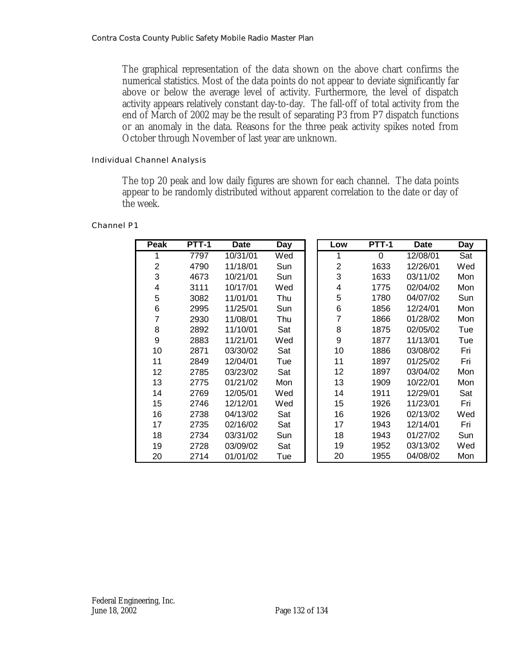The graphical representation of the data shown on the above chart confirms the numerical statistics. Most of the data points do not appear to deviate significantly far above or below the average level of activity. Furthermore, the level of dispatch activity appears relatively constant day-to-day. The fall-off of total activity from the end of March of 2002 may be the result of separating P3 from P7 dispatch functions or an anomaly in the data. Reasons for the three peak activity spikes noted from October through November of last year are unknown.

### Individual Channel Analysis

The top 20 peak and low daily figures are shown for each channel. The data points appear to be randomly distributed without apparent correlation to the date or day of the week.

### Channel P1

| Peak           | <b>PTT-1</b> | <b>Date</b> | Day | Low            | PTT-1 | <b>Date</b> | Day |
|----------------|--------------|-------------|-----|----------------|-------|-------------|-----|
| 1              | 7797         | 10/31/01    | Wed |                | 0     | 12/08/01    | Sat |
| $\overline{2}$ | 4790         | 11/18/01    | Sun | $\overline{2}$ | 1633  | 12/26/01    | Wed |
| 3              | 4673         | 10/21/01    | Sun | 3              | 1633  | 03/11/02    | Mon |
| 4              | 3111         | 10/17/01    | Wed | 4              | 1775  | 02/04/02    | Mon |
| 5              | 3082         | 11/01/01    | Thu | 5              | 1780  | 04/07/02    | Sun |
| 6              | 2995         | 11/25/01    | Sun | 6              | 1856  | 12/24/01    | Mon |
| 7              | 2930         | 11/08/01    | Thu | 7              | 1866  | 01/28/02    | Mon |
| 8              | 2892         | 11/10/01    | Sat | 8              | 1875  | 02/05/02    | Tue |
| 9              | 2883         | 11/21/01    | Wed | 9              | 1877  | 11/13/01    | Tue |
| 10             | 2871         | 03/30/02    | Sat | 10             | 1886  | 03/08/02    | Fri |
| 11             | 2849         | 12/04/01    | Tue | 11             | 1897  | 01/25/02    | Fri |
| 12             | 2785         | 03/23/02    | Sat | 12             | 1897  | 03/04/02    | Mon |
| 13             | 2775         | 01/21/02    | Mon | 13             | 1909  | 10/22/01    | Mon |
| 14             | 2769         | 12/05/01    | Wed | 14             | 1911  | 12/29/01    | Sat |
| 15             | 2746         | 12/12/01    | Wed | 15             | 1926  | 11/23/01    | Fri |
| 16             | 2738         | 04/13/02    | Sat | 16             | 1926  | 02/13/02    | Wed |
| 17             | 2735         | 02/16/02    | Sat | 17             | 1943  | 12/14/01    | Fri |
| 18             | 2734         | 03/31/02    | Sun | 18             | 1943  | 01/27/02    | Sun |
| 19             | 2728         | 03/09/02    | Sat | 19             | 1952  | 03/13/02    | Wed |
| 20             | 2714         | 01/01/02    | Tue | 20             | 1955  | 04/08/02    | Mon |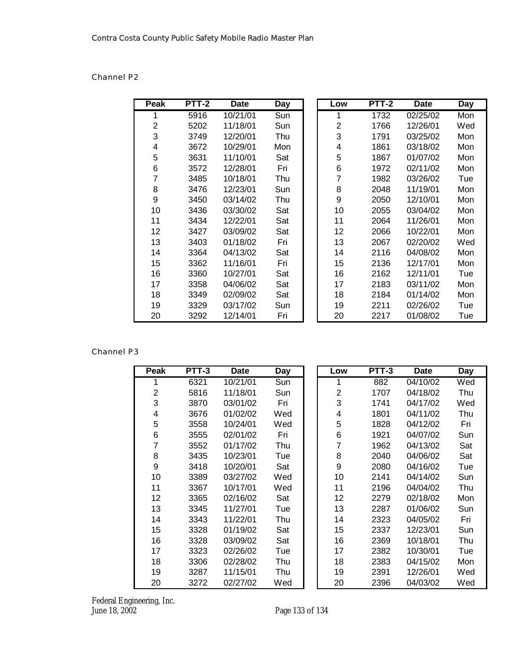### Channel P2

| <b>Peak</b>    | <b>PTT-2</b> | <b>Date</b> | <b>Day</b> | Low            | <b>PTT-2</b> | <b>Date</b> | Day |
|----------------|--------------|-------------|------------|----------------|--------------|-------------|-----|
| 1              | 5916         | 10/21/01    | Sun        | 1              | 1732         | 02/25/02    | Mon |
| $\overline{2}$ | 5202         | 11/18/01    | Sun        | $\overline{2}$ | 1766         | 12/26/01    | Wed |
| 3              | 3749         | 12/20/01    | Thu        | 3              | 1791         | 03/25/02    | Mon |
| 4              | 3672         | 10/29/01    | Mon        | 4              | 1861         | 03/18/02    | Mon |
| 5              | 3631         | 11/10/01    | Sat        | 5              | 1867         | 01/07/02    | Mon |
| 6              | 3572         | 12/28/01    | Fri        | 6              | 1972         | 02/11/02    | Mon |
| 7              | 3485         | 10/18/01    | Thu        | 7              | 1982         | 03/26/02    | Tue |
| 8              | 3476         | 12/23/01    | Sun        | 8              | 2048         | 11/19/01    | Mon |
| 9              | 3450         | 03/14/02    | Thu        | 9              | 2050         | 12/10/01    | Mon |
| 10             | 3436         | 03/30/02    | Sat        | 10             | 2055         | 03/04/02    | Mon |
| 11             | 3434         | 12/22/01    | Sat        | 11             | 2064         | 11/26/01    | Mon |
| 12             | 3427         | 03/09/02    | Sat        | 12             | 2066         | 10/22/01    | Mon |
| 13             | 3403         | 01/18/02    | Fri        | 13             | 2067         | 02/20/02    | Wed |
| 14             | 3364         | 04/13/02    | Sat        | 14             | 2116         | 04/08/02    | Mon |
| 15             | 3362         | 11/16/01    | Fri        | 15             | 2136         | 12/17/01    | Mon |
| 16             | 3360         | 10/27/01    | Sat        | 16             | 2162         | 12/11/01    | Tue |
| 17             | 3358         | 04/06/02    | Sat        | 17             | 2183         | 03/11/02    | Mon |
| 18             | 3349         | 02/09/02    | Sat        | 18             | 2184         | 01/14/02    | Mon |
| 19             | 3329         | 03/17/02    | Sun        | 19             | 2211         | 02/26/02    | Tue |
| 20             | 3292         | 12/14/01    | Fri        | 20             | 2217         | 01/08/02    | Tue |

### Channel P3

| Peak           | PTT-3 | <b>Date</b> | Day | Low | PTT-3 | <b>Date</b> | Day |
|----------------|-------|-------------|-----|-----|-------|-------------|-----|
|                | 6321  | 10/21/01    | Sun |     | 882   | 04/10/02    | Wed |
| $\overline{2}$ | 5816  | 11/18/01    | Sun | 2   | 1707  | 04/18/02    | Thu |
| 3              | 3870  | 03/01/02    | Fri | 3   | 1741  | 04/17/02    | Wed |
| 4              | 3676  | 01/02/02    | Wed | 4   | 1801  | 04/11/02    | Thu |
| 5              | 3558  | 10/24/01    | Wed | 5   | 1828  | 04/12/02    | Fri |
| 6              | 3555  | 02/01/02    | Fri | 6   | 1921  | 04/07/02    | Sun |
| 7              | 3552  | 01/17/02    | Thu | 7   | 1962  | 04/13/02    | Sat |
| 8              | 3435  | 10/23/01    | Tue | 8   | 2040  | 04/06/02    | Sat |
| 9              | 3418  | 10/20/01    | Sat | 9   | 2080  | 04/16/02    | Tue |
| 10             | 3389  | 03/27/02    | Wed | 10  | 2141  | 04/14/02    | Sun |
| 11             | 3367  | 10/17/01    | Wed | 11  | 2196  | 04/04/02    | Thu |
| 12             | 3365  | 02/16/02    | Sat | 12  | 2279  | 02/18/02    | Mon |
| 13             | 3345  | 11/27/01    | Tue | 13  | 2287  | 01/06/02    | Sun |
| 14             | 3343  | 11/22/01    | Thu | 14  | 2323  | 04/05/02    | Fri |
| 15             | 3328  | 01/19/02    | Sat | 15  | 2337  | 12/23/01    | Sun |
| 16             | 3328  | 03/09/02    | Sat | 16  | 2369  | 10/18/01    | Thu |
| 17             | 3323  | 02/26/02    | Tue | 17  | 2382  | 10/30/01    | Tue |
| 18             | 3306  | 02/28/02    | Thu | 18  | 2383  | 04/15/02    | Mon |
| 19             | 3287  | 11/15/01    | Thu | 19  | 2391  | 12/26/01    | Wed |
| 20             | 3272  | 02/27/02    | Wed | 20  | 2396  | 04/03/02    | Wed |

Federal Engineering, Inc. June 18, 2002 Page 133 of 134